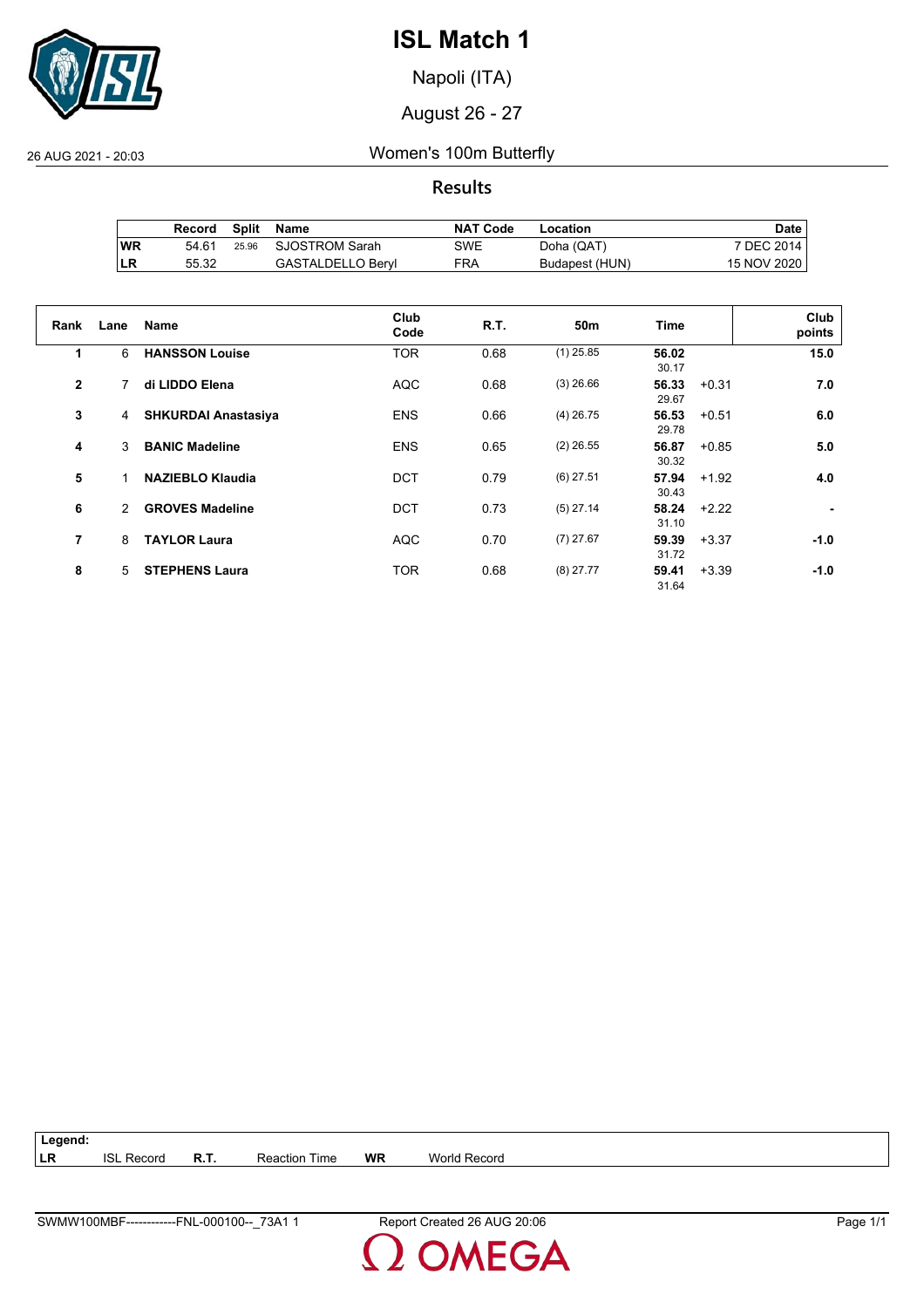

Napoli (ITA)

August 26 - 27

26 AUG 2021 - 20:03 Women's 100m Butterfly

**Results**

|           | Record | Split Name           | <b>NAT Code</b> | Location       | Date i      |
|-----------|--------|----------------------|-----------------|----------------|-------------|
| <b>WR</b> | 54 61  | 25.96 SJOSTROM Sarah | SWE             | Doha (QAT)     | 7 DEC 2014  |
| LR        | 55.32  | GASTALDELLO Beryl    | FRA             | Budapest (HUN) | 15 NOV 2020 |

| Rank           | Lane          | <b>Name</b>                | Club<br>Code | R.T. | 50m         | Time           |         | Club<br>points |
|----------------|---------------|----------------------------|--------------|------|-------------|----------------|---------|----------------|
| 1              | 6             | <b>HANSSON Louise</b>      | <b>TOR</b>   | 0.68 | $(1)$ 25.85 | 56.02<br>30.17 |         | 15.0           |
| $\overline{2}$ | 7             | di LIDDO Elena             | <b>AQC</b>   | 0.68 | $(3)$ 26.66 | 56.33<br>29.67 | $+0.31$ | 7.0            |
| 3              | 4             | <b>SHKURDAI Anastasiya</b> | <b>ENS</b>   | 0.66 | $(4)$ 26.75 | 56.53<br>29.78 | $+0.51$ | 6.0            |
| 4              | 3             | <b>BANIC Madeline</b>      | <b>ENS</b>   | 0.65 | $(2)$ 26.55 | 56.87<br>30.32 | $+0.85$ | 5.0            |
| 5              |               | <b>NAZIEBLO Klaudia</b>    | <b>DCT</b>   | 0.79 | $(6)$ 27.51 | 57.94<br>30.43 | $+1.92$ | 4.0            |
| 6              | $\mathcal{P}$ | <b>GROVES Madeline</b>     | <b>DCT</b>   | 0.73 | $(5)$ 27.14 | 58.24<br>31.10 | $+2.22$ |                |
| 7              | 8             | <b>TAYLOR Laura</b>        | <b>AQC</b>   | 0.70 | $(7)$ 27.67 | 59.39<br>31.72 | $+3.37$ | $-1.0$         |
| 8              | 5             | <b>STEPHENS Laura</b>      | <b>TOR</b>   | 0.68 | $(8)$ 27.77 | 59.41<br>31.64 | $+3.39$ | $-1.0$         |

| $\vert$ Legend: |                   |                      |    |                     |
|-----------------|-------------------|----------------------|----|---------------------|
| <b>ILR</b>      | <b>ISL Record</b> | <b>Reaction Time</b> | WR | <b>World Record</b> |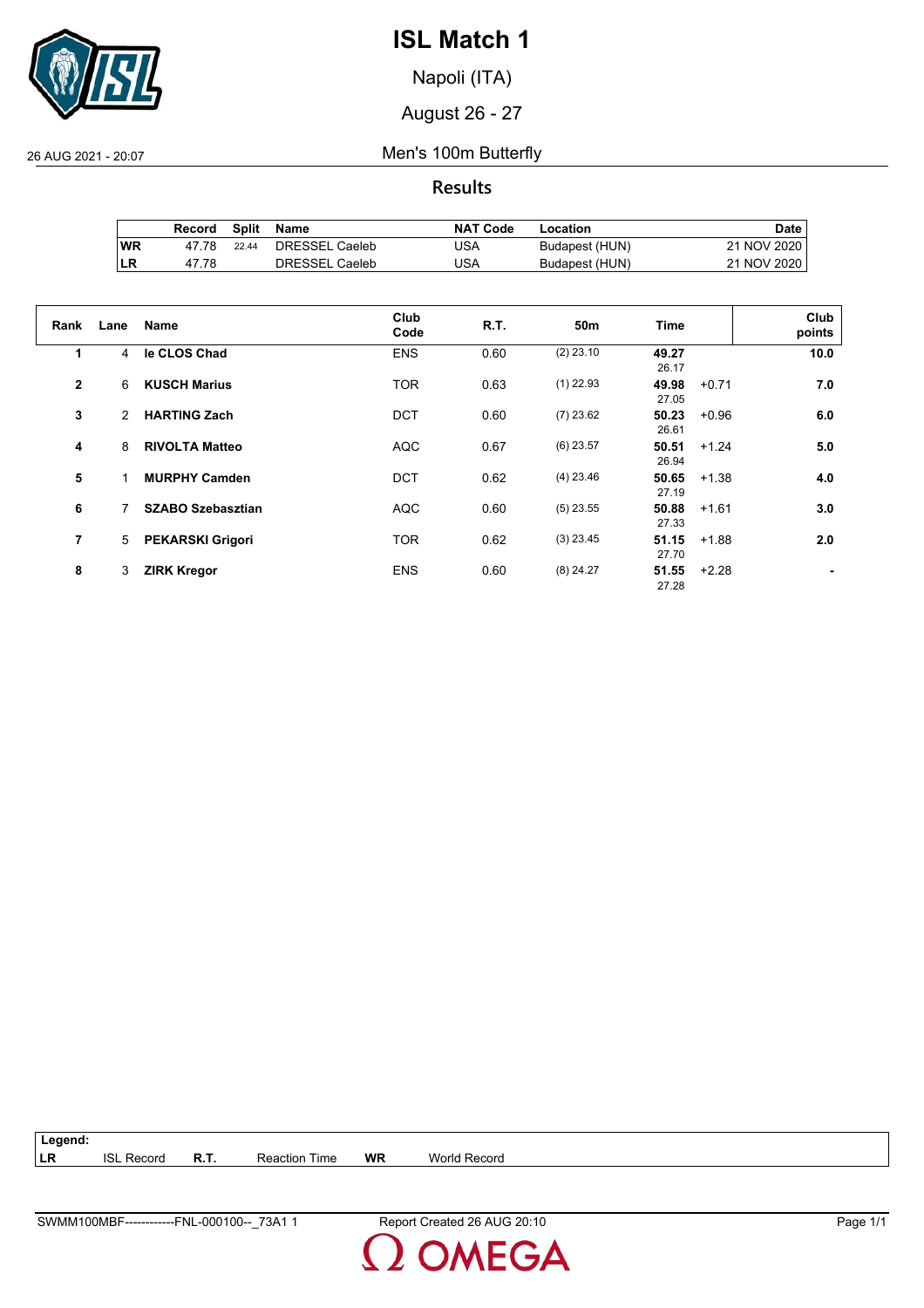

Napoli (ITA)

August 26 - 27

26 AUG 2021 - 20:07 Men's 100m Butterfly

**Results**

|     | Record | Split | Name           | <b>NAT Code</b> | Location       | Date ⊦      |
|-----|--------|-------|----------------|-----------------|----------------|-------------|
| ∣WR | 47.78  | 22.44 | DRESSEL Caeleb | JSA             | Budapest (HUN) | 21 NOV 2020 |
| ILR | 47.78  |       | DRESSEL Caeleb | USA             | Budapest (HUN) | 21 NOV 2020 |

| Rank         | Lane           | Name                     | Club<br>Code | R.T. | 50m         | Time           |         | Club<br>points |
|--------------|----------------|--------------------------|--------------|------|-------------|----------------|---------|----------------|
| 1            | $\overline{4}$ | le CLOS Chad             | <b>ENS</b>   | 0.60 | $(2)$ 23.10 | 49.27<br>26.17 |         | 10.0           |
| $\mathbf{2}$ | 6              | <b>KUSCH Marius</b>      | <b>TOR</b>   | 0.63 | $(1)$ 22.93 | 49.98<br>27.05 | $+0.71$ | 7.0            |
| 3            | 2              | <b>HARTING Zach</b>      | <b>DCT</b>   | 0.60 | $(7)$ 23.62 | 50.23<br>26.61 | $+0.96$ | 6.0            |
| 4            | 8              | <b>RIVOLTA Matteo</b>    | <b>AQC</b>   | 0.67 | $(6)$ 23.57 | 50.51<br>26.94 | $+1.24$ | 5.0            |
| 5            |                | <b>MURPHY Camden</b>     | <b>DCT</b>   | 0.62 | $(4)$ 23.46 | 50.65<br>27.19 | $+1.38$ | 4.0            |
| 6            |                | <b>SZABO Szebasztian</b> | <b>AQC</b>   | 0.60 | $(5)$ 23.55 | 50.88<br>27.33 | $+1.61$ | 3.0            |
| 7            | 5              | <b>PEKARSKI Grigori</b>  | <b>TOR</b>   | 0.62 | $(3)$ 23.45 | 51.15<br>27.70 | $+1.88$ | 2.0            |
| 8            | 3              | <b>ZIRK Kregor</b>       | <b>ENS</b>   | 0.60 | $(8)$ 24.27 | 51.55<br>27.28 | $+2.28$ |                |

**Legend: LR** ISL Record **R.T.** Reaction Time **WR** World Record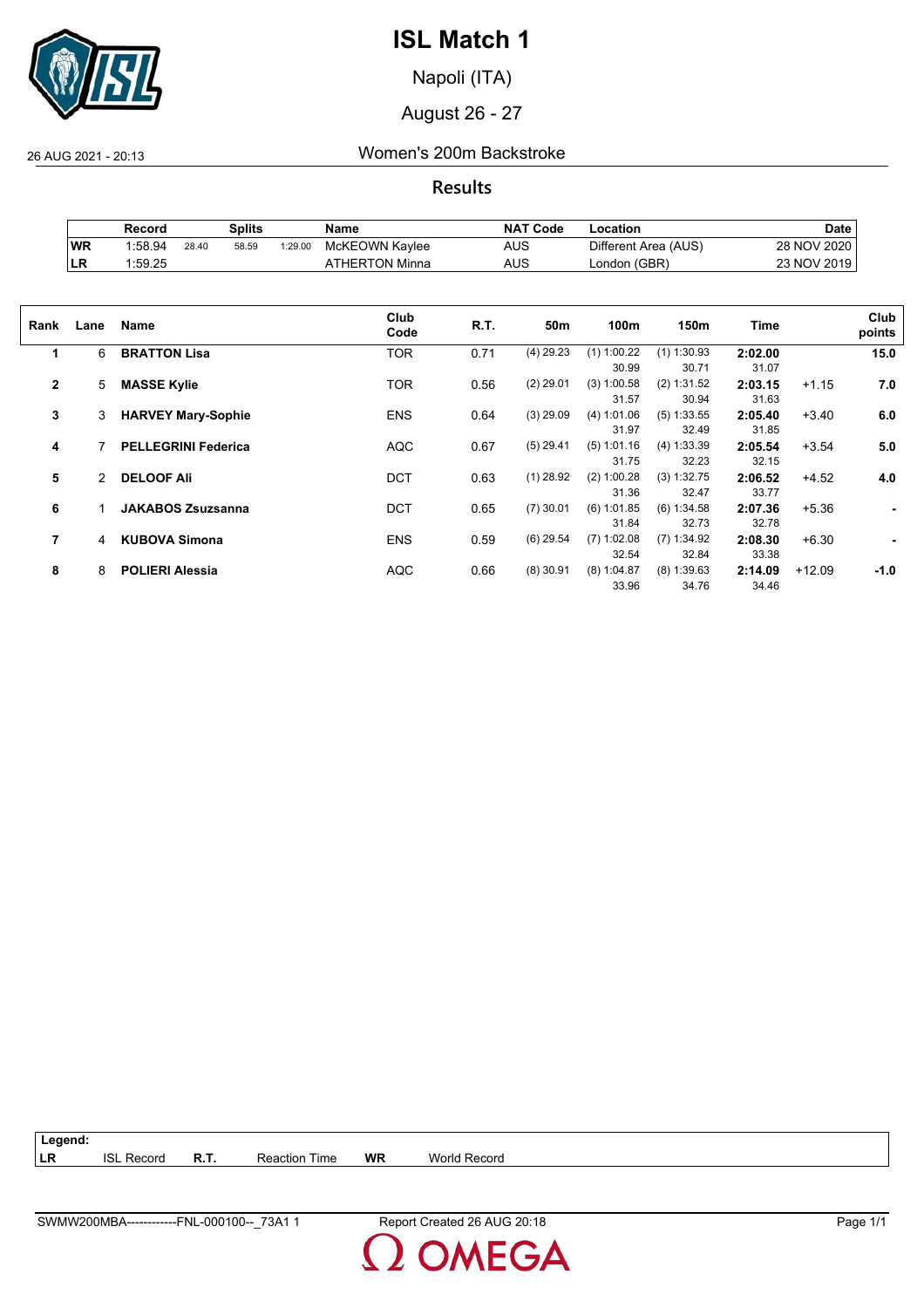

Napoli (ITA)

August 26 - 27

26 AUG 2021 - 20:13 Women's 200m Backstroke

**Results**

|           | Splits<br>Record |       | <b>NAT Code</b><br>Name |         | ∟ocation       | Date |                      |             |
|-----------|------------------|-------|-------------------------|---------|----------------|------|----------------------|-------------|
| WR        | 1:58.94          | 28.40 | 58.59                   | 1:29.00 | McKEOWN Kavlee | AUS  | Different Area (AUS) | 28 NOV 2020 |
| <b>LR</b> | 1:59.25          |       |                         |         | \THERTON Minna | AUS  | London (GBR)         | 23 NOV 2019 |

| Rank           | Lane | Name                       | Club<br>Code | R.T. | 50m         | 100m          | 150m          | Time    |          | Club<br>points |
|----------------|------|----------------------------|--------------|------|-------------|---------------|---------------|---------|----------|----------------|
| 1              | 6    | <b>BRATTON Lisa</b>        | <b>TOR</b>   | 0.71 | $(4)$ 29.23 | $(1)$ 1:00.22 | $(1)$ 1:30.93 | 2:02.00 |          | 15.0           |
|                |      |                            |              |      |             | 30.99         | 30.71         | 31.07   |          |                |
| $\overline{2}$ | 5    | <b>MASSE Kylie</b>         | <b>TOR</b>   | 0.56 | $(2)$ 29.01 | $(3)$ 1:00.58 | (2) 1:31.52   | 2:03.15 | $+1.15$  | 7.0            |
|                |      |                            |              |      |             | 31.57         | 30.94         | 31.63   |          |                |
| 3              | 3    | <b>HARVEY Mary-Sophie</b>  | <b>ENS</b>   | 0.64 | $(3)$ 29.09 | (4) 1:01.06   | $(5)$ 1:33.55 | 2:05.40 | $+3.40$  | 6.0            |
|                |      |                            |              |      |             | 31.97         | 32.49         | 31.85   |          |                |
| 4              |      | <b>PELLEGRINI Federica</b> | <b>AQC</b>   | 0.67 | $(5)$ 29.41 | (5) 1:01.16   | (4) 1:33.39   | 2:05.54 | $+3.54$  | 5.0            |
|                |      |                            |              |      |             | 31.75         | 32.23         | 32.15   |          |                |
| 5              | 2    | <b>DELOOF Ali</b>          | <b>DCT</b>   | 0.63 | $(1)$ 28.92 | $(2)$ 1:00.28 | (3) 1:32.75   | 2:06.52 | $+4.52$  | 4.0            |
|                |      |                            |              |      |             | 31.36         | 32.47         | 33.77   |          |                |
| 6              |      | <b>JAKABOS Zsuzsanna</b>   | <b>DCT</b>   | 0.65 | $(7)$ 30.01 | $(6)$ 1:01.85 | (6) 1:34.58   | 2:07.36 | $+5.36$  | ٠              |
|                |      |                            |              |      |             | 31.84         | 32.73         | 32.78   |          |                |
| 7              | 4    | <b>KUBOVA Simona</b>       | <b>ENS</b>   | 0.59 | $(6)$ 29.54 | $(7)$ 1:02.08 | $(7)$ 1:34.92 | 2:08.30 | $+6.30$  | ٠              |
|                |      |                            |              |      |             | 32.54         | 32.84         | 33.38   |          |                |
| 8              | 8    | <b>POLIERI Alessia</b>     | <b>AQC</b>   | 0.66 | $(8)$ 30.91 | $(8)$ 1:04.87 | $(8)$ 1:39.63 | 2:14.09 | $+12.09$ | $-1.0$         |
|                |      |                            |              |      |             | 33.96         | 34.76         | 34.46   |          |                |
|                |      |                            |              |      |             |               |               |         |          |                |

**Legend: LR** ISL Record **R.T.** Reaction Time **WR** World Record

**MEGA**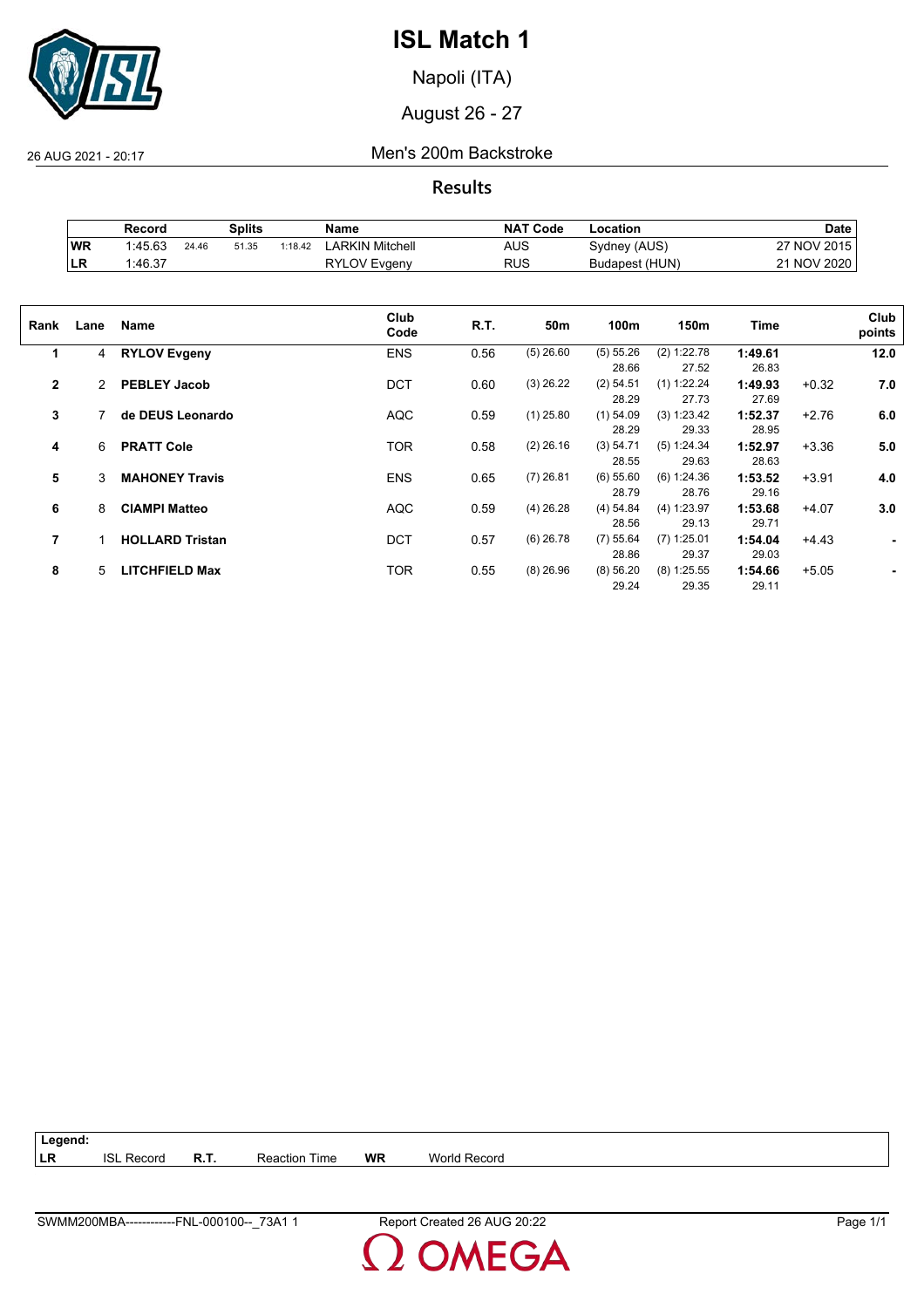

Napoli (ITA)

August 26 - 27

26 AUG 2021 - 20:17 Men's 200m Backstroke

**Results**

|           | Record  |       | Splits |         | Name                | <b>NAT Code</b> | ∟ocation       | Date        |
|-----------|---------|-------|--------|---------|---------------------|-----------------|----------------|-------------|
| WR        | 1:45.63 | 24.46 | 51.35  | 1:18.42 | ARKIN Mitchell      | AUS             | Sydney (AUS)   | 27 NOV 2015 |
| <b>LR</b> | 1:46.37 |       |        |         | <b>RYLOV Evgeny</b> | <b>RUS</b>      | Budapest (HUN) | 21 NOV 2020 |

| Rank         | Lane         | Name                   | Club<br>Code | R.T. | 50m         | 100m        | 150m          | Time    |         | Club<br>points |
|--------------|--------------|------------------------|--------------|------|-------------|-------------|---------------|---------|---------|----------------|
| 1            | 4            | <b>RYLOV Evgeny</b>    | <b>ENS</b>   | 0.56 | $(5)$ 26.60 | (5) 55.26   | (2) 1:22.78   | 1:49.61 |         | 12.0           |
|              |              |                        |              |      |             | 28.66       | 27.52         | 26.83   |         |                |
| $\mathbf{2}$ | $\mathbf{2}$ | <b>PEBLEY Jacob</b>    | <b>DCT</b>   | 0.60 | $(3)$ 26.22 | $(2)$ 54.51 | $(1)$ 1:22.24 | 1:49.93 | $+0.32$ | 7.0            |
|              |              |                        |              |      |             | 28.29       | 27.73         | 27.69   |         |                |
| 3            |              | de DEUS Leonardo       | <b>AQC</b>   | 0.59 | $(1)$ 25.80 | $(1)$ 54.09 | (3) 1:23.42   | 1:52.37 | $+2.76$ | 6.0            |
|              |              |                        |              |      |             | 28.29       | 29.33         | 28.95   |         |                |
| 4            | 6            | <b>PRATT Cole</b>      | <b>TOR</b>   | 0.58 | $(2)$ 26.16 | (3) 54.71   | (5) 1:24.34   | 1:52.97 | $+3.36$ | 5.0            |
|              |              |                        |              |      |             | 28.55       | 29.63         | 28.63   |         |                |
| 5            | 3            | <b>MAHONEY Travis</b>  | <b>ENS</b>   | 0.65 | $(7)$ 26.81 | $(6)$ 55.60 | (6) 1:24.36   | 1:53.52 | $+3.91$ | 4.0            |
|              |              |                        |              |      |             | 28.79       | 28.76         | 29.16   |         |                |
| 6            | 8            | <b>CIAMPI Matteo</b>   | <b>AQC</b>   | 0.59 | $(4)$ 26.28 | (4) 54.84   | (4) 1:23.97   | 1:53.68 | $+4.07$ | 3.0            |
|              |              |                        |              |      |             | 28.56       | 29.13         | 29.71   |         |                |
| 7            |              | <b>HOLLARD Tristan</b> | <b>DCT</b>   | 0.57 | $(6)$ 26.78 | $(7)$ 55.64 | $(7)$ 1:25.01 | 1:54.04 | $+4.43$ |                |
|              |              |                        |              |      |             | 28.86       | 29.37         | 29.03   |         |                |
| 8            | 5            | <b>LITCHFIELD Max</b>  | <b>TOR</b>   | 0.55 | $(8)$ 26.96 | (8) 56.20   | $(8)$ 1:25.55 | 1:54.66 | $+5.05$ |                |
|              |              |                        |              |      |             | 29.24       | 29.35         | 29.11   |         |                |
|              |              |                        |              |      |             |             |               |         |         |                |

| Legend:    |            |             |               |    |              |
|------------|------------|-------------|---------------|----|--------------|
| <b>ILR</b> | ISI Record | <b>R.T.</b> | Reaction Time | WR | World Record |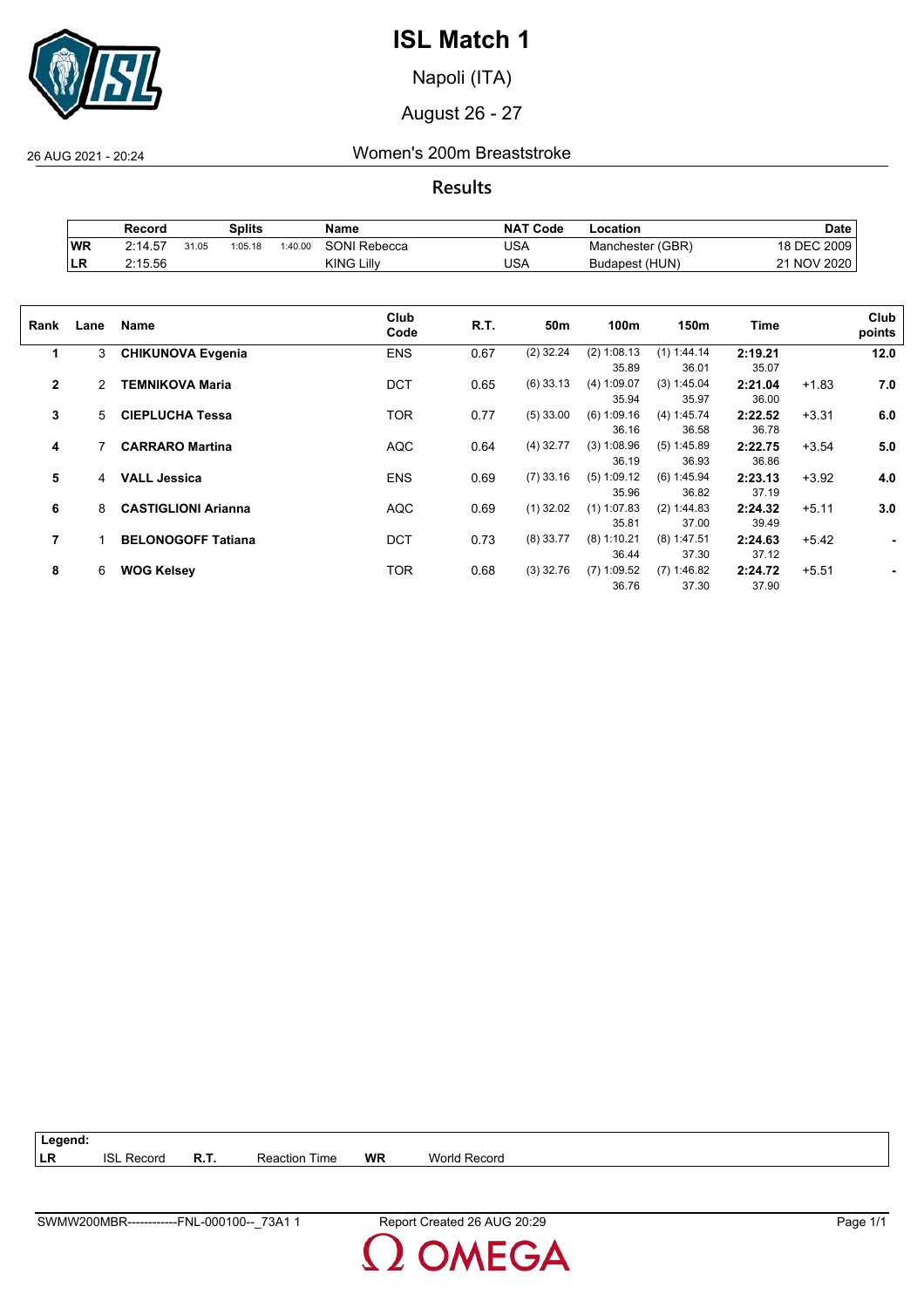

Napoli (ITA)

August 26 - 27

26 AUG 2021 - 20:24 Women's 200m Breaststroke

**Results**

|     | Record  |       | Splits  |         | Name         | <b>NAT</b><br>ˈ Code | ∟ocation         | <b>Date</b>            |
|-----|---------|-------|---------|---------|--------------|----------------------|------------------|------------------------|
| WR  | 2:14.57 | 31.05 | 1:05.18 | 1:40.00 | SONI Rebecca | JSA                  | Manchester (GBR) | DEC 2009               |
| ILR | 2:15.56 |       |         |         | KING Lillv   | USA                  | Budapest (HUN)   | <b>NOV 2020</b><br>າ 1 |

| Rank           | Lane | Name                       | Club<br>Code | R.T. | 50m         | 100m          | 150m          | Time    |         | Club<br>points |
|----------------|------|----------------------------|--------------|------|-------------|---------------|---------------|---------|---------|----------------|
| 1              | 3    | <b>CHIKUNOVA Evgenia</b>   | <b>ENS</b>   | 0.67 | $(2)$ 32.24 | (2) 1:08.13   | (1) 1:44.14   | 2:19.21 |         | 12.0           |
|                |      |                            |              |      |             | 35.89         | 36.01         | 35.07   |         |                |
| $\overline{2}$ | 2    | <b>TEMNIKOVA Maria</b>     | <b>DCT</b>   | 0.65 | $(6)$ 33.13 | (4) 1:09.07   | (3) 1:45.04   | 2:21.04 | $+1.83$ | 7.0            |
|                |      |                            |              |      |             | 35.94         | 35.97         | 36.00   |         |                |
| 3              | 5    | <b>CIEPLUCHA Tessa</b>     | <b>TOR</b>   | 0.77 | $(5)$ 33.00 | $(6)$ 1:09.16 | (4) 1:45.74   | 2:22.52 | $+3.31$ | 6.0            |
|                |      |                            |              |      |             | 36.16         | 36.58         | 36.78   |         |                |
| 4              |      | <b>CARRARO Martina</b>     | <b>AQC</b>   | 0.64 | $(4)$ 32.77 | $(3)$ 1:08.96 | $(5)$ 1:45.89 | 2:22.75 | $+3.54$ | 5.0            |
|                |      |                            |              |      |             | 36.19         | 36.93         | 36.86   |         |                |
| 5              | 4    | <b>VALL Jessica</b>        | <b>ENS</b>   | 0.69 | $(7)$ 33.16 | $(5)$ 1:09.12 | (6) 1:45.94   | 2:23.13 | $+3.92$ | 4.0            |
|                |      |                            |              |      |             | 35.96         | 36.82         | 37.19   |         |                |
| 6              | 8    | <b>CASTIGLIONI Arianna</b> | <b>AQC</b>   | 0.69 | $(1)$ 32.02 | $(1)$ 1:07.83 | (2) 1:44.83   | 2:24.32 | $+5.11$ | 3.0            |
|                |      |                            |              |      |             | 35.81         | 37.00         | 39.49   |         |                |
| 7              |      | <b>BELONOGOFF Tatiana</b>  | <b>DCT</b>   | 0.73 | $(8)$ 33.77 | $(8)$ 1:10.21 | $(8)$ 1:47.51 | 2:24.63 | $+5.42$ | ٠              |
|                |      |                            |              |      |             | 36.44         | 37.30         | 37.12   |         |                |
| 8              | 6    | <b>WOG Kelsey</b>          | TOR          | 0.68 | $(3)$ 32.76 | $(7)$ 1:09.52 | $(7)$ 1:46.82 | 2:24.72 | $+5.51$ |                |
|                |      |                            |              |      |             | 36.76         | 37.30         | 37.90   |         |                |
|                |      |                            |              |      |             |               |               |         |         |                |

**Legend: LR** ISL Record **R.T.** Reaction Time **WR** World Record

**MEGA**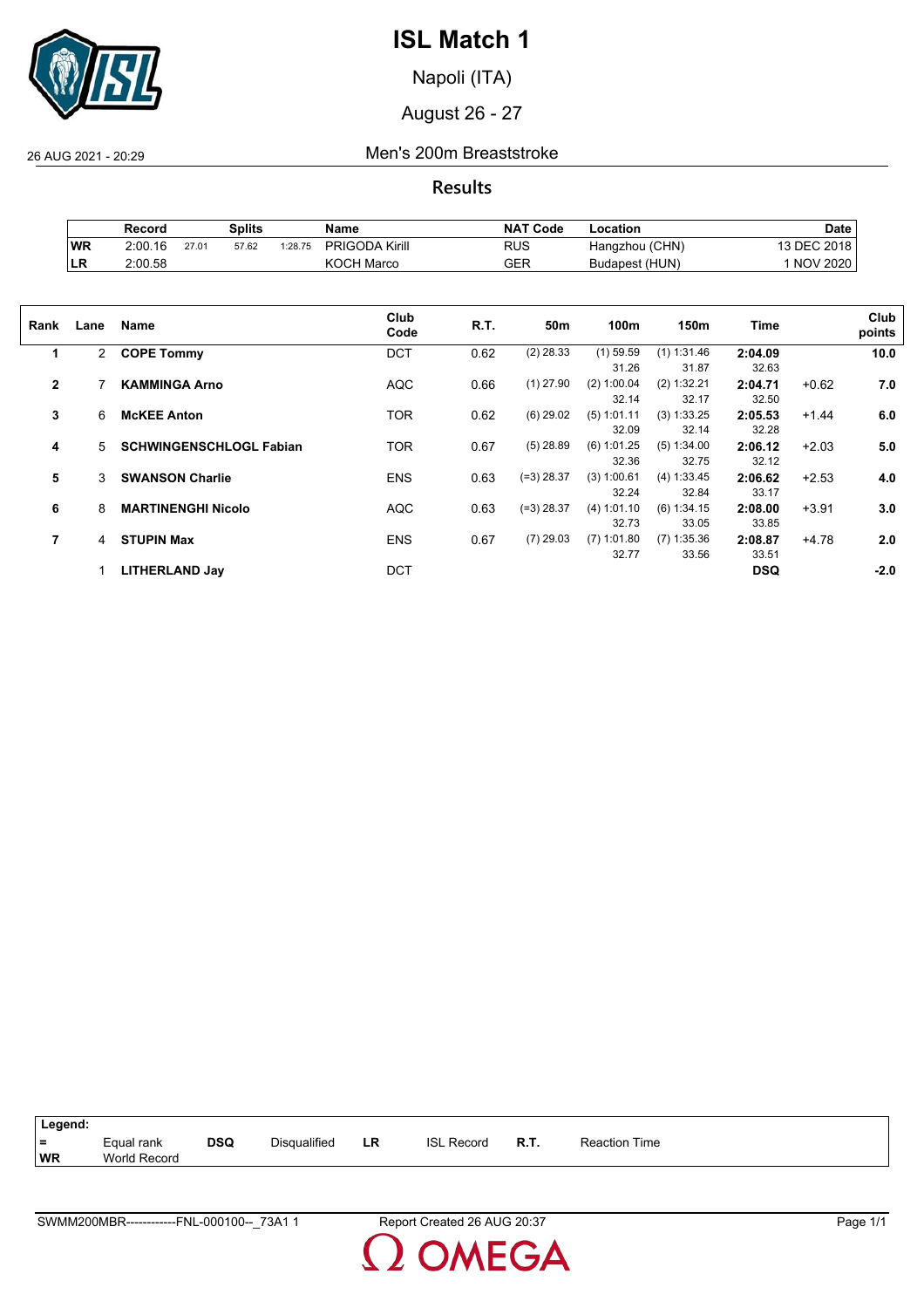

Napoli (ITA)

August 26 - 27

26 AUG 2021 - 20:29 Men's 200m Breaststroke

**Results**

|     | Record  |       | Splits |         | Name                  | <b>NAT Code</b> | _ocation       | <b>Date</b>     |
|-----|---------|-------|--------|---------|-----------------------|-----------------|----------------|-----------------|
| WR  | 2:00.16 | 27.01 | 57.62  | 1:28.75 | <b>PRIGODA Kirill</b> | RUS             | Hangzhou (CHN) | <b>DEC 2018</b> |
| ∣LR | 2:00.58 |       |        |         | <b>KOCH Marco</b>     | GER             | Budapest (HUN) | <b>NOV 2020</b> |

| Rank           | Lane         | Name                           | Club<br>Code | R.T. | 50m          | 100m          | 150m          | <b>Time</b> |         | Club<br>points |
|----------------|--------------|--------------------------------|--------------|------|--------------|---------------|---------------|-------------|---------|----------------|
| 1              | $\mathbf{2}$ | <b>COPE Tommy</b>              | <b>DCT</b>   | 0.62 | $(2)$ 28.33  | $(1)$ 59.59   | $(1)$ 1:31.46 | 2:04.09     |         | 10.0           |
|                |              |                                |              |      |              | 31.26         | 31.87         | 32.63       |         |                |
| $\overline{2}$ |              | <b>KAMMINGA Arno</b>           | <b>AQC</b>   | 0.66 | $(1)$ 27.90  | (2) 1:00.04   | (2) 1:32.21   | 2:04.71     | $+0.62$ | 7.0            |
|                |              |                                |              |      |              | 32.14         | 32.17         | 32.50       |         |                |
| 3              | 6            | <b>McKEE Anton</b>             | <b>TOR</b>   | 0.62 | $(6)$ 29.02  | $(5)$ 1:01.11 | (3) 1:33.25   | 2:05.53     | $+1.44$ | 6.0            |
|                |              |                                |              |      |              | 32.09         | 32.14         | 32.28       |         |                |
| 4              | 5.           | <b>SCHWINGENSCHLOGL Fabian</b> | <b>TOR</b>   | 0.67 | $(5)$ 28.89  | $(6)$ 1:01.25 | (5) 1:34.00   | 2:06.12     | $+2.03$ | 5.0            |
|                |              |                                |              |      |              | 32.36         | 32.75         | 32.12       |         |                |
| 5              | 3            | <b>SWANSON Charlie</b>         | <b>ENS</b>   | 0.63 | (=3) 28.37   | (3) 1:00.61   | (4) 1:33.45   | 2:06.62     | $+2.53$ | 4.0            |
|                |              |                                |              |      |              | 32.24         | 32.84         | 33.17       |         |                |
| 6              | 8            | <b>MARTINENGHI Nicolo</b>      | <b>AQC</b>   | 0.63 | $(=3)$ 28.37 | (4) 1:01.10   | (6) 1:34.15   | 2:08.00     | $+3.91$ | 3.0            |
|                |              |                                |              |      |              | 32.73         | 33.05         | 33.85       |         |                |
| 7              | 4            | <b>STUPIN Max</b>              | <b>ENS</b>   | 0.67 | $(7)$ 29.03  | $(7)$ 1:01.80 | $(7)$ 1:35.36 | 2:08.87     | $+4.78$ | 2.0            |
|                |              |                                |              |      |              | 32.77         | 33.56         | 33.51       |         |                |
|                |              | <b>LITHERLAND Jay</b>          | <b>DCT</b>   |      |              |               |               | <b>DSQ</b>  |         | $-2.0$         |
|                |              |                                |              |      |              |               |               |             |         |                |

| Legend: |                     |            |                     |    |                   |             |                      |
|---------|---------------------|------------|---------------------|----|-------------------|-------------|----------------------|
| $=$     | Equal rank          | <b>DSQ</b> | <b>Disqualified</b> | LR | <b>ISL Record</b> | <b>R.T.</b> | <b>Reaction Time</b> |
| WR      | <b>World Record</b> |            |                     |    |                   |             |                      |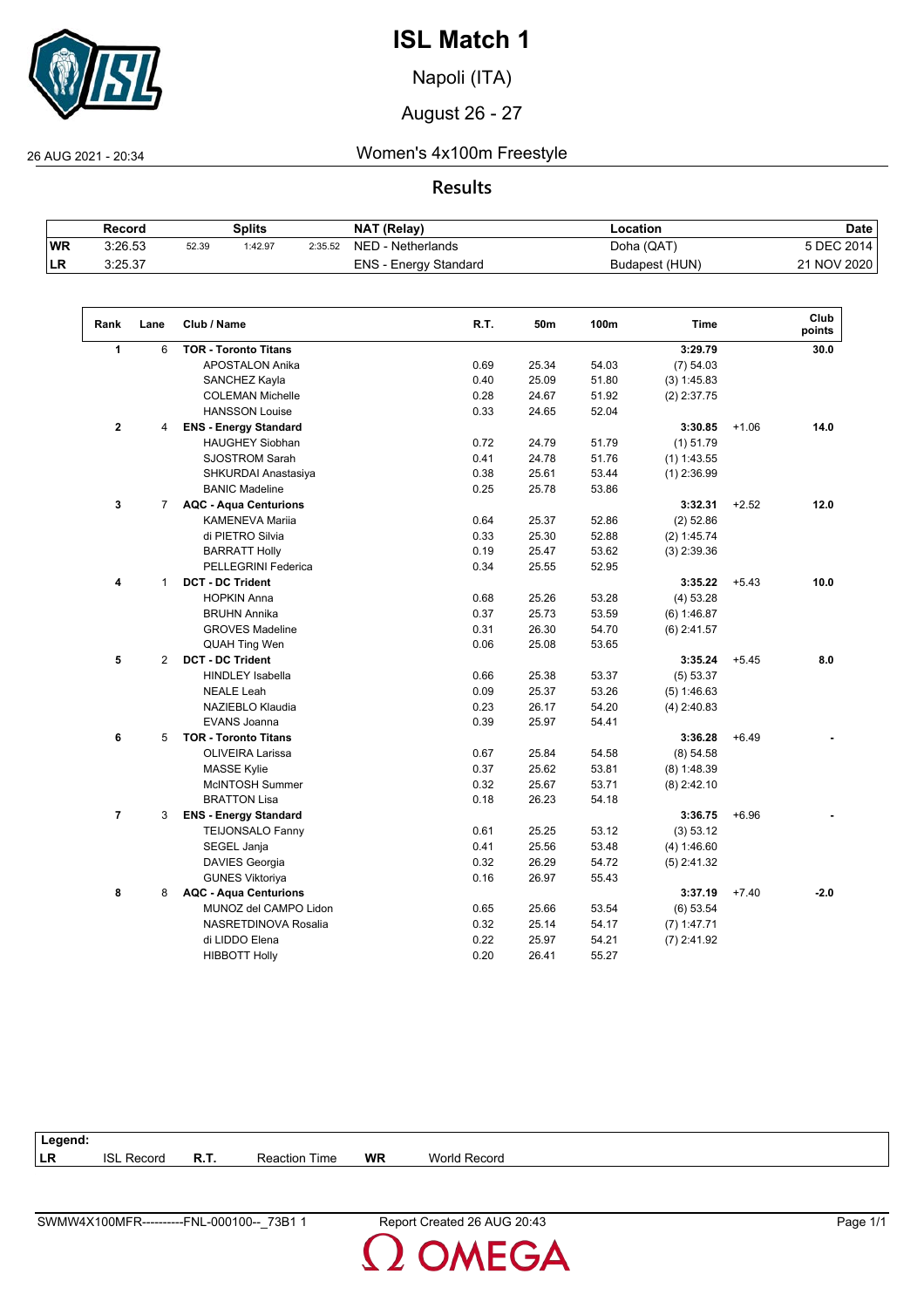

Napoli (ITA)

August 26 - 27

 $\sqrt{2}$ 

26 AUG 2021 - 20:34 Women's 4x100m Freestyle

**Results**

|    | Record  |       | Splits  |         | NAT (Relay)                  | Location       | <b>Date</b> |
|----|---------|-------|---------|---------|------------------------------|----------------|-------------|
| WR | 3:26.53 | 52.39 | 1:42.97 | 2:35.52 | NED - Netherlands            | Doha (QAT)     | 5 DEC 2014  |
| LR | 3:25.37 |       |         |         | <b>ENS - Energy Standard</b> | Budapest (HUN) | 21 NOV 2020 |

| Rank           | Lane           | Club / Name                  | R.T. | 50m   | 100m  | <b>Time</b>   |         | Club<br>points |
|----------------|----------------|------------------------------|------|-------|-------|---------------|---------|----------------|
| 1              | 6              | <b>TOR - Toronto Titans</b>  |      |       |       | 3:29.79       |         | 30.0           |
|                |                | APOSTALON Anika              | 0.69 | 25.34 | 54.03 | (7) 54.03     |         |                |
|                |                | SANCHEZ Kayla                | 0.40 | 25.09 | 51.80 | (3) 1:45.83   |         |                |
|                |                | <b>COLEMAN Michelle</b>      | 0.28 | 24.67 | 51.92 | $(2)$ 2:37.75 |         |                |
|                |                | <b>HANSSON Louise</b>        | 0.33 | 24.65 | 52.04 |               |         |                |
| $\mathbf{2}$   | 4              | <b>ENS - Energy Standard</b> |      |       |       | 3:30.85       | $+1.06$ | 14.0           |
|                |                | <b>HAUGHEY Siobhan</b>       | 0.72 | 24.79 | 51.79 | $(1)$ 51.79   |         |                |
|                |                | <b>SJOSTROM Sarah</b>        | 0.41 | 24.78 | 51.76 | $(1)$ 1:43.55 |         |                |
|                |                | SHKURDAI Anastasiya          | 0.38 | 25.61 | 53.44 | $(1)$ 2:36.99 |         |                |
|                |                | <b>BANIC Madeline</b>        | 0.25 | 25.78 | 53.86 |               |         |                |
| 3              | $\overline{7}$ | <b>AQC - Aqua Centurions</b> |      |       |       | 3:32.31       | $+2.52$ | 12.0           |
|                |                | <b>KAMENEVA Mariia</b>       | 0.64 | 25.37 | 52.86 | $(2)$ 52.86   |         |                |
|                |                | di PIETRO Silvia             | 0.33 | 25.30 | 52.88 | (2) 1:45.74   |         |                |
|                |                | <b>BARRATT Holly</b>         | 0.19 | 25.47 | 53.62 | $(3)$ 2:39.36 |         |                |
|                |                | <b>PELLEGRINI Federica</b>   | 0.34 | 25.55 | 52.95 |               |         |                |
| 4              | $\mathbf{1}$   | <b>DCT - DC Trident</b>      |      |       |       | 3:35.22       | $+5.43$ | 10.0           |
|                |                | <b>HOPKIN Anna</b>           | 0.68 | 25.26 | 53.28 | (4) 53.28     |         |                |
|                |                | <b>BRUHN Annika</b>          | 0.37 | 25.73 | 53.59 | (6) 1:46.87   |         |                |
|                |                | <b>GROVES Madeline</b>       | 0.31 | 26.30 | 54.70 | $(6)$ 2:41.57 |         |                |
|                |                | <b>QUAH Ting Wen</b>         | 0.06 | 25.08 | 53.65 |               |         |                |
| 5              | $\overline{2}$ | <b>DCT - DC Trident</b>      |      |       |       | 3:35.24       | $+5.45$ | 8.0            |
|                |                | <b>HINDLEY Isabella</b>      | 0.66 | 25.38 | 53.37 | (5) 53.37     |         |                |
|                |                | <b>NEALE Leah</b>            | 0.09 | 25.37 | 53.26 | (5) 1:46.63   |         |                |
|                |                | NAZIEBLO Klaudia             | 0.23 | 26.17 | 54.20 | $(4)$ 2:40.83 |         |                |
|                |                | <b>EVANS Joanna</b>          | 0.39 | 25.97 | 54.41 |               |         |                |
| 6              | 5              | <b>TOR - Toronto Titans</b>  |      |       |       | 3:36.28       | $+6.49$ |                |
|                |                | OLIVEIRA Larissa             | 0.67 | 25.84 | 54.58 | (8) 54.58     |         |                |
|                |                | <b>MASSE Kylie</b>           | 0.37 | 25.62 | 53.81 | $(8)$ 1:48.39 |         |                |
|                |                | McINTOSH Summer              | 0.32 | 25.67 | 53.71 | $(8)$ 2:42.10 |         |                |
|                |                | <b>BRATTON Lisa</b>          | 0.18 | 26.23 | 54.18 |               |         |                |
| $\overline{7}$ | 3              | <b>ENS - Energy Standard</b> |      |       |       | 3:36.75       | $+6.96$ |                |
|                |                | <b>TEIJONSALO Fanny</b>      | 0.61 | 25.25 | 53.12 | (3) 53.12     |         |                |
|                |                | SEGEL Janja                  | 0.41 | 25.56 | 53.48 | (4) 1:46.60   |         |                |
|                |                | DAVIES Georgia               | 0.32 | 26.29 | 54.72 | $(5)$ 2:41.32 |         |                |
|                |                | <b>GUNES Viktoriya</b>       | 0.16 | 26.97 | 55.43 |               |         |                |
| 8              | 8              | <b>AQC - Aqua Centurions</b> |      |       |       | 3:37.19       | $+7.40$ | $-2.0$         |
|                |                | MUNOZ del CAMPO Lidon        | 0.65 | 25.66 | 53.54 | (6) 53.54     |         |                |
|                |                | NASRETDINOVA Rosalia         | 0.32 | 25.14 | 54.17 | $(7)$ 1:47.71 |         |                |
|                |                | di LIDDO Elena               | 0.22 | 25.97 | 54.21 | $(7)$ 2:41.92 |         |                |
|                |                | <b>HIBBOTT Holly</b>         | 0.20 | 26.41 | 55.27 |               |         |                |

| Legend:   |                   |             |                      |           |              |
|-----------|-------------------|-------------|----------------------|-----------|--------------|
| <b>LR</b> | <b>ISL Record</b> | <b>R.T.</b> | <b>Reaction Time</b> | <b>WR</b> | World Record |
|           |                   |             |                      |           |              |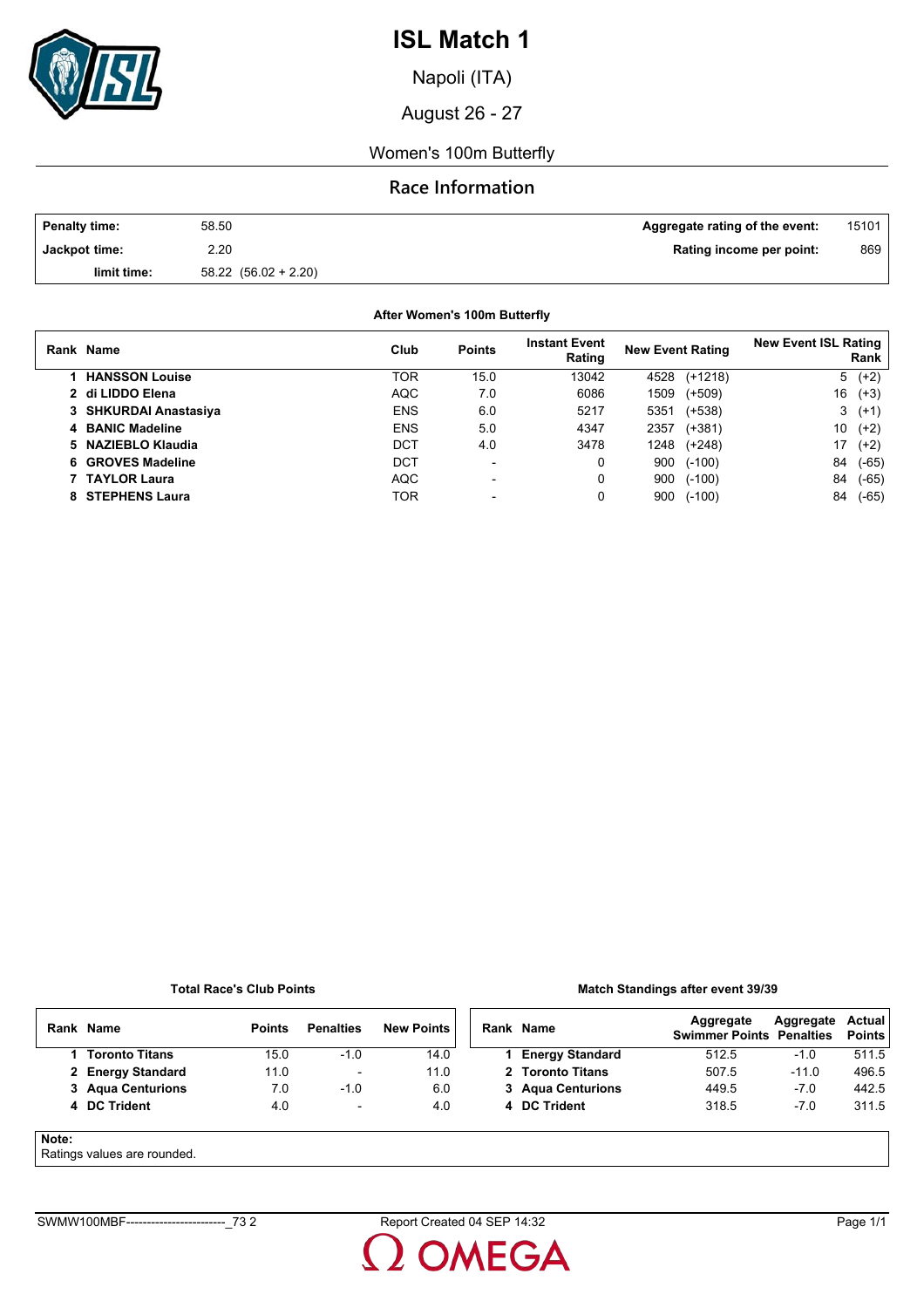

Napoli (ITA)

August 26 - 27

Women's 100m Butterfly

## **Race Information**

| <b>Penalty time:</b> | 58.50                    | Aggregate rating of the event: | 15101 |
|----------------------|--------------------------|--------------------------------|-------|
| Jackpot time:        | 2.20                     | Rating income per point:       | 869   |
| limit time:          | $58.22$ $(56.02 + 2.20)$ |                                |       |

**After Women's 100m Butterfly**

| Rank Name             | Club       | <b>Points</b>            | <b>Instant Event</b><br>Rating | <b>New Event Rating</b> |           | <b>New Event ISL Rating</b> | Rank        |
|-----------------------|------------|--------------------------|--------------------------------|-------------------------|-----------|-----------------------------|-------------|
| <b>HANSSON Louise</b> | TOR        | 15.0                     | 13042                          | 4528                    | $(+1218)$ |                             | $(+2)$<br>5 |
| 2 di LIDDO Elena      | <b>AQC</b> | 7.0                      | 6086                           | 1509                    | $(+509)$  | 16                          | $(+3)$      |
| 3 SHKURDAI Anastasiya | <b>ENS</b> | 6.0                      | 5217                           | 5351                    | $(+538)$  | 3                           | $(+1)$      |
| 4 BANIC Madeline      | <b>ENS</b> | 5.0                      | 4347                           | 2357                    | $(+381)$  | 10                          | $(+2)$      |
| 5 NAZIEBLO Klaudia    | DCT        | 4.0                      | 3478                           | 1248                    | $(+248)$  | 17                          | $(+2)$      |
| 6 GROVES Madeline     | DCT        | $\blacksquare$           | 0                              | 900                     | $(-100)$  | 84                          | $(-65)$     |
| 7 TAYLOR Laura        | <b>AQC</b> | $\overline{\phantom{0}}$ | 0                              | 900                     | $(-100)$  | 84                          | $(-65)$     |
| 8 STEPHENS Laura      | TOR        |                          | 0                              | 900                     | $(-100)$  | 84                          | $(-65)$     |

#### **Total Race's Club Points**

### **Match Standings after event 39/39**

|       | Rank Name                  | <b>Points</b> | <b>Penalties</b>         | <b>New Points</b> | Rank Name              | Aggregate<br><b>Swimmer Points Penalties</b> | Aggregate | Actual<br><b>Points</b> |
|-------|----------------------------|---------------|--------------------------|-------------------|------------------------|----------------------------------------------|-----------|-------------------------|
|       | <b>Toronto Titans</b>      | 15.0          | $-1.0$                   | 14.0              | <b>Energy Standard</b> | 512.5                                        | $-1.0$    | 511.5                   |
|       | 2 Energy Standard          | 11.0          | ۰                        | 11.0              | 2 Toronto Titans       | 507.5                                        | $-11.0$   | 496.5                   |
|       | 3 Agua Centurions          | 7.0           | $-1.0$                   | 6.0               | 3 Agua Centurions      | 449.5                                        | $-7.0$    | 442.5                   |
|       | 4 DC Trident               | 4.0           | $\overline{\phantom{a}}$ | 4.0               | 4 DC Trident           | 318.5                                        | $-7.0$    | 311.5                   |
| Note: | Ratings values are rounded |               |                          |                   |                        |                                              |           |                         |

Ratings values are rounded.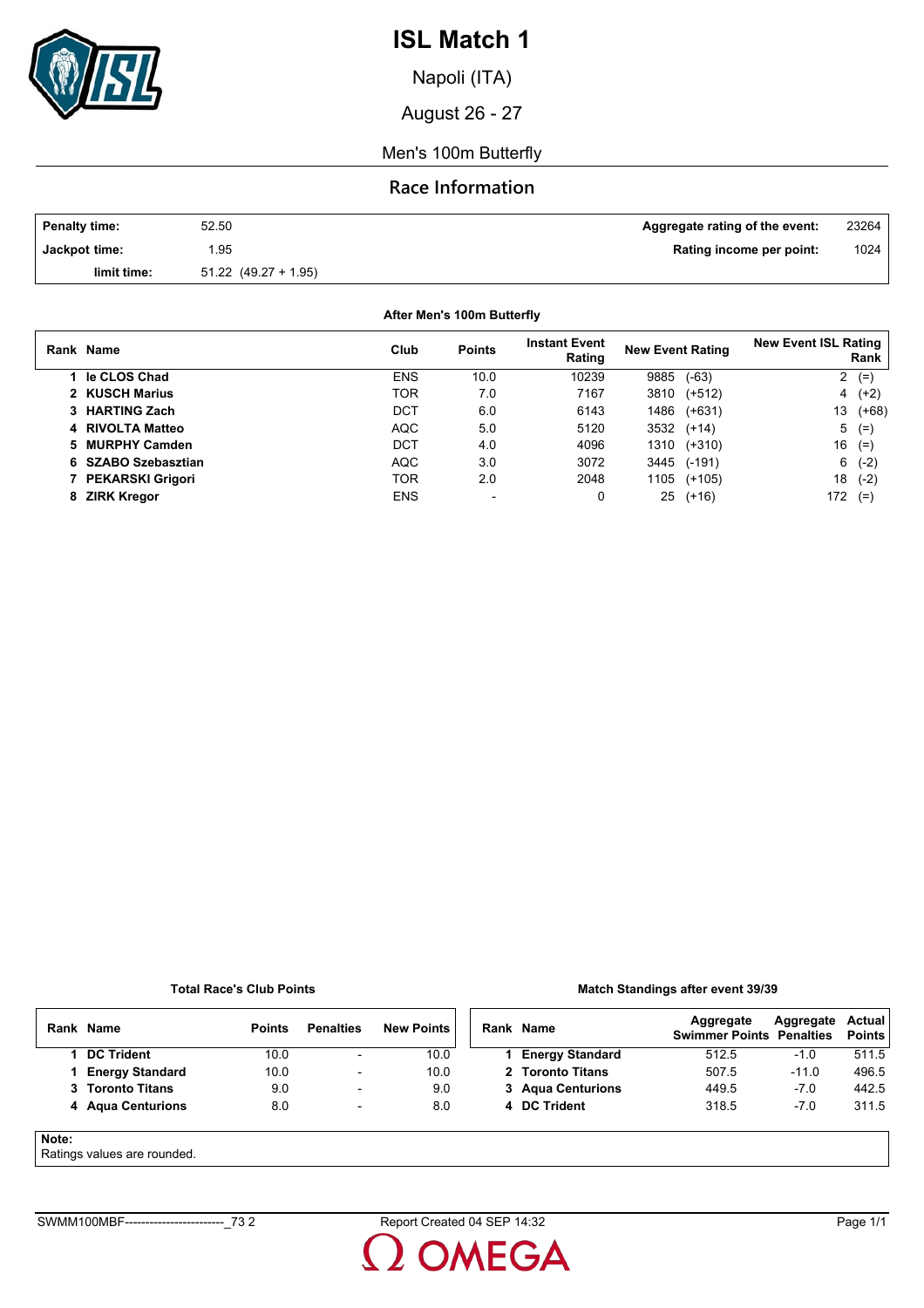

Napoli (ITA)

August 26 - 27

Men's 100m Butterfly

## **Race Information**

| Penalty time: | 52.50                    | Aggregate rating of the event: | 23264 |
|---------------|--------------------------|--------------------------------|-------|
| Jackpot time: | .95                      | Rating income per point:       | 1024  |
| limit time:   | $51.22$ $(49.27 + 1.95)$ |                                |       |

**After Men's 100m Butterfly**

| Rank Name               | Club       | <b>Points</b>            | <b>Instant Event</b><br>Rating | <b>New Event Rating</b> |          | <b>New Event ISL Rating</b> | Rank    |
|-------------------------|------------|--------------------------|--------------------------------|-------------------------|----------|-----------------------------|---------|
| le CLOS Chad            | <b>ENS</b> | 10.0                     | 10239                          | 9885                    | $(-63)$  | 2                           | $(=)$   |
| 2 KUSCH Marius          | TOR        | 7.0                      | 7167                           | 3810                    | $(+512)$ | 4                           | $(+2)$  |
| 3 HARTING Zach          | DCT        | 6.0                      | 6143                           | 1486                    | $(+631)$ | 13                          | $(+68)$ |
| 4 RIVOLTA Matteo        | <b>AQC</b> | 5.0                      | 5120                           | 3532                    | $(+14)$  | 5                           | $(=)$   |
| 5 MURPHY Camden         | DCT        | 4.0                      | 4096                           | 1310                    | (+310)   | 16                          | $(=)$   |
| 6 SZABO Szebasztian     | <b>AQC</b> | 3.0                      | 3072                           | 3445                    | $(-191)$ | 6                           | $(-2)$  |
| <b>PEKARSKI Grigori</b> | TOR        | 2.0                      | 2048                           | 1105                    | $(+105)$ | 18                          | $(-2)$  |
| 8 ZIRK Kregor           | <b>ENS</b> | $\overline{\phantom{0}}$ | 0                              | 25                      | $(+16)$  | 172                         | $(=)$   |

#### **Total Race's Club Points**

### **Match Standings after event 39/39**

|       | Rank Name              | <b>Points</b> | <b>Penalties</b>         | <b>New Points</b> | Rank Name              | Aggregate<br><b>Swimmer Points Penalties</b> | Aggregate | Actual<br><b>Points</b> |
|-------|------------------------|---------------|--------------------------|-------------------|------------------------|----------------------------------------------|-----------|-------------------------|
|       | <b>DC Trident</b>      | 10.0          | $\overline{\phantom{a}}$ | 10.0              | <b>Energy Standard</b> | 512.5                                        | $-1.0$    | 511.5                   |
|       | <b>Energy Standard</b> | 10.0          | $\overline{\phantom{a}}$ | 10.0              | 2 Toronto Titans       | 507.5                                        | $-11.0$   | 496.5                   |
|       | 3 Toronto Titans       | 9.0           | $\overline{\phantom{0}}$ | 9.0               | 3 Agua Centurions      | 449.5                                        | $-7.0$    | 442.5                   |
|       | 4 Agua Centurions      | 8.0           | $\overline{\phantom{0}}$ | 8.0               | 4 DC Trident           | 318.5                                        | $-7.0$    | 311.5                   |
| Note: |                        |               |                          |                   |                        |                                              |           |                         |

Ratings values are rounded.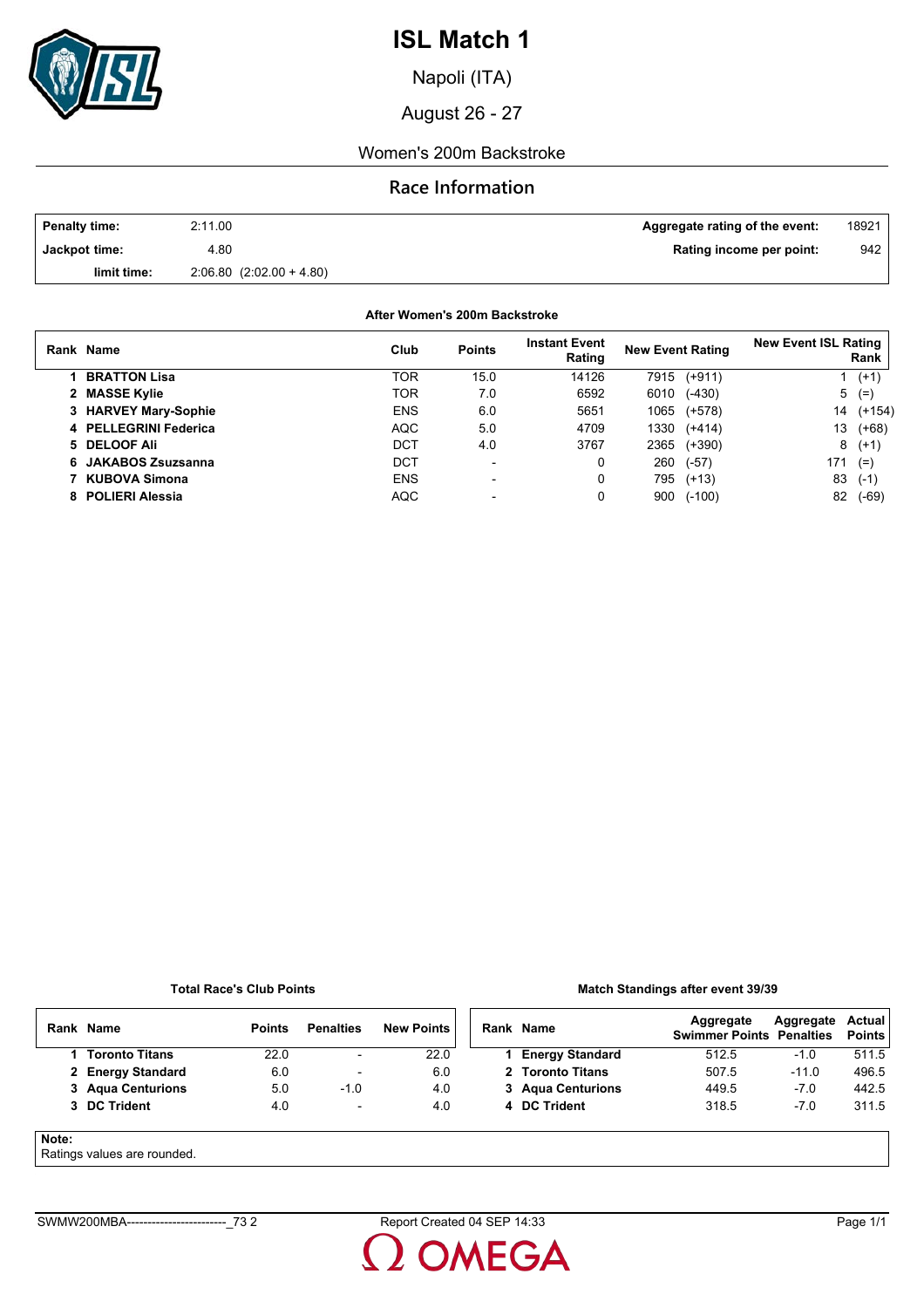

Napoli (ITA)

August 26 - 27

### Women's 200m Backstroke

## **Race Information**

| <b>Penalty time:</b> | 2:11.00                   | Aggregate rating of the event: | 18921 |
|----------------------|---------------------------|--------------------------------|-------|
| Jackpot time:        | 4.80                      | Rating income per point:       | 942   |
| limit time:          | $2.06.80(2.02.00 + 4.80)$ |                                |       |

**After Women's 200m Backstroke**

| Rank Name             | Club       | <b>Points</b>            | <b>Instant Event</b><br>Rating | <b>New Event Rating</b> |          | <b>New Event ISL Rating</b> | Rank     |
|-----------------------|------------|--------------------------|--------------------------------|-------------------------|----------|-----------------------------|----------|
| <b>BRATTON Lisa</b>   | TOR        | 15.0                     | 14126                          | 7915                    | $(+911)$ |                             | $(+1)$   |
| 2 MASSE Kylie         | <b>TOR</b> | 7.0                      | 6592                           | 6010                    | $(-430)$ | 5                           | $(=)$    |
| 3 HARVEY Mary-Sophie  | <b>ENS</b> | 6.0                      | 5651                           | 1065                    | (+578)   | 14                          | $(+154)$ |
| 4 PELLEGRINI Federica | <b>AQC</b> | 5.0                      | 4709                           | 1330                    | $(+414)$ | 13                          | $(+68)$  |
| 5 DELOOF Ali          | <b>DCT</b> | 4.0                      | 3767                           | 2365                    | $(+390)$ | 8                           | $(+1)$   |
| 6 JAKABOS Zsuzsanna   | DCT        | $\overline{\phantom{0}}$ | 0                              | 260                     | $(-57)$  | 171                         | $(=)$    |
| KUBOVA Simona         | <b>ENS</b> | -                        | 0                              | 795                     | $(+13)$  | 83                          | $(-1)$   |
| 8 POLIERI Alessia     | <b>AQC</b> |                          |                                | 900                     | $(-100)$ | 82                          | (-69)    |

#### **Total Race's Club Points**

### **Match Standings after event 39/39**

|       | Rank Name                   | <b>Points</b> | <b>Penalties</b>         | <b>New Points</b> | Rank Name              | Aggregate<br><b>Swimmer Points Penalties</b> | Aggregate | Actual<br><b>Points</b> |
|-------|-----------------------------|---------------|--------------------------|-------------------|------------------------|----------------------------------------------|-----------|-------------------------|
|       | 1 Toronto Titans            | 22.0          | $\overline{\phantom{a}}$ | 22.0              | <b>Energy Standard</b> | 512.5                                        | $-1.0$    | 511.5                   |
|       | 2 Energy Standard           | 6.0           | $\overline{\phantom{0}}$ | 6.0               | 2 Toronto Titans       | 507.5                                        | $-11.0$   | 496.5                   |
|       | 3 Agua Centurions           | 5.0           | $-1.0$                   | 4.0               | 3 Agua Centurions      | 449.5                                        | $-7.0$    | 442.5                   |
|       | 3 DC Trident                | 4.0           | $\overline{\phantom{a}}$ | 4.0               | 4 DC Trident           | 318.5                                        | $-7.0$    | 311.5                   |
| Note: | Ratings values are rounded. |               |                          |                   |                        |                                              |           |                         |

SWMW200MBA------------------------\_73 2 Report Created 04 SEP 14:33 Page 1/1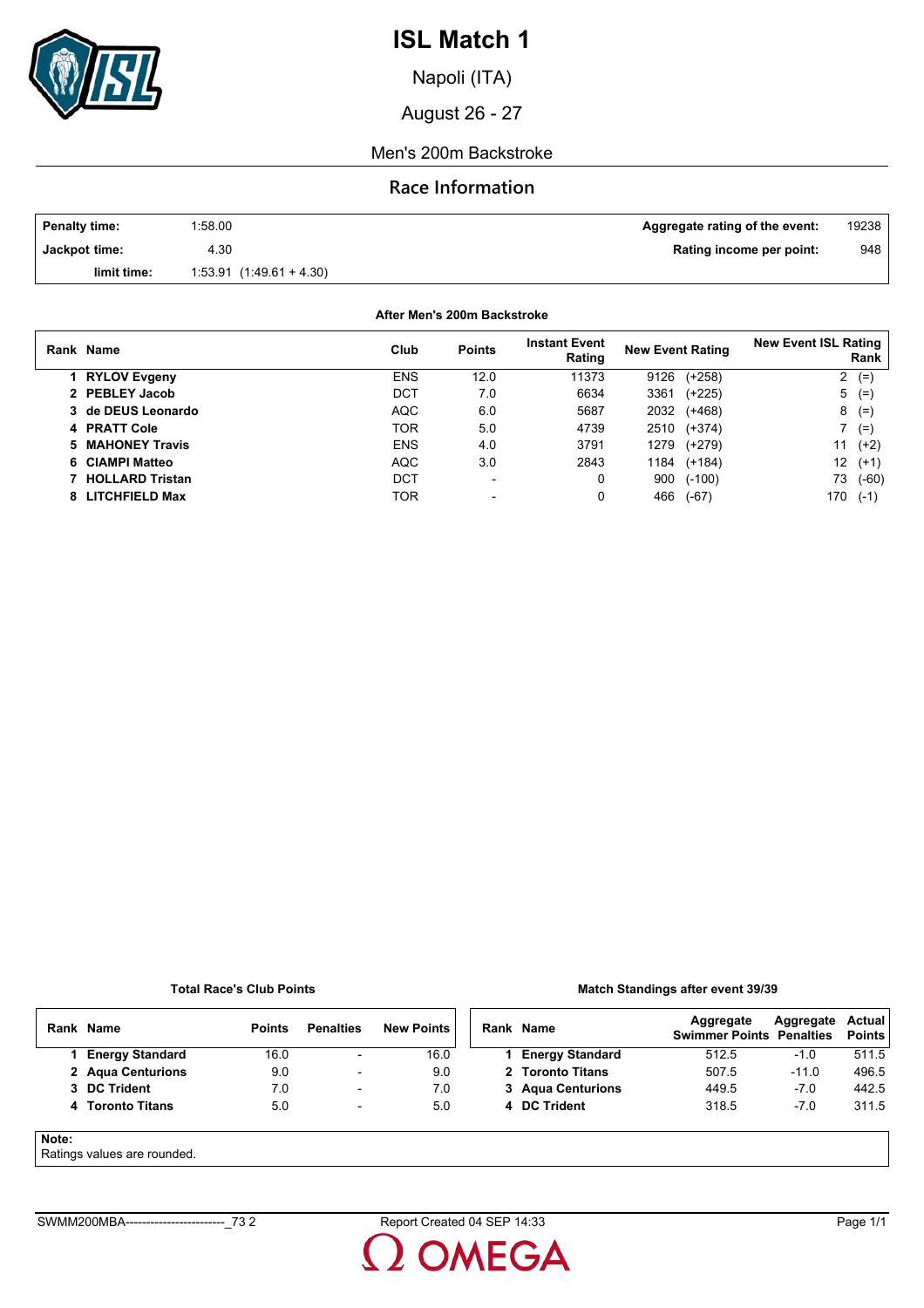

Napoli (ITA)

August 26 - 27

### Men's 200m Backstroke

### **Race Information**

| <b>Penalty time:</b> | 1:58.00                   | Aggregate rating of the event: | 19238 |
|----------------------|---------------------------|--------------------------------|-------|
| Jackpot time:        | 4.30                      | Rating income per point:       | 948   |
| limit time:          | $1.53.91(1.49.61 + 4.30)$ |                                |       |

**After Men's 200m Backstroke**

| Rank Name              | Club       | <b>Points</b>            | <b>Instant Event</b><br>Rating | <b>New Event Rating</b> | <b>New Event ISL Rating</b><br>Rank |
|------------------------|------------|--------------------------|--------------------------------|-------------------------|-------------------------------------|
| 1 RYLOV Evgeny         | <b>ENS</b> | 12.0                     | 11373                          | $(+258)$<br>9126        | 2<br>$(=$                           |
| 2 PEBLEY Jacob         | DCT        | 7.0                      | 6634                           | 3361<br>$(+225)$        | 5<br>$(=$                           |
| 3 de DEUS Leonardo     | <b>AQC</b> | 6.0                      | 5687                           | 2032<br>(+468)          | 8<br>$(=)$                          |
| 4 PRATT Cole           | TOR        | 5.0                      | 4739                           | 2510<br>(+374)          | $(=)$                               |
| 5 MAHONEY Travis       | <b>ENS</b> | 4.0                      | 3791                           | 1279<br>(+279)          | 11<br>$(+2)$                        |
| 6 CIAMPI Matteo        | <b>AQC</b> | 3.0                      | 2843                           | 1184<br>$(+184)$        | 12<br>$(+1)$                        |
| <b>HOLLARD Tristan</b> | DCT        | $\overline{\phantom{a}}$ | 0                              | $(-100)$<br>900         | 73<br>$(-60)$                       |
| 8 LITCHFIELD Max       | TOR        | $\overline{\phantom{a}}$ | 0                              | 466<br>$(-67)$          | 170<br>$(-1)$                       |

#### **Total Race's Club Points**

### **Match Standings after event 39/39**

|       | Rank Name                   | <b>Points</b> | <b>Penalties</b>         | <b>New Points</b> | Rank Name              | Aggregate<br><b>Swimmer Points Penalties</b> | Aggregate | Actual<br><b>Points</b> |
|-------|-----------------------------|---------------|--------------------------|-------------------|------------------------|----------------------------------------------|-----------|-------------------------|
|       | <b>Energy Standard</b>      | 16.0          | $\overline{\phantom{a}}$ | 16.0              | <b>Energy Standard</b> | 512.5                                        | -1.0      | 511.5                   |
|       | 2 Agua Centurions           | 9.0           | $\overline{\phantom{a}}$ | 9.0               | 2 Toronto Titans       | 507.5                                        | $-11.0$   | 496.5                   |
|       | 3 DC Trident                | 7.0           | $\overline{\phantom{0}}$ | 7.0               | 3 Agua Centurions      | 449.5                                        | $-7.0$    | 442.5                   |
|       | 4 Toronto Titans            | 5.0           | $\overline{\phantom{a}}$ | 5.0               | 4 DC Trident           | 318.5                                        | $-7.0$    | 311.5                   |
| Note: | Detinge values are revealed |               |                          |                   |                        |                                              |           |                         |

### Ratings values are rounded.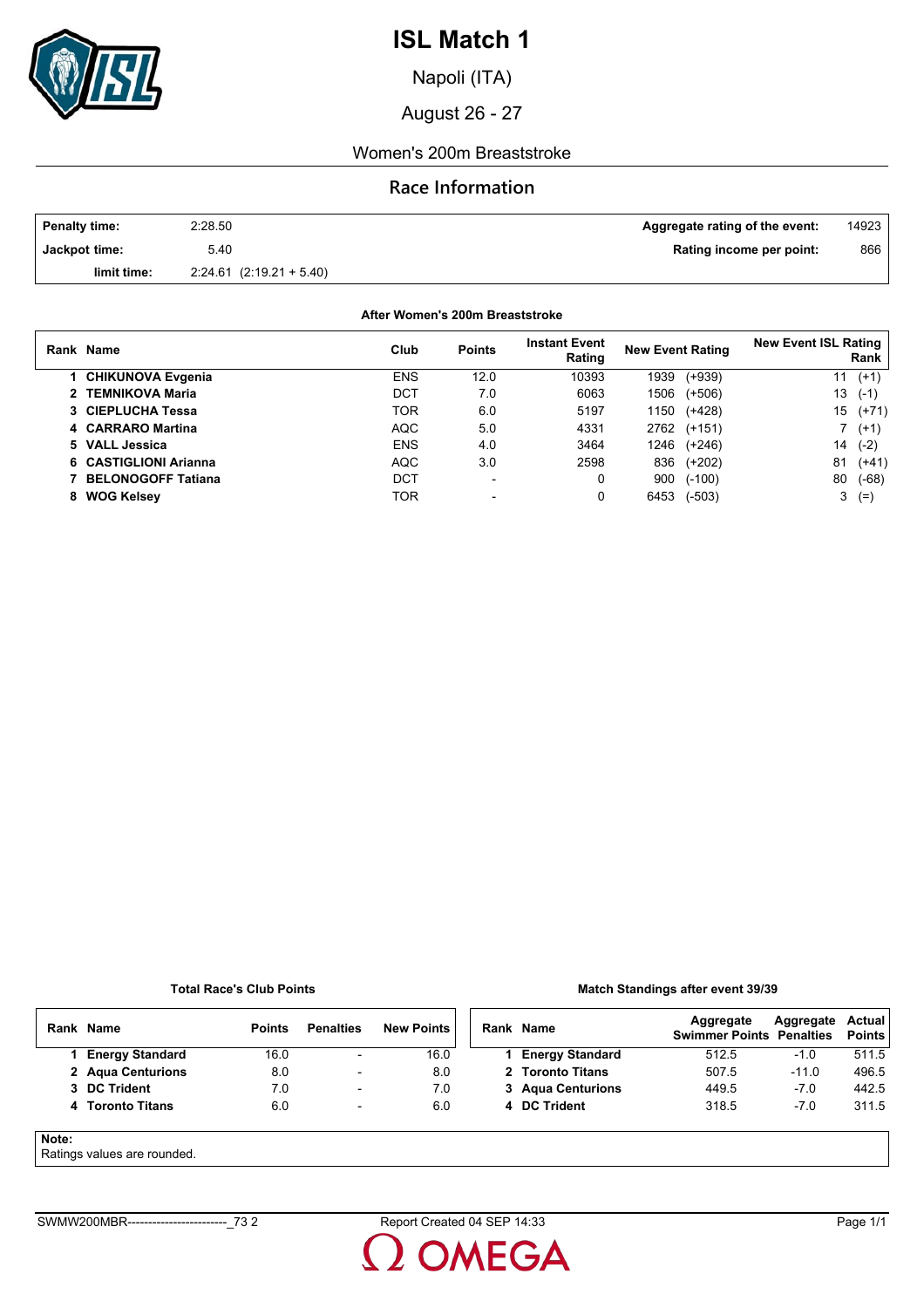

Napoli (ITA)

August 26 - 27

### Women's 200m Breaststroke

### **Race Information**

| <b>Penalty time:</b> | 2:28.50                      | <b>Aggregate rating of the event:</b> | 14923 |
|----------------------|------------------------------|---------------------------------------|-------|
| Jackpot time:        | 5.40                         | Rating income per point:              | 866   |
| limit time:          | $2.24.61$ $(2.19.21 + 5.40)$ |                                       |       |

### **After Women's 200m Breaststroke**

|   | Rank Name                 | Club       | <b>Points</b>            | <b>Instant Event</b><br>Rating | <b>New Event Rating</b> |          | <b>New Event ISL Rating</b> | Rank    |
|---|---------------------------|------------|--------------------------|--------------------------------|-------------------------|----------|-----------------------------|---------|
|   | 1 CHIKUNOVA Evgenia       | <b>ENS</b> | 12.0                     | 10393                          | 1939                    | $(+939)$ | 11                          | $(+1)$  |
|   | 2 TEMNIKOVA Maria         | DCT        | 7.0                      | 6063                           | 1506                    | $(+506)$ | 13                          | $(-1)$  |
|   | 3 CIEPLUCHA Tessa         | TOR        | 6.0                      | 5197                           | 1150                    | $(+428)$ | 15                          | $(+71)$ |
|   | 4 CARRARO Martina         | <b>AQC</b> | 5.0                      | 4331                           | 2762                    | $(+151)$ |                             | $(+1)$  |
|   | 5 VALL Jessica            | <b>ENS</b> | 4.0                      | 3464                           | 1246                    | (+246)   | 14                          | $(-2)$  |
|   | 6 CASTIGLIONI Arianna     | <b>AQC</b> | 3.0                      | 2598                           | 836                     | $(+202)$ | 81                          | $(+41)$ |
|   | <b>BELONOGOFF Tatiana</b> | DCT        | $\overline{\phantom{0}}$ | 0                              | 900                     | $(-100)$ | 80                          | $(-68)$ |
| 8 | <b>WOG Kelsey</b>         | TOR        |                          | 0                              | 6453                    | $(-503)$ | 3                           | $(=$    |

#### **Total Race's Club Points**

### **Match Standings after event 39/39**

|       | Rank Name                   | <b>Points</b> | <b>Penalties</b>         | <b>New Points</b> | Rank Name              | Aggregate<br><b>Swimmer Points Penalties</b> | Aggregate | Actual<br><b>Points</b> |
|-------|-----------------------------|---------------|--------------------------|-------------------|------------------------|----------------------------------------------|-----------|-------------------------|
|       | <b>Energy Standard</b>      | 16.0          | $\overline{\phantom{a}}$ | 16.0              | <b>Energy Standard</b> | 512.5                                        | -1.0      | 511.5                   |
|       | 2 Agua Centurions           | 8.0           | $\overline{\phantom{a}}$ | 8.0               | 2 Toronto Titans       | 507.5                                        | $-11.0$   | 496.5                   |
|       | 3 DC Trident                | 7.0           | $\overline{\phantom{0}}$ | 7.0               | 3 Agua Centurions      | 449.5                                        | $-7.0$    | 442.5                   |
|       | 4 Toronto Titans            | 6.0           | $\overline{\phantom{a}}$ | 6.0               | 4 DC Trident           | 318.5                                        | $-7.0$    | 311.5                   |
| Note: | Detinge values are revealed |               |                          |                   |                        |                                              |           |                         |

### Ratings values are rounded.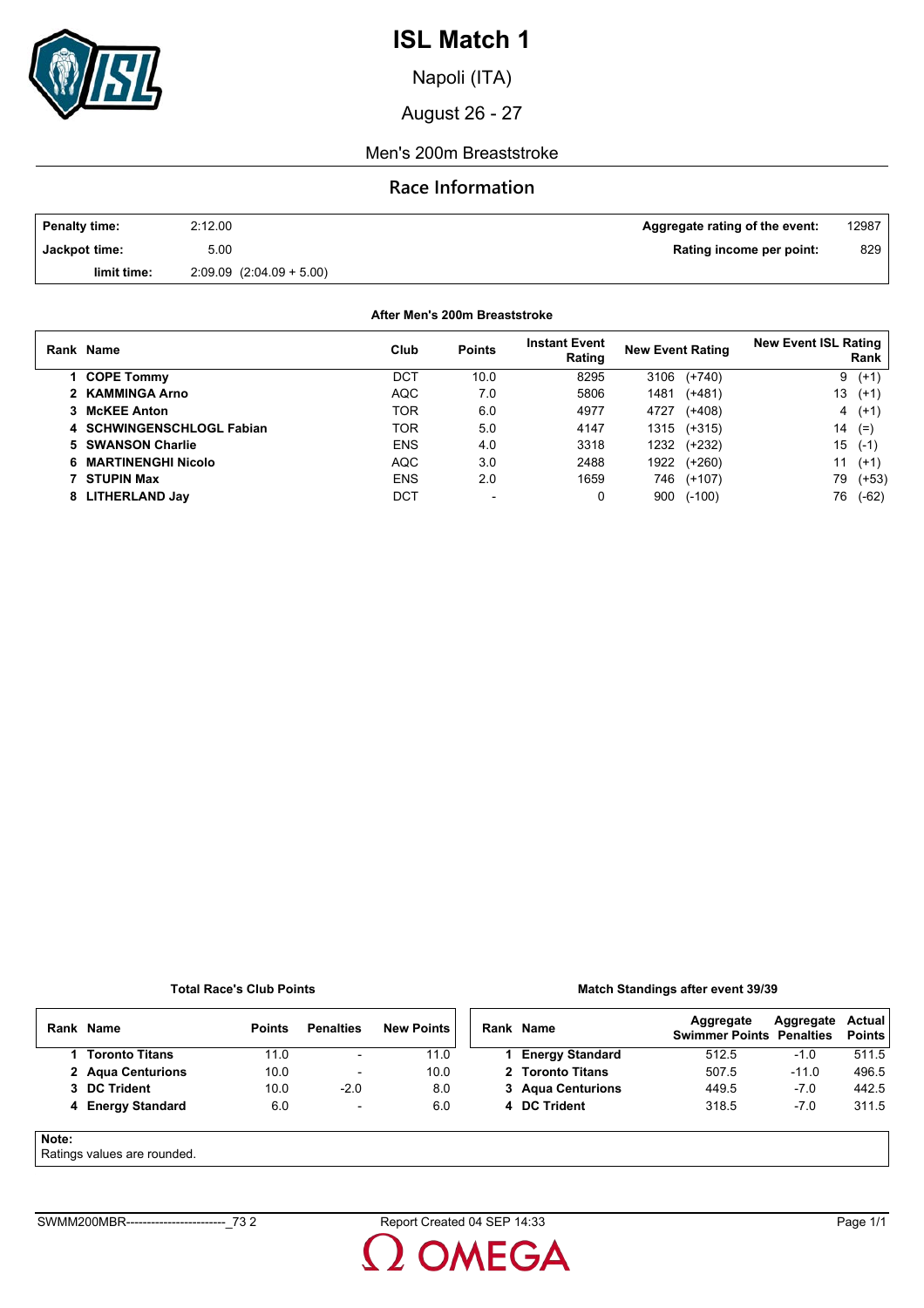

Napoli (ITA)

August 26 - 27

### Men's 200m Breaststroke

## **Race Information**

| <b>Penalty time:</b> | 2:12.00                      | Aggregate rating of the event: | 12987 |
|----------------------|------------------------------|--------------------------------|-------|
| Jackpot time:        | 5.00                         | Rating income per point:       | 829   |
| limit time:          | $2.09.09$ $(2.04.09 + 5.00)$ |                                |       |

**After Men's 200m Breaststroke**

| Rank Name                 | Club       | <b>Points</b> | <b>Instant Event</b><br>Rating | <b>New Event Rating</b> |             | <b>New Event ISL Rating</b> | Rank    |
|---------------------------|------------|---------------|--------------------------------|-------------------------|-------------|-----------------------------|---------|
| 1 COPE Tommy              | DCT        | 10.0          | 8295                           | 3106                    | $(+740)$    |                             | $9(+1)$ |
| 2 KAMMINGA Arno           | AQC        | 7.0           | 5806                           | 1481                    | $(+481)$    | 13                          | $(+1)$  |
| 3 McKEE Anton             | TOR        | 6.0           | 4977                           | 4727                    | $(+408)$    |                             | $4(+1)$ |
| 4 SCHWINGENSCHLOGL Fabian | TOR        | 5.0           | 4147                           | 1315                    | $(+315)$    | 14                          | $(=$    |
| 5 SWANSON Charlie         | <b>ENS</b> | 4.0           | 3318                           | 1232                    | (+232)      | 15                          | $(-1)$  |
| 6 MARTINENGHI Nicolo      | <b>AQC</b> | 3.0           | 2488                           |                         | 1922 (+260) | 11                          | $(+1)$  |
| 7 STUPIN Max              | <b>ENS</b> | 2.0           | 1659                           | 746                     | $(+107)$    | 79                          | $(+53)$ |
| 8 LITHERLAND Jay          | DCT        |               | 0                              | 900                     | $(-100)$    | 76                          | $(-62)$ |

#### **Total Race's Club Points**

### **Match Standings after event 39/39**

|       | Rank Name                  | <b>Points</b> | <b>Penalties</b>         | <b>New Points</b> | Rank Name              | Aggregate<br><b>Swimmer Points Penalties</b> | Aggregate | Actual<br><b>Points</b> |
|-------|----------------------------|---------------|--------------------------|-------------------|------------------------|----------------------------------------------|-----------|-------------------------|
|       | 1 Toronto Titans           | 11.0          | ٠                        | 11.0              | <b>Energy Standard</b> | 512.5                                        | $-1.0$    | 511.5                   |
|       | 2 Agua Centurions          | 10.0          | $\overline{\phantom{a}}$ | 10.0              | 2 Toronto Titans       | 507.5                                        | $-11.0$   | 496.5                   |
|       | 3 DC Trident               | 10.0          | $-2.0$                   | 8.0               | 3 Agua Centurions      | 449.5                                        | $-7.0$    | 442.5                   |
|       | 4 Energy Standard          | 6.0           | ۰                        | 6.0               | 4 DC Trident           | 318.5                                        | $-7.0$    | 311.5                   |
| Note: | Potinge values are reunded |               |                          |                   |                        |                                              |           |                         |

Ratings values are rounded.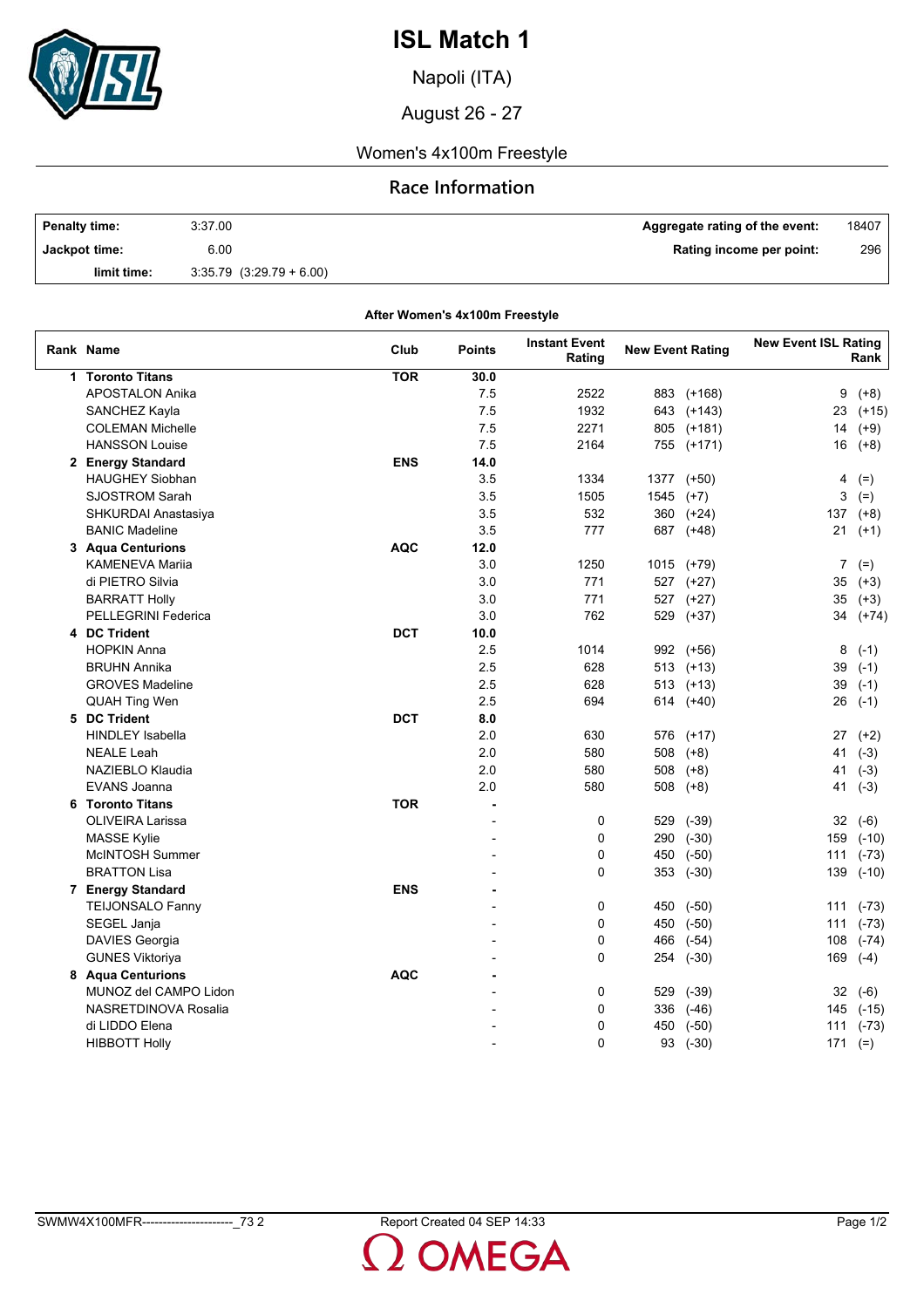

Napoli (ITA)

August 26 - 27

## Women's 4x100m Freestyle

## **Race Information**

| <b>Penalty time:</b> | 3:37.00                      | Aggregate rating of the event: | 18407 |
|----------------------|------------------------------|--------------------------------|-------|
| Jackpot time:        | 6.00                         | Rating income per point:       | 296   |
| limit time:          | $3.35.79$ $(3.29.79 + 6.00)$ |                                |       |

**After Women's 4x100m Freestyle**

| Rank Name                  | Club       | <b>Points</b>  | <b>Instant Event</b><br>Rating | <b>New Event Rating</b> |            | <b>New Event ISL Rating</b> | Rank    |
|----------------------------|------------|----------------|--------------------------------|-------------------------|------------|-----------------------------|---------|
| 1 Toronto Titans           | <b>TOR</b> | 30.0           |                                |                         |            |                             |         |
| <b>APOSTALON Anika</b>     |            | 7.5            | 2522                           | 883                     | $(+168)$   | 9                           | $(+8)$  |
| SANCHEZ Kayla              |            | 7.5            | 1932                           | 643                     | (+143)     | 23                          | $(+15)$ |
| <b>COLEMAN Michelle</b>    |            | 7.5            | 2271                           |                         | 805 (+181) | 14                          | $(+9)$  |
| <b>HANSSON Louise</b>      |            | 7.5            | 2164                           |                         | 755 (+171) | 16                          | $(+8)$  |
| 2 Energy Standard          | <b>ENS</b> | 14.0           |                                |                         |            |                             |         |
| <b>HAUGHEY Siobhan</b>     |            | 3.5            | 1334                           |                         | 1377 (+50) | 4                           | $(=)$   |
| <b>SJOSTROM Sarah</b>      |            | 3.5            | 1505                           | 1545                    | $(+7)$     | 3                           | $(=)$   |
| SHKURDAI Anastasiya        |            | 3.5            | 532                            |                         | 360 (+24)  | 137                         | $(+8)$  |
| <b>BANIC Madeline</b>      |            | 3.5            | 777                            |                         | 687 (+48)  | 21                          | $(+1)$  |
| 3 Agua Centurions          | <b>AQC</b> | 12.0           |                                |                         |            |                             |         |
| <b>KAMENEVA Marija</b>     |            | 3.0            | 1250                           |                         | 1015 (+79) | 7                           | $(=)$   |
| di PIETRO Silvia           |            | 3.0            | 771                            |                         | 527 (+27)  | 35                          | $(+3)$  |
| <b>BARRATT Holly</b>       |            | 3.0            | 771                            |                         | 527 (+27)  | 35                          | $(+3)$  |
| <b>PELLEGRINI Federica</b> |            | 3.0            | 762                            |                         | 529 (+37)  | 34                          | $(+74)$ |
| 4 DC Trident               | <b>DCT</b> | 10.0           |                                |                         |            |                             |         |
| <b>HOPKIN Anna</b>         |            | 2.5            | 1014                           | 992                     | (+56)      | 8                           | $(-1)$  |
| <b>BRUHN Annika</b>        |            | 2.5            | 628                            |                         | 513 (+13)  | 39                          | $(-1)$  |
| <b>GROVES Madeline</b>     |            | 2.5            | 628                            |                         | 513 (+13)  | 39                          | $(-1)$  |
| QUAH Ting Wen              |            | 2.5            | 694                            | 614                     | $(+40)$    | 26                          | $(-1)$  |
| 5 DC Trident               | <b>DCT</b> | 8.0            |                                |                         |            |                             |         |
| <b>HINDLEY Isabella</b>    |            | 2.0            | 630                            | 576                     | $(+17)$    | 27                          | $(+2)$  |
| <b>NEALE Leah</b>          |            | 2.0            | 580                            | 508                     | $(+8)$     | 41                          | $(-3)$  |
| NAZIEBLO Klaudia           |            | 2.0            | 580                            | 508                     | $(+8)$     | 41                          | $(-3)$  |
| <b>EVANS Joanna</b>        |            | 2.0            | 580                            | 508                     | $(+8)$     | 41                          | $(-3)$  |
| 6 Toronto Titans           | <b>TOR</b> | $\blacksquare$ |                                |                         |            |                             |         |
| <b>OLIVEIRA Larissa</b>    |            | $\overline{a}$ | $\mathbf 0$                    | 529                     | $(-39)$    | 32                          | $(-6)$  |
| <b>MASSE Kylie</b>         |            |                | 0                              | 290                     | $(-30)$    | 159                         | $(-10)$ |
| McINTOSH Summer            |            |                | 0                              | 450                     | $(-50)$    | 111                         | $(-73)$ |
| <b>BRATTON Lisa</b>        |            |                | 0                              | 353                     | $(-30)$    | 139                         | $(-10)$ |
| 7 Energy Standard          | <b>ENS</b> |                |                                |                         |            |                             |         |
| <b>TEIJONSALO Fanny</b>    |            |                | 0                              | 450                     | $(-50)$    | 111                         | $(-73)$ |
| SEGEL Janja                |            |                | 0                              | 450                     | $(-50)$    | 111                         | $(-73)$ |
| DAVIES Georgia             |            |                | 0                              | 466                     | $(-54)$    | 108                         | $(-74)$ |
| <b>GUNES Viktoriya</b>     |            |                | 0                              | 254                     | $(-30)$    | 169                         | $(-4)$  |
| 8 Aqua Centurions          | <b>AQC</b> |                |                                |                         |            |                             |         |
| MUNOZ del CAMPO Lidon      |            |                | 0                              | 529                     | $(-39)$    | 32                          | $(-6)$  |
| NASRETDINOVA Rosalia       |            |                | 0                              | 336                     | $(-46)$    | 145                         | $(-15)$ |
| di LIDDO Elena             |            |                | 0                              | 450                     | $(-50)$    | 111                         | $(-73)$ |
| <b>HIBBOTT Holly</b>       |            |                | $\mathbf{0}$                   | 93                      | $(-30)$    | 171                         | $(=)$   |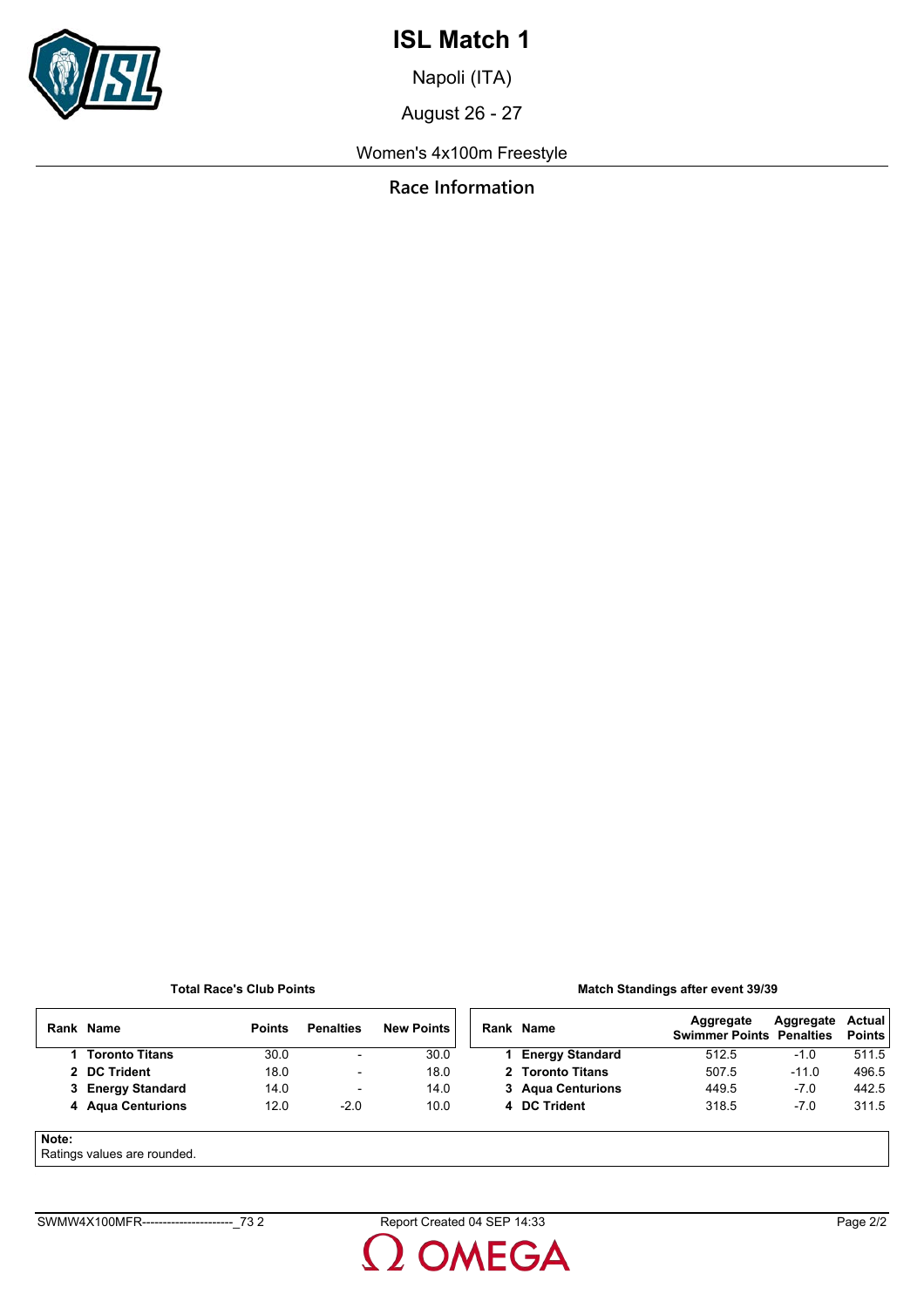

Napoli (ITA)

August 26 - 27

Women's 4x100m Freestyle

**Race Information**

**Total Race's Club Points**

### **Match Standings after event 39/39**

|       | Rank Name             | <b>Points</b> | <b>Penalties</b>         | <b>New Points</b> | Rank Name              | Aggregate<br><b>Swimmer Points Penalties</b> | Aggregate | Actual<br><b>Points</b> |
|-------|-----------------------|---------------|--------------------------|-------------------|------------------------|----------------------------------------------|-----------|-------------------------|
|       | <b>Toronto Titans</b> | 30.0          | $\overline{\phantom{a}}$ | 30.0              | <b>Energy Standard</b> | 512.5                                        | -1.0      | 511.5                   |
|       | 2 DC Trident          | 18.0          | $\overline{\phantom{a}}$ | 18.0              | 2 Toronto Titans       | 507.5                                        | $-11.0$   | 496.5                   |
|       | 3 Energy Standard     | 14.0          | $\overline{\phantom{a}}$ | 14.0              | 3 Agua Centurions      | 449.5                                        | $-7.0$    | 442.5                   |
|       | 4 Aqua Centurions     | 12.0          | $-2.0$                   | 10.0              | 4 DC Trident           | 318.5                                        | $-7.0$    | 311.5                   |
| Note: |                       |               |                          |                   |                        |                                              |           |                         |

Ratings values are rounded.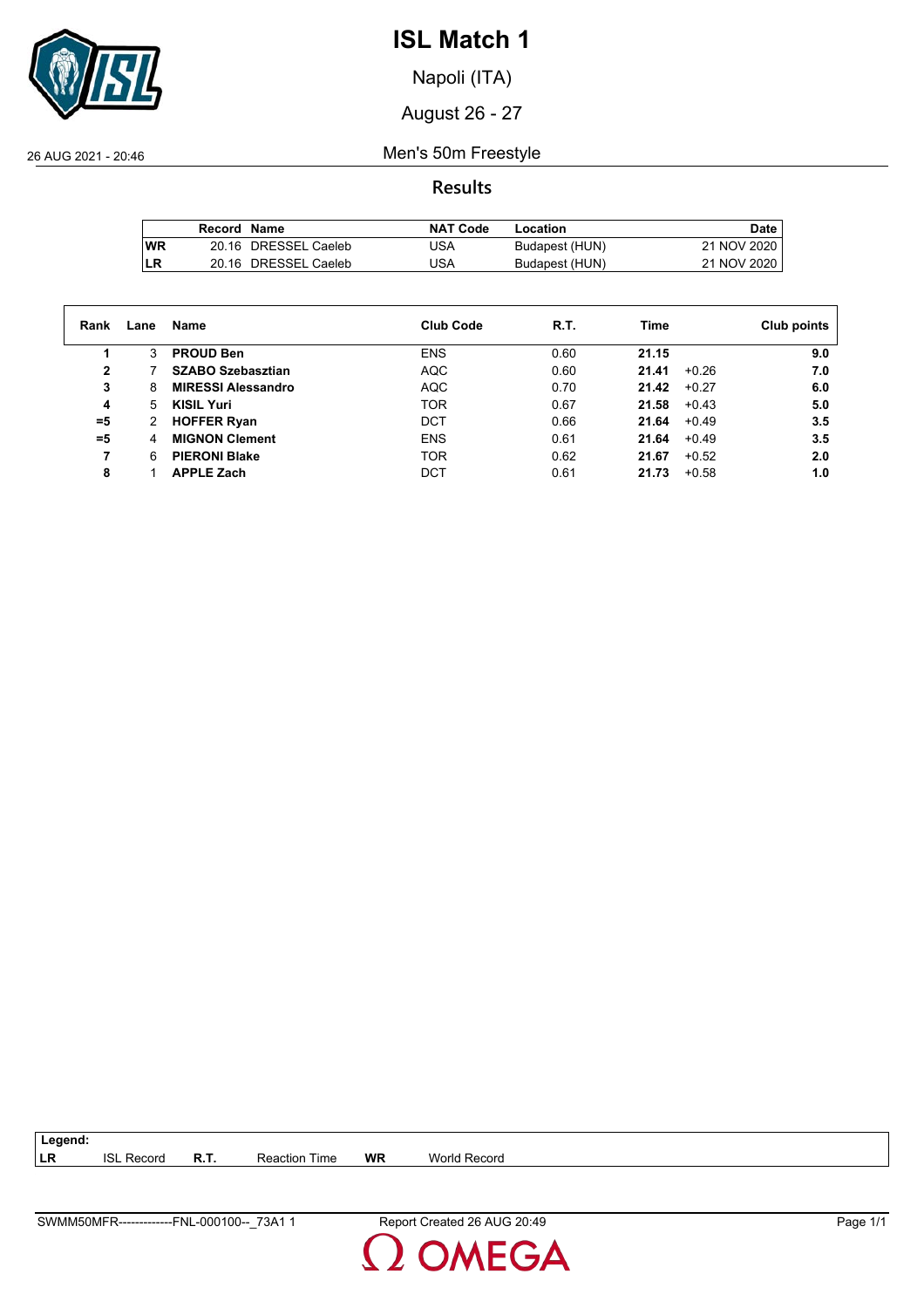

Napoli (ITA)

August 26 - 27

26 AUG 2021 - 20:46 Men's 50m Freestyle

**Results**

|            | Record Name |                      | <b>NAT Code</b> | Location       | Date .      |
|------------|-------------|----------------------|-----------------|----------------|-------------|
| <b>IWR</b> |             | 20.16 DRESSEL Caeleb | USA             | Budapest (HUN) | 21 NOV 2020 |
| <b>ILR</b> |             | 20.16 DRESSEL Caeleb | USA             | Budapest (HUN) | 21 NOV 2020 |

| Rank  | Lane | Name                      | <b>Club Code</b> | R.T. | Time             | Club points |
|-------|------|---------------------------|------------------|------|------------------|-------------|
|       | 3    | <b>PROUD Ben</b>          | <b>ENS</b>       | 0.60 | 21.15            | 9.0         |
| 2     |      | <b>SZABO Szebasztian</b>  | <b>AQC</b>       | 0.60 | 21.41<br>$+0.26$ | 7.0         |
| 3     | 8    | <b>MIRESSI Alessandro</b> | <b>AQC</b>       | 0.70 | 21.42<br>$+0.27$ | 6.0         |
| 4     | 5    | <b>KISIL Yuri</b>         | <b>TOR</b>       | 0.67 | 21.58<br>$+0.43$ | 5.0         |
| $= 5$ | 2    | <b>HOFFER Ryan</b>        | <b>DCT</b>       | 0.66 | 21.64<br>$+0.49$ | 3.5         |
| =5    | 4    | <b>MIGNON Clement</b>     | <b>ENS</b>       | 0.61 | 21.64<br>$+0.49$ | 3.5         |
| 7     | 6    | <b>PIERONI Blake</b>      | <b>TOR</b>       | 0.62 | 21.67<br>$+0.52$ | 2.0         |
| 8     |      | <b>APPLE Zach</b>         | <b>DCT</b>       | 0.61 | 21.73<br>$+0.58$ | 1.0         |

**LR** ISL Record **R.T.** Reaction Time **WR** World Record

**Legend:**

**DMEGA**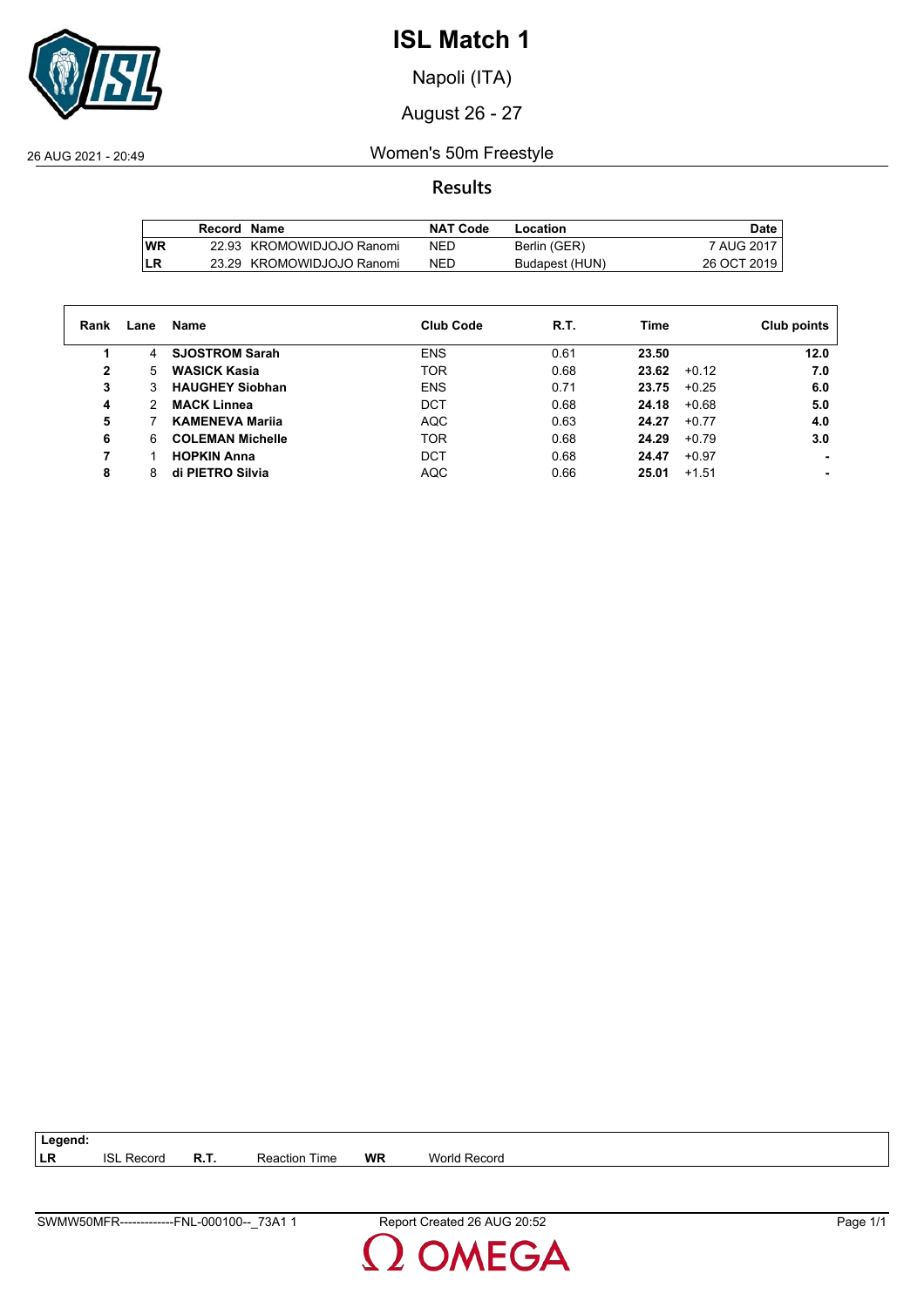

Napoli (ITA)

August 26 - 27

26 AUG 2021 - 20:49 Women's 50m Freestyle

**Results**

|           | Record Name |                           | NAT Code   | Location       | Date         |
|-----------|-------------|---------------------------|------------|----------------|--------------|
| <b>WR</b> |             | 22.93 KROMOWIDJOJO Ranomi | <b>NED</b> | Berlin (GER)   | 7 AUG 2017 I |
| LR        |             | 23.29 KROMOWIDJOJO Ranomi | NED        | Budapest (HUN) | 26 OCT 2019  |

| Rank         | Lane | Name                    | <b>Club Code</b> | R.T. | Time  |         | Club points |
|--------------|------|-------------------------|------------------|------|-------|---------|-------------|
|              | 4    | <b>SJOSTROM Sarah</b>   | <b>ENS</b>       | 0.61 | 23.50 |         | 12.0        |
| $\mathbf{2}$ | 5    | <b>WASICK Kasia</b>     | <b>TOR</b>       | 0.68 | 23.62 | $+0.12$ | 7.0         |
| 3            | 3    | <b>HAUGHEY Siobhan</b>  | <b>ENS</b>       | 0.71 | 23.75 | $+0.25$ | 6.0         |
| 4            | 2    | <b>MACK Linnea</b>      | <b>DCT</b>       | 0.68 | 24.18 | $+0.68$ | 5.0         |
| 5            |      | <b>KAMENEVA Marija</b>  | <b>AQC</b>       | 0.63 | 24.27 | $+0.77$ | 4.0         |
| 6            | 6    | <b>COLEMAN Michelle</b> | <b>TOR</b>       | 0.68 | 24.29 | $+0.79$ | 3.0         |
| 7            |      | <b>HOPKIN Anna</b>      | <b>DCT</b>       | 0.68 | 24.47 | $+0.97$ |             |
| 8            | 8    | di PIETRO Silvia        | <b>AQC</b>       | 0.66 | 25.01 | $+1.51$ |             |

**LR** ISL Record **R.T.** Reaction Time **WR** World Record

**Legend:**

SWMW50MFR-------------FNL-000100--\_73A1 1 Report Created 26 AUG 20:52 Page 1/1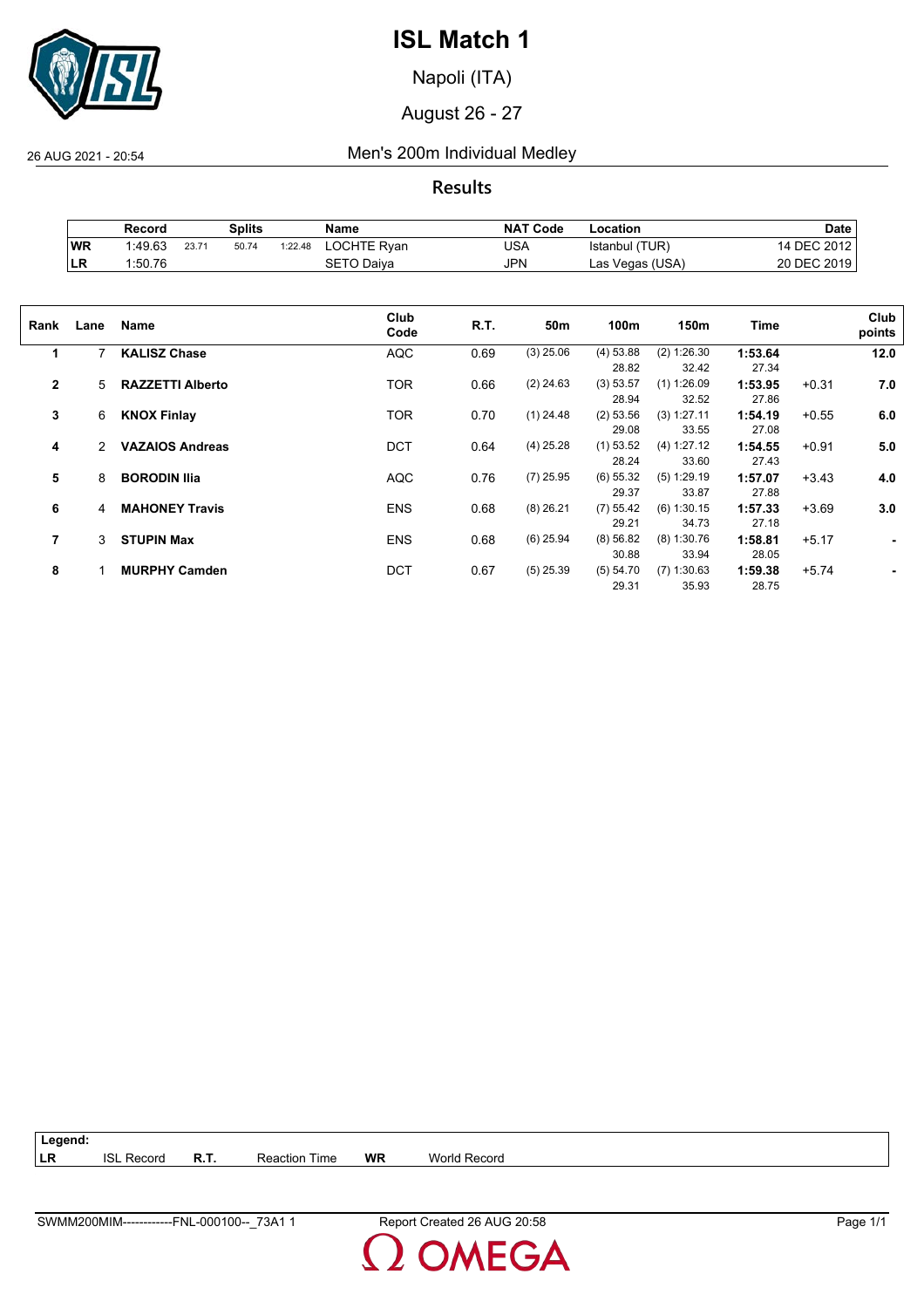

Napoli (ITA)

August 26 - 27

26 AUG 2021 - 20:54 Men's 200m Individual Medley

**Results**

|            | Record  |       | Splits |         | Name               | <b>NAT Code</b> | Location        | Date        |
|------------|---------|-------|--------|---------|--------------------|-----------------|-----------------|-------------|
| <b>WR</b>  | 1:49.63 | 23.71 | 50.74  | 1:22.48 | <b>LOCHTE Ryan</b> | USA             | Istanbul (TUR)  | 14 DEC 2012 |
| <b>ILR</b> | 1:50.76 |       |        |         | SETO Daiva         | JPN             | Las Vegas (USA) | 20 DEC 2019 |

| Rank           | Lane | Name                    | Club<br>Code | R.T. | 50 <sub>m</sub> | 100m                 | 150m                   | Time             |         | Club<br>points |
|----------------|------|-------------------------|--------------|------|-----------------|----------------------|------------------------|------------------|---------|----------------|
| 1              | 7    | <b>KALISZ Chase</b>     | <b>AQC</b>   | 0.69 | $(3)$ 25.06     | (4) 53.88<br>28.82   | (2) 1:26.30<br>32.42   | 1:53.64<br>27.34 |         | 12.0           |
| $\overline{2}$ | 5    | <b>RAZZETTI Alberto</b> | <b>TOR</b>   | 0.66 | $(2)$ 24.63     | (3) 53.57<br>28.94   | $(1)$ 1:26.09<br>32.52 | 1:53.95<br>27.86 | $+0.31$ | 7.0            |
| 3              | 6    | <b>KNOX Finlay</b>      | <b>TOR</b>   | 0.70 | $(1)$ 24.48     | (2) 53.56<br>29.08   | (3) 1:27.11<br>33.55   | 1:54.19<br>27.08 | $+0.55$ | 6.0            |
| 4              | 2    | <b>VAZAIOS Andreas</b>  | <b>DCT</b>   | 0.64 | $(4)$ 25.28     | $(1)$ 53.52<br>28.24 | (4) 1:27.12<br>33.60   | 1:54.55<br>27.43 | $+0.91$ | 5.0            |
| 5              | 8    | <b>BORODIN Ilia</b>     | <b>AQC</b>   | 0.76 | $(7)$ 25.95     | $(6)$ 55.32<br>29.37 | $(5)$ 1:29.19<br>33.87 | 1:57.07<br>27.88 | $+3.43$ | 4.0            |
| 6              | 4    | <b>MAHONEY Travis</b>   | <b>ENS</b>   | 0.68 | $(8)$ 26.21     | (7) 55.42<br>29.21   | $(6)$ 1:30.15<br>34.73 | 1:57.33<br>27.18 | $+3.69$ | 3.0            |
| 7              | 3    | <b>STUPIN Max</b>       | <b>ENS</b>   | 0.68 | $(6)$ 25.94     | (8) 56.82<br>30.88   | $(8)$ 1:30.76<br>33.94 | 1:58.81<br>28.05 | $+5.17$ | ٠              |
| 8              |      | <b>MURPHY Camden</b>    | <b>DCT</b>   | 0.67 | $(5)$ 25.39     | (5) 54.70<br>29.31   | $(7)$ 1:30.63<br>35.93 | 1:59.38<br>28.75 | $+5.74$ |                |

**Legend: LR** ISL Record **R.T.** Reaction Time **WR** World Record

MEGA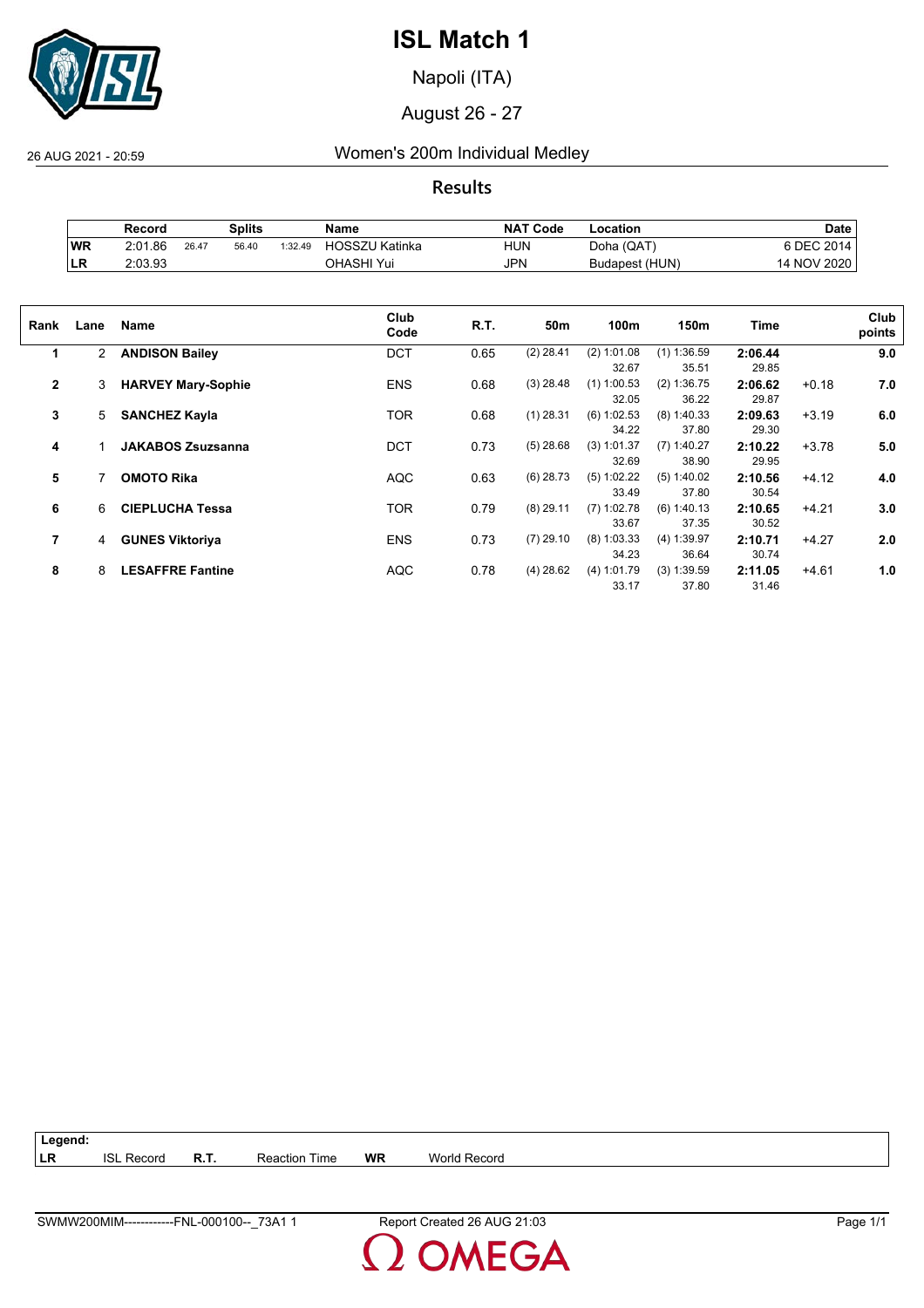

Napoli (ITA)

August 26 - 27

26 AUG 2021 - 20:59 Women's 200m Individual Medley

**Results**

|           | Record  |       | Splits |         | Name           | <b>NAT Code</b> | ∟ocation       | <b>Date</b>       |
|-----------|---------|-------|--------|---------|----------------|-----------------|----------------|-------------------|
| WR        | 2:01.86 | 26.47 | 56.40  | 1:32.49 | HOSSZU Katinka | hun             | Doha (QAT)     | S DEC 2014.       |
| <b>LR</b> | 2:03.93 |       |        |         | วHASHI Yui     | JPN             | Budapest (HUN) | <b>I NOV 2020</b> |

| Rank           | Lane           | Name                      | Club<br>Code | R.T. | 50m         | 100m                   | 150m                   | Time             |         | Club<br>points |
|----------------|----------------|---------------------------|--------------|------|-------------|------------------------|------------------------|------------------|---------|----------------|
| 1              | $\overline{2}$ | <b>ANDISON Bailey</b>     | <b>DCT</b>   | 0.65 | $(2)$ 28.41 | $(2)$ 1:01.08<br>32.67 | $(1)$ 1:36.59<br>35.51 | 2:06.44<br>29.85 |         | 9.0            |
| $\overline{2}$ | 3              | <b>HARVEY Mary-Sophie</b> | <b>ENS</b>   | 0.68 | $(3)$ 28.48 | $(1)$ 1:00.53<br>32.05 | (2) 1:36.75<br>36.22   | 2:06.62<br>29.87 | $+0.18$ | 7.0            |
| 3              | 5              | <b>SANCHEZ Kayla</b>      | <b>TOR</b>   | 0.68 | $(1)$ 28.31 | (6) 1:02.53<br>34.22   | $(8)$ 1:40.33<br>37.80 | 2:09.63<br>29.30 | $+3.19$ | 6.0            |
| 4              |                | <b>JAKABOS Zsuzsanna</b>  | <b>DCT</b>   | 0.73 | $(5)$ 28.68 | $(3)$ 1:01.37<br>32.69 | $(7)$ 1:40.27<br>38.90 | 2:10.22<br>29.95 | $+3.78$ | 5.0            |
| 5              |                | <b>OMOTO Rika</b>         | <b>AQC</b>   | 0.63 | $(6)$ 28.73 | $(5)$ 1:02.22<br>33.49 | $(5)$ 1:40.02<br>37.80 | 2:10.56<br>30.54 | $+4.12$ | 4.0            |
| 6              | 6              | <b>CIEPLUCHA Tessa</b>    | <b>TOR</b>   | 0.79 | $(8)$ 29.11 | $(7)$ 1:02.78<br>33.67 | (6) 1:40.13<br>37.35   | 2:10.65<br>30.52 | $+4.21$ | 3.0            |
| 7              | 4              | <b>GUNES Viktoriya</b>    | <b>ENS</b>   | 0.73 | $(7)$ 29.10 | $(8)$ 1:03.33<br>34.23 | (4) 1:39.97<br>36.64   | 2:10.71<br>30.74 | $+4.27$ | 2.0            |
| 8              | 8              | <b>LESAFFRE Fantine</b>   | <b>AQC</b>   | 0.78 | $(4)$ 28.62 | (4) 1:01.79<br>33.17   | $(3)$ 1:39.59<br>37.80 | 2:11.05<br>31.46 | $+4.61$ | 1.0            |

**Legend: LR** ISL Record **R.T.** Reaction Time **WR** World Record

**DMEGA**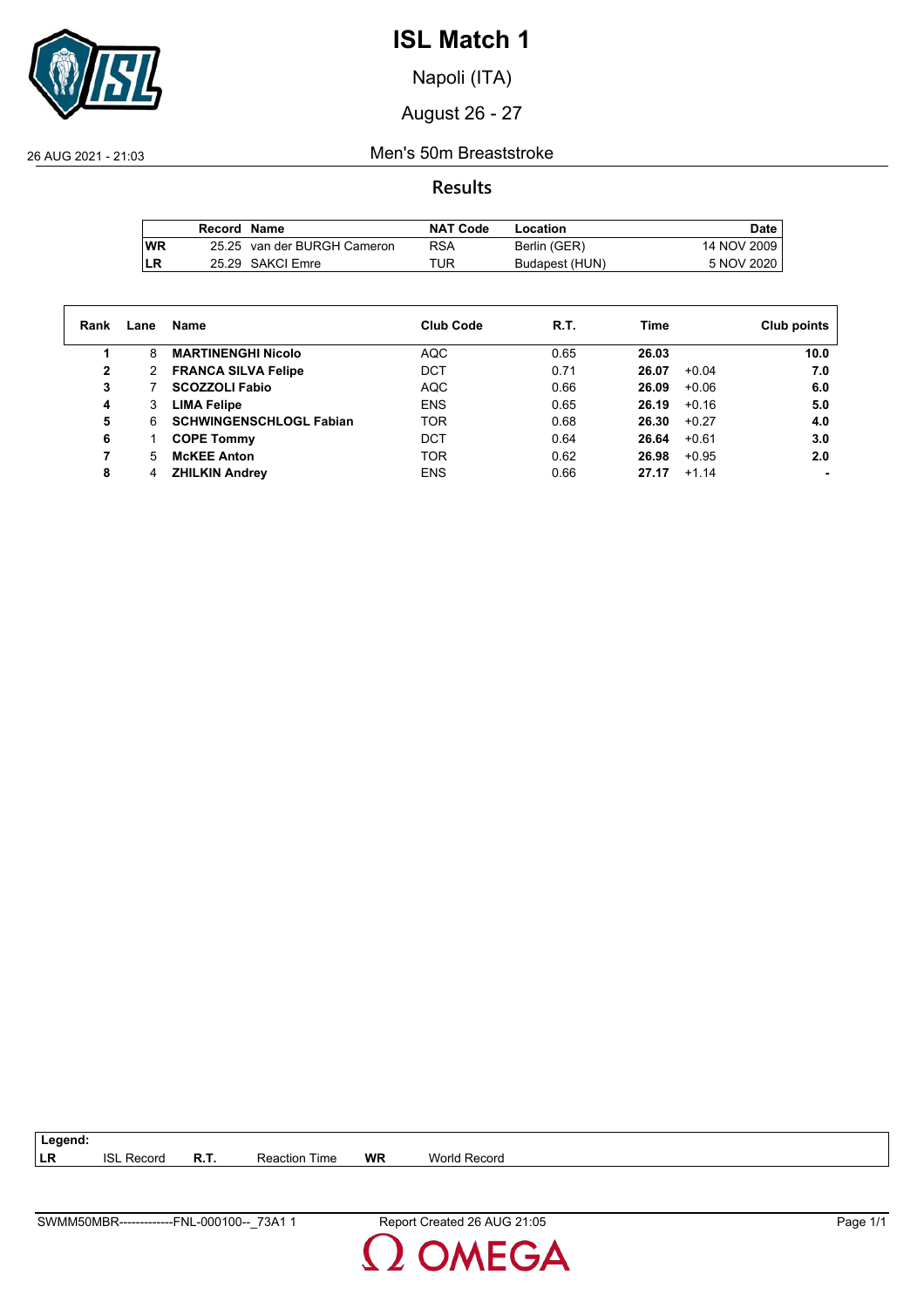

Napoli (ITA)

August 26 - 27

26 AUG 2021 - 21:03 Men's 50m Breaststroke

## **Results**

|     | Record Name |                             | <b>NAT Code</b> | Location       | Date        |
|-----|-------------|-----------------------------|-----------------|----------------|-------------|
| lWR |             | 25.25 van der BURGH Cameron | RSA             | Berlin (GER)   | 14 NOV 2009 |
| LR  |             | 25.29 SAKCI Emre            | TUR             | Budapest (HUN) | 5 NOV 2020  |

| Rank | Lane | Name                           | <b>Club Code</b> | R.T. | Time             | Club points |
|------|------|--------------------------------|------------------|------|------------------|-------------|
| 1    | 8    | <b>MARTINENGHI Nicolo</b>      | <b>AQC</b>       | 0.65 | 26.03            | 10.0        |
| 2    | 2    | <b>FRANCA SILVA Felipe</b>     | DCT              | 0.71 | $+0.04$<br>26.07 | 7.0         |
| 3    |      | <b>SCOZZOLI Fabio</b>          | <b>AQC</b>       | 0.66 | 26.09<br>$+0.06$ | 6.0         |
| 4    | 3    | <b>LIMA Felipe</b>             | <b>ENS</b>       | 0.65 | $+0.16$<br>26.19 | 5.0         |
| 5    | 6.   | <b>SCHWINGENSCHLOGL Fabian</b> | <b>TOR</b>       | 0.68 | 26.30<br>$+0.27$ | 4.0         |
| 6    |      | <b>COPE Tommy</b>              | DCT              | 0.64 | 26.64<br>$+0.61$ | 3.0         |
|      | 5    | <b>McKEE Anton</b>             | <b>TOR</b>       | 0.62 | 26.98<br>$+0.95$ | 2.0         |
| 8    | 4    | <b>ZHILKIN Andrey</b>          | <b>ENS</b>       | 0.66 | 27.17<br>$+1.14$ |             |

**LR** ISL Record **R.T.** Reaction Time **WR** World Record

**Legend:**

**DMEGA**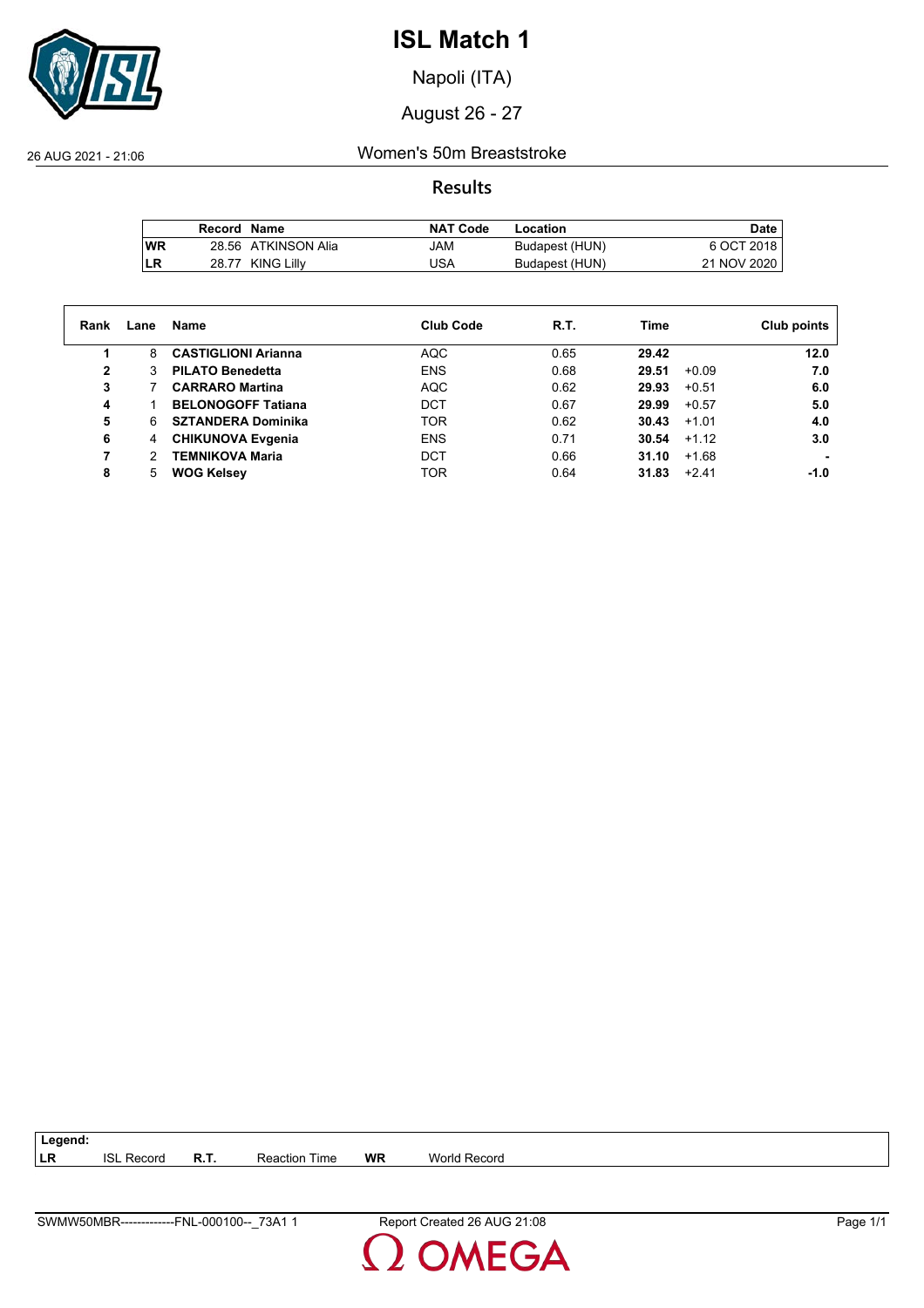

Napoli (ITA)

August 26 - 27

26 AUG 2021 - 21:06 Women's 50m Breaststroke

**Results**

|           | Record Name |                     | <b>NAT Code</b> | Location       | Date        |
|-----------|-------------|---------------------|-----------------|----------------|-------------|
| <b>WR</b> |             | 28.56 ATKINSON Alia | MAU             | Budapest (HUN) | 6 OCT 2018  |
| LR        |             | 28.77 KING Lilly    | USA             | Budapest (HUN) | 21 NOV 2020 |

| Rank | Lane | Name                       | <b>Club Code</b> | R.T. | Time             | Club points |
|------|------|----------------------------|------------------|------|------------------|-------------|
|      | 8    | <b>CASTIGLIONI Arianna</b> | AQC              | 0.65 | 29.42            | 12.0        |
| 2    |      | <b>PILATO Benedetta</b>    | <b>ENS</b>       | 0.68 | 29.51<br>$+0.09$ | 7.0         |
| 3    |      | <b>CARRARO Martina</b>     | <b>AQC</b>       | 0.62 | 29.93<br>$+0.51$ | 6.0         |
| 4    |      | <b>BELONOGOFF Tatiana</b>  | DCT              | 0.67 | 29.99<br>$+0.57$ | 5.0         |
| 5    | 6    | <b>SZTANDERA Dominika</b>  | <b>TOR</b>       | 0.62 | 30.43<br>$+1.01$ | 4.0         |
| 6    | 4    | <b>CHIKUNOVA Evgenia</b>   | <b>ENS</b>       | 0.71 | 30.54<br>$+1.12$ | 3.0         |
|      |      | <b>TEMNIKOVA Maria</b>     | <b>DCT</b>       | 0.66 | 31.10<br>$+1.68$ |             |
| 8    | 5    | <b>WOG Kelsey</b>          | TOR              | 0.64 | 31.83<br>$+2.41$ | -1.0        |

| 73A.<br>SWMW50MBR<br>-000100--<br><b>FNI</b><br>-------------<br>- | G 21:08<br>-26<br>AUG<br>Report 1<br>Created<br>$\sim$ $\sim$ | Page |
|--------------------------------------------------------------------|---------------------------------------------------------------|------|

**LR** ISL Record **R.T.** Reaction Time **WR** World Record

**Legend:**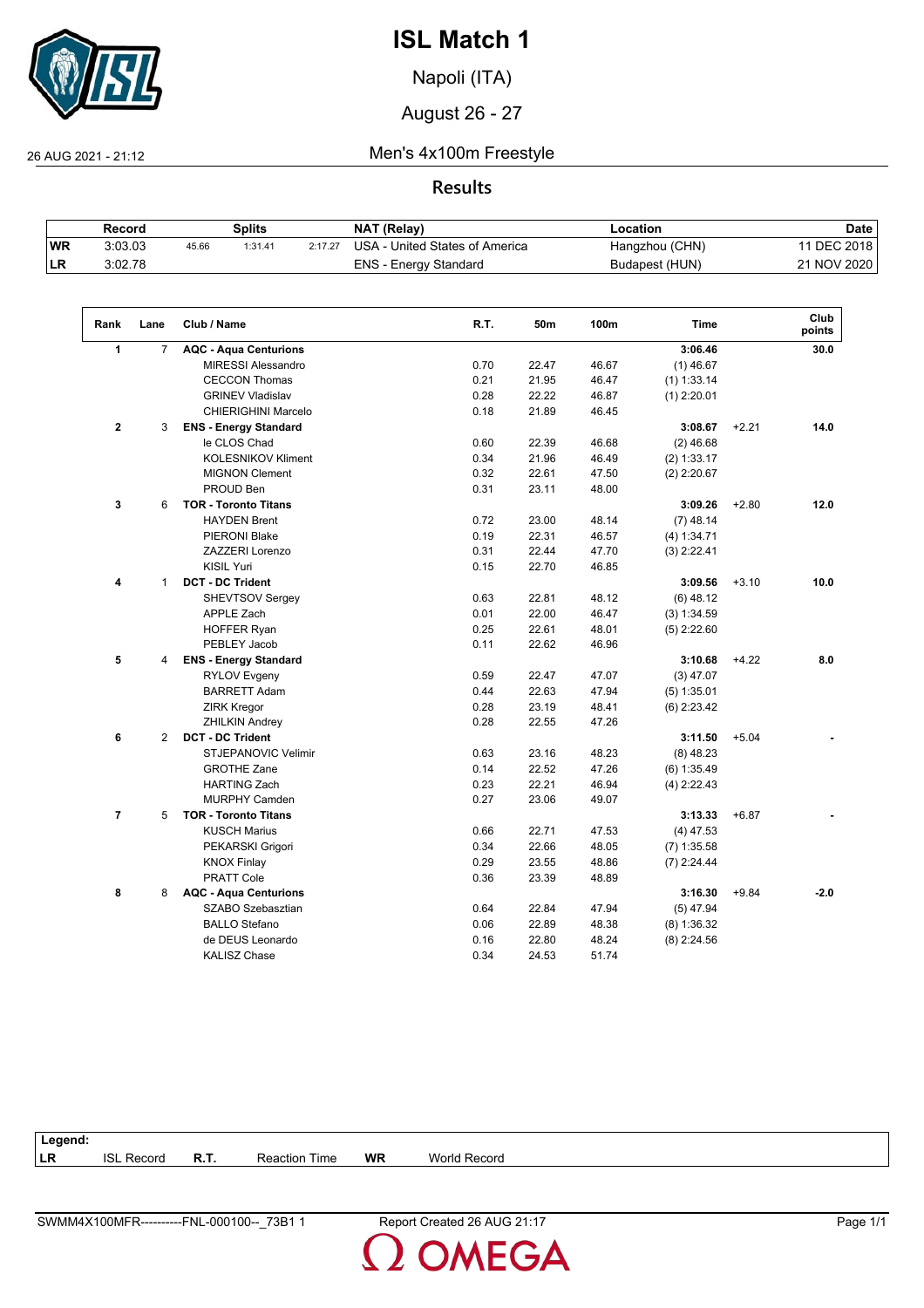

Napoli (ITA)

August 26 - 27

 $\sqrt{2}$ 

26 AUG 2021 - 21:12 Men's 4x100m Freestyle

**Results**

|            | Record  |       | Splits  |         | NAT (Relay)                    | Location       | <b>Date</b> |
|------------|---------|-------|---------|---------|--------------------------------|----------------|-------------|
| <b>WR</b>  | 3:03.03 | 45.66 | 1:31.41 | 2:17.27 | USA - United States of America | Hangzhou (CHN) | 1 DEC 2018  |
| <b>ILR</b> | 3:02.78 |       |         |         | ENS - Energy Standard          | Budapest (HUN) | 21 NOV 2020 |

| Rank           | Lane           | Club / Name                  | R.T. | 50m   | 100m  | <b>Time</b>   |         | Club<br>points |
|----------------|----------------|------------------------------|------|-------|-------|---------------|---------|----------------|
| 1              | $\overline{7}$ | <b>AQC - Aqua Centurions</b> |      |       |       | 3:06.46       |         | 30.0           |
|                |                | <b>MIRESSI Alessandro</b>    | 0.70 | 22.47 | 46.67 | $(1)$ 46.67   |         |                |
|                |                | <b>CECCON Thomas</b>         | 0.21 | 21.95 | 46.47 | $(1)$ 1:33.14 |         |                |
|                |                | <b>GRINEV Vladislav</b>      | 0.28 | 22.22 | 46.87 | $(1)$ 2:20.01 |         |                |
|                |                | <b>CHIERIGHINI Marcelo</b>   | 0.18 | 21.89 | 46.45 |               |         |                |
| $\mathbf{2}$   | 3              | <b>ENS - Energy Standard</b> |      |       |       | 3:08.67       | $+2.21$ | 14.0           |
|                |                | le CLOS Chad                 | 0.60 | 22.39 | 46.68 | $(2)$ 46.68   |         |                |
|                |                | <b>KOLESNIKOV Kliment</b>    | 0.34 | 21.96 | 46.49 | (2) 1:33.17   |         |                |
|                |                | <b>MIGNON Clement</b>        | 0.32 | 22.61 | 47.50 | $(2)$ 2:20.67 |         |                |
|                |                | PROUD Ben                    | 0.31 | 23.11 | 48.00 |               |         |                |
| 3              | 6              | <b>TOR - Toronto Titans</b>  |      |       |       | 3:09.26       | $+2.80$ | 12.0           |
|                |                | <b>HAYDEN Brent</b>          | 0.72 | 23.00 | 48.14 | $(7)$ 48.14   |         |                |
|                |                | PIERONI Blake                | 0.19 | 22.31 | 46.57 | (4) 1:34.71   |         |                |
|                |                | <b>ZAZZERI Lorenzo</b>       | 0.31 | 22.44 | 47.70 | $(3)$ 2:22.41 |         |                |
|                |                | <b>KISIL Yuri</b>            | 0.15 | 22.70 | 46.85 |               |         |                |
| 4              | $\mathbf{1}$   | <b>DCT - DC Trident</b>      |      |       |       | 3:09.56       | $+3.10$ | 10.0           |
|                |                | <b>SHEVTSOV Sergey</b>       | 0.63 | 22.81 | 48.12 | $(6)$ 48.12   |         |                |
|                |                | <b>APPLE Zach</b>            | 0.01 | 22.00 | 46.47 | (3) 1:34.59   |         |                |
|                |                | <b>HOFFER Ryan</b>           | 0.25 | 22.61 | 48.01 | $(5)$ 2:22.60 |         |                |
|                |                | PEBLEY Jacob                 | 0.11 | 22.62 | 46.96 |               |         |                |
| 5              | 4              | <b>ENS - Energy Standard</b> |      |       |       | 3:10.68       | $+4.22$ | 8.0            |
|                |                | <b>RYLOV Evgeny</b>          | 0.59 | 22.47 | 47.07 | $(3)$ 47.07   |         |                |
|                |                | <b>BARRETT Adam</b>          | 0.44 | 22.63 | 47.94 | $(5)$ 1:35.01 |         |                |
|                |                | <b>ZIRK Kregor</b>           | 0.28 | 23.19 | 48.41 | $(6)$ 2:23.42 |         |                |
|                |                | <b>ZHILKIN Andrey</b>        | 0.28 | 22.55 | 47.26 |               |         |                |
| 6              | 2              | <b>DCT - DC Trident</b>      |      |       |       | 3:11.50       | $+5.04$ |                |
|                |                | <b>STJEPANOVIC Velimir</b>   | 0.63 | 23.16 | 48.23 | $(8)$ 48.23   |         |                |
|                |                | <b>GROTHE Zane</b>           | 0.14 | 22.52 | 47.26 | $(6)$ 1:35.49 |         |                |
|                |                | <b>HARTING Zach</b>          | 0.23 | 22.21 | 46.94 | $(4)$ 2:22.43 |         |                |
|                |                | <b>MURPHY Camden</b>         | 0.27 | 23.06 | 49.07 |               |         |                |
| $\overline{7}$ | 5              | <b>TOR - Toronto Titans</b>  |      |       |       | 3:13.33       | $+6.87$ |                |
|                |                | <b>KUSCH Marius</b>          | 0.66 | 22.71 | 47.53 | $(4)$ 47.53   |         |                |
|                |                | PEKARSKI Grigori             | 0.34 | 22.66 | 48.05 | $(7)$ 1:35.58 |         |                |
|                |                | <b>KNOX Finlay</b>           | 0.29 | 23.55 | 48.86 | $(7)$ 2:24.44 |         |                |
|                |                | <b>PRATT Cole</b>            | 0.36 | 23.39 | 48.89 |               |         |                |
| 8              | 8              | <b>AQC - Aqua Centurions</b> |      |       |       | 3:16.30       | $+9.84$ | $-2.0$         |
|                |                | SZABO Szebasztian            | 0.64 | 22.84 | 47.94 | $(5)$ 47.94   |         |                |
|                |                | <b>BALLO Stefano</b>         | 0.06 | 22.89 | 48.38 | $(8)$ 1:36.32 |         |                |
|                |                | de DEUS Leonardo             | 0.16 | 22.80 | 48.24 | $(8)$ 2:24.56 |         |                |
|                |                | <b>KALISZ Chase</b>          | 0.34 | 24.53 | 51.74 |               |         |                |

| Legend: |                   |      |                      |           |                     |
|---------|-------------------|------|----------------------|-----------|---------------------|
| LR      | <b>ISL Record</b> | R.T. | <b>Reaction Time</b> | <b>WR</b> | <b>World Record</b> |
|         |                   |      |                      |           |                     |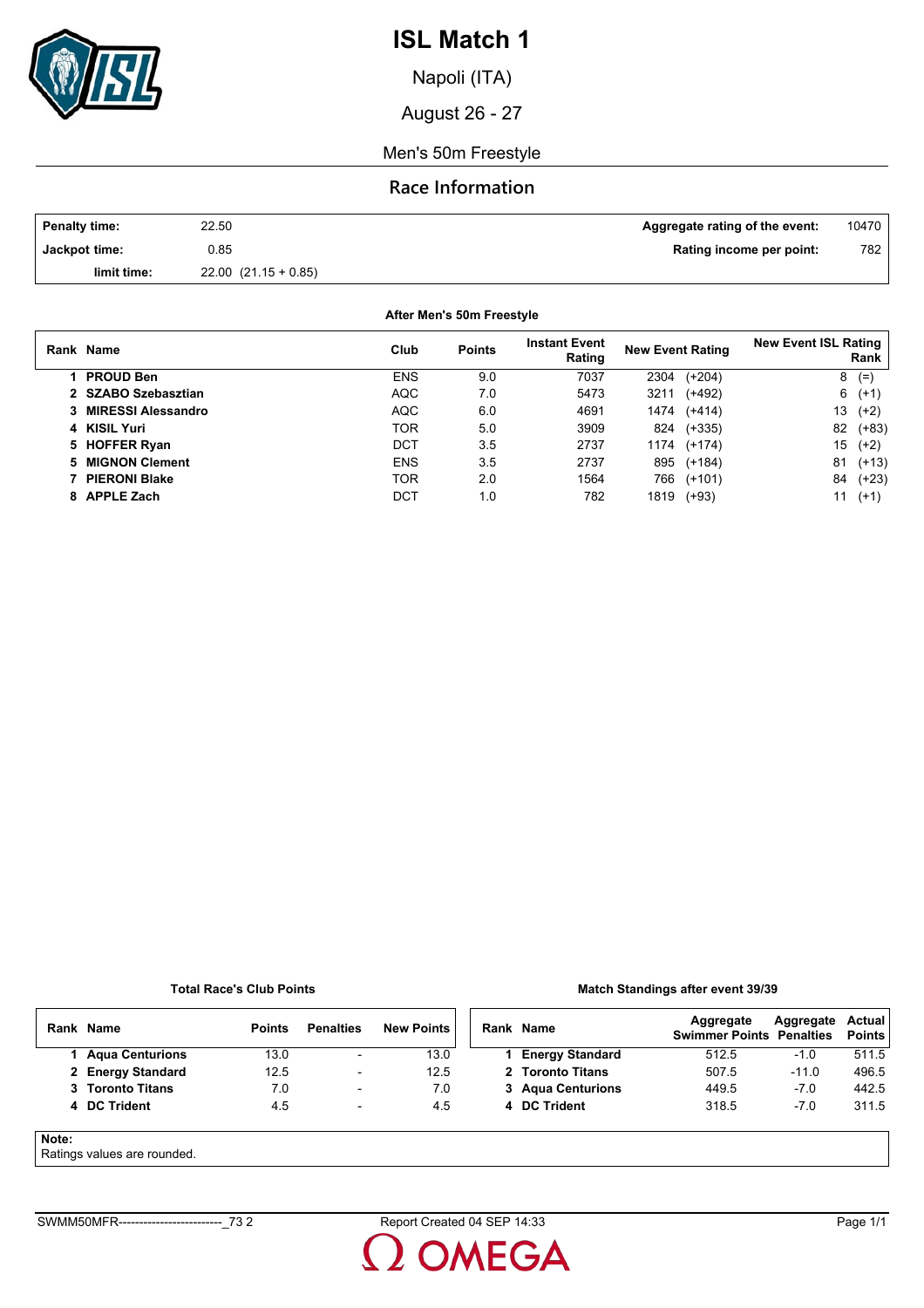

Napoli (ITA)

August 26 - 27

Men's 50m Freestyle

## **Race Information**

| <b>Penalty time:</b> | 22.50                    | Aggregate rating of the event: | 10470 |
|----------------------|--------------------------|--------------------------------|-------|
| Jackpot time:        | ა.85                     | Rating income per point:       | 782   |
| limit time:          | $22.00$ $(21.15 + 0.85)$ |                                |       |

| After Men's 50m Freestyle |            |               |                                |                         |          |                             |         |  |  |
|---------------------------|------------|---------------|--------------------------------|-------------------------|----------|-----------------------------|---------|--|--|
| Rank Name                 | Club       | <b>Points</b> | <b>Instant Event</b><br>Rating | <b>New Event Rating</b> |          | <b>New Event ISL Rating</b> | Rank    |  |  |
| <b>PROUD Ben</b>          | <b>ENS</b> | 9.0           | 7037                           | 2304                    | $(+204)$ | 8                           | $(=$    |  |  |
| 2 SZABO Szebasztian       | <b>AQC</b> | 7.0           | 5473                           | 3211                    | $(+492)$ | 6                           | $(+1)$  |  |  |
| 3 MIRESSI Alessandro      | <b>AQC</b> | 6.0           | 4691                           | 1474                    | $(+414)$ | 13                          | $(+2)$  |  |  |
| 4 KISIL Yuri              | <b>TOR</b> | 5.0           | 3909                           | 824                     | $(+335)$ | 82                          | $(+83)$ |  |  |
| 5 HOFFER Ryan             | DCT        | 3.5           | 2737                           | 1174                    | $(+174)$ | 15                          | $(+2)$  |  |  |
| <b>MIGNON Clement</b>     | <b>ENS</b> | 3.5           | 2737                           | 895                     | $(+184)$ | 81                          | $(+13)$ |  |  |
| 7 PIERONI Blake           | <b>TOR</b> | 2.0           | 1564                           | 766                     | $(+101)$ | 84                          | $(+23)$ |  |  |
| 8 APPLE Zach              | DCT        | 1.0           | 782                            | 1819                    | $(+93)$  | 11                          | $(+1)$  |  |  |

#### **Total Race's Club Points**

### **Match Standings after event 39/39**

|       | Rank Name                  | <b>Points</b> | <b>Penalties</b>         | <b>New Points</b> | Rank Name              | Aggregate<br><b>Swimmer Points Penalties</b> | Aggregate | Actual<br><b>Points</b> |
|-------|----------------------------|---------------|--------------------------|-------------------|------------------------|----------------------------------------------|-----------|-------------------------|
|       | <b>Agua Centurions</b>     | 13.0          | $\overline{\phantom{a}}$ | 13.0              | <b>Energy Standard</b> | 512.5                                        | $-1.0$    | 511.5                   |
|       | 2 Energy Standard          | 12.5          | $\overline{\phantom{a}}$ | 12.5              | 2 Toronto Titans       | 507.5                                        | $-11.0$   | 496.5                   |
|       | 3 Toronto Titans           | 7.0           | $\overline{\phantom{0}}$ | 7.0               | 3 Agua Centurions      | 449.5                                        | $-7.0$    | 442.5                   |
|       | 4 DC Trident               | 4.5           | $\overline{\phantom{0}}$ | 4.5               | 4 DC Trident           | 318.5                                        | $-7.0$    | 311.5                   |
| Note: | Patings values are rounded |               |                          |                   |                        |                                              |           |                         |

### Ratings values are rounded.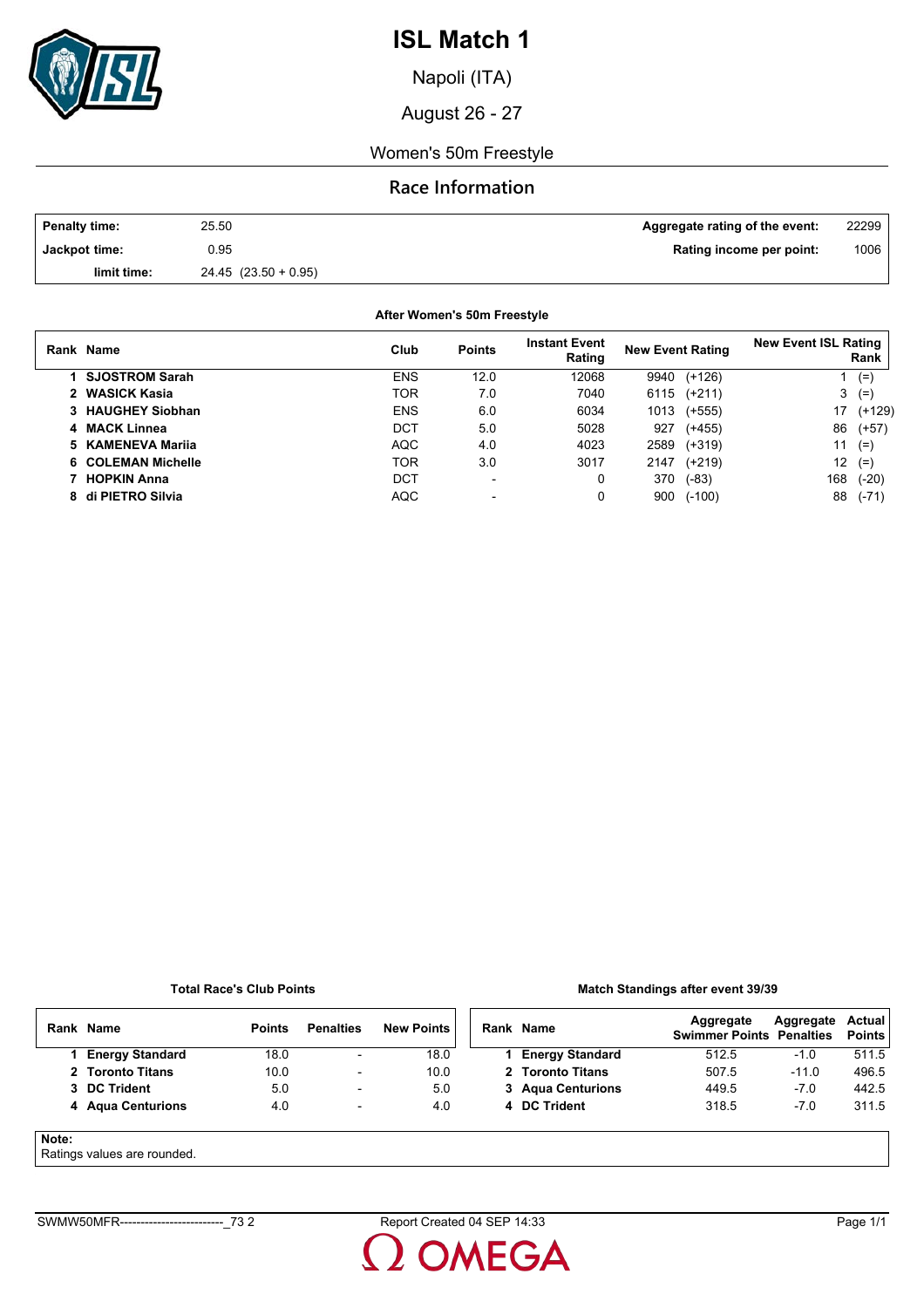

Napoli (ITA)

August 26 - 27

### Women's 50m Freestyle

## **Race Information**

| <b>Penalty time:</b> | 25.50                    | Aggregate rating of the event: | 22299 |
|----------------------|--------------------------|--------------------------------|-------|
| Jackpot time:        | 0.95                     | Rating income per point:       | 1006  |
| limit time:          | $24.45$ $(23.50 + 0.95)$ |                                |       |

**After Women's 50m Freestyle**

| Rank Name             | Club       | <b>Points</b> | <b>Instant Event</b><br>Rating | <b>New Event Rating</b> |          | <b>New Event ISL Rating</b> | Rank     |
|-----------------------|------------|---------------|--------------------------------|-------------------------|----------|-----------------------------|----------|
| <b>SJOSTROM Sarah</b> | <b>ENS</b> | 12.0          | 12068                          | 9940                    | $(+126)$ |                             | $(=)$    |
| 2 WASICK Kasia        | TOR        | 7.0           | 7040                           | 6115                    | $(+211)$ | 3                           | $(=)$    |
| 3 HAUGHEY Siobhan     | <b>ENS</b> | 6.0           | 6034                           | 1013                    | $(+555)$ | 17                          | $(+129)$ |
| 4 MACK Linnea         | DCT        | 5.0           | 5028                           | 927                     | $(+455)$ | 86                          | $(+57)$  |
| 5 KAMENEVA Marija     | <b>AQC</b> | 4.0           | 4023                           | 2589                    | $(+319)$ | 11                          | $(=)$    |
| 6 COLEMAN Michelle    | TOR        | 3.0           | 3017                           | 2147                    | $(+219)$ | 12 <sup>12</sup>            | $(=)$    |
| <b>HOPKIN Anna</b>    | <b>DCT</b> | -             | 0                              | 370                     | $(-83)$  | 168                         | $(-20)$  |
| 8 di PIETRO Silvia    | AQC        | -             |                                | 900                     | $(-100)$ | 88                          | $(-71)$  |

#### **Total Race's Club Points**

### **Match Standings after event 39/39**

|       | Rank Name              | <b>Points</b> | <b>Penalties</b>         | <b>New Points</b> | Rank Name              | Aggregate<br><b>Swimmer Points Penalties</b> | Aggregate | Actual<br><b>Points</b> |
|-------|------------------------|---------------|--------------------------|-------------------|------------------------|----------------------------------------------|-----------|-------------------------|
|       | <b>Energy Standard</b> | 18.0          | $\overline{\phantom{0}}$ | 18.0              | <b>Energy Standard</b> | 512.5                                        | $-1.0$    | 511.5                   |
|       | 2 Toronto Titans       | 10.0          | $\overline{\phantom{a}}$ | 10.0              | 2 Toronto Titans       | 507.5                                        | $-11.0$   | 496.5                   |
|       | 3 DC Trident           | 5.0           | $\overline{\phantom{a}}$ | 5.0               | 3 Agua Centurions      | 449.5                                        | $-7.0$    | 442.5                   |
|       | 4 Agua Centurions      | 4.0           | $\overline{\phantom{a}}$ | 4.0               | 4 DC Trident           | 318.5                                        | $-7.0$    | 311.5                   |
| Note: |                        |               |                          |                   |                        |                                              |           |                         |

Ratings values are rounded.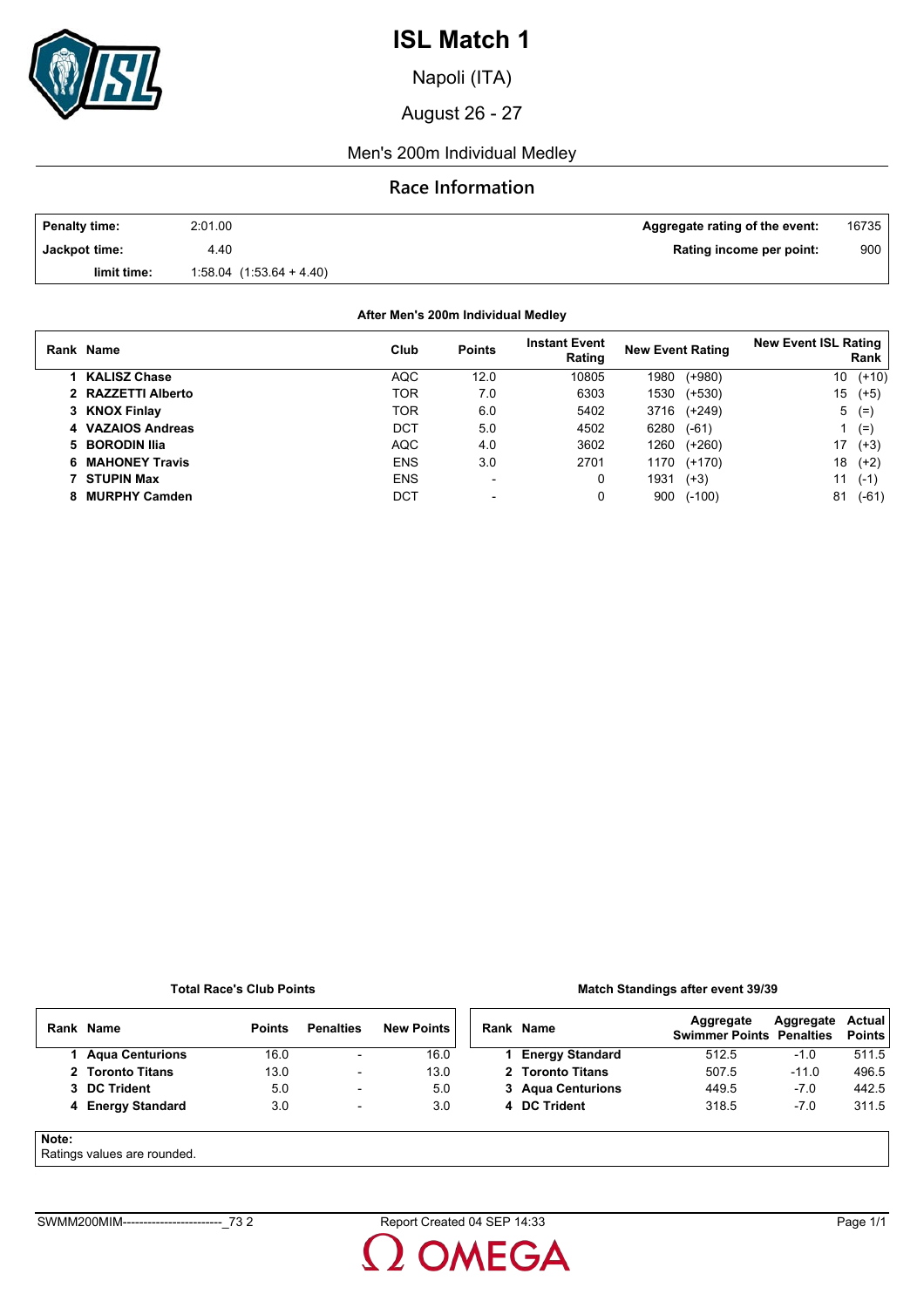

Napoli (ITA)

August 26 - 27

### Men's 200m Individual Medley

## **Race Information**

| <b>Penalty time:</b> | 2:01.00                      | Aggregate rating of the event: | 16735 |
|----------------------|------------------------------|--------------------------------|-------|
| Jackpot time:        | 4.40                         | Rating income per point:       | 900   |
| limit time:          | $1.58.04$ $(1.53.64 + 4.40)$ |                                |       |

**After Men's 200m Individual Medley**

| Rank Name           | Club       | <b>Points</b>            | <b>Instant Event</b><br>Rating | <b>New Event Rating</b> |          | <b>New Event ISL Rating</b> | Rank    |
|---------------------|------------|--------------------------|--------------------------------|-------------------------|----------|-----------------------------|---------|
| <b>KALISZ Chase</b> | <b>AQC</b> | 12.0                     | 10805                          | 1980                    | $(+980)$ | 10                          | $(+10)$ |
| 2 RAZZETTI Alberto  | TOR        | 7.0                      | 6303                           | 1530                    | $(+530)$ | 15                          | $(+5)$  |
| 3 KNOX Finlay       | TOR        | 6.0                      | 5402                           | 3716                    | (+249)   | 5                           | $(=$    |
| 4 VAZAIOS Andreas   | DCT        | 5.0                      | 4502                           | 6280                    | $(-61)$  |                             | $(=)$   |
| 5 BORODIN Ilia      | <b>AQC</b> | 4.0                      | 3602                           | 1260                    | $(+260)$ | 17                          | $(+3)$  |
| 6 MAHONEY Travis    | <b>ENS</b> | 3.0                      | 2701                           | 1170                    | $(+170)$ | 18                          | $(+2)$  |
| 7 STUPIN Max        | <b>ENS</b> | $\overline{\phantom{0}}$ | 0                              | 1931                    | $(+3)$   | 11                          | $(-1)$  |
| 8 MURPHY Camden     | DCT        | $\blacksquare$           | 0                              | 900                     | $(-100)$ | 81                          | $(-61)$ |

#### **Total Race's Club Points**

### **Match Standings after event 39/39**

|       | Rank Name              | <b>Points</b> | <b>Penalties</b>         | <b>New Points</b> | Rank Name              | Aggregate<br><b>Swimmer Points Penalties</b> | Aggregate | <b>Actual</b><br><b>Points</b> |
|-------|------------------------|---------------|--------------------------|-------------------|------------------------|----------------------------------------------|-----------|--------------------------------|
|       | <b>Agua Centurions</b> | 16.0          | $\overline{\phantom{a}}$ | 16.0              | <b>Energy Standard</b> | 512.5                                        | $-1.0$    | 511.5                          |
|       | 2 Toronto Titans       | 13.0          | $\overline{\phantom{0}}$ | 13.0              | 2 Toronto Titans       | 507.5                                        | $-11.0$   | 496.5                          |
|       | 3 DC Trident           | 5.0           | $\overline{\phantom{a}}$ | 5.0               | 3 Agua Centurions      | 449.5                                        | $-7.0$    | 442.5                          |
|       | 4 Energy Standard      | 3.0           | $\overline{\phantom{a}}$ | 3.0               | 4 DC Trident           | 318.5                                        | $-7.0$    | 311.5                          |
| Note: |                        |               |                          |                   |                        |                                              |           |                                |

#### Ratings values are rounded.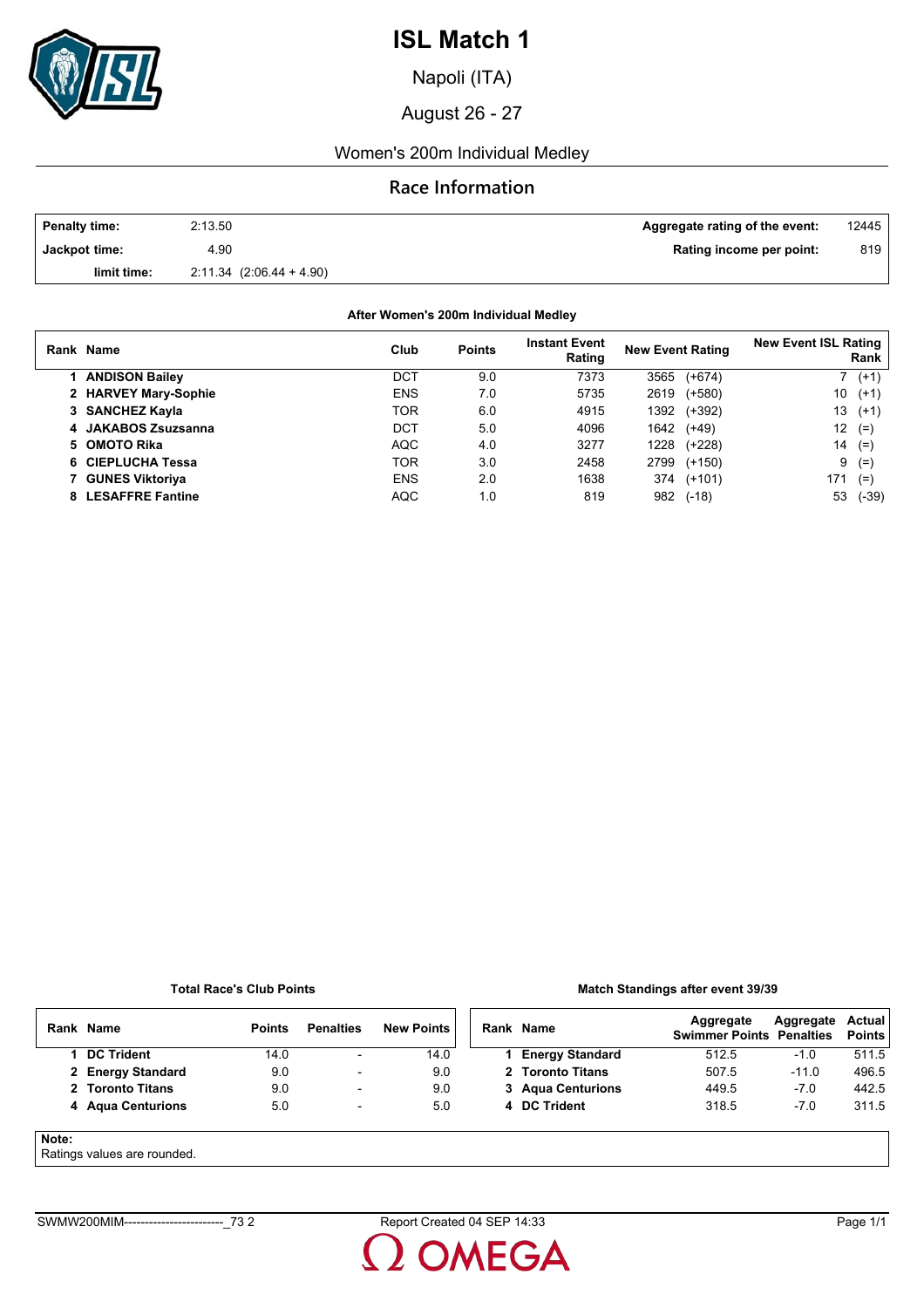

Napoli (ITA)

August 26 - 27

## Women's 200m Individual Medley

## **Race Information**

| <b>Penalty time:</b> | 2:13.50                      | Aggregate rating of the event: | 12445 |
|----------------------|------------------------------|--------------------------------|-------|
| Jackpot time:        | 4.90                         | Rating income per point:       | 819   |
| limit time:          | $2.11.34$ $(2.06.44 + 4.90)$ |                                |       |

### **After Women's 200m Individual Medley**

| Rank Name             | Club       | <b>Points</b> | <b>Instant Event</b><br>Rating | <b>New Event Rating</b> | <b>New Event ISL Rating</b><br>Rank |
|-----------------------|------------|---------------|--------------------------------|-------------------------|-------------------------------------|
| <b>ANDISON Bailey</b> | DCT        | 9.0           | 7373                           | $(+674)$<br>3565        | $7(+1)$                             |
| 2 HARVEY Mary-Sophie  | <b>ENS</b> | 7.0           | 5735                           | 2619<br>(+580)          | 10<br>$(+1)$                        |
| 3 SANCHEZ Kayla       | TOR        | 6.0           | 4915                           | 1392<br>(+392)          | 13<br>$(+1)$                        |
| 4 JAKABOS Zsuzsanna   | DCT        | 5.0           | 4096                           | 1642<br>$(+49)$         | 12<br>$(=$                          |
| 5 OMOTO Rika          | <b>AQC</b> | 4.0           | 3277                           | 1228<br>(+228)          | 14<br>$(=$                          |
| 6 CIEPLUCHA Tessa     | TOR        | 3.0           | 2458                           | 2799<br>$(+150)$        | 9<br>$(=$                           |
| 7 GUNES Viktoriya     | <b>ENS</b> | 2.0           | 1638                           | 374<br>$(+101)$         | 171<br>$(=$                         |
| 8 LESAFFRE Fantine    | <b>AQC</b> | 1.0           | 819                            | 982<br>$(-18)$          | 53<br>(-39)                         |

#### **Total Race's Club Points**

### **Match Standings after event 39/39**

|       | Rank Name         | <b>Points</b> | <b>Penalties</b>         | <b>New Points</b> | Rank Name              | Aggregate<br><b>Swimmer Points Penalties</b> | Aggregate | Actual<br><b>Points</b> |
|-------|-------------------|---------------|--------------------------|-------------------|------------------------|----------------------------------------------|-----------|-------------------------|
|       | <b>DC Trident</b> | 14.0          | $\overline{\phantom{0}}$ | 14.0              | <b>Energy Standard</b> | 512.5                                        | $-1.0$    | 511.5                   |
|       | 2 Energy Standard | 9.0           | $\overline{\phantom{a}}$ | 9.0               | 2 Toronto Titans       | 507.5                                        | $-11.0$   | 496.5                   |
|       | 2 Toronto Titans  | 9.0           | $\overline{\phantom{a}}$ | 9.0               | 3 Agua Centurions      | 449.5                                        | $-7.0$    | 442.5                   |
|       | 4 Agua Centurions | 5.0           | $\overline{\phantom{a}}$ | 5.0               | 4 DC Trident           | 318.5                                        | $-7.0$    | 311.5                   |
| Note: |                   |               |                          |                   |                        |                                              |           |                         |

#### Ratings values are rounded.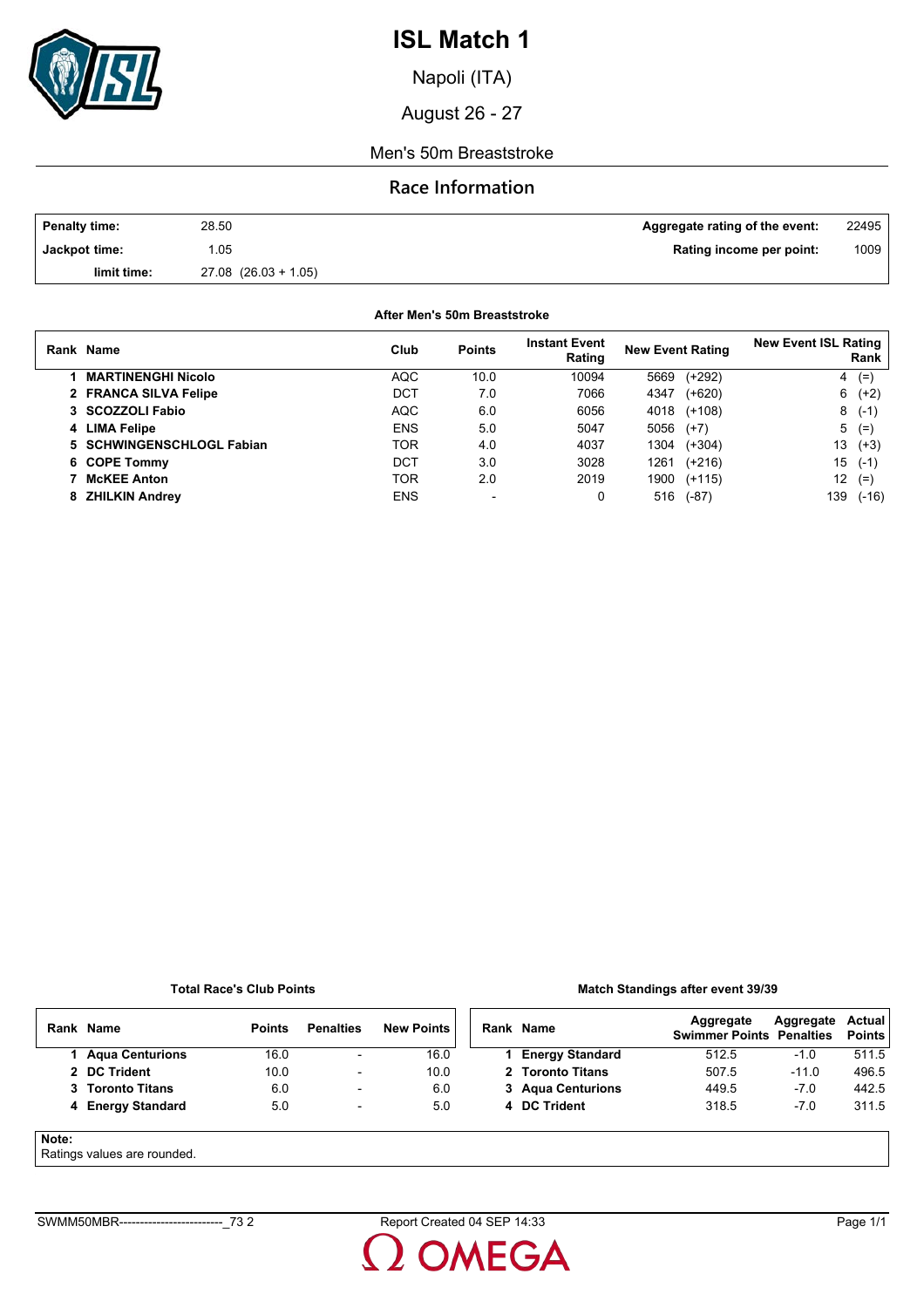

Napoli (ITA)

August 26 - 27

### Men's 50m Breaststroke

### **Race Information**

| <b>Penalty time:</b> | 28.50                    | Aggregate rating of the event: | 22495 |
|----------------------|--------------------------|--------------------------------|-------|
| Jackpot time:        | .05                      | Rating income per point:       | 1009  |
| limit time:          | $27.08$ $(26.03 + 1.05)$ |                                |       |

**After Men's 50m Breaststroke**

|    | Rank Name                 | Club       | <b>Points</b>  | <b>Instant Event</b><br>Rating | <b>New Event Rating</b> |          | <b>New Event ISL Rating</b><br>Rank |          |
|----|---------------------------|------------|----------------|--------------------------------|-------------------------|----------|-------------------------------------|----------|
|    | <b>MARTINENGHI Nicolo</b> | <b>AQC</b> | 10.0           | 10094                          | 5669                    | $(+292)$ | 4                                   | $(=$     |
|    | 2 FRANCA SILVA Felipe     | DCT        | 7.0            | 7066                           | 4347                    | $(+620)$ |                                     | $6(+2)$  |
|    | 3 SCOZZOLI Fabio          | <b>AQC</b> | 6.0            | 6056                           | 4018                    | $(+108)$ |                                     | $8( -1)$ |
|    | 4 LIMA Felipe             | <b>ENS</b> | 5.0            | 5047                           | 5056                    | $(+7)$   | 5                                   | $(=$     |
|    | 5 SCHWINGENSCHLOGL Fabian | <b>TOR</b> | 4.0            | 4037                           | 1304                    | $(+304)$ | 13                                  | $(+3)$   |
|    | 6 COPE Tommy              | DCT        | 3.0            | 3028                           | 1261                    | $(+216)$ | 15                                  | $(-1)$   |
|    | <b>McKEE Anton</b>        | <b>TOR</b> | 2.0            | 2019                           | 1900                    | $(+115)$ | 12                                  | $(=$     |
| 8. | <b>ZHILKIN Andrey</b>     | <b>ENS</b> | $\blacksquare$ | 0                              | 516                     | $(-87)$  | 139                                 | $(-16)$  |

#### **Total Race's Club Points**

### **Match Standings after event 39/39**

|            | Rank Name              | <b>Points</b> | <b>Penalties</b>         | <b>New Points</b> | Rank Name              | Aggregate<br><b>Swimmer Points Penalties</b> | Aggregate | Actual<br><b>Points</b> |
|------------|------------------------|---------------|--------------------------|-------------------|------------------------|----------------------------------------------|-----------|-------------------------|
|            | <b>Agua Centurions</b> | 16.0          | -                        | 16.0              | <b>Energy Standard</b> | 512.5                                        | $-1.0$    | 511.5                   |
|            | 2 DC Trident           | 10.0          | -                        | 10.0              | 2 Toronto Titans       | 507.5                                        | $-11.0$   | 496.5                   |
|            | 3 Toronto Titans       | 6.0           | $\overline{\phantom{0}}$ | 6.0               | 3 Agua Centurions      | 449.5                                        | $-7.0$    | 442.5                   |
|            | 4 Energy Standard      | 5.0           | $\overline{\phantom{a}}$ | 5.0               | 4 DC Trident           | 318.5                                        | $-7.0$    | 311.5                   |
| Note:<br>_ |                        |               |                          |                   |                        |                                              |           |                         |

Ratings values are rounded.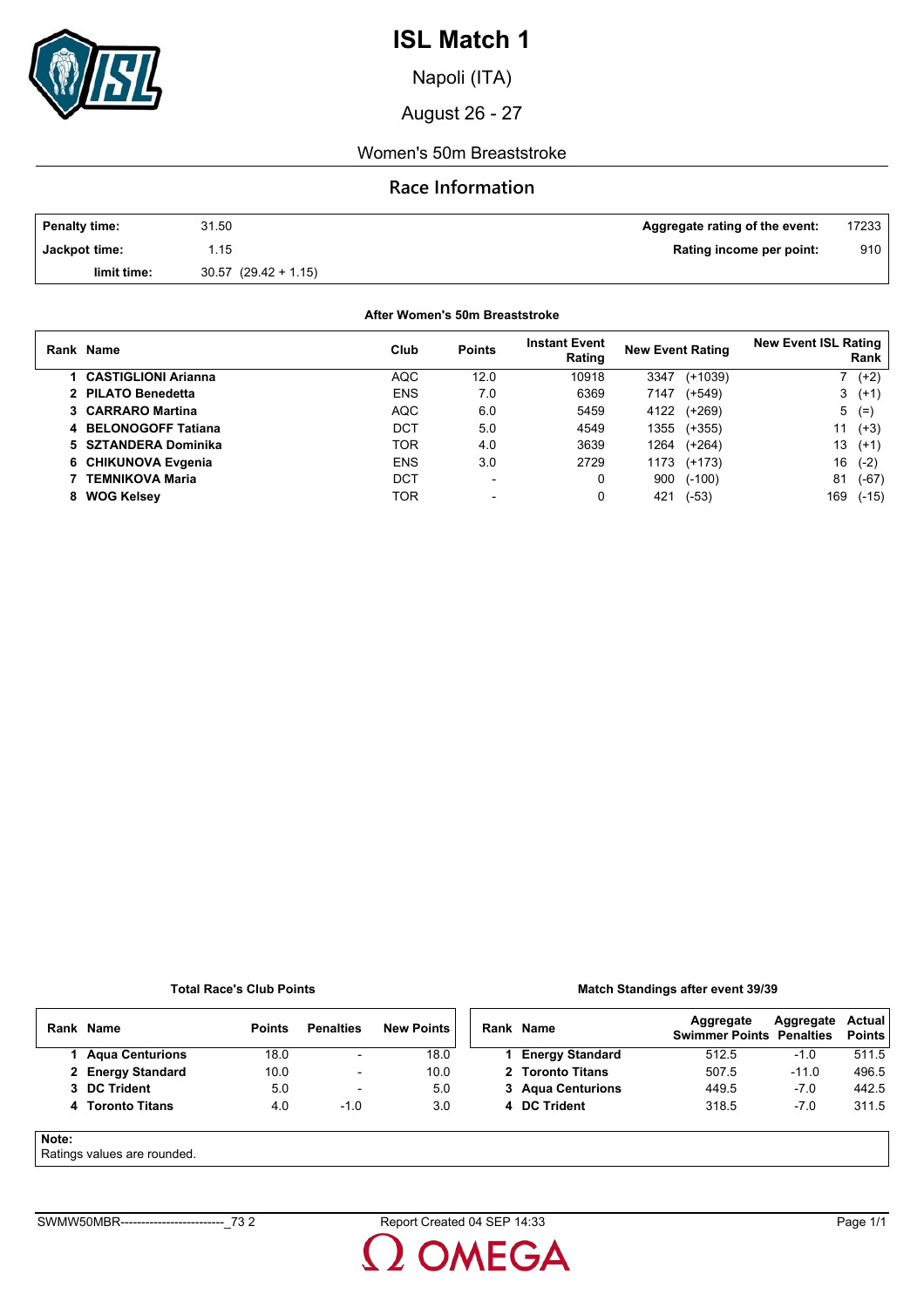

Napoli (ITA)

August 26 - 27

### Women's 50m Breaststroke

### **Race Information**

| <b>Penalty time:</b> | 31.50                    | Aggregate rating of the event: | 17233, |
|----------------------|--------------------------|--------------------------------|--------|
| Jackpot time:        | .15                      | Rating income per point:       | 910    |
| limit time:          | $30.57$ $(29.42 + 1.15)$ |                                |        |

**After Women's 50m Breaststroke**

|   | Rank Name              | Club       | <b>Points</b>            | <b>Instant Event</b><br>Rating | <b>New Event Rating</b> |           | <b>New Event ISL Rating</b> | Rank    |
|---|------------------------|------------|--------------------------|--------------------------------|-------------------------|-----------|-----------------------------|---------|
|   | 1 CASTIGLIONI Arianna  | <b>AQC</b> | 12.0                     | 10918                          | 3347                    | $(+1039)$ |                             | $(+2)$  |
|   | 2 PILATO Benedetta     | <b>ENS</b> | 7.0                      | 6369                           | 7147                    | $(+549)$  |                             | $3(+1)$ |
|   | 3 CARRARO Martina      | <b>AQC</b> | 6.0                      | 5459                           | 4122                    | $(+269)$  | 5                           | $(=$    |
|   | 4 BELONOGOFF Tatiana   | DCT        | 5.0                      | 4549                           | 1355                    | $(+355)$  | 11                          | $(+3)$  |
|   | 5 SZTANDERA Dominika   | TOR        | 4.0                      | 3639                           | 1264                    | $(+264)$  | 13                          | $(+1)$  |
|   | 6 CHIKUNOVA Evgenia    | <b>ENS</b> | 3.0                      | 2729                           | 1173                    | (+173)    | 16                          | $(-2)$  |
|   | <b>TEMNIKOVA Maria</b> | DCT        | $\overline{\phantom{0}}$ | 0                              | 900                     | $(-100)$  | 81                          | $(-67)$ |
| 8 | <b>WOG Kelsey</b>      | TOR        |                          | 0                              | 421                     | $(-53)$   | 169                         | $(-15)$ |

#### **Total Race's Club Points**

### **Match Standings after event 39/39**

|       | Rank Name              | <b>Points</b> | <b>Penalties</b>         | <b>New Points</b> | Rank Name              | Aggregate<br><b>Swimmer Points Penalties</b> | Aggregate | Actual<br><b>Points</b> |
|-------|------------------------|---------------|--------------------------|-------------------|------------------------|----------------------------------------------|-----------|-------------------------|
|       | <b>Agua Centurions</b> | 18.0          | $\overline{\phantom{a}}$ | 18.0              | <b>Energy Standard</b> | 512.5                                        | $-1.0$    | 511.5                   |
|       | 2 Energy Standard      | 10.0          | $\overline{\phantom{a}}$ | 10.0              | 2 Toronto Titans       | 507.5                                        | $-11.0$   | 496.5                   |
|       | 3 DC Trident           | 5.0           | $\overline{\phantom{a}}$ | 5.0               | 3 Agua Centurions      | 449.5                                        | $-7.0$    | 442.5                   |
|       | 4 Toronto Titans       | 4.0           | $-1.0$                   | 3.0               | 4 DC Trident           | 318.5                                        | $-7.0$    | 311.5                   |
| Note: |                        |               |                          |                   |                        |                                              |           |                         |

Ratings values are rounded.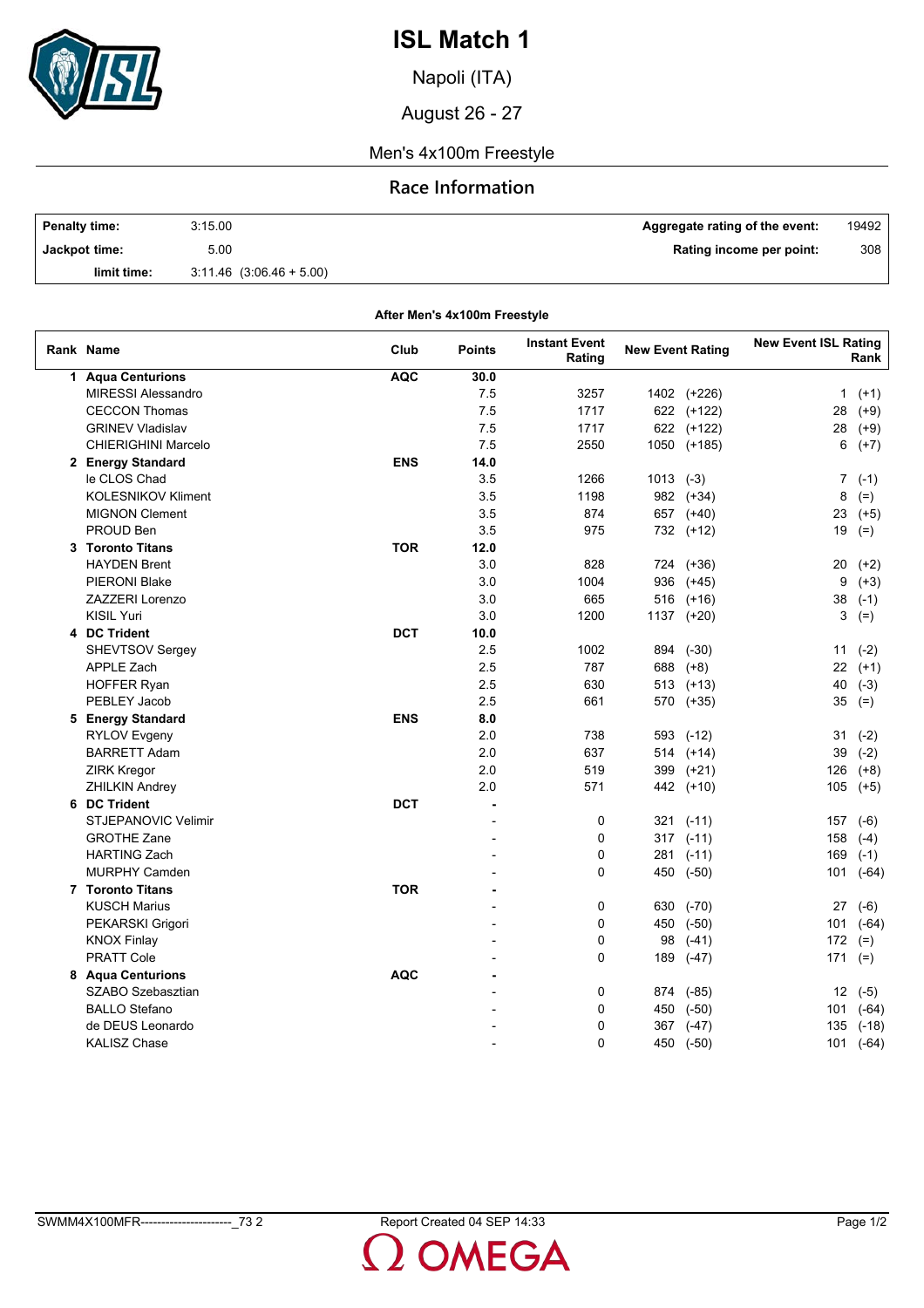

Napoli (ITA)

August 26 - 27

Men's 4x100m Freestyle

## **Race Information**

| <b>Penalty time:</b> | 3:15.00                      | Aggregate rating of the event: | 19492 |
|----------------------|------------------------------|--------------------------------|-------|
| Jackpot time:        | 5.00                         | Rating income per point:       | 308   |
| limit time:          | $3.11.46$ $(3.06.46 + 5.00)$ |                                |       |

**After Men's 4x100m Freestyle**

| Rank Name                  | Club       | Points | <b>Instant Event</b><br>Rating | <b>New Event Rating</b> |               | <b>New Event ISL Rating</b> | Rank      |
|----------------------------|------------|--------|--------------------------------|-------------------------|---------------|-----------------------------|-----------|
| 1 Aqua Centurions          | <b>AQC</b> | 30.0   |                                |                         |               |                             |           |
| <b>MIRESSI Alessandro</b>  |            | 7.5    | 3257                           |                         | 1402 (+226)   | $\mathbf{1}$                | $(+1)$    |
| <b>CECCON Thomas</b>       |            | 7.5    | 1717                           |                         | 622 (+122)    | 28                          | $(+9)$    |
| <b>GRINEV Vladislav</b>    |            | 7.5    | 1717                           |                         | 622 (+122)    | 28                          | $(+9)$    |
| <b>CHIERIGHINI Marcelo</b> |            | 7.5    | 2550                           |                         | 1050 (+185)   | 6                           | $(+7)$    |
| 2 Energy Standard          | <b>ENS</b> | 14.0   |                                |                         |               |                             |           |
| le CLOS Chad               |            | 3.5    | 1266                           | $1013$ $(-3)$           |               | $\overline{7}$              | $(-1)$    |
| <b>KOLESNIKOV Kliment</b>  |            | 3.5    | 1198                           |                         | 982 (+34)     | 8                           | $(=)$     |
| <b>MIGNON Clement</b>      |            | 3.5    | 874                            |                         | 657 (+40)     | 23                          | $(+5)$    |
| PROUD Ben                  |            | 3.5    | 975                            |                         | 732 (+12)     | 19                          | $(=)$     |
| 3 Toronto Titans           | <b>TOR</b> | 12.0   |                                |                         |               |                             |           |
| <b>HAYDEN Brent</b>        |            | 3.0    | 828                            |                         | 724 (+36)     | 20                          | $(+2)$    |
| <b>PIERONI Blake</b>       |            | 3.0    | 1004                           | 936                     | $(+45)$       | 9                           | $(+3)$    |
| <b>ZAZZERI Lorenzo</b>     |            | 3.0    | 665                            |                         | 516 (+16)     | 38                          | $(-1)$    |
| <b>KISIL Yuri</b>          |            | 3.0    | 1200                           |                         | 1137 (+20)    | 3                           | $(=)$     |
| 4 DC Trident               | <b>DCT</b> | 10.0   |                                |                         |               |                             |           |
| <b>SHEVTSOV Sergey</b>     |            | 2.5    | 1002                           | 894                     | $(-30)$       | 11                          | $(-2)$    |
| <b>APPLE Zach</b>          |            | 2.5    | 787                            | 688                     | $(+8)$        | 22                          | $(+1)$    |
| <b>HOFFER Ryan</b>         |            | 2.5    | 630                            |                         | $513$ $(+13)$ | 40                          | $(-3)$    |
| PEBLEY Jacob               |            | 2.5    | 661                            | 570                     | $(+35)$       | 35                          | $(=)$     |
| 5 Energy Standard          | <b>ENS</b> | 8.0    |                                |                         |               |                             |           |
| <b>RYLOV Evgeny</b>        |            | 2.0    | 738                            | 593                     | $(-12)$       | 31                          | $(-2)$    |
| <b>BARRETT Adam</b>        |            | 2.0    | 637                            |                         | 514 (+14)     | 39                          | $(-2)$    |
| <b>ZIRK Kregor</b>         |            | 2.0    | 519                            | 399                     | $(+21)$       | 126                         | $(+8)$    |
| <b>ZHILKIN Andrey</b>      |            | 2.0    | 571                            | 442                     | $(+10)$       | 105                         | $(+5)$    |
| 6 DC Trident               | <b>DCT</b> | ä,     |                                |                         |               |                             |           |
| <b>STJEPANOVIC Velimir</b> |            |        | 0                              |                         | $321$ (-11)   | 157                         | $(-6)$    |
| <b>GROTHE Zane</b>         |            |        | 0                              |                         | $317$ (-11)   | 158                         | $(-4)$    |
| <b>HARTING Zach</b>        |            |        | 0                              |                         | 281 (-11)     | 169                         | $(-1)$    |
| <b>MURPHY Camden</b>       |            |        | $\Omega$                       | 450                     | $(-50)$       | 101                         | $(-64)$   |
| 7 Toronto Titans           | <b>TOR</b> |        |                                |                         |               |                             |           |
| <b>KUSCH Marius</b>        |            |        | 0                              | 630                     | $(-70)$       | 27                          | $(-6)$    |
| PEKARSKI Grigori           |            |        | 0                              |                         | 450 (-50)     | 101                         | $(-64)$   |
| <b>KNOX Finlay</b>         |            |        | 0                              | 98                      | $(-41)$       | 172                         | $(=)$     |
| <b>PRATT Cole</b>          |            |        | $\Omega$                       | 189                     | $(-47)$       | 171                         | $(=)$     |
| 8 Agua Centurions          | <b>AQC</b> |        |                                |                         |               |                             |           |
| SZABO Szebasztian          |            |        | 0                              | 874                     | $(-85)$       |                             | $12( -5)$ |
| <b>BALLO Stefano</b>       |            |        | 0                              | 450                     | $(-50)$       | 101                         | $(-64)$   |
| de DEUS Leonardo           |            |        | 0                              | 367                     | $(-47)$       | 135                         | $(-18)$   |
| <b>KALISZ Chase</b>        |            |        | 0                              |                         | 450 (-50)     |                             | 101 (-64) |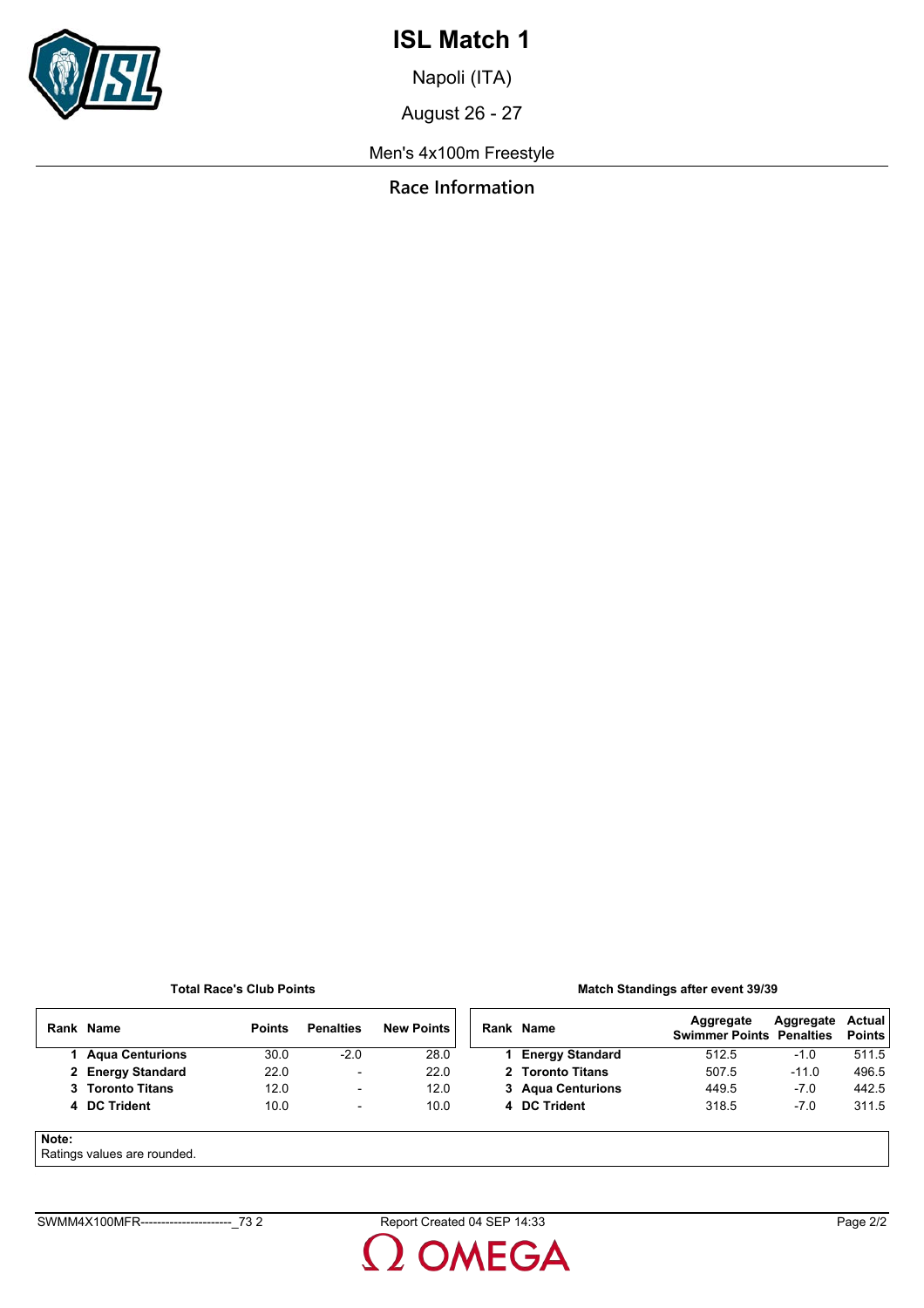

Napoli (ITA)

August 26 - 27

Men's 4x100m Freestyle

**Race Information**

### **Total Race's Club Points**

### **Match Standings after event 39/39**

|       | Rank Name                   | <b>Points</b> | <b>Penalties</b>         | <b>New Points</b> |  | Rank Name              | Aggregate<br><b>Swimmer Points Penalties</b> | Aggregate | Actual<br><b>Points</b> |
|-------|-----------------------------|---------------|--------------------------|-------------------|--|------------------------|----------------------------------------------|-----------|-------------------------|
|       | 1 Agua Centurions           | 30.0          | $-2.0$                   | 28.0              |  | <b>Energy Standard</b> | 512.5                                        | -1.0      | 511.5                   |
|       | 2 Energy Standard           | 22.0          | $\overline{\phantom{a}}$ | 22.0              |  | 2 Toronto Titans       | 507.5                                        | $-11.0$   | 496.5                   |
|       | 3 Toronto Titans            | 12.0          | $\overline{\phantom{0}}$ | 12.0              |  | 3 Agua Centurions      | 449.5                                        | $-7.0$    | 442.5                   |
|       | 4 DC Trident                | 10.0          | $\overline{\phantom{a}}$ | 10.0              |  | 4 DC Trident           | 318.5                                        | $-7.0$    | 311.5                   |
| Note: | Ratings values are rounded. |               |                          |                   |  |                        |                                              |           |                         |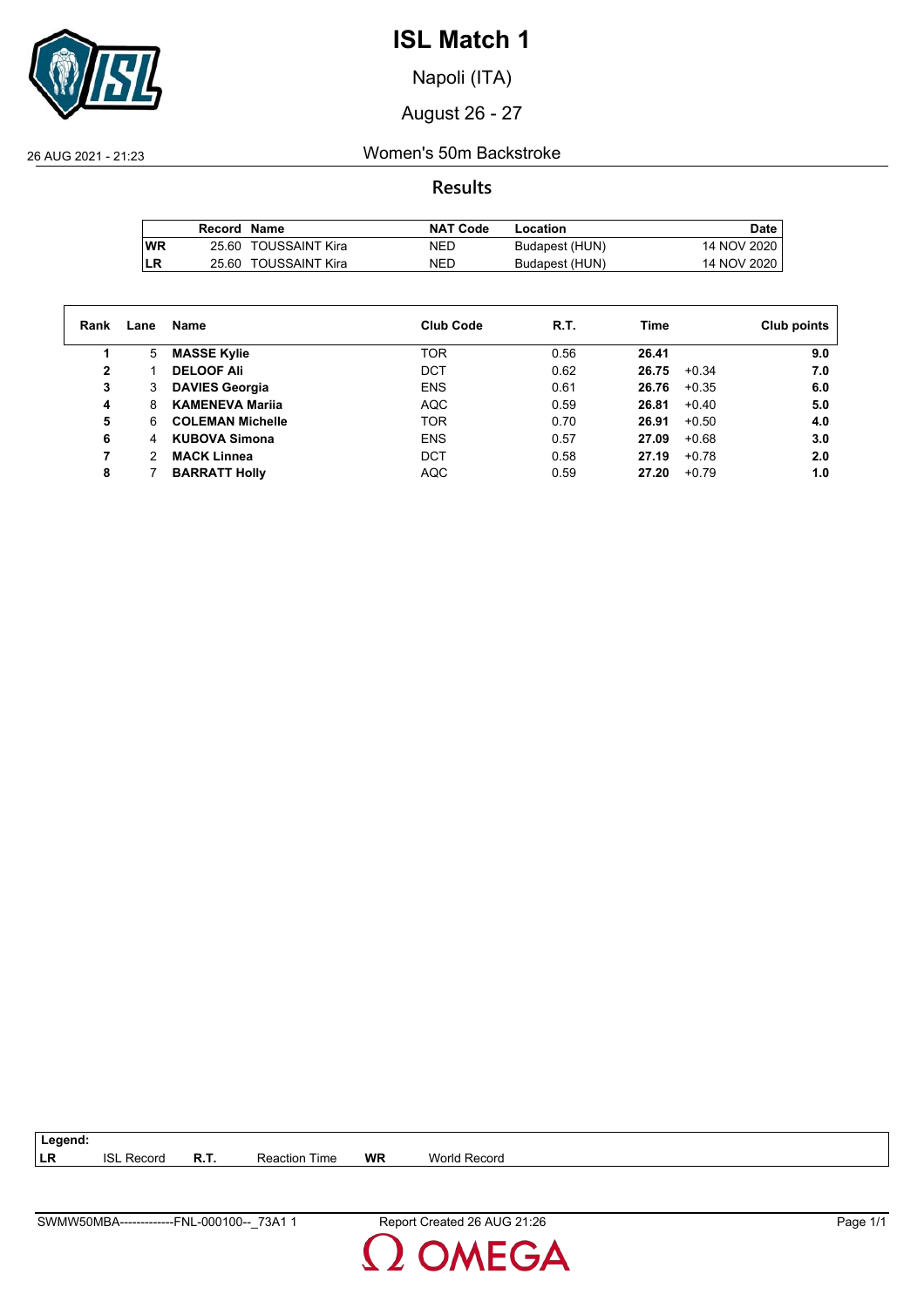

Napoli (ITA)

August 26 - 27

26 AUG 2021 - 21:23 Women's 50m Backstroke

**Results**

|           | Record Name |                      | <b>NAT Code</b> | Location       | Date        |
|-----------|-------------|----------------------|-----------------|----------------|-------------|
| <b>WR</b> |             | 25.60 TOUSSAINT Kira | NED             | Budapest (HUN) | 14 NOV 2020 |
| LR        | 25.60       | TOUSSAINT Kira       | <b>NED</b>      | Budapest (HUN) | 14 NOV 2020 |

| Rank | Lane | Name                    | <b>Club Code</b> | R.T. | Time  |         | Club points |
|------|------|-------------------------|------------------|------|-------|---------|-------------|
|      | 5    | <b>MASSE Kylie</b>      | <b>TOR</b>       | 0.56 | 26.41 |         | 9.0         |
| 2    |      | <b>DELOOF Ali</b>       | <b>DCT</b>       | 0.62 | 26.75 | $+0.34$ | 7.0         |
| 3    | 3    | <b>DAVIES Georgia</b>   | <b>ENS</b>       | 0.61 | 26.76 | $+0.35$ | 6.0         |
| 4    | 8    | <b>KAMENEVA Marija</b>  | <b>AQC</b>       | 0.59 | 26.81 | $+0.40$ | 5.0         |
| 5    | 6    | <b>COLEMAN Michelle</b> | <b>TOR</b>       | 0.70 | 26.91 | $+0.50$ | 4.0         |
| 6    | 4    | <b>KUBOVA Simona</b>    | <b>ENS</b>       | 0.57 | 27.09 | $+0.68$ | 3.0         |
|      | 2    | <b>MACK Linnea</b>      | <b>DCT</b>       | 0.58 | 27.19 | $+0.78$ | 2.0         |
| 8    |      | <b>BARRATT Holly</b>    | <b>AQC</b>       | 0.59 | 27.20 | $+0.79$ | 1.0         |

**LR** ISL Record **R.T.** Reaction Time **WR** World Record

**Legend:**

**MEGA**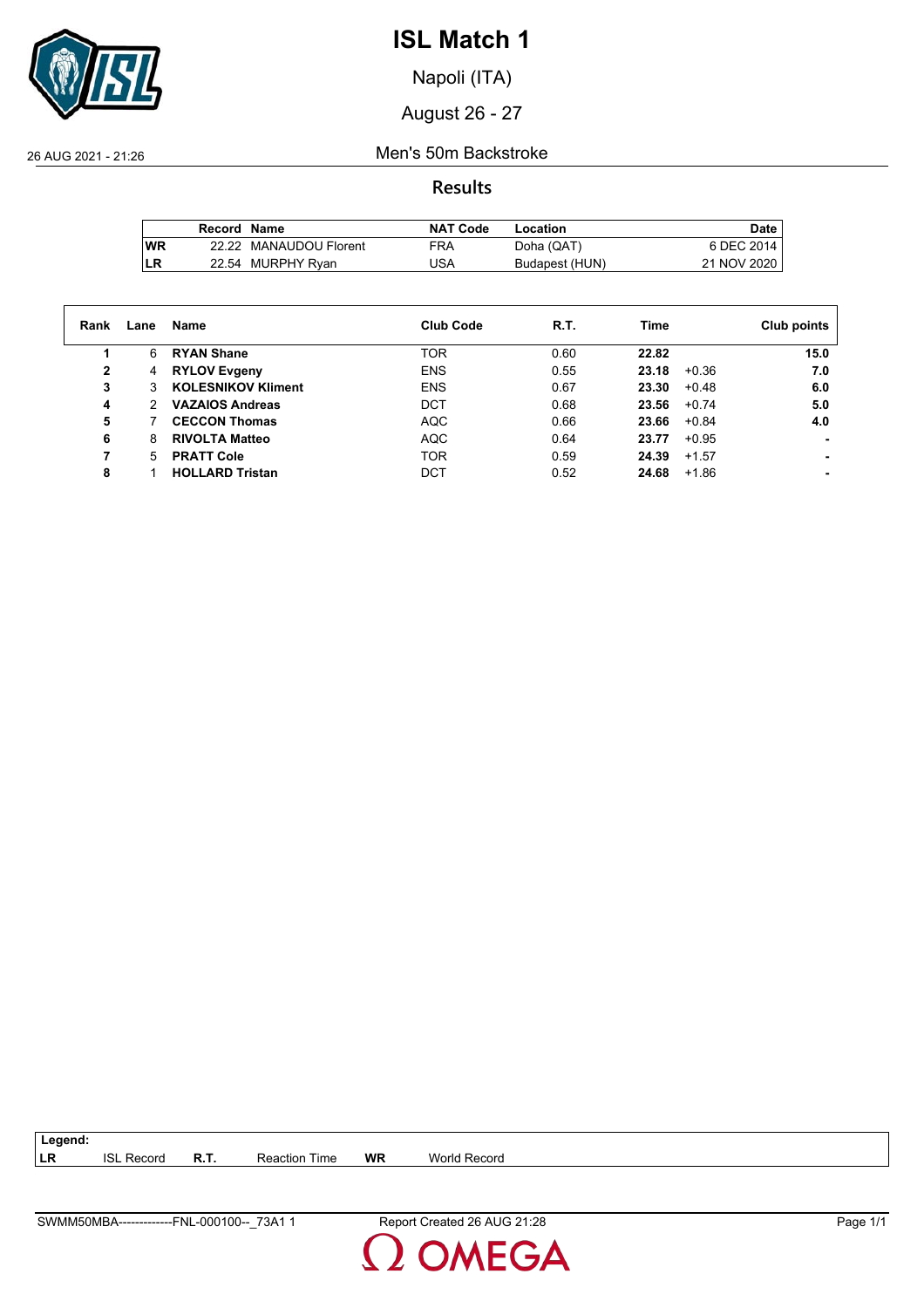

Napoli (ITA)

August 26 - 27

26 AUG 2021 - 21:26 Men's 50m Backstroke

**Results**

|           | Record Name |                        | <b>NAT Code</b> | Location       | Date,       |
|-----------|-------------|------------------------|-----------------|----------------|-------------|
| <b>WR</b> |             | 22.22 MANAUDOU Florent | <b>FRA</b>      | Doha (QAT)     | 6 DEC 2014  |
| LR        |             | 22.54 MURPHY Ryan      | JSA             | Budapest (HUN) | 21 NOV 2020 |

| Rank | Lane                 | Name                      | <b>Club Code</b> | R.T. | Time             | Club points |
|------|----------------------|---------------------------|------------------|------|------------------|-------------|
|      | 6                    | <b>RYAN Shane</b>         | <b>TOR</b>       | 0.60 | 22.82            | 15.0        |
| 2    | 4                    | <b>RYLOV Evgeny</b>       | <b>ENS</b>       | 0.55 | $+0.36$<br>23.18 | 7.0         |
| 3    | 3                    | <b>KOLESNIKOV Kliment</b> | <b>ENS</b>       | 0.67 | 23.30<br>$+0.48$ | 6.0         |
| 4    | $\mathcal{P} \equiv$ | <b>VAZAIOS Andreas</b>    | <b>DCT</b>       | 0.68 | 23.56<br>$+0.74$ | 5.0         |
| 5    |                      | <b>CECCON Thomas</b>      | <b>AQC</b>       | 0.66 | 23.66<br>$+0.84$ | 4.0         |
| 6    | 8                    | <b>RIVOLTA Matteo</b>     | <b>AQC</b>       | 0.64 | $+0.95$<br>23.77 |             |
|      | 5.                   | <b>PRATT Cole</b>         | <b>TOR</b>       | 0.59 | 24.39<br>$+1.57$ |             |
| 8    |                      | <b>HOLLARD Tristan</b>    | <b>DCT</b>       | 0.52 | 24.68<br>$+1.86$ |             |

**LR** ISL Record **R.T.** Reaction Time **WR** World Record

**Legend:**

**DMEGA**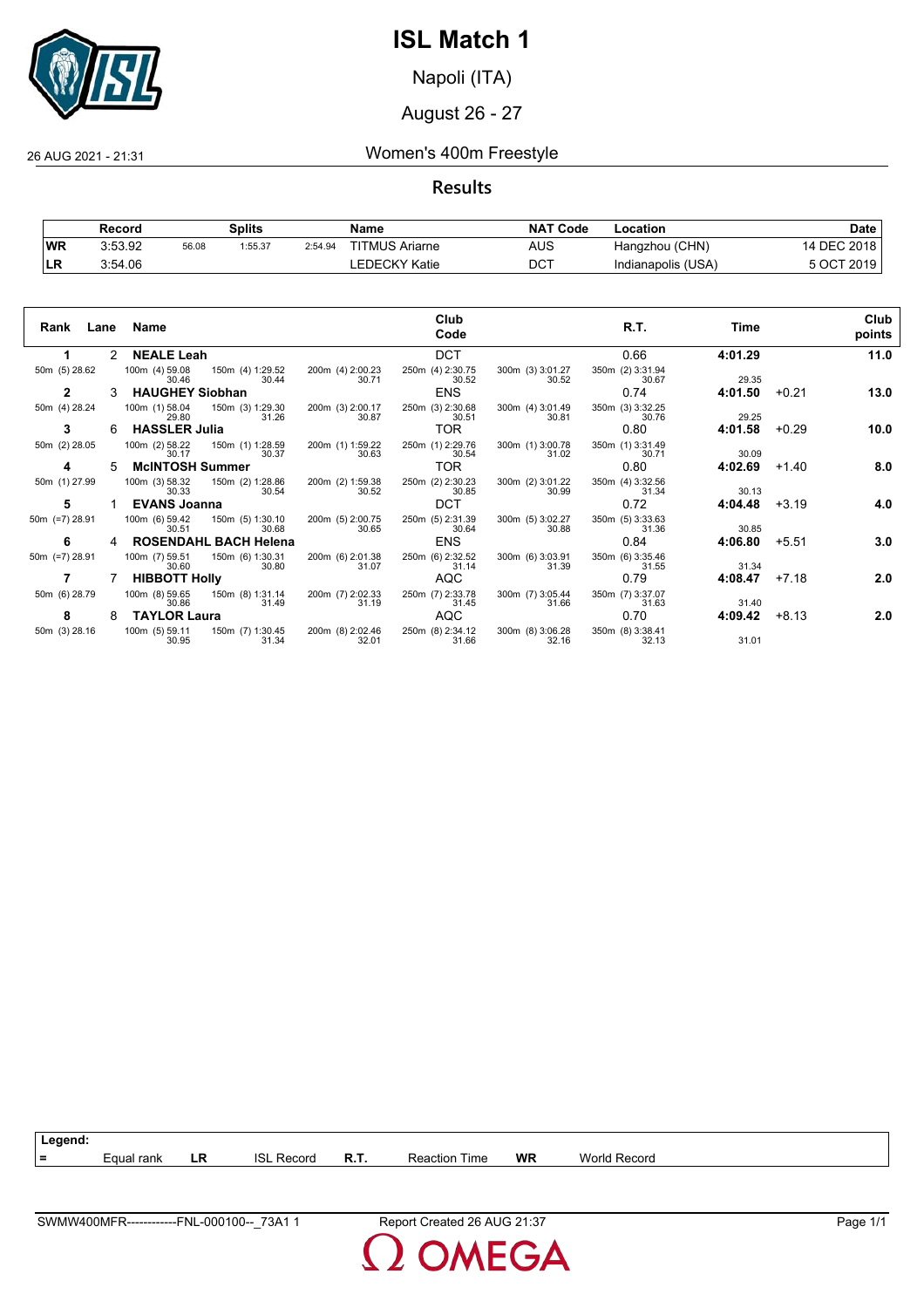

Napoli (ITA)

August 26 - 27

26 AUG 2021 - 21:31 Women's 400m Freestyle

**Results**

|           | Record  |       | Splits  |         | Name                  | <b>NAT</b><br>' Code | ∟ocation           | Date        |
|-----------|---------|-------|---------|---------|-----------------------|----------------------|--------------------|-------------|
| <b>WR</b> | 3:53.92 | 56.08 | 1:55.37 | 2:54.94 | <b>TITMUS Ariarne</b> | AUS                  | Hangzhou (CHN)     | 14 DEC 2018 |
| 'LR       | 3:54.06 |       |         |         | ∟EDECKY Katie         | <b>DCT</b>           | Indianapolis (USA) | 5 OCT 2019  |

| Rank<br>Lane      |               | Name                                        |                                    | Club<br>Code              |                           | R.T.                      | Time    |         | Club<br>points |
|-------------------|---------------|---------------------------------------------|------------------------------------|---------------------------|---------------------------|---------------------------|---------|---------|----------------|
|                   | $\mathcal{P}$ | <b>NEALE Leah</b>                           |                                    | <b>DCT</b>                |                           | 0.66                      | 4:01.29 |         | 11.0           |
| 50m (5) 28.62     |               | 100m (4) 59.08 150m (4) 1:29.52<br>30.46    | 200m (4) 2:00.23<br>30.44<br>30.71 | 250m (4) 2:30.75<br>30.52 | 300m (3) 3:01.27<br>30.52 | 350m (2) 3:31.94<br>30.67 | 29.35   |         |                |
| 2                 |               | <b>HAUGHEY Siobhan</b>                      |                                    | <b>ENS</b>                |                           | 0.74                      | 4:01.50 | $+0.21$ | 13.0           |
| 50m (4) 28.24     |               | 100m (1) 58.04<br>150m (3) 1:29.30<br>29.80 | 200m (3) 2:00.17<br>31.26<br>30.87 | 250m (3) 2:30.68<br>30.51 | 300m (4) 3:01.49<br>30.81 | 350m (3) 3:32.25<br>30.76 | 29.25   |         |                |
| 3                 | 6             | <b>HASSLER Julia</b>                        |                                    | TOR.                      |                           | 0.80                      | 4:01.58 | $+0.29$ | 10.0           |
| 50m (2) 28.05     |               | 100m (2) 58.22 150m (1) 1:28.59<br>30.17    | 200m (1) 1:59.22<br>30.63<br>30.37 | 250m (1) 2:29.76<br>30.54 | 300m (1) 3:00.78<br>31.02 | 350m (1) 3:31.49<br>30.71 | 30.09   |         |                |
| 4                 | 5             | <b>McINTOSH Summer</b>                      |                                    | TOR.                      |                           | 0.80                      | 4:02.69 | $+1.40$ | 8.0            |
| 50m (1) 27.99     |               | 100m (3) 58.32<br>150m (2) 1:28.86<br>30.33 | 200m (2) 1:59.38<br>30.52<br>30.54 | 250m (2) 2:30.23<br>30.85 | 300m (2) 3:01.22<br>30.99 | 350m (4) 3:32.56<br>31.34 | 30.13   |         |                |
| 5                 |               | <b>EVANS Joanna</b>                         |                                    | <b>DCT</b>                |                           | 0.72                      | 4:04.48 | $+3.19$ | 4.0            |
| 50 $m$ (=7) 28.91 |               | 100m (6) 59.42<br>150m (5) 1:30.10<br>30.51 | 200m (5) 2:00.75<br>30.65<br>30.68 | 250m (5) 2:31.39<br>30.64 | 300m (5) 3:02.27<br>30.88 | 350m (5) 3:33.63<br>31.36 | 30.85   |         |                |
| 6                 | 4             | <b>ROSENDAHL BACH Helena</b>                |                                    | <b>ENS</b>                |                           | 0.84                      | 4:06.80 | $+5.51$ | 3.0            |
| 50m (=7) 28.91    |               | 100m (7) 59.51<br>150m (6) 1:30.31<br>30.60 | 200m (6) 2:01.38<br>31.07<br>30.80 | 250m (6) 2:32.52<br>31.14 | 300m (6) 3:03.91<br>31.39 | 350m (6) 3:35.46<br>31.55 | 31.34   |         |                |
|                   |               | <b>HIBBOTT Holly</b>                        |                                    | AQC                       |                           | 0.79                      | 4:08.47 | $+7.18$ | 2.0            |
| 50m (6) 28.79     |               | 100m (8) 59.65 150m (8) 1:31.14<br>30.86    | 200m (7) 2:02.33<br>31.19<br>31.49 | 250m (7) 2:33.78<br>31.45 | 300m (7) 3:05.44<br>31.66 | 350m (7) 3:37.07<br>31.63 | 31.40   |         |                |
| 8                 | 8             | <b>TAYLOR Laura</b>                         |                                    | AQC                       |                           | 0.70                      | 4:09.42 | $+8.13$ | 2.0            |
| 50m (3) 28.16     |               | 100m (5) 59.11<br>150m (7) 1:30.45<br>30.95 | 200m (8) 2:02.46<br>32.01<br>31.34 | 250m (8) 2:34.12<br>31.66 | 300m (8) 3:06.28<br>32.16 | 350m (8) 3:38.41<br>32.13 | 31.01   |         |                |



MEGA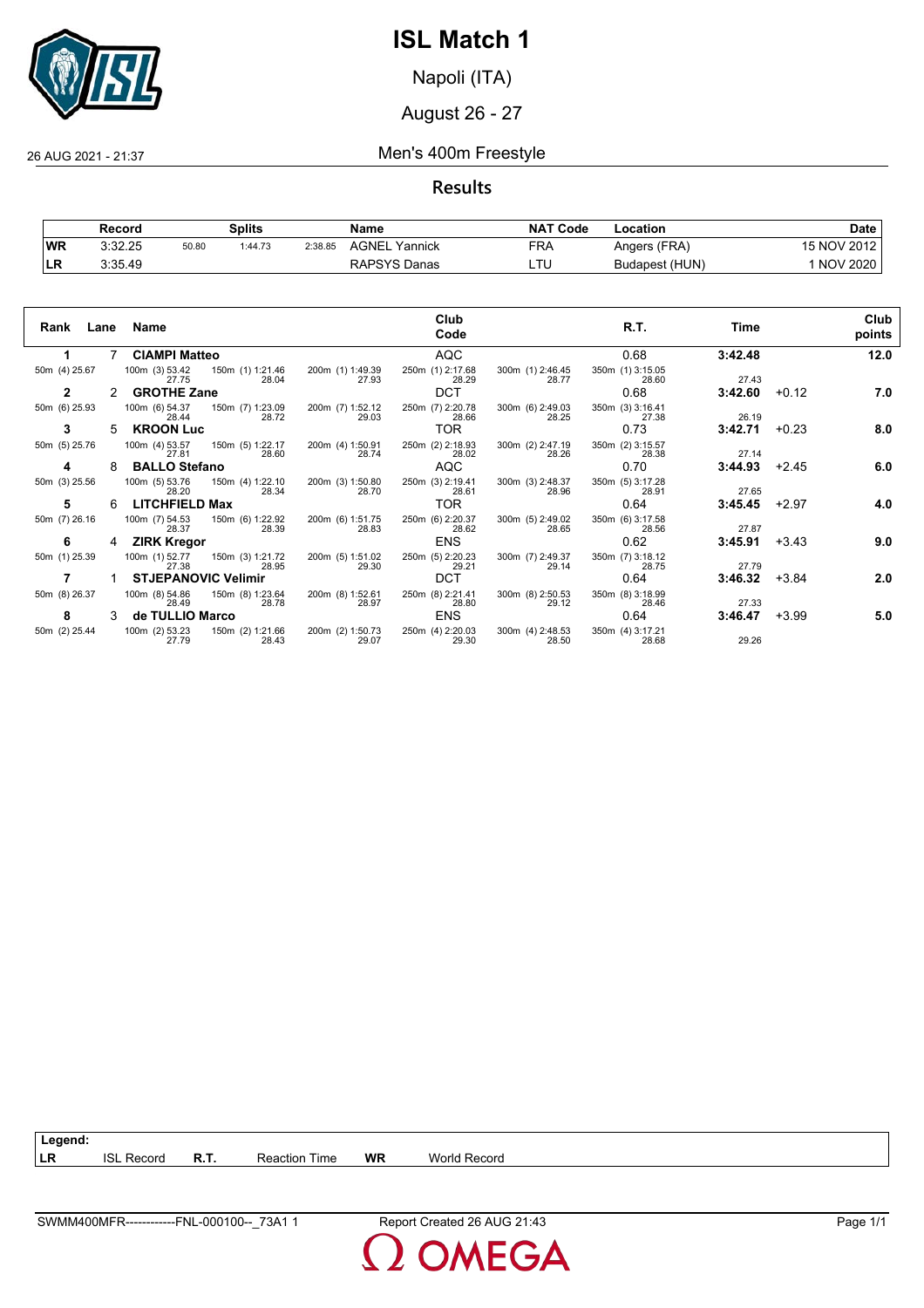

Napoli (ITA)

August 26 - 27

### 26 AUG 2021 - 21:37 Men's 400m Freestyle

**Results**

|           | Record  |       | Splits  |         | Name             | <b>NAT</b><br>' Code | Location       | Date            |
|-----------|---------|-------|---------|---------|------------------|----------------------|----------------|-----------------|
| <b>WR</b> | 3:32.25 | 50.80 | 1:44.73 | 2:38.85 | AGNEL<br>Yannick | FRA                  | Angers (FRA)   | 15 NOV 2012     |
| 'LR       | 3:35.49 |       |         |         | RAPSYS Danas     | TI.                  | Budapest (HUN) | <b>NOV 2020</b> |

| Rank<br>Lane  |   | Name                                                 |                           | Club<br>Code              |                           | R.T.                      | Time    |         | Club<br>points |
|---------------|---|------------------------------------------------------|---------------------------|---------------------------|---------------------------|---------------------------|---------|---------|----------------|
| 1.            |   | <b>CIAMPI Matteo</b>                                 |                           | <b>AQC</b>                |                           | 0.68                      | 3:42.48 |         | 12.0           |
| 50m (4) 25.67 |   | 100m (3) 53.42 150m (1) 1:21.46<br>28.04<br>27.75    | 200m (1) 1:49.39<br>27.93 | 250m (1) 2:17.68<br>28.29 | 300m (1) 2:46.45<br>28.77 | 350m (1) 3:15.05<br>28.60 | 27.43   |         |                |
| 2             |   | <b>GROTHE Zane</b>                                   |                           | <b>DCT</b>                |                           | 0.68                      | 3:42.60 | $+0.12$ | 7.0            |
| 50m (6) 25.93 |   | 100m (6) 54.37<br>150m (7) 1:23.09<br>28.72<br>28.44 | 200m (7) 1:52.12<br>29.03 | 250m (7) 2:20.78<br>28.66 | 300m (6) 2:49.03<br>28.25 | 350m (3) 3:16.41<br>27.38 | 26.19   |         |                |
| 3             | 5 | <b>KROON Luc</b>                                     |                           | TOR.                      |                           | 0.73                      | 3:42.71 | $+0.23$ | 8.0            |
| 50m (5) 25.76 |   | 100m (4) 53.57<br>150m (5) 1:22.17<br>28.60<br>27.81 | 200m (4) 1:50.91<br>28.74 | 250m (2) 2:18.93<br>28.02 | 300m (2) 2:47.19<br>28.26 | 350m (2) 3:15.57<br>28.38 | 27.14   |         |                |
| 4             | 8 | <b>BALLO Stefano</b>                                 |                           | <b>AQC</b>                |                           | 0.70                      | 3:44.93 | $+2.45$ | 6.0            |
| 50m (3) 25.56 |   | 100m (5) 53.76<br>150m (4) 1:22.10<br>28.20<br>28.34 | 200m (3) 1:50.80<br>28.70 | 250m (3) 2:19.41<br>28.61 | 300m (3) 2:48.37<br>28.96 | 350m (5) 3:17.28<br>28.91 | 27.65   |         |                |
| 5             | 6 | <b>LITCHFIELD Max</b>                                |                           | TOR.                      |                           | 0.64                      | 3:45.45 | $+2.97$ | 4.0            |
| 50m (7) 26.16 |   | 100m (7) 54.53<br>150m (6) 1:22.92<br>28.39<br>28.37 | 200m (6) 1:51.75<br>28.83 | 250m (6) 2:20.37<br>28.62 | 300m (5) 2:49.02<br>28.65 | 350m (6) 3:17.58<br>28.56 | 27.87   |         |                |
| 6             | 4 | <b>ZIRK Kregor</b>                                   |                           | <b>ENS</b>                |                           | 0.62                      | 3:45.91 | $+3.43$ | 9.0            |
| 50m (1) 25.39 |   | 100m (1) 52.77<br>150m (3) 1:21.72<br>27.38<br>28.95 | 200m (5) 1:51.02<br>29.30 | 250m (5) 2:20.23<br>29.21 | 300m (7) 2:49.37<br>29.14 | 350m (7) 3:18.12<br>28.75 | 27.79   |         |                |
|               |   | <b>STJEPANOVIC Velimir</b>                           |                           | <b>DCT</b>                |                           | 0.64                      | 3:46.32 | $+3.84$ | 2.0            |
| 50m (8) 26.37 |   | 100m (8) 54.86<br>150m (8) 1:23.64<br>28.49<br>28.78 | 200m (8) 1:52.61<br>28.97 | 250m (8) 2:21.41<br>28.80 | 300m (8) 2:50.53<br>29.12 | 350m (8) 3:18.99<br>28.46 | 27.33   |         |                |
| 8             | 3 | de TULLIO Marco                                      |                           | <b>ENS</b>                |                           | 0.64                      | 3:46.47 | $+3.99$ | 5.0            |
| 50m (2) 25.44 |   | 100m (2) 53.23<br>150m (2) 1:21.66<br>27.79<br>28.43 | 200m (2) 1:50.73<br>29.07 | 250m (4) 2:20.03<br>29.30 | 300m (4) 2:48.53<br>28.50 | 350m (4) 3:17.21<br>28.68 | 29.26   |         |                |

**DMEGA**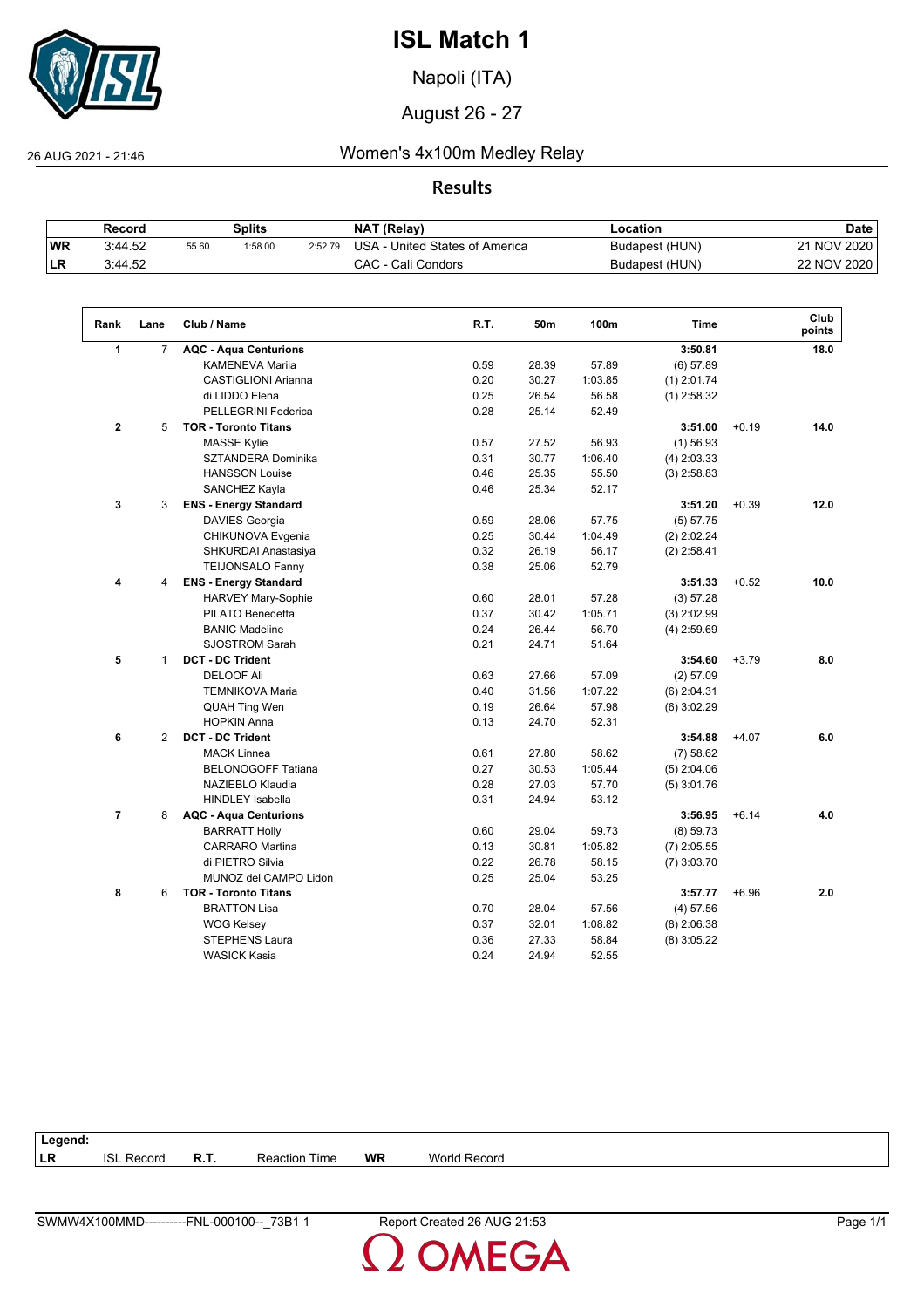

Napoli (ITA)

August 26 - 27

26 AUG 2021 - 21:46 Women's 4x100m Medley Relay

## **Results**

|           | Record  |       | Splits  |         | <b>NAT (Relav)</b>             | -ocation       | Date        |
|-----------|---------|-------|---------|---------|--------------------------------|----------------|-------------|
| <b>WR</b> | 3:44.52 | 55.60 | 1:58.00 | 2:52.79 | USA - United States of America | Budapest (HUN) | 21 NOV 2020 |
| 'LR       | 3:44.52 |       |         |         | CAC - Cali Condors             | Budapest (HUN) | 22 NOV 2020 |

| Rank           | Lane           | Club / Name                  | R.T. | 50m   | 100m    | <b>Time</b>   |         | Club<br>points |
|----------------|----------------|------------------------------|------|-------|---------|---------------|---------|----------------|
| $\mathbf{1}$   | $\overline{7}$ | <b>AQC - Aqua Centurions</b> |      |       |         | 3:50.81       |         | 18.0           |
|                |                | <b>KAMENEVA Mariia</b>       | 0.59 | 28.39 | 57.89   | (6) 57.89     |         |                |
|                |                | <b>CASTIGLIONI Arianna</b>   | 0.20 | 30.27 | 1:03.85 | $(1)$ 2:01.74 |         |                |
|                |                | di LIDDO Elena               | 0.25 | 26.54 | 56.58   | $(1)$ 2:58.32 |         |                |
|                |                | PELLEGRINI Federica          | 0.28 | 25.14 | 52.49   |               |         |                |
| $\mathbf{2}$   | 5              | <b>TOR - Toronto Titans</b>  |      |       |         | 3:51.00       | $+0.19$ | 14.0           |
|                |                | <b>MASSE Kylie</b>           | 0.57 | 27.52 | 56.93   | $(1)$ 56.93   |         |                |
|                |                | SZTANDERA Dominika           | 0.31 | 30.77 | 1:06.40 | $(4)$ 2:03.33 |         |                |
|                |                | <b>HANSSON Louise</b>        | 0.46 | 25.35 | 55.50   | $(3)$ 2:58.83 |         |                |
|                |                | SANCHEZ Kayla                | 0.46 | 25.34 | 52.17   |               |         |                |
| 3              | 3              | <b>ENS - Energy Standard</b> |      |       |         | 3:51.20       | $+0.39$ | 12.0           |
|                |                | DAVIES Georgia               | 0.59 | 28.06 | 57.75   | (5) 57.75     |         |                |
|                |                | CHIKUNOVA Evgenia            | 0.25 | 30.44 | 1:04.49 | $(2)$ 2:02.24 |         |                |
|                |                | SHKURDAI Anastasiya          | 0.32 | 26.19 | 56.17   | $(2)$ 2:58.41 |         |                |
|                |                | <b>TEIJONSALO Fanny</b>      | 0.38 | 25.06 | 52.79   |               |         |                |
| 4              | 4              | <b>ENS - Energy Standard</b> |      |       |         | 3:51.33       | $+0.52$ | 10.0           |
|                |                | <b>HARVEY Mary-Sophie</b>    | 0.60 | 28.01 | 57.28   | (3) 57.28     |         |                |
|                |                | PILATO Benedetta             | 0.37 | 30.42 | 1:05.71 | $(3)$ 2:02.99 |         |                |
|                |                | <b>BANIC Madeline</b>        | 0.24 | 26.44 | 56.70   | $(4)$ 2:59.69 |         |                |
|                |                | <b>SJOSTROM Sarah</b>        | 0.21 | 24.71 | 51.64   |               |         |                |
| 5              | $\mathbf{1}$   | <b>DCT - DC Trident</b>      |      |       |         | 3:54.60       | $+3.79$ | 8.0            |
|                |                | <b>DELOOF Ali</b>            | 0.63 | 27.66 | 57.09   | (2) 57.09     |         |                |
|                |                | <b>TEMNIKOVA Maria</b>       | 0.40 | 31.56 | 1:07.22 | $(6)$ 2:04.31 |         |                |
|                |                | <b>QUAH Ting Wen</b>         | 0.19 | 26.64 | 57.98   | $(6)$ 3:02.29 |         |                |
|                |                | <b>HOPKIN Anna</b>           | 0.13 | 24.70 | 52.31   |               |         |                |
| 6              | 2              | <b>DCT - DC Trident</b>      |      |       |         | 3:54.88       | $+4.07$ | 6.0            |
|                |                | <b>MACK Linnea</b>           | 0.61 | 27.80 | 58.62   | (7) 58.62     |         |                |
|                |                | <b>BELONOGOFF Tatiana</b>    | 0.27 | 30.53 | 1:05.44 | $(5)$ 2:04.06 |         |                |
|                |                | NAZIEBLO Klaudia             | 0.28 | 27.03 | 57.70   | $(5)$ 3:01.76 |         |                |
|                |                | <b>HINDLEY Isabella</b>      | 0.31 | 24.94 | 53.12   |               |         |                |
| $\overline{7}$ | 8              | <b>AQC - Aqua Centurions</b> |      |       |         | 3:56.95       | $+6.14$ | 4.0            |
|                |                | <b>BARRATT Holly</b>         | 0.60 | 29.04 | 59.73   | (8) 59.73     |         |                |
|                |                | <b>CARRARO</b> Martina       | 0.13 | 30.81 | 1:05.82 | $(7)$ 2:05.55 |         |                |
|                |                | di PIETRO Silvia             | 0.22 | 26.78 | 58.15   | $(7)$ 3:03.70 |         |                |
|                |                | MUNOZ del CAMPO Lidon        | 0.25 | 25.04 | 53.25   |               |         |                |
| 8              | 6              | <b>TOR - Toronto Titans</b>  |      |       |         | 3:57.77       | $+6.96$ | 2.0            |
|                |                | <b>BRATTON Lisa</b>          | 0.70 | 28.04 | 57.56   | $(4)$ 57.56   |         |                |
|                |                | <b>WOG Kelsey</b>            | 0.37 | 32.01 | 1:08.82 | $(8)$ 2:06.38 |         |                |
|                |                | <b>STEPHENS Laura</b>        | 0.36 | 27.33 | 58.84   | $(8)$ 3:05.22 |         |                |
|                |                | <b>WASICK Kasia</b>          | 0.24 | 24.94 | 52.55   |               |         |                |

| Legend: |                   |      |                      |           |                     |  |
|---------|-------------------|------|----------------------|-----------|---------------------|--|
| LR      | <b>ISL Record</b> | R.T. | <b>Reaction Time</b> | <b>WR</b> | <b>World Record</b> |  |
|         |                   |      |                      |           |                     |  |

**OMEGA**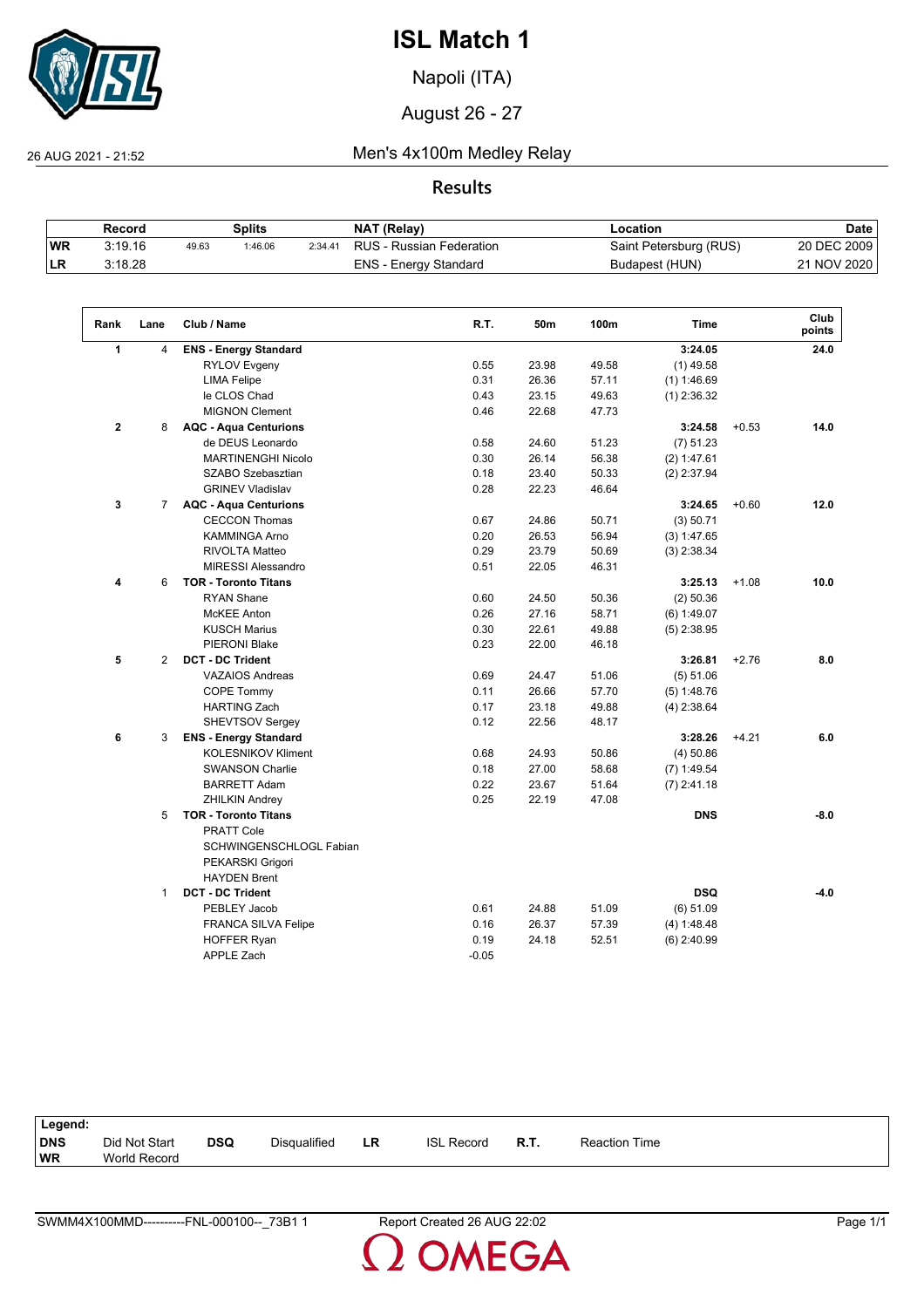

Napoli (ITA)

August 26 - 27

26 AUG 2021 - 21:52 Men's 4x100m Medley Relay

**Results**

|    | Record  |       | Splits  |         | NAT (Relay)              | Location               | Date        |
|----|---------|-------|---------|---------|--------------------------|------------------------|-------------|
| WR | 3:19.16 | 49.63 | 1:46.06 | 2:34.41 | RUS - Russian Federation | Saint Petersburg (RUS) | 20 DEC 2009 |
| LR | 3.18.28 |       |         |         | ENS - Energy Standard    | Budapest (HUN)         | 21 NOV 2020 |

| Rank           | Lane           | Club / Name                  | R.T.    | 50m   | 100m  | <b>Time</b>   |         | Club<br>points |
|----------------|----------------|------------------------------|---------|-------|-------|---------------|---------|----------------|
| 1              | $\overline{4}$ | <b>ENS - Energy Standard</b> |         |       |       | 3:24.05       |         | 24.0           |
|                |                | <b>RYLOV Evgeny</b>          | 0.55    | 23.98 | 49.58 | $(1)$ 49.58   |         |                |
|                |                | <b>LIMA Felipe</b>           | 0.31    | 26.36 | 57.11 | (1) 1:46.69   |         |                |
|                |                | le CLOS Chad                 | 0.43    | 23.15 | 49.63 | $(1)$ 2:36.32 |         |                |
|                |                | <b>MIGNON Clement</b>        | 0.46    | 22.68 | 47.73 |               |         |                |
| $\overline{2}$ | 8              | <b>AQC - Aqua Centurions</b> |         |       |       | 3:24.58       | $+0.53$ | 14.0           |
|                |                | de DEUS Leonardo             | 0.58    | 24.60 | 51.23 | (7) 51.23     |         |                |
|                |                | <b>MARTINENGHI Nicolo</b>    | 0.30    | 26.14 | 56.38 | (2) 1:47.61   |         |                |
|                |                | SZABO Szebasztian            | 0.18    | 23.40 | 50.33 | $(2)$ 2:37.94 |         |                |
|                |                | <b>GRINEV Vladislav</b>      | 0.28    | 22.23 | 46.64 |               |         |                |
| 3              | $\overline{7}$ | <b>AQC - Aqua Centurions</b> |         |       |       | 3:24.65       | $+0.60$ | 12.0           |
|                |                | <b>CECCON Thomas</b>         | 0.67    | 24.86 | 50.71 | (3) 50.71     |         |                |
|                |                | <b>KAMMINGA Arno</b>         | 0.20    | 26.53 | 56.94 | (3) 1:47.65   |         |                |
|                |                | <b>RIVOLTA Matteo</b>        | 0.29    | 23.79 | 50.69 | $(3)$ 2:38.34 |         |                |
|                |                | <b>MIRESSI Alessandro</b>    | 0.51    | 22.05 | 46.31 |               |         |                |
| 4              | 6              | <b>TOR - Toronto Titans</b>  |         |       |       | 3:25.13       | $+1.08$ | 10.0           |
|                |                | <b>RYAN Shane</b>            | 0.60    | 24.50 | 50.36 | $(2)$ 50.36   |         |                |
|                |                | <b>McKEE</b> Anton           | 0.26    | 27.16 | 58.71 | (6) 1:49.07   |         |                |
|                |                | <b>KUSCH Marius</b>          | 0.30    | 22.61 | 49.88 | $(5)$ 2:38.95 |         |                |
|                |                | <b>PIERONI Blake</b>         | 0.23    | 22.00 | 46.18 |               |         |                |
| 5              | 2              | <b>DCT - DC Trident</b>      |         |       |       | 3:26.81       | $+2.76$ | 8.0            |
|                |                | <b>VAZAIOS Andreas</b>       | 0.69    | 24.47 | 51.06 | (5) 51.06     |         |                |
|                |                | COPE Tommy                   | 0.11    | 26.66 | 57.70 | $(5)$ 1:48.76 |         |                |
|                |                | <b>HARTING Zach</b>          | 0.17    | 23.18 | 49.88 | $(4)$ 2:38.64 |         |                |
|                |                | <b>SHEVTSOV Sergey</b>       | 0.12    | 22.56 | 48.17 |               |         |                |
| 6              | 3              | <b>ENS - Energy Standard</b> |         |       |       | 3:28.26       | $+4.21$ | 6.0            |
|                |                | <b>KOLESNIKOV Kliment</b>    | 0.68    | 24.93 | 50.86 | $(4)$ 50.86   |         |                |
|                |                | <b>SWANSON Charlie</b>       | 0.18    | 27.00 | 58.68 | $(7)$ 1:49.54 |         |                |
|                |                | <b>BARRETT Adam</b>          | 0.22    | 23.67 | 51.64 | $(7)$ 2:41.18 |         |                |
|                |                | <b>ZHILKIN Andrey</b>        | 0.25    | 22.19 | 47.08 |               |         |                |
|                | 5              | <b>TOR - Toronto Titans</b>  |         |       |       | <b>DNS</b>    |         | $-8.0$         |
|                |                | <b>PRATT Cole</b>            |         |       |       |               |         |                |
|                |                | SCHWINGENSCHLOGL Fabian      |         |       |       |               |         |                |
|                |                | PEKARSKI Grigori             |         |       |       |               |         |                |
|                |                | <b>HAYDEN Brent</b>          |         |       |       |               |         |                |
|                | $\mathbf{1}$   | <b>DCT - DC Trident</b>      |         |       |       | <b>DSQ</b>    |         | $-4.0$         |
|                |                | PEBLEY Jacob                 | 0.61    | 24.88 | 51.09 | (6) 51.09     |         |                |
|                |                | <b>FRANCA SILVA Felipe</b>   | 0.16    | 26.37 | 57.39 | (4) 1:48.48   |         |                |
|                |                | <b>HOFFER Ryan</b>           | 0.19    | 24.18 | 52.51 | $(6)$ 2:40.99 |         |                |
|                |                | <b>APPLE Zach</b>            | $-0.05$ |       |       |               |         |                |

| Legend:                 |                               |            |                     |    |                   |      |                      |
|-------------------------|-------------------------------|------------|---------------------|----|-------------------|------|----------------------|
| <b>DNS</b><br><b>WR</b> | Did Not Start<br>World Record | <b>DSQ</b> | <b>Disqualified</b> | LR | <b>ISL Record</b> | R.T. | <b>Reaction Time</b> |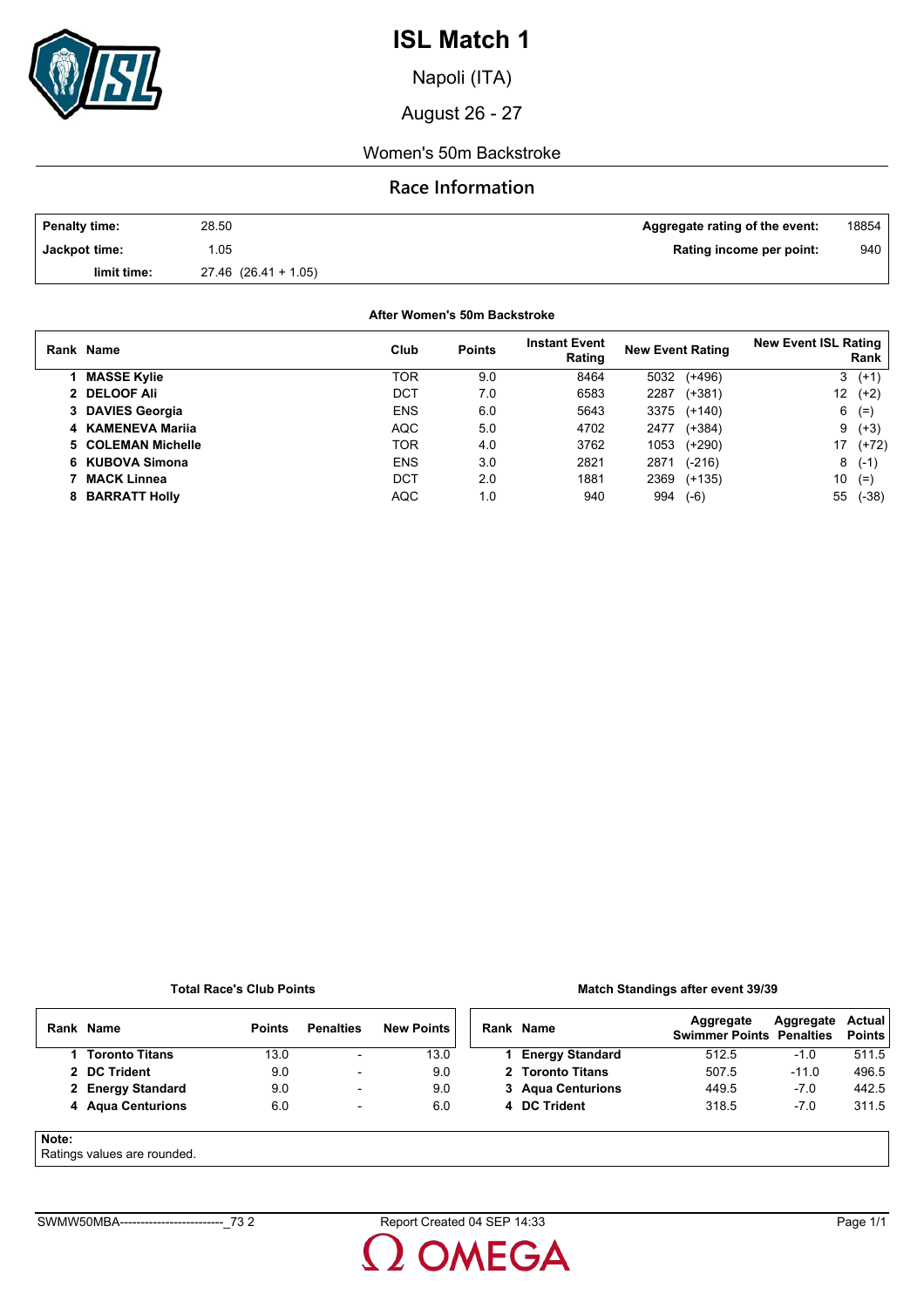

Napoli (ITA)

August 26 - 27

### Women's 50m Backstroke

## **Race Information**

| <b>Penalty time:</b> | 28.50                    | Aggregate rating of the event: | 18854 |
|----------------------|--------------------------|--------------------------------|-------|
| Jackpot time:        | .05                      | Rating income per point:       | 940   |
| limit time:          | $27.46$ $(26.41 + 1.05)$ |                                |       |

**After Women's 50m Backstroke**

| Rank Name          | Club       | <b>Points</b> | <b>Instant Event</b><br>Rating | <b>New Event Rating</b> | <b>New Event ISL Rating</b><br>Rank |
|--------------------|------------|---------------|--------------------------------|-------------------------|-------------------------------------|
| <b>MASSE Kylie</b> | TOR        | 9.0           | 8464                           | $(+496)$<br>5032        | 3<br>$(+1)$                         |
| 2 DELOOF Ali       | DCT        | 7.0           | 6583                           | $(+381)$<br>2287        | 12<br>$(+2)$                        |
| 3 DAVIES Georgia   | <b>ENS</b> | 6.0           | 5643                           | 3375<br>$(+140)$        | 6<br>$(=)$                          |
| 4 KAMENEVA Marija  | AQC        | 5.0           | 4702                           | $(+384)$<br>2477        | 9<br>$(+3)$                         |
| 5 COLEMAN Michelle | TOR        | 4.0           | 3762                           | 1053<br>$(+290)$        | 17<br>$(+72)$                       |
| 6 KUBOVA Simona    | <b>ENS</b> | 3.0           | 2821                           | $(-216)$<br>2871        | 8<br>$(-1)$                         |
| <b>MACK Linnea</b> | DCT        | 2.0           | 1881                           | 2369<br>$(+135)$        | 10<br>$(=)$                         |
| 8 BARRATT Holly    | <b>AQC</b> | 1.0           | 940                            | 994<br>$(-6)$           | 55<br>$(-38)$                       |

**Total Race's Club Points**

#### **Match Standings after event 39/39**

|       | Rank Name                  | <b>Points</b> | <b>Penalties</b>         | <b>New Points</b> | Rank Name              | Aggregate<br><b>Swimmer Points Penalties</b> | Aggregate | <b>Actual</b><br><b>Points</b> |
|-------|----------------------------|---------------|--------------------------|-------------------|------------------------|----------------------------------------------|-----------|--------------------------------|
|       | Toronto Titans             | 13.0          | ٠                        | 13.0              | <b>Energy Standard</b> | 512.5                                        | $-1.0$    | 511.5                          |
|       | 2 DC Trident               | 9.0           | $\overline{\phantom{0}}$ | 9.0               | 2 Toronto Titans       | 507.5                                        | $-11.0$   | 496.5                          |
|       | 2 Energy Standard          | 9.0           | -                        | 9.0               | 3 Agua Centurions      | 449.5                                        | $-7.0$    | 442.5                          |
|       | 4 Aqua Centurions          | 6.0           | -                        | 6.0               | 4 DC Trident           | 318.5                                        | $-7.0$    | 311.5                          |
| Note: | Potingo values are reunded |               |                          |                   |                        |                                              |           |                                |

### Ratings values are rounded.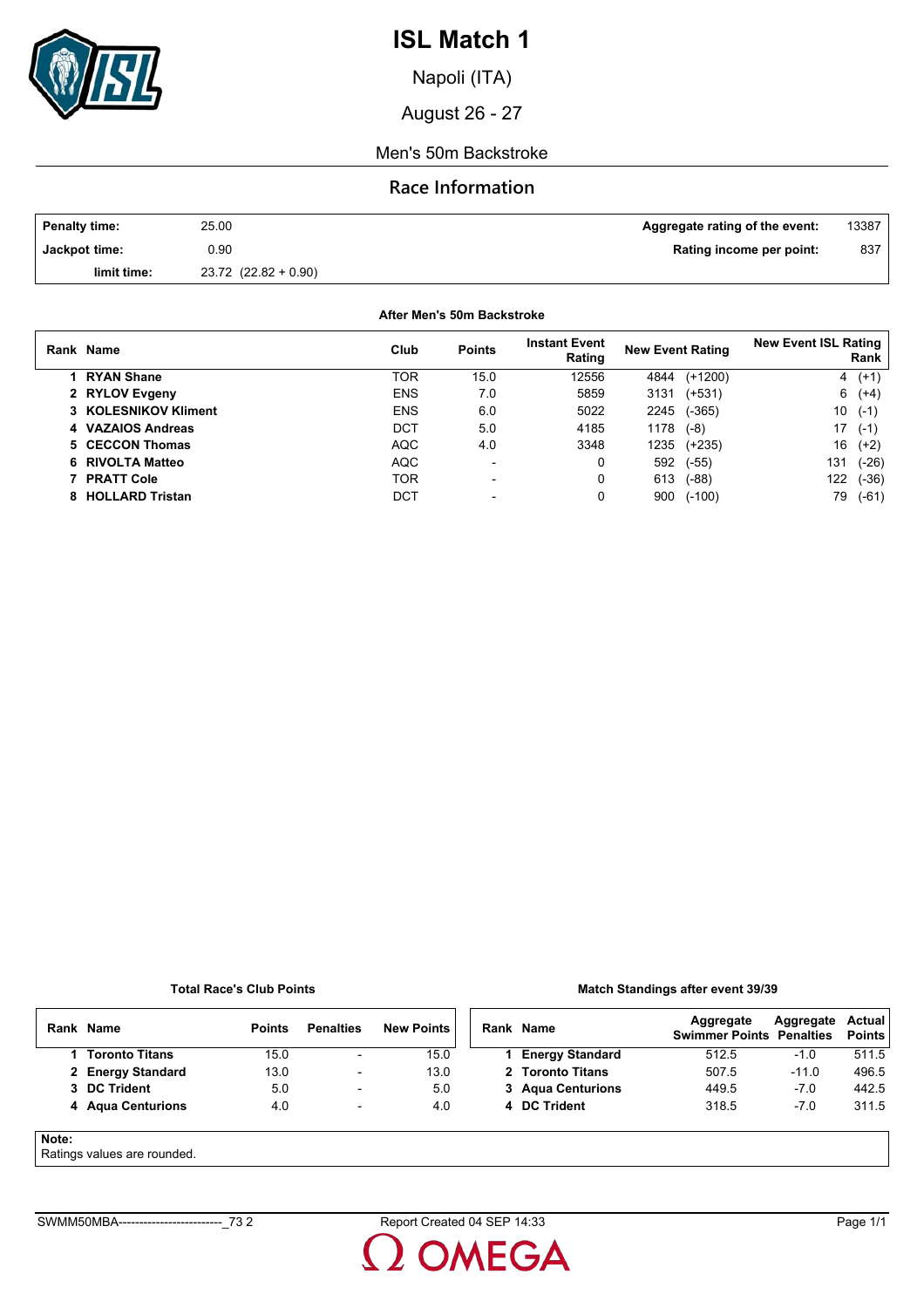

Napoli (ITA)

August 26 - 27

Men's 50m Backstroke

## **Race Information**

| <b>Penalty time:</b> | 25.00                    | Aggregate rating of the event: | 13387 |
|----------------------|--------------------------|--------------------------------|-------|
| Jackpot time:        | 0.90                     | Rating income per point:       | 837   |
| limit time:          | $23.72$ $(22.82 + 0.90)$ |                                |       |

**After Men's 50m Backstroke**

| Rank Name            | Club       | <b>Points</b>            | <b>Instant Event</b><br>Rating | <b>New Event Rating</b> |           | <b>New Event ISL Rating</b> | Rank    |
|----------------------|------------|--------------------------|--------------------------------|-------------------------|-----------|-----------------------------|---------|
| 1 RYAN Shane         | TOR        | 15.0                     | 12556                          | 4844                    | $(+1200)$ |                             | $4(+1)$ |
| 2 RYLOV Evgeny       | <b>ENS</b> | 7.0                      | 5859                           | 3131                    | (+531)    |                             | $6(+4)$ |
| 3 KOLESNIKOV Kliment | <b>ENS</b> | 6.0                      | 5022                           | 2245                    | $(-365)$  | 10                          | $(-1)$  |
| 4 VAZAIOS Andreas    | DCT        | 5.0                      | 4185                           | 1178                    | $(-8)$    | 17                          | $(-1)$  |
| 5 CECCON Thomas      | <b>AQC</b> | 4.0                      | 3348                           | 1235                    | (+235)    | 16                          | $(+2)$  |
| 6 RIVOLTA Matteo     | <b>AQC</b> | $\overline{\phantom{a}}$ | 0                              | 592                     | $(-55)$   | 131                         | $(-26)$ |
| <b>PRATT Cole</b>    | TOR        | $\overline{\phantom{a}}$ | 0                              | 613                     | $(-88)$   | 122                         | $(-36)$ |
| 8 HOLLARD Tristan    | DCT        | $\overline{\phantom{0}}$ | 0                              | 900                     | $(-100)$  | 79                          | $(-61)$ |

**Total Race's Club Points**

### **Match Standings after event 39/39**

|       | Rank Name                   | <b>Points</b> | <b>Penalties</b>         | <b>New Points</b> | Rank Name              | Aggregate<br><b>Swimmer Points Penalties</b> | Aggregate | Actual<br><b>Points</b> |
|-------|-----------------------------|---------------|--------------------------|-------------------|------------------------|----------------------------------------------|-----------|-------------------------|
|       | 1 Toronto Titans            | 15.0          | $\overline{\phantom{a}}$ | 15.0              | <b>Energy Standard</b> | 512.5                                        | $-1.0$    | 511.5                   |
|       | 2 Energy Standard           | 13.0          | -                        | 13.0              | 2 Toronto Titans       | 507.5                                        | $-11.0$   | 496.5                   |
|       | 3 DC Trident                | 5.0           | $\overline{\phantom{0}}$ | 5.0               | 3 Agua Centurions      | 449.5                                        | $-7.0$    | 442.5                   |
|       | 4 Agua Centurions           | 4.0           | $\overline{\phantom{a}}$ | 4.0               | 4 DC Trident           | 318.5                                        | $-7.0$    | 311.5                   |
| Note: | Detinge values are revealed |               |                          |                   |                        |                                              |           |                         |

Ratings values are rounded.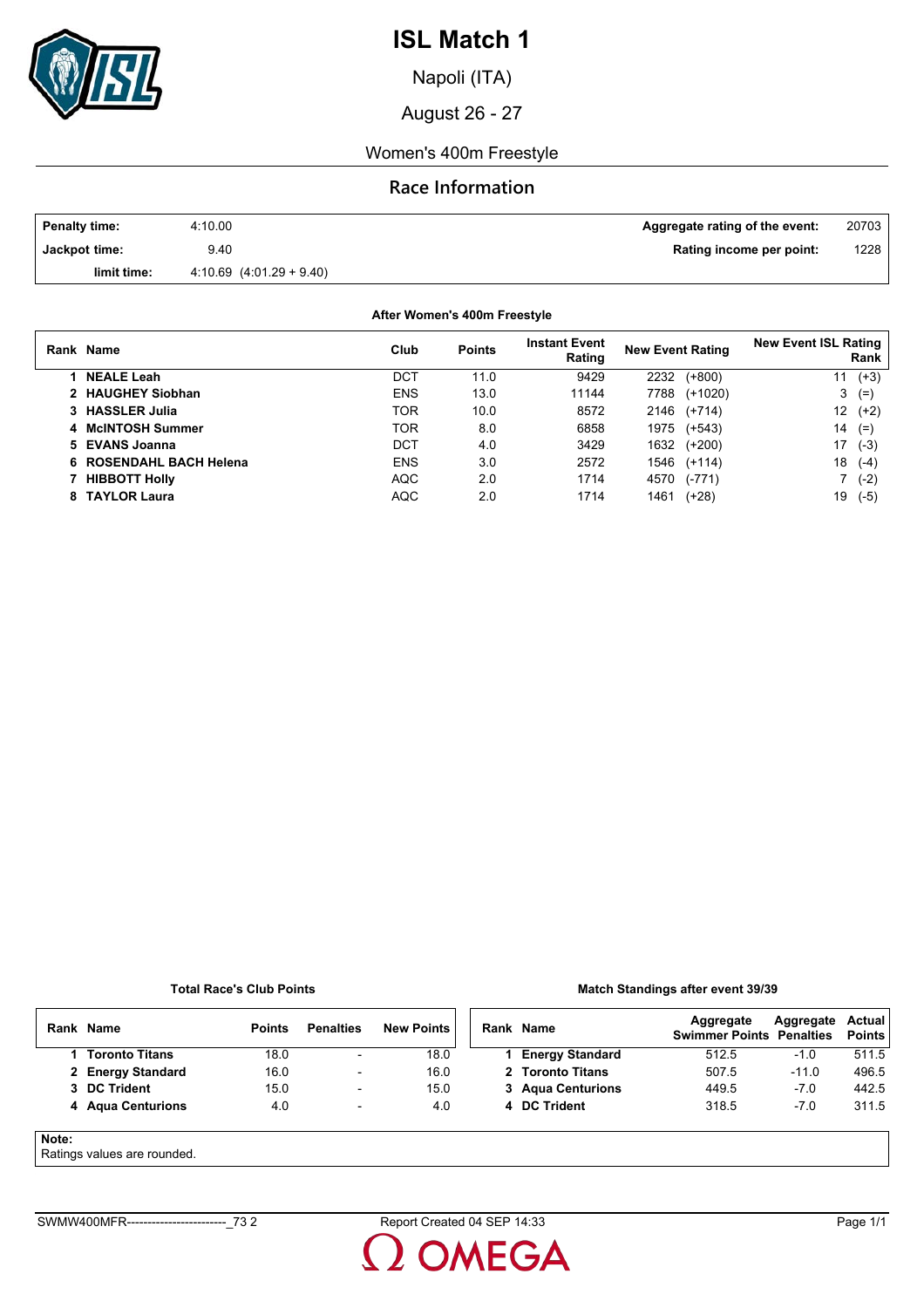

Napoli (ITA)

August 26 - 27

### Women's 400m Freestyle

## **Race Information**

| <b>Penalty time:</b> | 4:10.00                      | Aggregate rating of the event: | 20703 |
|----------------------|------------------------------|--------------------------------|-------|
| Jackpot time:        | 9.40                         | Rating income per point:       | 1228  |
| limit time:          | $4.10.69$ $(4.01.29 + 9.40)$ |                                |       |

**After Women's 400m Freestyle**

| Rank Name               | Club       | <b>Points</b> | <b>Instant Event</b><br>Rating | <b>New Event Rating</b> | <b>New Event ISL Rating</b><br>Rank |
|-------------------------|------------|---------------|--------------------------------|-------------------------|-------------------------------------|
| <b>NEALE Leah</b>       | <b>DCT</b> | 11.0          | 9429                           | $(+800)$<br>2232        | $(+3)$<br>11                        |
| 2 HAUGHEY Siobhan       | <b>ENS</b> | 13.0          | 11144                          | $(+1020)$<br>7788       | 3<br>$(=\)$                         |
| 3 HASSLER Julia         | TOR        | 10.0          | 8572                           | $(+714)$<br>2146        | 12<br>$(+2)$                        |
| 4 McINTOSH Summer       | TOR        | 8.0           | 6858                           | 1975<br>$(+543)$        | 14<br>$(=)$                         |
| 5 EVANS Joanna          | DCT        | 4.0           | 3429                           | 1632<br>$(+200)$        | 17<br>$(-3)$                        |
| 6 ROSENDAHL BACH Helena | <b>ENS</b> | 3.0           | 2572                           | 1546<br>(+114)          | 18<br>$(-4)$                        |
| <b>HIBBOTT Holly</b>    | <b>AQC</b> | 2.0           | 1714                           | 4570<br>$(-771)$        | $(-2)$                              |
| 8 TAYLOR Laura          | <b>AQC</b> | 2.0           | 1714                           | 1461<br>$(+28)$         | $(-5)$<br>19                        |

#### **Total Race's Club Points**

#### **Match Standings after event 39/39**

|       | Rank Name                   | <b>Points</b> | <b>Penalties</b>         | <b>New Points</b> | Rank Name              | Aggregate<br><b>Swimmer Points Penalties</b> | Aggregate | Actual<br><b>Points</b> |
|-------|-----------------------------|---------------|--------------------------|-------------------|------------------------|----------------------------------------------|-----------|-------------------------|
|       | <b>Toronto Titans</b>       | 18.0          | ۰.                       | 18.0              | <b>Energy Standard</b> | 512.5                                        | $-1.0$    | 511.5                   |
|       | 2 Energy Standard           | 16.0          | $\overline{\phantom{a}}$ | 16.0              | 2 Toronto Titans       | 507.5                                        | $-11.0$   | 496.5                   |
|       | 3 DC Trident                | 15.0          | $\overline{\phantom{0}}$ | 15.0              | 3 Agua Centurions      | 449.5                                        | $-7.0$    | 442.5                   |
|       | 4 Agua Centurions           | 4.0           | $\overline{\phantom{0}}$ | 4.0               | 4 DC Trident           | 318.5                                        | $-7.0$    | 311.5                   |
| Note: | Dette en contra a marcada d |               |                          |                   |                        |                                              |           |                         |

Ratings values are rounded.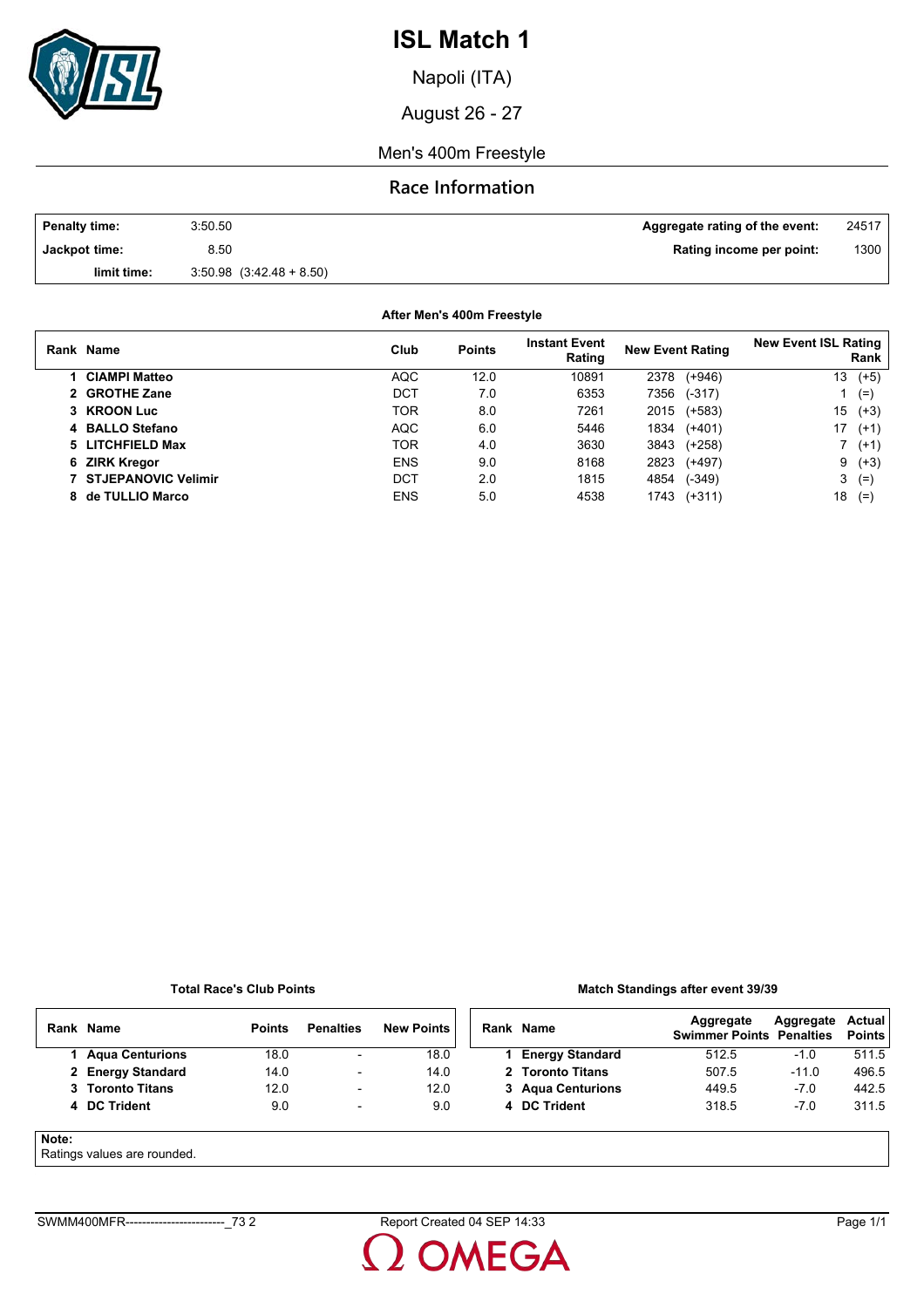

Napoli (ITA)

August 26 - 27

Men's 400m Freestyle

### **Race Information**

| <b>Penalty time:</b> | 3:50.50                      | Aggregate rating of the event: | 24517 |
|----------------------|------------------------------|--------------------------------|-------|
| Jackpot time:        | 8.50                         | Rating income per point:       | 1300  |
| limit time:          | $3.50.98$ $(3.42.48 + 8.50)$ |                                |       |

**After Men's 400m Freestyle**

| Rank Name                    | Club       | <b>Points</b> | <b>Instant Event</b><br>Rating | <b>New Event Rating</b> | <b>New Event ISL Rating</b><br>Rank |
|------------------------------|------------|---------------|--------------------------------|-------------------------|-------------------------------------|
| <b>CIAMPI Matteo</b>         | <b>AQC</b> | 12.0          | 10891                          | $(+946)$<br>2378        | 13<br>$(+5)$                        |
| 2 GROTHE Zane                | DCT        | 7.0           | 6353                           | 7356<br>$(-317)$        | $(=\)$                              |
| 3 KROON Luc                  | TOR        | 8.0           | 7261                           | 2015<br>(+583)          | 15<br>$(+3)$                        |
| 4 BALLO Stefano              | <b>AQC</b> | 6.0           | 5446                           | 1834<br>$(+401)$        | 17<br>$(+1)$                        |
| 5 LITCHFIELD Max             | TOR        | 4.0           | 3630                           | 3843<br>(+258)          | $^{\prime}$ (+1)                    |
| 6 ZIRK Kregor                | <b>ENS</b> | 9.0           | 8168                           | 2823<br>$(+497)$        | $9(+3)$                             |
| <b>7 STJEPANOVIC Velimir</b> | DCT        | 2.0           | 1815                           | $(-349)$<br>4854        | 3<br>$(=$                           |
| 8 de TULLIO Marco            | <b>ENS</b> | 5.0           | 4538                           | $(+311)$<br>1743        | 18<br>$(=$                          |

#### **Total Race's Club Points**

### **Match Standings after event 39/39**

|       | Rank Name                   | <b>Points</b> | <b>Penalties</b>         | <b>New Points</b> | Rank Name              | Aggregate<br><b>Swimmer Points Penalties</b> | Aggregate | Actual<br><b>Points</b> |
|-------|-----------------------------|---------------|--------------------------|-------------------|------------------------|----------------------------------------------|-----------|-------------------------|
|       | <b>Agua Centurions</b>      | 18.0          | $\overline{\phantom{a}}$ | 18.0              | <b>Energy Standard</b> | 512.5                                        | $-1.0$    | 511.5                   |
|       | 2 Energy Standard           | 14.0          | $\overline{\phantom{a}}$ | 14.0              | 2 Toronto Titans       | 507.5                                        | $-11.0$   | 496.5                   |
|       | 3 Toronto Titans            | 12.0          | $\overline{\phantom{0}}$ | 12.0              | 3 Agua Centurions      | 449.5                                        | $-7.0$    | 442.5                   |
|       | 4 DC Trident                | 9.0           | $\overline{\phantom{a}}$ | 9.0               | 4 DC Trident           | 318.5                                        | $-7.0$    | 311.5                   |
| Note: | Detinge values are revealed |               |                          |                   |                        |                                              |           |                         |

Ratings values are rounded.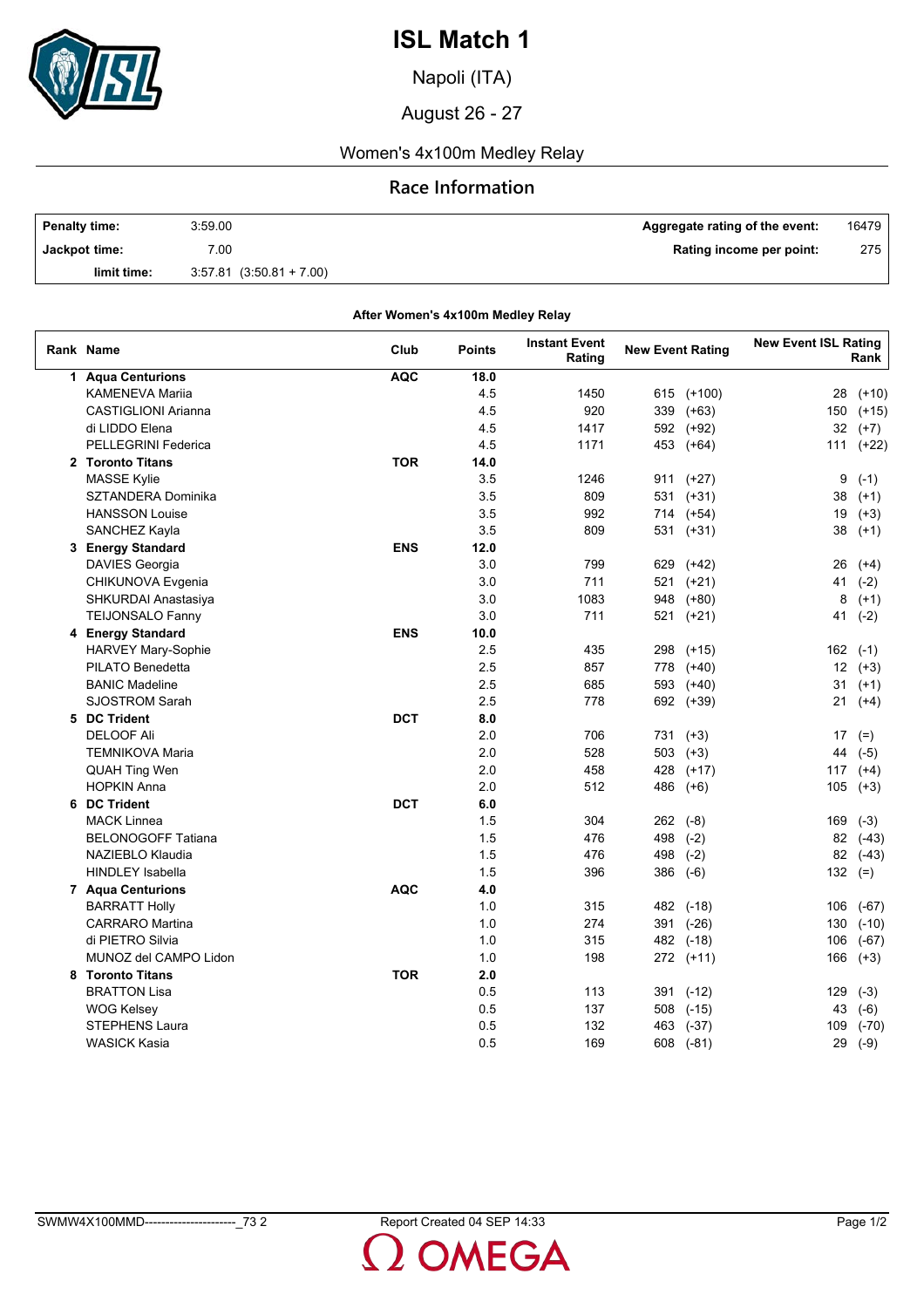

Napoli (ITA)

August 26 - 27

## Women's 4x100m Medley Relay

## **Race Information**

| <b>Penalty time:</b> | 3:59.00                      | Aggregate rating of the event: | 16479 |
|----------------------|------------------------------|--------------------------------|-------|
| Jackpot time:        | 7.00                         | Rating income per point:       | 275 l |
| limit time:          | $3.57.81$ $(3.50.81 + 7.00)$ |                                |       |

|                            | After Women's 4x100m Medley Relay |               |                                |                         |           |                             |         |
|----------------------------|-----------------------------------|---------------|--------------------------------|-------------------------|-----------|-----------------------------|---------|
| Rank Name                  | Club                              | <b>Points</b> | <b>Instant Event</b><br>Rating | <b>New Event Rating</b> |           | <b>New Event ISL Rating</b> | Rank    |
| 1 Aqua Centurions          | <b>AQC</b>                        | 18.0          |                                |                         |           |                             |         |
| <b>KAMENEVA Mariia</b>     |                                   | 4.5           | 1450                           | 615                     | $(+100)$  | 28                          | $(+10)$ |
| <b>CASTIGLIONI Arianna</b> |                                   | 4.5           | 920                            | 339                     | $(+63)$   | 150                         | $(+15)$ |
| di LIDDO Elena             |                                   | 4.5           | 1417                           |                         | 592 (+92) | 32                          | $(+7)$  |
| PELLEGRINI Federica        |                                   | 4.5           | 1171                           | 453                     | $(+64)$   | 111                         | $(+22)$ |
| 2 Toronto Titans           | <b>TOR</b>                        | 14.0          |                                |                         |           |                             |         |
| <b>MASSE Kylie</b>         |                                   | 3.5           | 1246                           |                         | 911 (+27) | 9                           | $(-1)$  |
| SZTANDERA Dominika         |                                   | 3.5           | 809                            |                         | 531 (+31) | 38                          | $(+1)$  |
| <b>HANSSON Louise</b>      |                                   | 3.5           | 992                            |                         | 714 (+54) | 19                          | $(+3)$  |
| SANCHEZ Kayla              |                                   | 3.5           | 809                            | 531                     | (+31)     | 38                          | $(+1)$  |
| 3 Energy Standard          | <b>ENS</b>                        | 12.0          |                                |                         |           |                             |         |
| <b>DAVIES Georgia</b>      |                                   | 3.0           | 799                            | 629                     | (+42)     | 26                          | $(+4)$  |
| CHIKUNOVA Evgenia          |                                   | 3.0           | 711                            | 521                     | $(+21)$   | 41                          | $(-2)$  |
| SHKURDAI Anastasiya        |                                   | 3.0           | 1083                           | 948                     | $(+80)$   | 8                           | $(+1)$  |
| <b>TEIJONSALO Fanny</b>    |                                   | 3.0           | 711                            | 521                     | $(+21)$   | 41                          | $(-2)$  |
| 4 Energy Standard          | <b>ENS</b>                        | 10.0          |                                |                         |           |                             |         |
| HARVEY Mary-Sophie         |                                   | 2.5           | 435                            | 298                     | $(+15)$   | 162                         | $(-1)$  |
| PILATO Benedetta           |                                   | 2.5           | 857                            | 778                     | $(+40)$   | 12                          | $(+3)$  |
| <b>BANIC Madeline</b>      |                                   | 2.5           | 685                            |                         | 593 (+40) | 31                          | $(+1)$  |
| <b>SJOSTROM Sarah</b>      |                                   | 2.5           | 778                            |                         | 692 (+39) | 21                          | $(+4)$  |
| 5 DC Trident               | <b>DCT</b>                        | 8.0           |                                |                         |           |                             |         |
| <b>DELOOF Ali</b>          |                                   | 2.0           | 706                            |                         | 731 (+3)  | 17                          | $(=)$   |
| <b>TEMNIKOVA Maria</b>     |                                   | 2.0           | 528                            | 503                     | $(+3)$    | 44                          | $(-5)$  |
| QUAH Ting Wen              |                                   | 2.0           | 458                            | 428                     | $(+17)$   | 117                         | $(+4)$  |
| <b>HOPKIN Anna</b>         |                                   | 2.0           | 512                            | 486                     | $(+6)$    | 105                         | $(+3)$  |
| 6 DC Trident               | <b>DCT</b>                        | 6.0           |                                |                         |           |                             |         |
| <b>MACK Linnea</b>         |                                   | 1.5           | 304                            | 262 (-8)                |           | 169                         | $(-3)$  |
| <b>BELONOGOFF Tatiana</b>  |                                   | 1.5           | 476                            | 498                     | $(-2)$    | 82                          | $(-43)$ |
| NAZIEBLO Klaudia           |                                   | 1.5           | 476                            | 498                     | $(-2)$    | 82                          | $(-43)$ |
| <b>HINDLEY Isabella</b>    |                                   | 1.5           | 396                            | 386                     | $(-6)$    | 132                         | $(=)$   |
| 7 Aqua Centurions          | <b>AQC</b>                        | 4.0           |                                |                         |           |                             |         |
| <b>BARRATT Holly</b>       |                                   | 1.0           | 315                            |                         | 482 (-18) | 106                         | $(-67)$ |
| <b>CARRARO</b> Martina     |                                   | 1.0           | 274                            |                         | 391 (-26) | 130                         | $(-10)$ |
| di PIETRO Silvia           |                                   | 1.0           | 315                            |                         | 482 (-18) | 106                         | $(-67)$ |
| MUNOZ del CAMPO Lidon      |                                   | 1.0           | 198                            |                         | 272 (+11) | 166                         | $(+3)$  |
| 8 Toronto Titans           | <b>TOR</b>                        | 2.0           |                                |                         |           |                             |         |
| <b>BRATTON Lisa</b>        |                                   | 0.5           | 113                            | 391                     | $(-12)$   | 129                         | $(-3)$  |
| WOG Kelsey                 |                                   | 0.5           | 137                            | 508                     | $(-15)$   | 43                          | $(-6)$  |
| <b>STEPHENS Laura</b>      |                                   | 0.5           | 132                            | 463                     | $(-37)$   | 109                         | $(-70)$ |
| <b>WASICK Kasia</b>        |                                   | 0.5           | 169                            |                         |           |                             |         |
|                            |                                   |               |                                | 608                     | $(-81)$   | 29                          | $(-9)$  |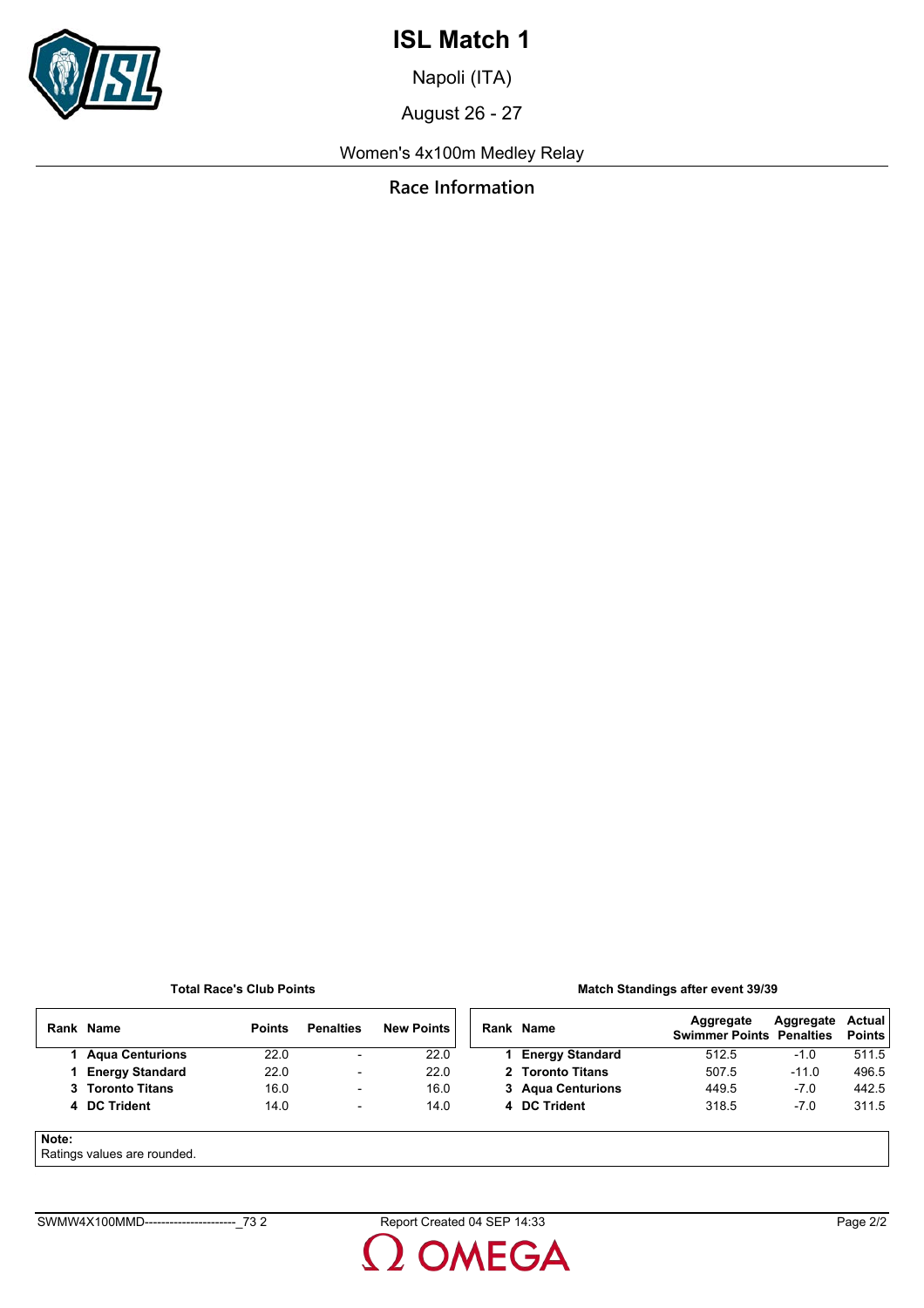

Napoli (ITA)

August 26 - 27

Women's 4x100m Medley Relay

**Race Information**

### **Total Race's Club Points**

#### **Match Standings after event 39/39**

|       | Rank Name                  | <b>Points</b> | <b>Penalties</b>         | <b>New Points</b> | Rank Name              | Aggregate<br><b>Swimmer Points Penalties</b> | Aggregate | Actual<br><b>Points</b> |
|-------|----------------------------|---------------|--------------------------|-------------------|------------------------|----------------------------------------------|-----------|-------------------------|
|       | 1 Agua Centurions          | 22.0          | $\overline{\phantom{0}}$ | 22.0              | <b>Energy Standard</b> | 512.5                                        | $-1.0$    | 511.5                   |
|       | <b>Energy Standard</b>     | 22.0          | $\overline{\phantom{a}}$ | 22.0              | 2 Toronto Titans       | 507.5                                        | $-11.0$   | 496.5                   |
|       | 3 Toronto Titans           | 16.0          | $\overline{\phantom{a}}$ | 16.0              | 3 Agua Centurions      | 449.5                                        | $-7.0$    | 442.5                   |
|       | 4 DC Trident               | 14.0          | $\overline{\phantom{a}}$ | 14.0              | 4 DC Trident           | 318.5                                        | $-7.0$    | 311.5                   |
| Note: | Potinge values are reunded |               |                          |                   |                        |                                              |           |                         |

Ratings values are rounded.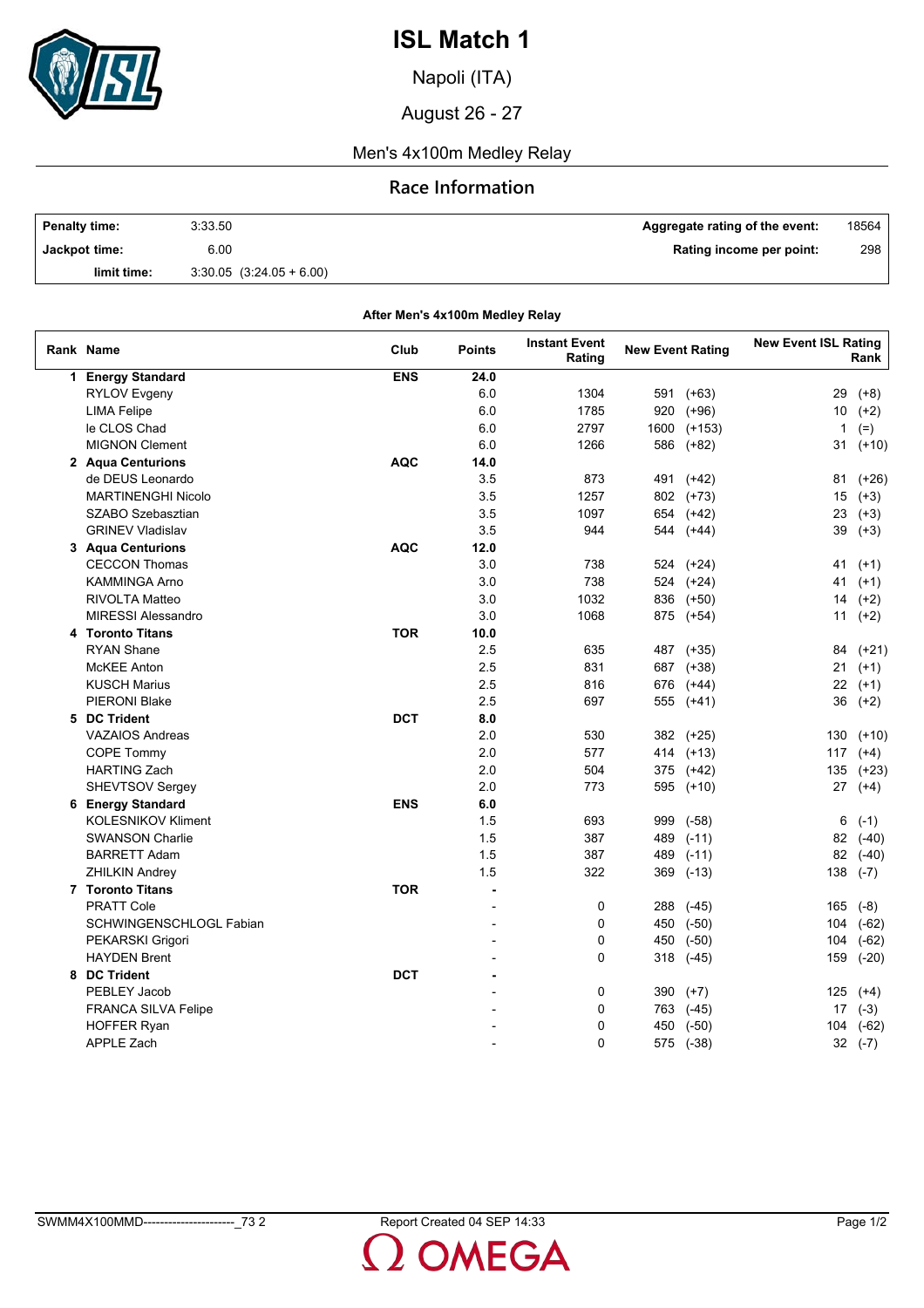

Napoli (ITA)

August 26 - 27

### Men's 4x100m Medley Relay

### **Race Information**

| <b>Penalty time:</b> | 3:33.50                      | Aggregate rating of the event: | 18564 |
|----------------------|------------------------------|--------------------------------|-------|
| Jackpot time:        | 6.00                         | Rating income per point:       | 298   |
| limit time:          | $3.30.05$ $(3.24.05 + 6.00)$ |                                |       |

**Rank Name Points Instant Event Rating New Event Rating New Event ISL Rating Rank After Men's 4x100m Medley Relay Club 1 Energy Standard ENS 24.0** RYLOV Evgeny 6.0 1304 591 (+63) 29 (+8) LIMA Felipe 6.0 1785 920 (+96) 10 (+2) le CLOS Chad 6.0 2797 1600 (+153) 1 (=) MIGNON Clement 10 1266 586 (+82) 31 (+10) **2 Aqua Centurions AQC 14.0** de DEUS Leonardo 3.5 873 491 (+42) 81 (+26) MARTINENGHI Nicolo 3.5 1257 802 (+73) 15 (+3) SZABO Szebasztian 1997 654 (+42) 23 (+3) GRINEV Vladislav 39 (+3) 39 (+3) 35 35 44 544 (+44) 39 (+3) **3 Aqua Centurions AQC 12.0** CECCON Thomas 3.0 738 524 (+24) 41 (+1) KAMMINGA Arno 3.0 738 524 (+24) 41 (+1) RIVOLTA Matteo 3.0 1032 836 (+50) 14 (+2) MIRESSI Alessandro 11 (+2) 13.0 1068 875 (+54) 11 (+2) **4 Toronto Titans TOR 10.0** RYAN Shane 2.5 635 487 (+35) 84 (+21) McKEE Anton 2.5 831 687 (+38) 21 (+1) KUSCH Marius 2.5 816 676 (+44) 22 (+1) PIERONI Blake 2.5 697 555 (+41) 36 (+2) **5 DC Trident DCT 8.0** VAZAIOS Andreas 130 (+10) 130 (+25) 130 (+25) 130 (+26) 130 (+10) COPE Tommy 2.0 577 414 (+13) 117 (+4) HARTING Zach 135 (+23) 2.0 504 375 (+42) 135 (+23) SHEVTSOV Sergey 2.0 773 595 (+10) 27 (+4) **6 Energy Standard ENS 6.0** KOLESNIKOV Kliment 6 (-1) 693 999 (-58) 6 (-1) SWANSON Charlie 82 (-40) 82 (-40) 82 (-40) 82 (-40) 82 (-40) BARRETT Adam 1.5 387 489 (-11) 82 (-40) ZHILKIN Andrey 1.5 322 369 (-13) 138 (-7) **7 Toronto Titans TOR -** PRATT Cole - 0 288 (-45) 165 (-8) SCHWINGENSCHLOGL Fabian 10 104 (-62) 2 104 (-62) 2 104 (-62) 2 104 (-62) PEKARSKI Grigori 104 (-62) 104 (-62) - 0 450 (-50) 104 (-62) HAYDEN Brent 159 (-20) 169 (-20) 169 (-20) 169 (-20) 169 (-20) 169 (-20) 169 (-20) **8 DC Trident C DCT -DCT -DCT -DCT -**PEBLEY Jacob - 0 390 (+7) 125 (+4) FRANCA SILVA Felipe 17 (-3) 17 (-3) 2 17 (-3) 2 17 (-3) 2 17 (-3) 2 17 (-3) 2 17 (-3) 2 17 (-3)

HOFFER Ryan - 0 450 (-50) 104 (-62) APPLE Zach - 0 575 (-38) 32 (-7)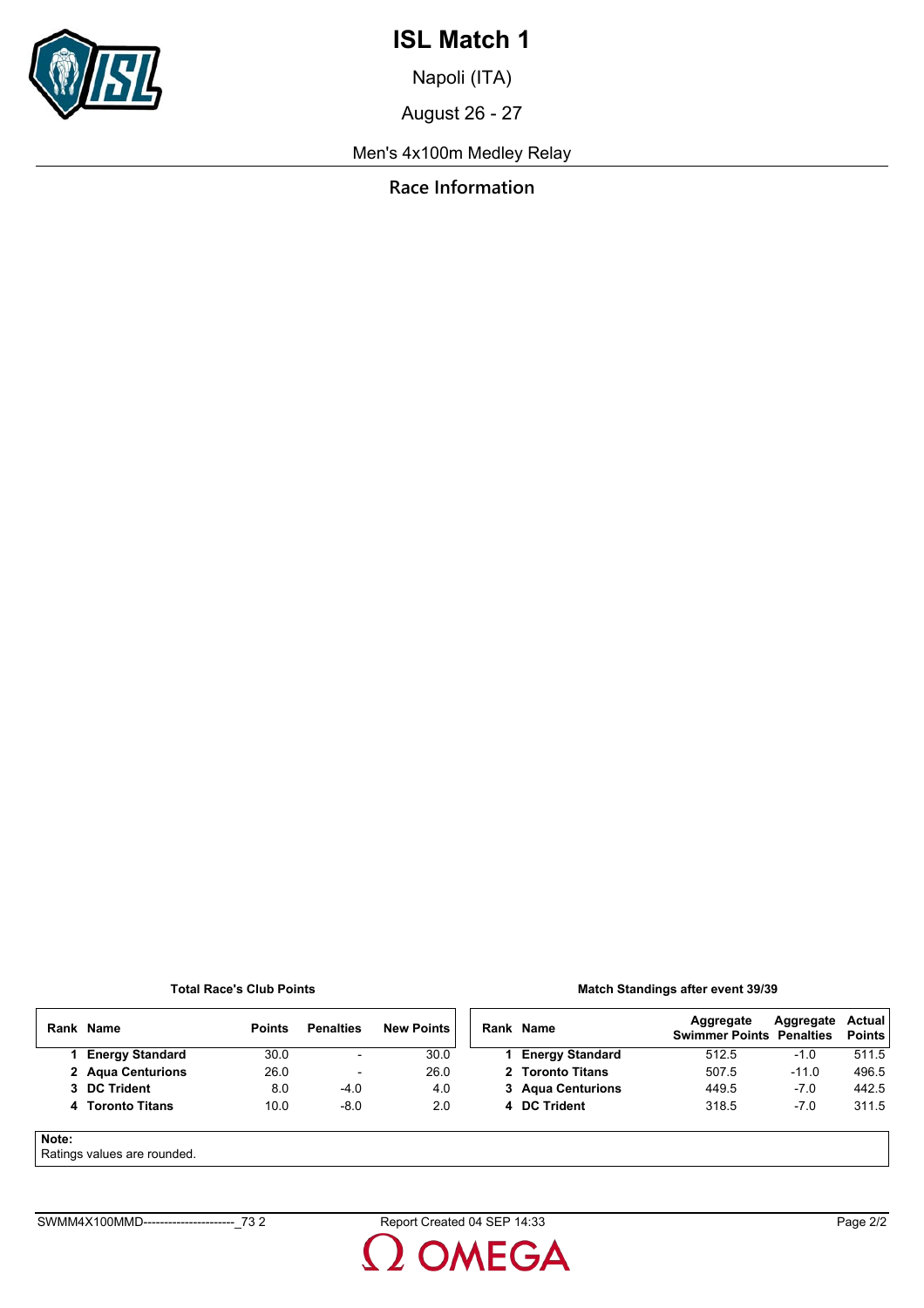

Napoli (ITA)

August 26 - 27

Men's 4x100m Medley Relay

**Race Information**

### **Total Race's Club Points**

#### **Match Standings after event 39/39**

| Rank  | <b>Name</b>            | <b>Points</b> | <b>Penalties</b>         | <b>New Points</b> |  | Rank Name              | Aggregate<br><b>Swimmer Points Penalties</b> | Aggregate | Actual<br><b>Points</b> |
|-------|------------------------|---------------|--------------------------|-------------------|--|------------------------|----------------------------------------------|-----------|-------------------------|
|       | <b>Energy Standard</b> | 30.0          | $\overline{\phantom{a}}$ | 30.0              |  | <b>Energy Standard</b> | 512.5                                        | -1.0      | 511.5                   |
|       | 2 Agua Centurions      | 26.0          | $\overline{\phantom{0}}$ | 26.0              |  | 2 Toronto Titans       | 507.5                                        | $-11.0$   | 496.5                   |
|       | 3 DC Trident           | 8.0           | $-4.0$                   | 4.0               |  | 3 Agua Centurions      | 449.5                                        | $-7.0$    | 442.5                   |
|       | 4 Toronto Titans       | 10.0          | $-8.0$                   | 2.0               |  | 4 DC Trident           | 318.5                                        | $-7.0$    | 311.5                   |
| Note: |                        |               |                          |                   |  |                        |                                              |           |                         |

Ratings values are rounded.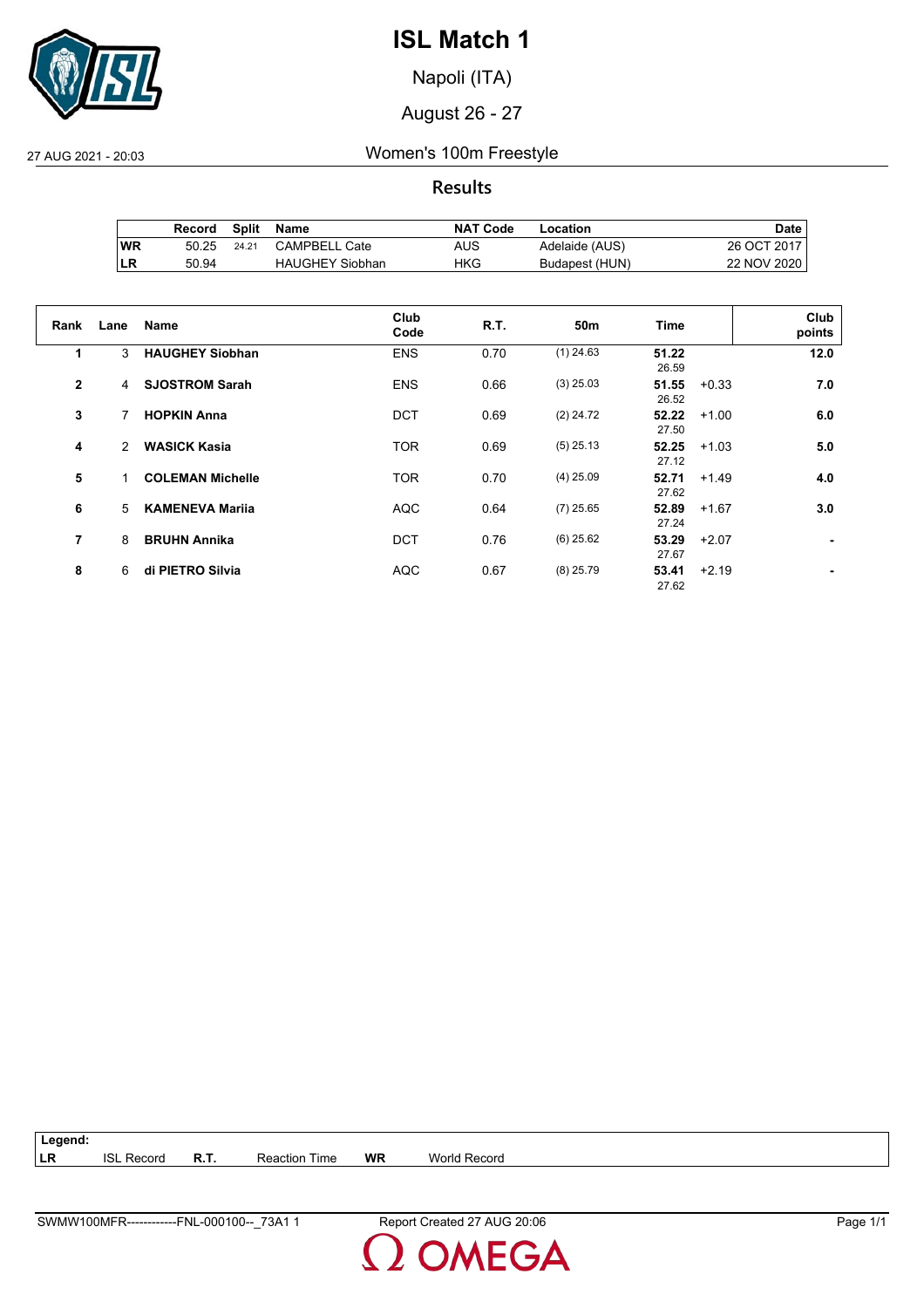

Napoli (ITA)

August 26 - 27

27 AUG 2021 - 20:03 Women's 100m Freestyle

**Results**

|           | Record | Split | Name                   | <b>NAT Code</b> | Location       | Date .      |
|-----------|--------|-------|------------------------|-----------------|----------------|-------------|
| <b>WR</b> | 50.25  | 24.21 | CAMPBELL Cate          | AUS             | Adelaide (AUS) | 26 OCT 2017 |
| ∣LR       | 50.94  |       | <b>HAUGHEY Siobhan</b> | HKG             | Budapest (HUN) | 22 NOV 2020 |

| Rank           | Lane          | <b>Name</b>             | Club<br>Code | R.T. | 50m         | Time           | Club<br>points |
|----------------|---------------|-------------------------|--------------|------|-------------|----------------|----------------|
| 1              | 3             | <b>HAUGHEY Siobhan</b>  | <b>ENS</b>   | 0.70 | $(1)$ 24.63 | 51.22<br>26.59 | 12.0           |
| $\overline{2}$ | 4             | <b>SJOSTROM Sarah</b>   | <b>ENS</b>   | 0.66 | $(3)$ 25.03 | 51.55<br>26.52 | 7.0<br>$+0.33$ |
| 3              | 7             | <b>HOPKIN Anna</b>      | <b>DCT</b>   | 0.69 | $(2)$ 24.72 | 52.22<br>27.50 | 6.0<br>$+1.00$ |
| 4              | $\mathcal{P}$ | <b>WASICK Kasia</b>     | <b>TOR</b>   | 0.69 | $(5)$ 25.13 | 52.25<br>27.12 | 5.0<br>$+1.03$ |
| 5              | 1.            | <b>COLEMAN Michelle</b> | <b>TOR</b>   | 0.70 | $(4)$ 25.09 | 52.71<br>27.62 | 4.0<br>$+1.49$ |
| 6              | 5             | <b>KAMENEVA Marija</b>  | <b>AQC</b>   | 0.64 | $(7)$ 25.65 | 52.89<br>27.24 | 3.0<br>$+1.67$ |
| 7              | 8             | <b>BRUHN Annika</b>     | <b>DCT</b>   | 0.76 | $(6)$ 25.62 | 53.29<br>27.67 | $+2.07$<br>۰   |
| 8              | 6             | di PIETRO Silvia        | <b>AQC</b>   | 0.67 | $(8)$ 25.79 | 53.41<br>27.62 | $+2.19$        |

**Legend: LR** ISL Record **R.T.** Reaction Time **WR** World Record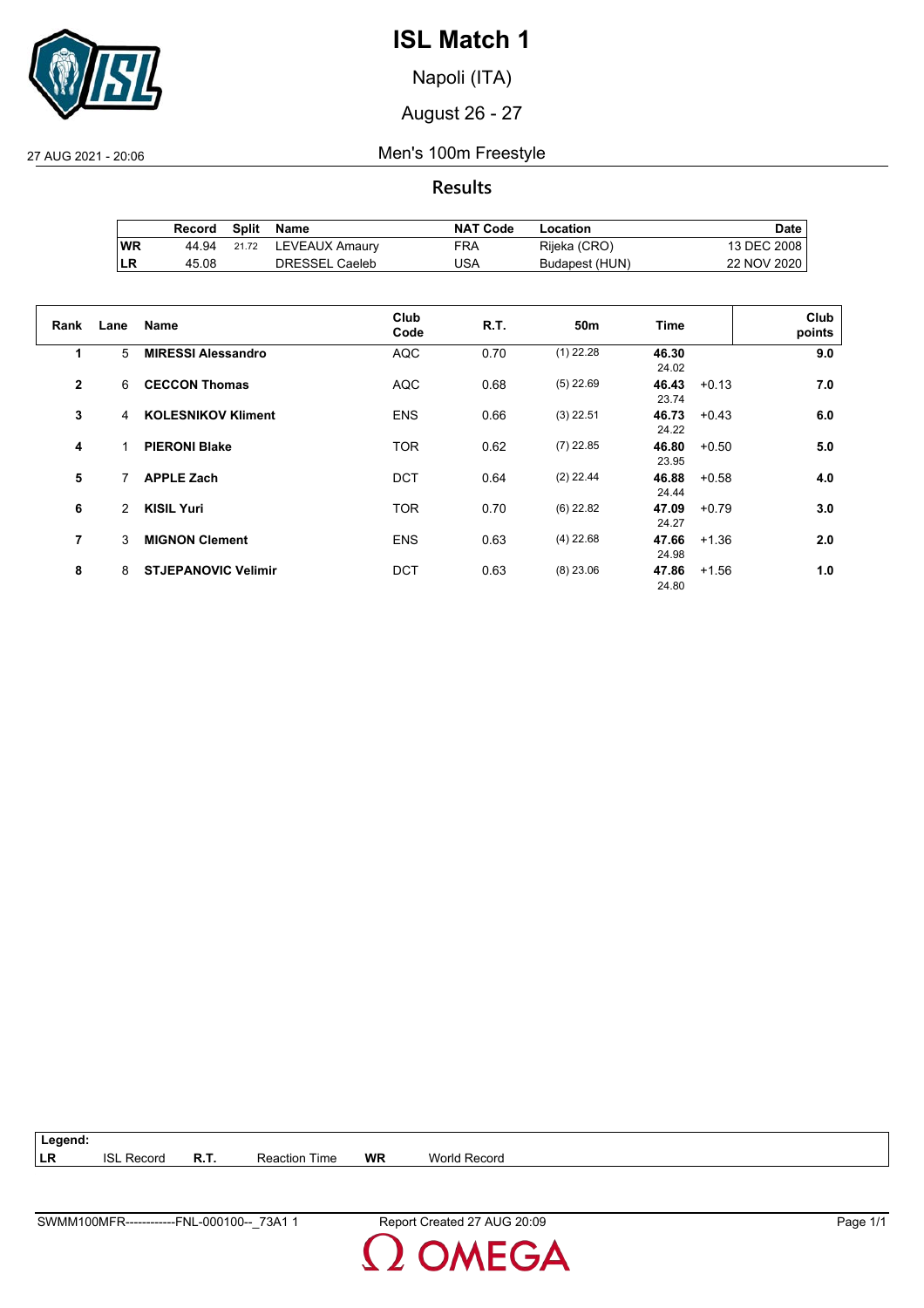

Napoli (ITA)

August 26 - 27

27 AUG 2021 - 20:06 Men's 100m Freestyle

**Results**

|    | Record | Split | Name           | <b>NAT Code</b> | Location       | Date l      |
|----|--------|-------|----------------|-----------------|----------------|-------------|
| WR | 44.94  | 21.72 | LEVEAUX Amaury | FRA             | Rijeka (CRO)   | 13 DEC 2008 |
| LR | 45.08  |       | DRESSEL Caeleb | JSA             | Budapest (HUN) | 22 NOV 2020 |

| Rank           | Lane | <b>Name</b>                | Club<br>Code | R.T. | 50m         | Time                      | Club<br>points |
|----------------|------|----------------------------|--------------|------|-------------|---------------------------|----------------|
| 1              | 5    | <b>MIRESSI Alessandro</b>  | <b>AQC</b>   | 0.70 | $(1)$ 22.28 | 46.30<br>24.02            | 9.0            |
| $\overline{2}$ | 6    | <b>CECCON Thomas</b>       | <b>AQC</b>   | 0.68 | $(5)$ 22.69 | 46.43<br>$+0.13$<br>23.74 | 7.0            |
| 3              | 4    | <b>KOLESNIKOV Kliment</b>  | <b>ENS</b>   | 0.66 | $(3)$ 22.51 | 46.73<br>$+0.43$<br>24.22 | 6.0            |
| 4              |      | <b>PIERONI Blake</b>       | <b>TOR</b>   | 0.62 | $(7)$ 22.85 | 46.80<br>$+0.50$<br>23.95 | 5.0            |
| 5              | 7    | <b>APPLE Zach</b>          | <b>DCT</b>   | 0.64 | $(2)$ 22.44 | 46.88<br>$+0.58$<br>24.44 | 4.0            |
| 6              | 2    | <b>KISIL Yuri</b>          | <b>TOR</b>   | 0.70 | $(6)$ 22.82 | 47.09<br>$+0.79$<br>24.27 | 3.0            |
| $\overline{7}$ | 3    | <b>MIGNON Clement</b>      | <b>ENS</b>   | 0.63 | $(4)$ 22.68 | 47.66<br>$+1.36$<br>24.98 | 2.0            |
| 8              | 8    | <b>STJEPANOVIC Velimir</b> | <b>DCT</b>   | 0.63 | $(8)$ 23.06 | 47.86<br>$+1.56$<br>24.80 | 1.0            |

| Legend: |                   |             |                      |    |              |
|---------|-------------------|-------------|----------------------|----|--------------|
| ∣LR     | <b>ISL Record</b> | <b>R.T.</b> | <b>Reaction Time</b> | WR | World Record |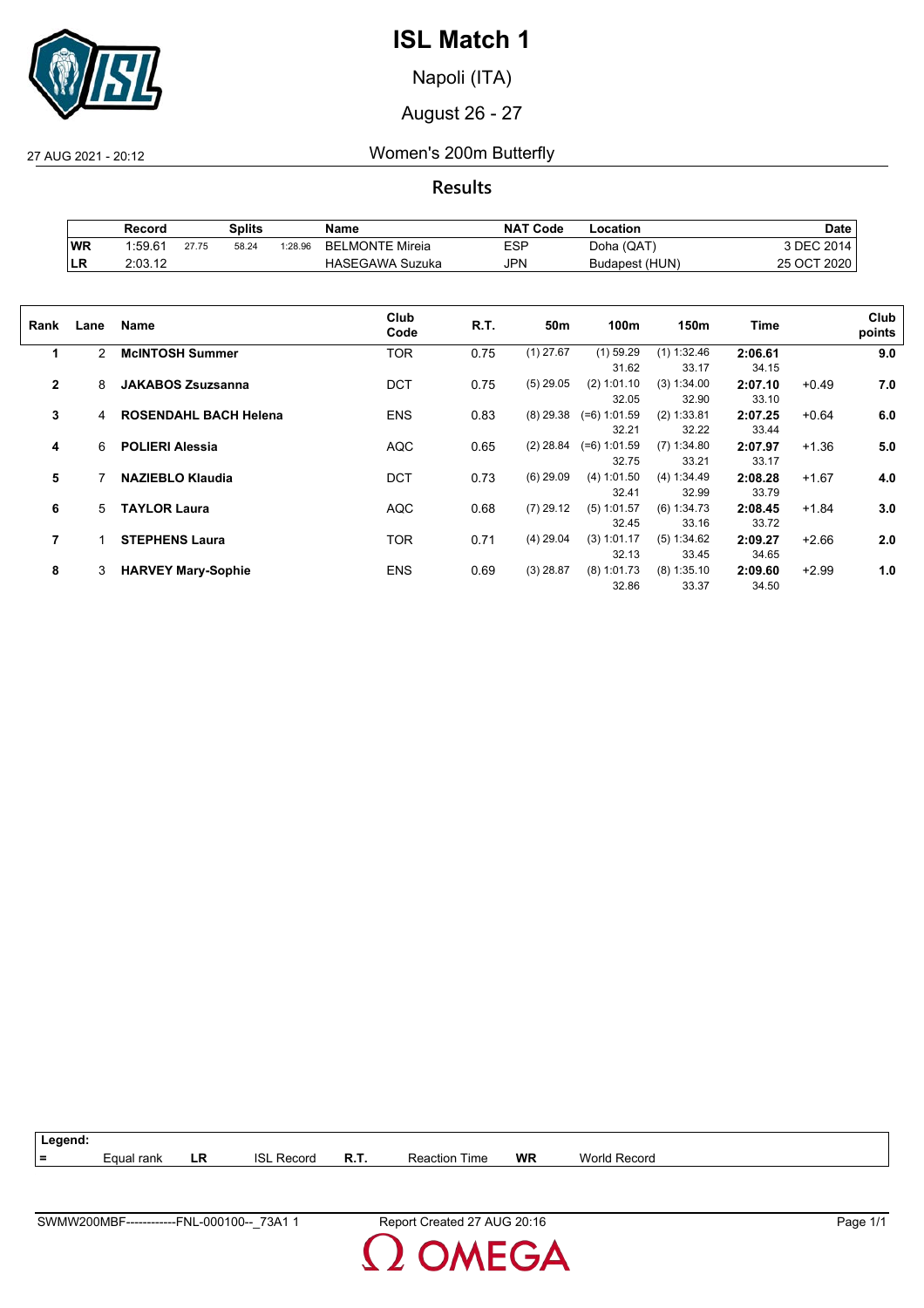

Napoli (ITA)

August 26 - 27

27 AUG 2021 - 20:12 Women's 200m Butterfly

**Results**

|           | Record  |       | Splits |         | Name                   | <b>NAT Code</b> | ∟ocation       | Date        |
|-----------|---------|-------|--------|---------|------------------------|-----------------|----------------|-------------|
| <b>WR</b> | 1:59.61 | 27.75 | 58.24  | 1:28.96 | <b>BELMONTE Mireia</b> | <b>ESP</b>      | Doha (QAT)     | 3 DEC 2014  |
| ∣LR       | 2:03.12 |       |        |         | <b>HASEGAWA Suzuka</b> | JPN             | Budapest (HUN) | 25 OCT 2020 |

| Rank           | Lane | <b>Name</b>                  | Club<br>Code | R.T. | 50m         | 100m           | 150m          | Time    |         | Club<br>points |
|----------------|------|------------------------------|--------------|------|-------------|----------------|---------------|---------|---------|----------------|
| 1              | 2    | <b>McINTOSH Summer</b>       | <b>TOR</b>   | 0.75 | $(1)$ 27.67 | $(1)$ 59.29    | $(1)$ 1:32.46 | 2:06.61 |         | 9.0            |
|                |      |                              |              |      |             | 31.62          | 33.17         | 34.15   |         |                |
| $\mathbf{2}$   | 8    | <b>JAKABOS Zsuzsanna</b>     | <b>DCT</b>   | 0.75 | $(5)$ 29.05 | (2) 1:01.10    | (3) 1:34.00   | 2:07.10 | $+0.49$ | 7.0            |
|                |      |                              |              |      |             | 32.05          | 32.90         | 33.10   |         |                |
| 3              | 4    | <b>ROSENDAHL BACH Helena</b> | <b>ENS</b>   | 0.83 | $(8)$ 29.38 | $(=6) 1:01.59$ | (2) 1:33.81   | 2:07.25 | $+0.64$ | 6.0            |
|                |      |                              |              |      |             | 32.21          | 32.22         | 33.44   |         |                |
| 4              | 6    | <b>POLIERI Alessia</b>       | <b>AQC</b>   | 0.65 | $(2)$ 28.84 | $(=6)$ 1:01.59 | $(7)$ 1:34.80 | 2:07.97 | $+1.36$ | 5.0            |
|                |      |                              |              |      |             | 32.75          | 33.21         | 33.17   |         |                |
| 5              |      | <b>NAZIEBLO Klaudia</b>      | <b>DCT</b>   | 0.73 | $(6)$ 29.09 | (4) 1:01.50    | (4) 1:34.49   | 2:08.28 | $+1.67$ | 4.0            |
|                |      |                              |              |      |             | 32.41          | 32.99         | 33.79   |         |                |
| 6              | 5    | <b>TAYLOR Laura</b>          | <b>AQC</b>   | 0.68 | $(7)$ 29.12 | $(5)$ 1:01.57  | (6) 1:34.73   | 2:08.45 | $+1.84$ | 3.0            |
|                |      |                              |              |      |             | 32.45          | 33.16         | 33.72   |         |                |
| $\overline{7}$ |      | <b>STEPHENS Laura</b>        | <b>TOR</b>   | 0.71 | $(4)$ 29.04 | $(3)$ 1:01.17  | (5) 1:34.62   | 2:09.27 | $+2.66$ | 2.0            |
|                |      |                              |              |      |             | 32.13          | 33.45         | 34.65   |         |                |
| 8              | 3    | <b>HARVEY Mary-Sophie</b>    | <b>ENS</b>   | 0.69 | $(3)$ 28.87 | $(8)$ 1:01.73  | $(8)$ 1:35.10 | 2:09.60 | $+2.99$ | 1.0            |
|                |      |                              |              |      |             | 32.86          | 33.37         | 34.50   |         |                |

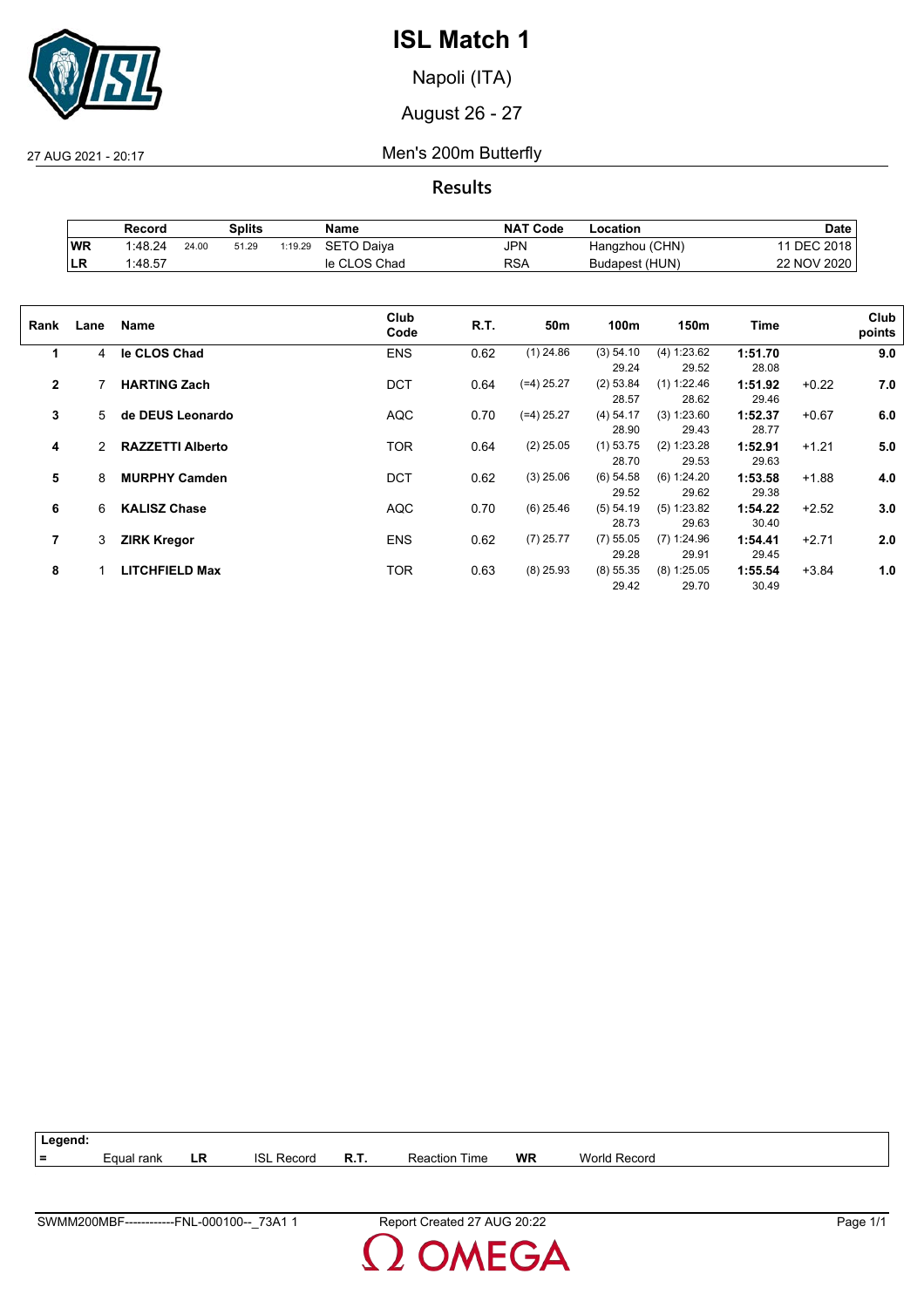

Napoli (ITA)

August 26 - 27

27 AUG 2021 - 20:17 Men's 200m Butterfly

**Results**

|            | Record  |       | Splits |         | Name         | <b>NAT Code</b> | Location       | Date            |
|------------|---------|-------|--------|---------|--------------|-----------------|----------------|-----------------|
| WR         | 1:48.24 | 24.00 | 51.29  | 1:19.29 | SETO Daiva   | <b>JPN</b>      | Hangzhou (CHN) | <b>DEC 2018</b> |
| <b>ILR</b> | 1:48.57 |       |        |         | le CLOS Chad | RSA             | Budapest (HUN) | 22 NOV 2020     |

| Rank         | Lane | Name                    | Club<br>Code | R.T. | 50m          | 100m                 | 150m                   | Time             |         | Club<br>points |
|--------------|------|-------------------------|--------------|------|--------------|----------------------|------------------------|------------------|---------|----------------|
| 1            | 4    | le CLOS Chad            | <b>ENS</b>   | 0.62 | $(1)$ 24.86  | (3) 54.10<br>29.24   | (4) 1:23.62<br>29.52   | 1:51.70<br>28.08 |         | 9.0            |
| $\mathbf{2}$ |      | <b>HARTING Zach</b>     | <b>DCT</b>   | 0.64 | $(=4)$ 25.27 | (2) 53.84<br>28.57   | (1) 1:22.46<br>28.62   | 1:51.92<br>29.46 | $+0.22$ | 7.0            |
| 3            | 5.   | de DEUS Leonardo        | <b>AQC</b>   | 0.70 | $(=4)$ 25.27 | $(4)$ 54.17<br>28.90 | (3) 1:23.60<br>29.43   | 1:52.37<br>28.77 | $+0.67$ | 6.0            |
| 4            | 2    | <b>RAZZETTI Alberto</b> | <b>TOR</b>   | 0.64 | $(2)$ 25.05  | $(1)$ 53.75<br>28.70 | (2) 1:23.28<br>29.53   | 1:52.91<br>29.63 | $+1.21$ | 5.0            |
| 5            | 8    | <b>MURPHY Camden</b>    | <b>DCT</b>   | 0.62 | $(3)$ 25.06  | $(6)$ 54.58<br>29.52 | (6) 1:24.20<br>29.62   | 1:53.58<br>29.38 | $+1.88$ | 4.0            |
| 6            | 6    | <b>KALISZ Chase</b>     | <b>AQC</b>   | 0.70 | $(6)$ 25.46  | (5) 54.19<br>28.73   | (5) 1:23.82<br>29.63   | 1:54.22<br>30.40 | $+2.52$ | 3.0            |
| 7            | 3    | <b>ZIRK Kregor</b>      | <b>ENS</b>   | 0.62 | $(7)$ 25.77  | $(7)$ 55.05<br>29.28 | $(7)$ 1:24.96<br>29.91 | 1:54.41<br>29.45 | $+2.71$ | 2.0            |
| 8            |      | LITCHFIELD Max          | TOR          | 0.63 | $(8)$ 25.93  | (8) 55.35<br>29.42   | $(8)$ 1:25.05<br>29.70 | 1:55.54<br>30.49 | $+3.84$ | 1.0            |

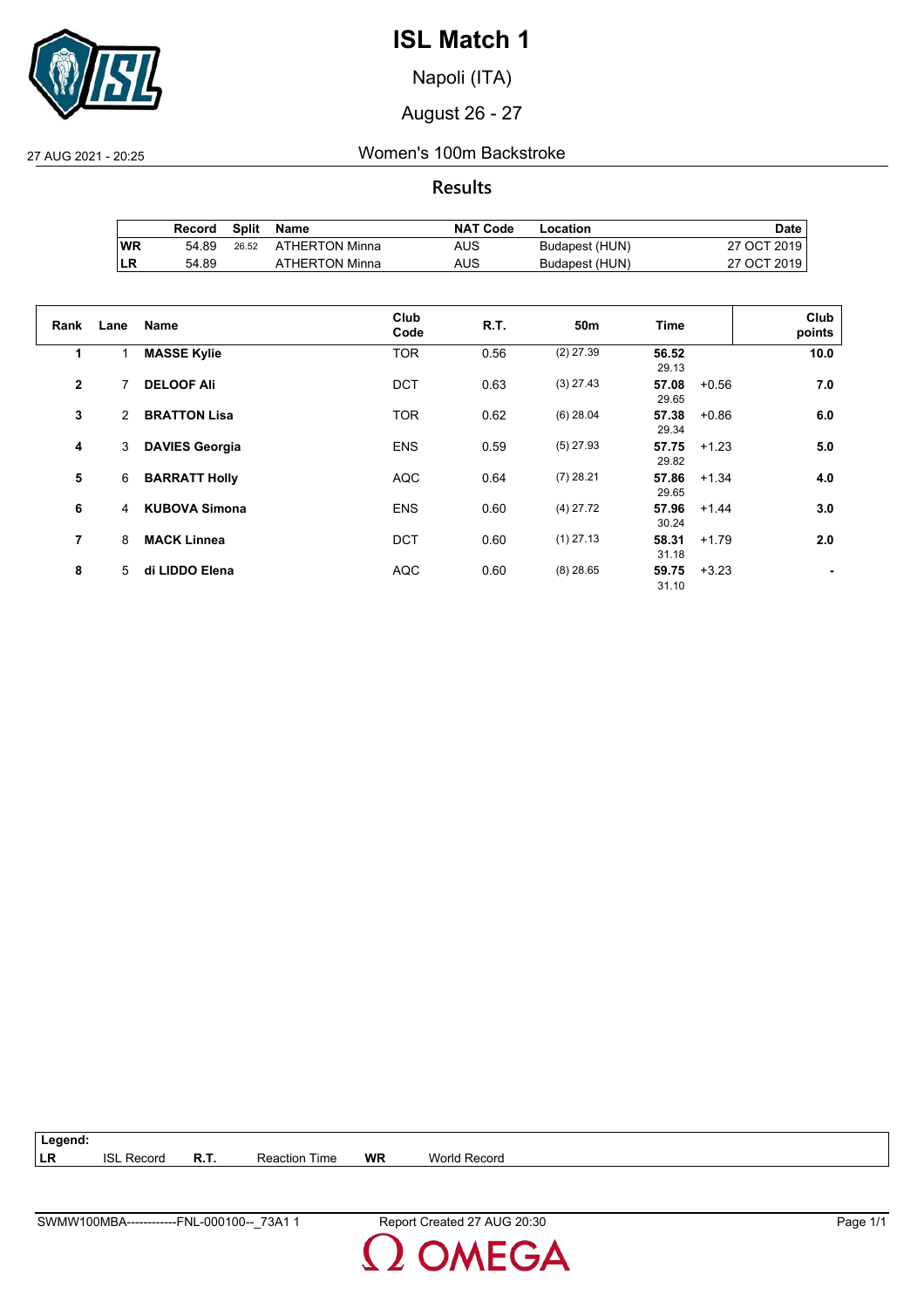

Napoli (ITA)

August 26 - 27

27 AUG 2021 - 20:25 Women's 100m Backstroke

**Results**

|           | Record | Split | Name           | <b>NAT Code</b> | Location       | Date .      |
|-----------|--------|-------|----------------|-----------------|----------------|-------------|
| <b>WR</b> | 54.89  | 26.52 | ATHERTON Minna | AUS             | Budapest (HUN) | 27 OCT 2019 |
| ∣LR       | 54.89  |       | ATHERTON Minna | AUS             | Budapest (HUN) | 27 OCT 2019 |

| Rank         | Lane | <b>Name</b>           | Club<br>Code | R.T. | 50m         | Time           | Club<br>points |
|--------------|------|-----------------------|--------------|------|-------------|----------------|----------------|
| 1            |      | <b>MASSE Kylie</b>    | <b>TOR</b>   | 0.56 | $(2)$ 27.39 | 56.52<br>29.13 | 10.0           |
| $\mathbf{2}$ | 7    | <b>DELOOF Ali</b>     | <b>DCT</b>   | 0.63 | $(3)$ 27.43 | 57.08<br>29.65 | 7.0<br>$+0.56$ |
| 3            | 2    | <b>BRATTON Lisa</b>   | <b>TOR</b>   | 0.62 | $(6)$ 28.04 | 57.38<br>29.34 | 6.0<br>$+0.86$ |
| 4            | 3    | <b>DAVIES Georgia</b> | <b>ENS</b>   | 0.59 | $(5)$ 27.93 | 57.75<br>29.82 | 5.0<br>$+1.23$ |
| 5            | 6    | <b>BARRATT Holly</b>  | <b>AQC</b>   | 0.64 | $(7)$ 28.21 | 57.86<br>29.65 | 4.0<br>$+1.34$ |
| 6            | 4    | <b>KUBOVA Simona</b>  | <b>ENS</b>   | 0.60 | $(4)$ 27.72 | 57.96<br>30.24 | 3.0<br>$+1.44$ |
| 7            | 8    | <b>MACK Linnea</b>    | <b>DCT</b>   | 0.60 | $(1)$ 27.13 | 58.31<br>31.18 | 2.0<br>$+1.79$ |
| 8            | 5    | di LIDDO Elena        | <b>AQC</b>   | 0.60 | $(8)$ 28.65 | 59.75<br>31.10 | $+3.23$        |

**Legend: LR** ISL Record **R.T.** Reaction Time **WR** World Record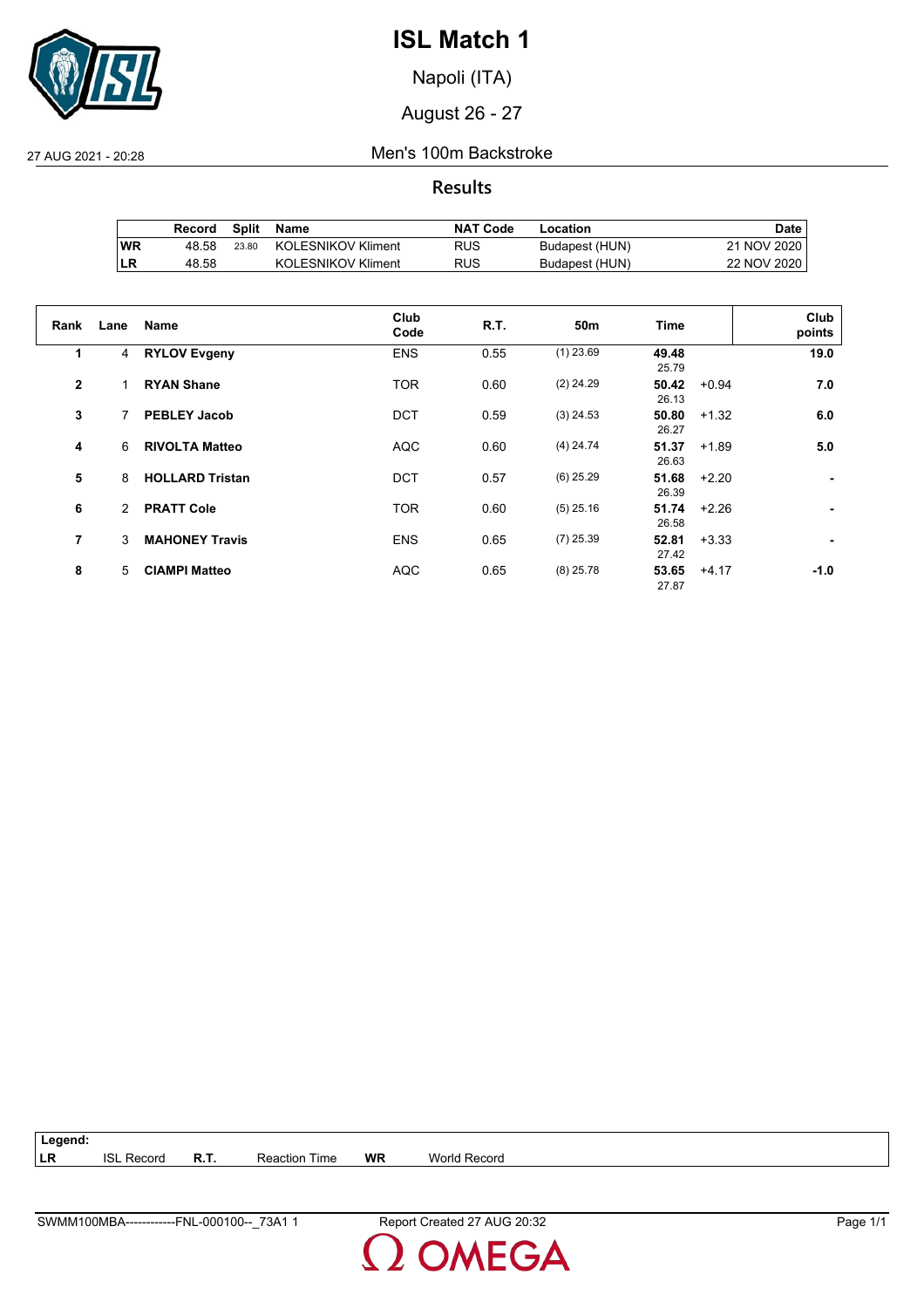

Napoli (ITA)

August 26 - 27

27 AUG 2021 - 20:28 Men's 100m Backstroke

**Results**

|     | Record | Split | Name                      | <b>NAT Code</b> | Location       | Date l      |
|-----|--------|-------|---------------------------|-----------------|----------------|-------------|
| WR  | 48.58  | 23.80 | KOLESNIKOV Kliment        | RUS             | Budapest (HUN) | 21 NOV 2020 |
| ILR | 48.58  |       | <b>KOLESNIKOV Kliment</b> | <b>RUS</b>      | Budapest (HUN) | 22 NOV 2020 |

| Rank         | Lane | <b>Name</b>            | Club<br>Code | R.T. | 50 <sub>m</sub> | Time           |         | Club<br>points |
|--------------|------|------------------------|--------------|------|-----------------|----------------|---------|----------------|
| 1            | 4    | <b>RYLOV Evgeny</b>    | <b>ENS</b>   | 0.55 | $(1)$ 23.69     | 49.48<br>25.79 |         | 19.0           |
| $\mathbf{2}$ |      | <b>RYAN Shane</b>      | <b>TOR</b>   | 0.60 | $(2)$ 24.29     | 50.42<br>26.13 | $+0.94$ | 7.0            |
| 3            | 7    | <b>PEBLEY Jacob</b>    | <b>DCT</b>   | 0.59 | $(3)$ 24.53     | 50.80<br>26.27 | $+1.32$ | 6.0            |
| 4            | 6    | <b>RIVOLTA Matteo</b>  | <b>AQC</b>   | 0.60 | $(4)$ 24.74     | 51.37<br>26.63 | $+1.89$ | 5.0            |
| 5            | 8    | <b>HOLLARD Tristan</b> | <b>DCT</b>   | 0.57 | $(6)$ 25.29     | 51.68<br>26.39 | $+2.20$ |                |
| 6            | 2    | <b>PRATT Cole</b>      | <b>TOR</b>   | 0.60 | $(5)$ 25.16     | 51.74<br>26.58 | $+2.26$ |                |
| 7            | 3    | <b>MAHONEY Travis</b>  | <b>ENS</b>   | 0.65 | $(7)$ 25.39     | 52.81<br>27.42 | $+3.33$ |                |
| 8            | 5    | <b>CIAMPI Matteo</b>   | <b>AQC</b>   | 0.65 | $(8)$ 25.78     | 53.65<br>27.87 | $+4.17$ | $-1.0$         |

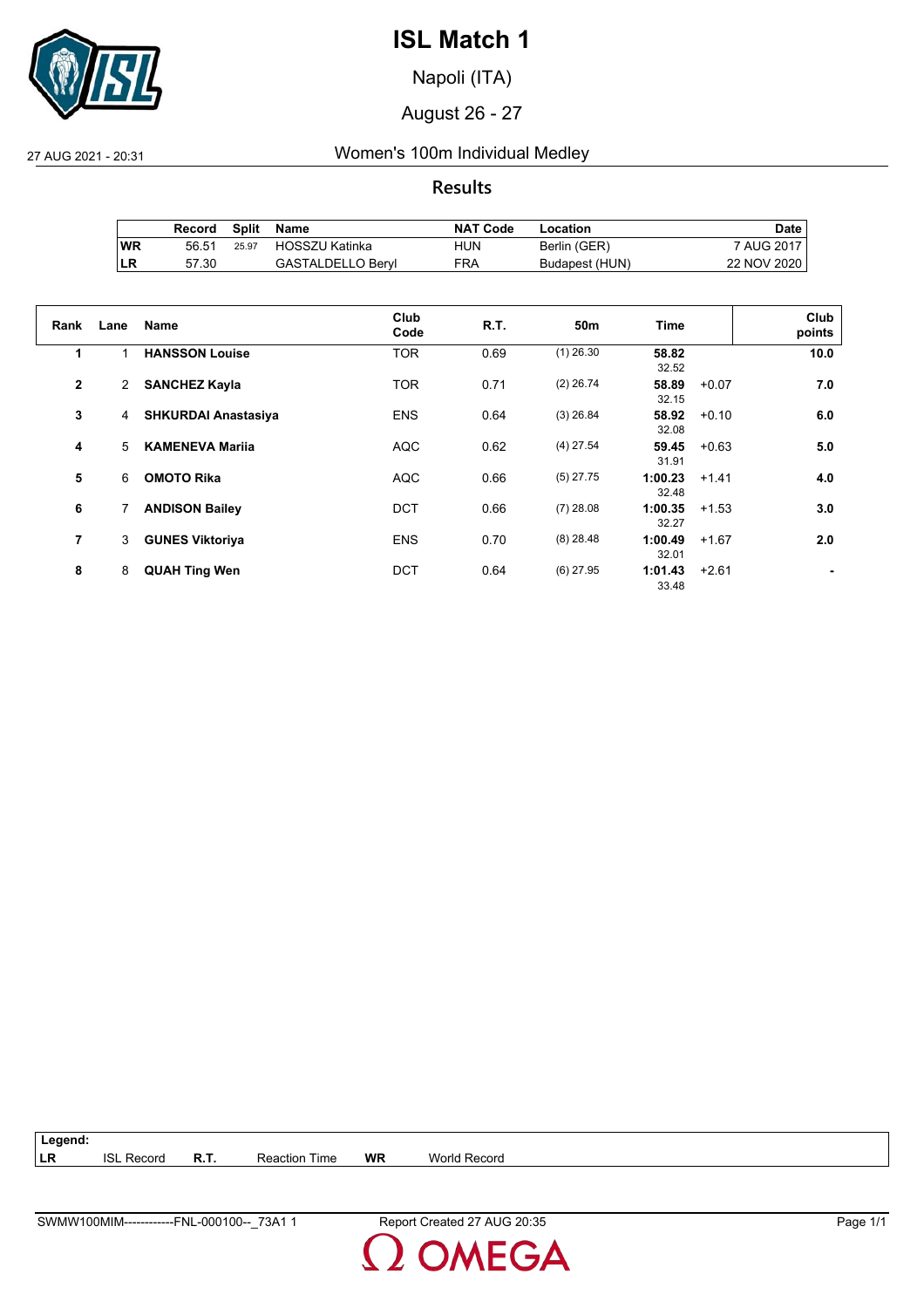

Napoli (ITA)

August 26 - 27

27 AUG 2021 - 20:31 Women's 100m Individual Medley

**Results**

|           | Record | Split | Name                     | <b>NAT Code</b> | Location       | Date .      |
|-----------|--------|-------|--------------------------|-----------------|----------------|-------------|
| <b>WR</b> | 56.51  | 25.97 | HOSSZU Katinka           | HUN             | Berlin (GER)   | 7 AUG 2017  |
| ∣LR       | 57.30  |       | <b>GASTALDELLO Beryl</b> | FRA             | Budapest (HUN) | 22 NOV 2020 |

| Rank         | Lane | <b>Name</b>                | Club<br>Code | R.T. | 50 <sub>m</sub> | <b>Time</b>      |         | Club<br>points |
|--------------|------|----------------------------|--------------|------|-----------------|------------------|---------|----------------|
| 1            |      | <b>HANSSON Louise</b>      | <b>TOR</b>   | 0.69 | $(1)$ 26.30     | 58.82<br>32.52   |         | 10.0           |
| $\mathbf{2}$ | 2    | <b>SANCHEZ Kayla</b>       | <b>TOR</b>   | 0.71 | $(2)$ 26.74     | 58.89<br>32.15   | $+0.07$ | 7.0            |
| 3            | 4    | <b>SHKURDAI Anastasiya</b> | <b>ENS</b>   | 0.64 | $(3)$ 26.84     | 58.92<br>32.08   | $+0.10$ | 6.0            |
| 4            | 5    | <b>KAMENEVA Marija</b>     | <b>AQC</b>   | 0.62 | $(4)$ 27.54     | 59.45<br>31.91   | $+0.63$ | 5.0            |
| 5            | 6    | <b>OMOTO Rika</b>          | <b>AQC</b>   | 0.66 | $(5)$ 27.75     | 1:00.23<br>32.48 | $+1.41$ | 4.0            |
| 6            | 7    | <b>ANDISON Bailey</b>      | <b>DCT</b>   | 0.66 | $(7)$ 28.08     | 1:00.35<br>32.27 | $+1.53$ | 3.0            |
| 7            | 3    | <b>GUNES Viktoriya</b>     | <b>ENS</b>   | 0.70 | $(8)$ 28.48     | 1:00.49<br>32.01 | $+1.67$ | 2.0            |
| 8            | 8    | <b>QUAH Ting Wen</b>       | <b>DCT</b>   | 0.64 | $(6)$ 27.95     | 1:01.43<br>33.48 | $+2.61$ |                |

**Legend: LR** ISL Record **R.T.** Reaction Time **WR** World Record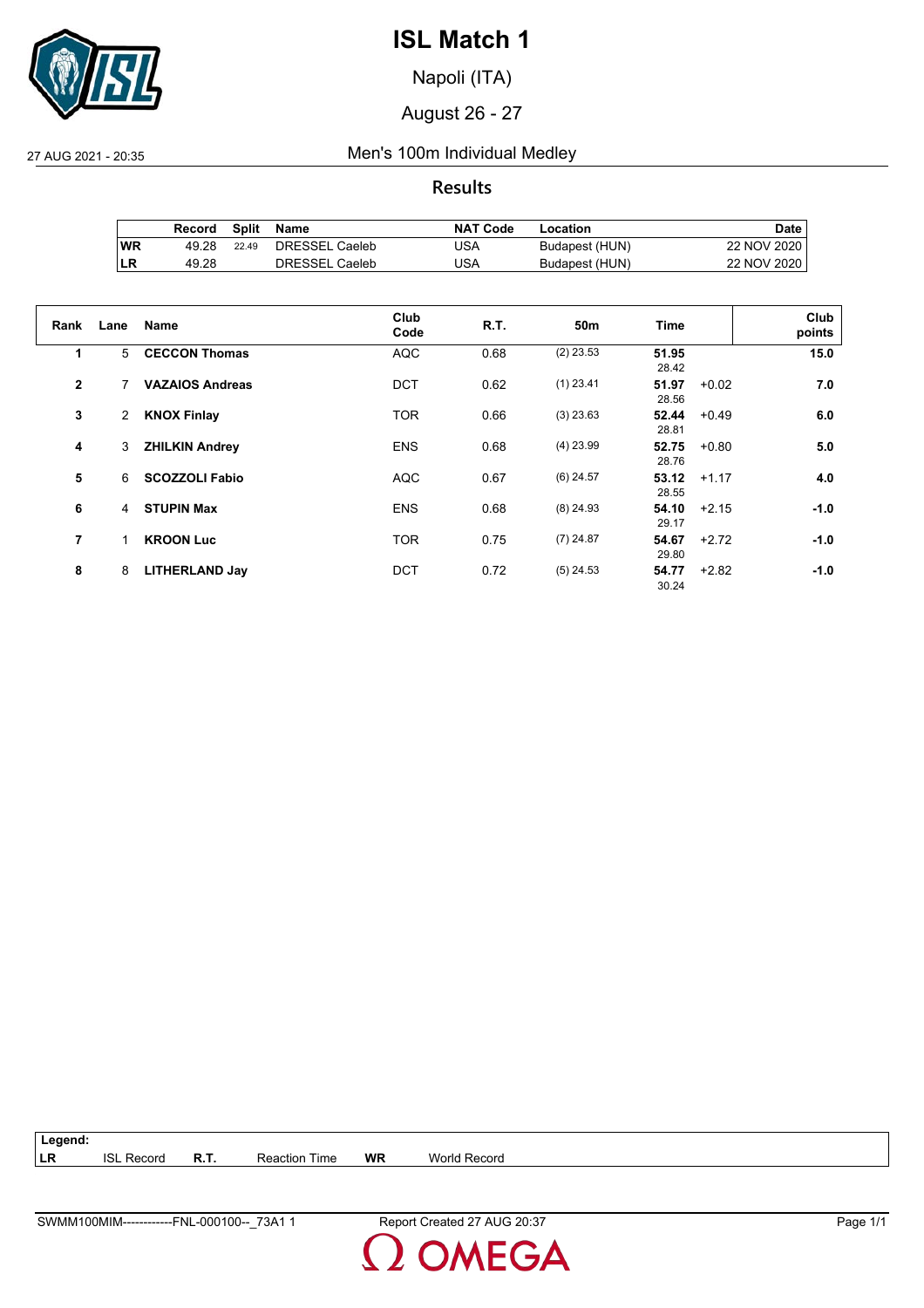

Napoli (ITA)

August 26 - 27

27 AUG 2021 - 20:35 Men's 100m Individual Medley

**Results**

|           | Record | Split | Name                  | <b>NAT Code</b> | Location       | Date l      |
|-----------|--------|-------|-----------------------|-----------------|----------------|-------------|
| <b>WR</b> | 49.28  | 22.49 | DRESSEL Caeleb        | USA             | Budapest (HUN) | 22 NOV 2020 |
| ∣LR       | 49.28  |       | <b>DRESSEL Caeleb</b> | USA             | Budapest (HUN) | 22 NOV 2020 |

| Rank           | Lane           | <b>Name</b>            | Club<br>Code | <b>R.T.</b> | 50 <sub>m</sub> | <b>Time</b>               | Club<br>points |
|----------------|----------------|------------------------|--------------|-------------|-----------------|---------------------------|----------------|
| 1              | 5              | <b>CECCON Thomas</b>   | <b>AQC</b>   | 0.68        | $(2)$ 23.53     | 51.95<br>28.42            | 15.0           |
| $\overline{2}$ |                | <b>VAZAIOS Andreas</b> | <b>DCT</b>   | 0.62        | $(1)$ 23.41     | 51.97<br>$+0.02$<br>28.56 | 7.0            |
| 3              | $\overline{2}$ | <b>KNOX Finlay</b>     | <b>TOR</b>   | 0.66        | $(3)$ 23.63     | 52.44<br>$+0.49$<br>28.81 | 6.0            |
| 4              | 3              | <b>ZHILKIN Andrey</b>  | <b>ENS</b>   | 0.68        | $(4)$ 23.99     | 52.75<br>$+0.80$<br>28.76 | 5.0            |
| 5              | 6              | <b>SCOZZOLI Fabio</b>  | <b>AQC</b>   | 0.67        | $(6)$ 24.57     | 53.12<br>$+1.17$<br>28.55 | 4.0            |
| 6              | 4              | <b>STUPIN Max</b>      | <b>ENS</b>   | 0.68        | $(8)$ 24.93     | 54.10<br>$+2.15$<br>29.17 | $-1.0$         |
| $\overline{7}$ | 1              | <b>KROON Luc</b>       | <b>TOR</b>   | 0.75        | $(7)$ 24.87     | 54.67<br>$+2.72$<br>29.80 | $-1.0$         |
| 8              | 8              | <b>LITHERLAND Jay</b>  | <b>DCT</b>   | 0.72        | $(5)$ 24.53     | 54.77<br>$+2.82$<br>30.24 | $-1.0$         |

**Legend: LR** ISL Record **R.T.** Reaction Time **WR** World Record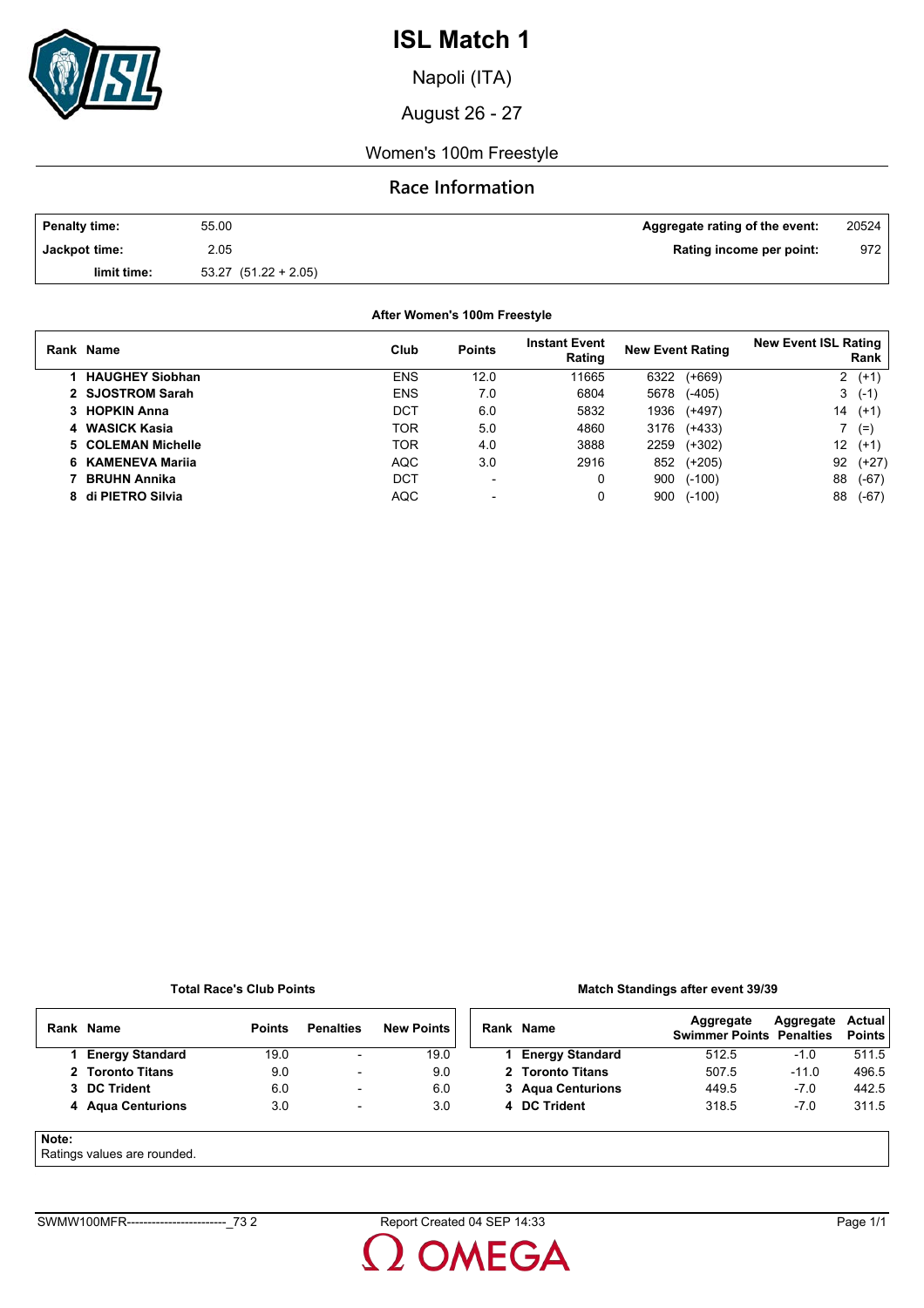

Napoli (ITA)

August 26 - 27

### Women's 100m Freestyle

## **Race Information**

| <b>Penalty time:</b> | 55.00                    | Aggregate rating of the event: | 20524            |
|----------------------|--------------------------|--------------------------------|------------------|
| Jackpot time:        | 2.05                     | Rating income per point:       | 972 <sub>1</sub> |
| limit time:          | $53.27$ $(51.22 + 2.05)$ |                                |                  |

**After Women's 100m Freestyle**

| Rank Name              | Club       | <b>Points</b>            | <b>Instant Event</b><br>Rating | <b>New Event Rating</b> | <b>New Event ISL Rating</b><br>Rank |
|------------------------|------------|--------------------------|--------------------------------|-------------------------|-------------------------------------|
| <b>HAUGHEY Siobhan</b> | <b>ENS</b> | 12.0                     | 11665                          | $(+669)$<br>6322        | $2(+1)$                             |
| 2 SJOSTROM Sarah       | <b>ENS</b> | 7.0                      | 6804                           | $(-405)$<br>5678        | 3<br>$(-1)$                         |
| 3 HOPKIN Anna          | DCT        | 6.0                      | 5832                           | 1936<br>$(+497)$        | 14<br>$(+1)$                        |
| 4 WASICK Kasia         | <b>TOR</b> | 5.0                      | 4860                           | 3176<br>$(+433)$        | $(=)$                               |
| 5 COLEMAN Michelle     | <b>TOR</b> | 4.0                      | 3888                           | $(+302)$<br>2259        | 12<br>$(+1)$                        |
| 6 KAMENEVA Marija      | <b>AQC</b> | 3.0                      | 2916                           | $(+205)$<br>852         | 92<br>$(+27)$                       |
| <b>BRUHN Annika</b>    | DCT        | $\overline{\phantom{a}}$ | 0                              | 900<br>$(-100)$         | 88<br>$(-67)$                       |
| 8 di PIETRO Silvia     | <b>AQC</b> |                          | 0                              | 900<br>$(-100)$         | 88<br>$(-67)$                       |

#### **Total Race's Club Points**

### **Match Standings after event 39/39**

|       | Rank Name                  | <b>Points</b> | <b>Penalties</b>         | <b>New Points</b> | Rank Name              | Aggregate<br><b>Swimmer Points Penalties</b> | Aggregate | Actual<br>Points |
|-------|----------------------------|---------------|--------------------------|-------------------|------------------------|----------------------------------------------|-----------|------------------|
|       | <b>Energy Standard</b>     | 19.0          | $\overline{\phantom{a}}$ | 19.0              | <b>Energy Standard</b> | 512.5                                        | $-1.0$    | 511.5            |
|       | 2 Toronto Titans           | 9.0           | $\overline{\phantom{a}}$ | 9.0               | 2 Toronto Titans       | 507.5                                        | $-11.0$   | 496.5            |
|       | 3 DC Trident               | 6.0           | $\overline{\phantom{a}}$ | 6.0               | 3 Agua Centurions      | 449.5                                        | $-7.0$    | 442.5            |
|       | 4 Agua Centurions          | 3.0           | $\overline{\phantom{a}}$ | 3.0               | 4 DC Trident           | 318.5                                        | $-7.0$    | 311.5            |
| Note: | Dotingo volung are rounded |               |                          |                   |                        |                                              |           |                  |

### Ratings values are rounded.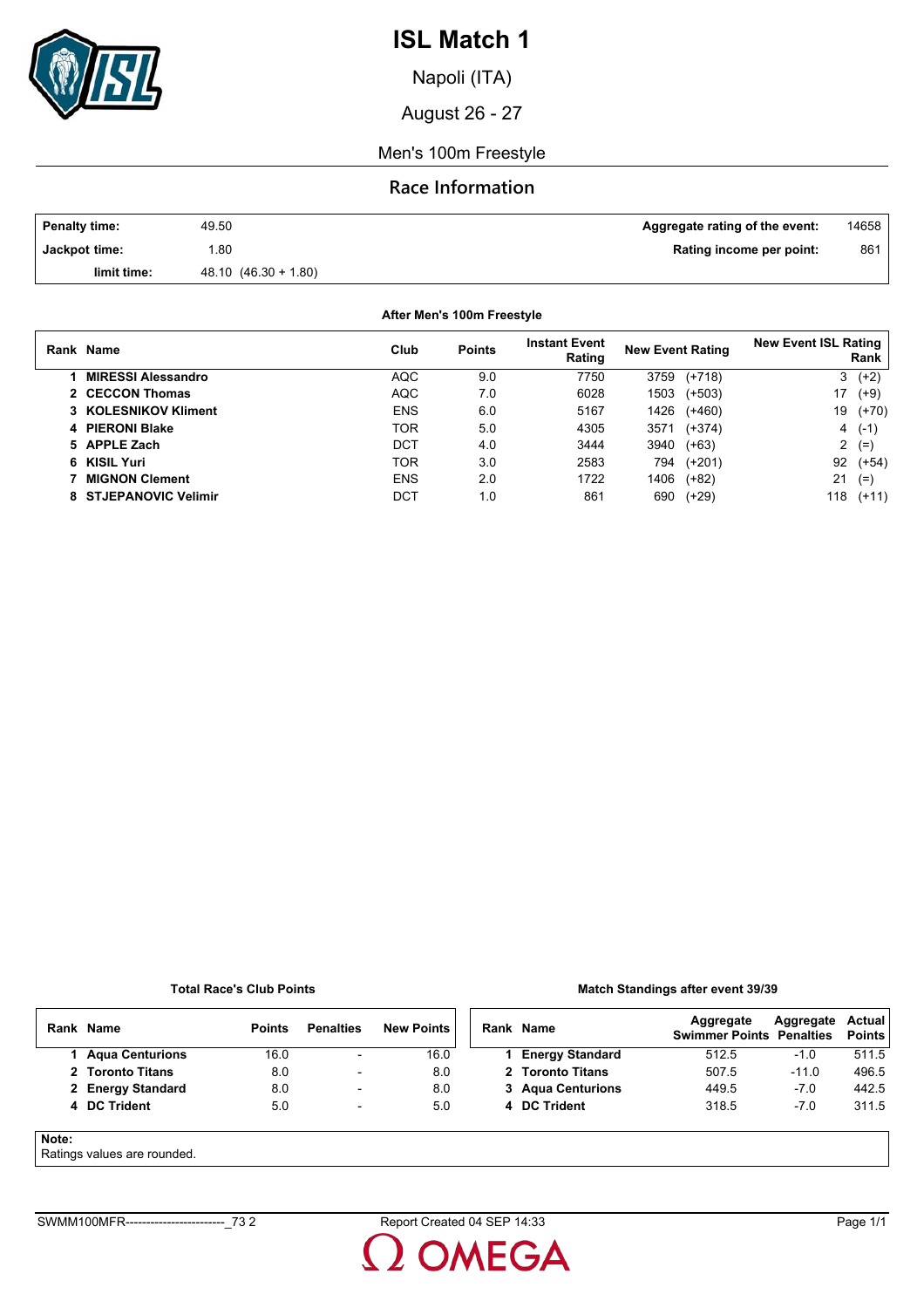

Napoli (ITA)

August 26 - 27

Men's 100m Freestyle

## **Race Information**

| <b>Penalty time:</b> | 49.50                 | Aggregate rating of the event: | 14658 |
|----------------------|-----------------------|--------------------------------|-------|
| Jackpot time:        | .80                   | Rating income per point:       | 861   |
| limit time:          | $48.10(46.30 + 1.80)$ |                                |       |

**After Men's 100m Freestyle**

| Rank Name                 | Club       | <b>Points</b> | <b>Instant Event</b><br>Rating | <b>New Event Rating</b> |          | <b>New Event ISL Rating</b><br>Rank |          |
|---------------------------|------------|---------------|--------------------------------|-------------------------|----------|-------------------------------------|----------|
| <b>MIRESSI Alessandro</b> | AQC.       | 9.0           | 7750                           | 3759                    | $(+718)$ | 3                                   | $(+2)$   |
| 2 CECCON Thomas           | <b>AQC</b> | 7.0           | 6028                           | 1503                    | $(+503)$ | 17                                  | $(+9)$   |
| 3 KOLESNIKOV Kliment      | <b>ENS</b> | 6.0           | 5167                           | 1426                    | $(+460)$ | 19                                  | $(+70)$  |
| 4 PIERONI Blake           | TOR        | 5.0           | 4305                           | 3571                    | $(+374)$ |                                     | $4( -1)$ |
| 5 APPLE Zach              | DCT        | 4.0           | 3444                           | 3940                    | $(+63)$  | 2                                   | $(=)$    |
| 6 KISIL Yuri              | TOR        | 3.0           | 2583                           | 794                     | $(+201)$ | 92                                  | $(+54)$  |
| <b>MIGNON Clement</b>     | <b>ENS</b> | 2.0           | 1722                           | 1406                    | $(+82)$  | 21                                  | $(=$     |
| 8 STJEPANOVIC Velimir     | DCT        | 1.0           | 861                            | 690                     | $(+29)$  | 118                                 | $(+11)$  |

#### **Total Race's Club Points**

### **Match Standings after event 39/39**

|       | Rank Name                   | <b>Points</b> | <b>Penalties</b>         | <b>New Points</b> | Rank Name              | Aggregate<br><b>Swimmer Points Penalties</b> | Aggregate | <b>Actual</b><br><b>Points</b> |
|-------|-----------------------------|---------------|--------------------------|-------------------|------------------------|----------------------------------------------|-----------|--------------------------------|
|       | <b>Agua Centurions</b>      | 16.0          | $\overline{\phantom{a}}$ | 16.0              | <b>Energy Standard</b> | 512.5                                        | $-1.0$    | 511.5                          |
|       | 2 Toronto Titans            | 8.0           | $\overline{\phantom{a}}$ | 8.0               | 2 Toronto Titans       | 507.5                                        | $-11.0$   | 496.5                          |
|       | 2 Energy Standard           | 8.0           | $\overline{\phantom{a}}$ | 8.0               | 3 Agua Centurions      | 449.5                                        | $-7.0$    | 442.5                          |
|       | 4 DC Trident                | 5.0           | $\overline{\phantom{a}}$ | 5.0               | 4 DC Trident           | 318.5                                        | $-7.0$    | 311.5                          |
| Note: | Ratings values are rounded. |               |                          |                   |                        |                                              |           |                                |

### $\star$ atings values are rounded.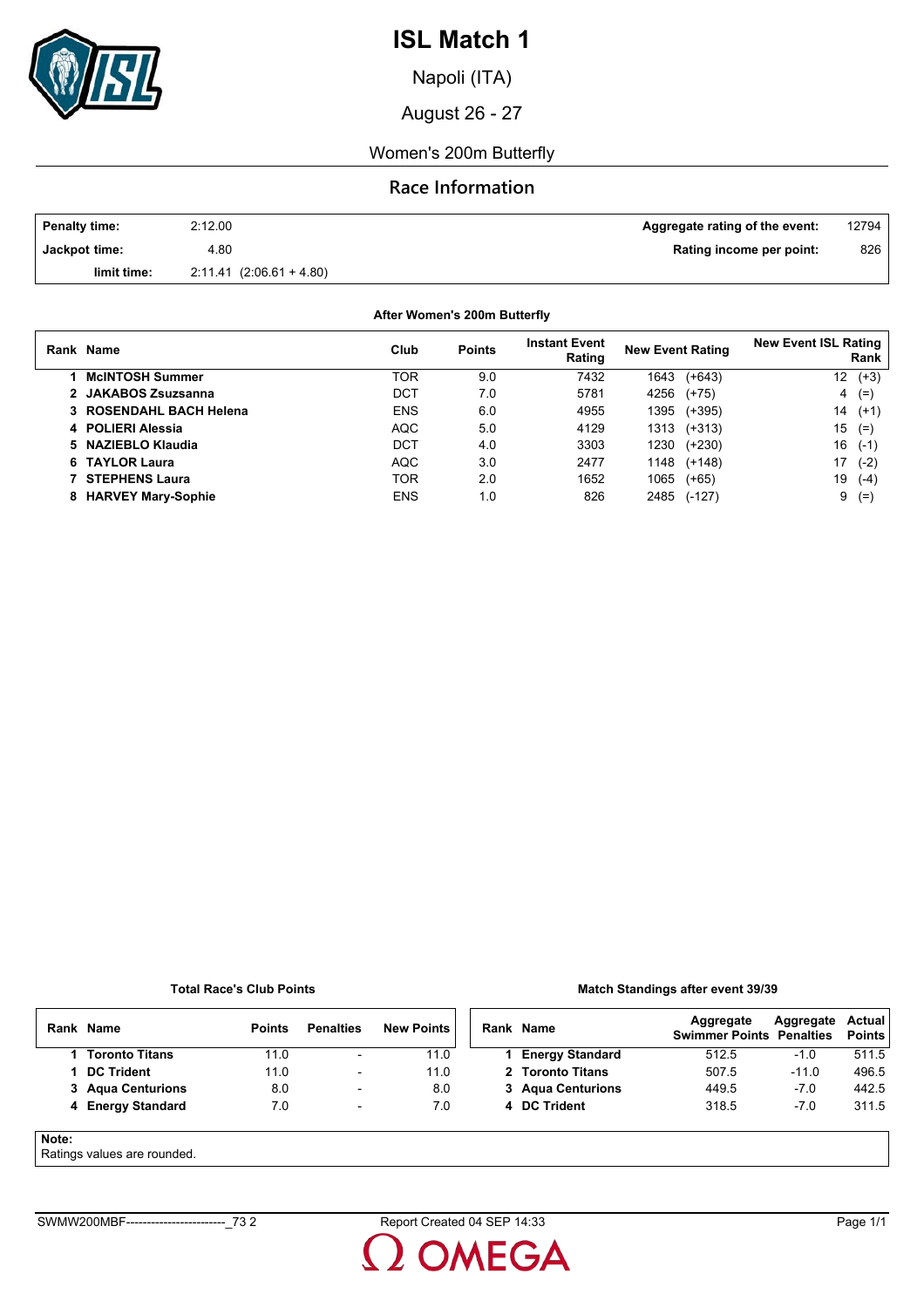

Napoli (ITA)

August 26 - 27

Women's 200m Butterfly

## **Race Information**

| <b>Penalty time:</b> | 2:12.00                   | Aggregate rating of the event: | 12794 |
|----------------------|---------------------------|--------------------------------|-------|
| Jackpot time:        | 4.80                      | Rating income per point:       | 826   |
| limit time:          | $2.11.41(2.06.61 + 4.80)$ |                                |       |

**After Women's 200m Butterfly**

|    | Rank Name                 | Club       | <b>Points</b> | <b>Instant Event</b><br>Rating | <b>New Event Rating</b> | <b>New Event ISL Rating</b><br>Rank |
|----|---------------------------|------------|---------------|--------------------------------|-------------------------|-------------------------------------|
|    | <b>McINTOSH Summer</b>    | TOR        | 9.0           | 7432                           | $(+643)$<br>1643        | $(+3)$<br>12                        |
|    | 2 JAKABOS Zsuzsanna       | DCT        | 7.0           | 5781                           | 4256<br>$(+75)$         | $(=\)$<br>4                         |
|    | 3 ROSENDAHL BACH Helena   | <b>ENS</b> | 6.0           | 4955                           | 1395<br>(+395)          | 14<br>$(+1)$                        |
|    | 4 POLIERI Alessia         | <b>AQC</b> | 5.0           | 4129                           | $(+313)$<br>1313        | 15<br>$(=)$                         |
|    | 5 NAZIEBLO Klaudia        | DCT        | 4.0           | 3303                           | 1230<br>$(+230)$        | 16<br>$(-1)$                        |
|    | 6 TAYLOR Laura            | <b>AQC</b> | 3.0           | 2477                           | 1148<br>$(+148)$        | 17<br>$(-2)$                        |
|    | <b>STEPHENS Laura</b>     | <b>TOR</b> | 2.0           | 1652                           | 1065<br>$(+65)$         | 19<br>$(-4)$                        |
| 8. | <b>HARVEY Mary-Sophie</b> | <b>ENS</b> | 1.0           | 826                            | 2485<br>$(-127)$        | 9<br>$(=$                           |

#### **Total Race's Club Points**

### **Match Standings after event 39/39**

|       | Rank Name         | <b>Points</b> | <b>Penalties</b> | <b>New Points</b> | Rank Name              | Aggregate<br><b>Swimmer Points Penalties</b> | Aggregate | <b>Actual</b><br><b>Points</b> |
|-------|-------------------|---------------|------------------|-------------------|------------------------|----------------------------------------------|-----------|--------------------------------|
|       | Toronto Titans    | 11.0          | $\blacksquare$   | 11.0              | <b>Energy Standard</b> | 512.5                                        | $-1.0$    | 511.5                          |
|       | <b>DC Trident</b> | 11.0          | ٠                | 11.0              | 2 Toronto Titans       | 507.5                                        | $-11.0$   | 496.5                          |
|       | 3 Agua Centurions | 8.0           | ۰                | 8.0               | 3 Agua Centurions      | 449.5                                        | $-7.0$    | 442.5                          |
|       | 4 Energy Standard | 7.0           | -                | 7.0               | 4 DC Trident           | 318.5                                        | $-7.0$    | 311.5                          |
| Note: |                   |               |                  |                   |                        |                                              |           |                                |

#### Ratings values are rounded.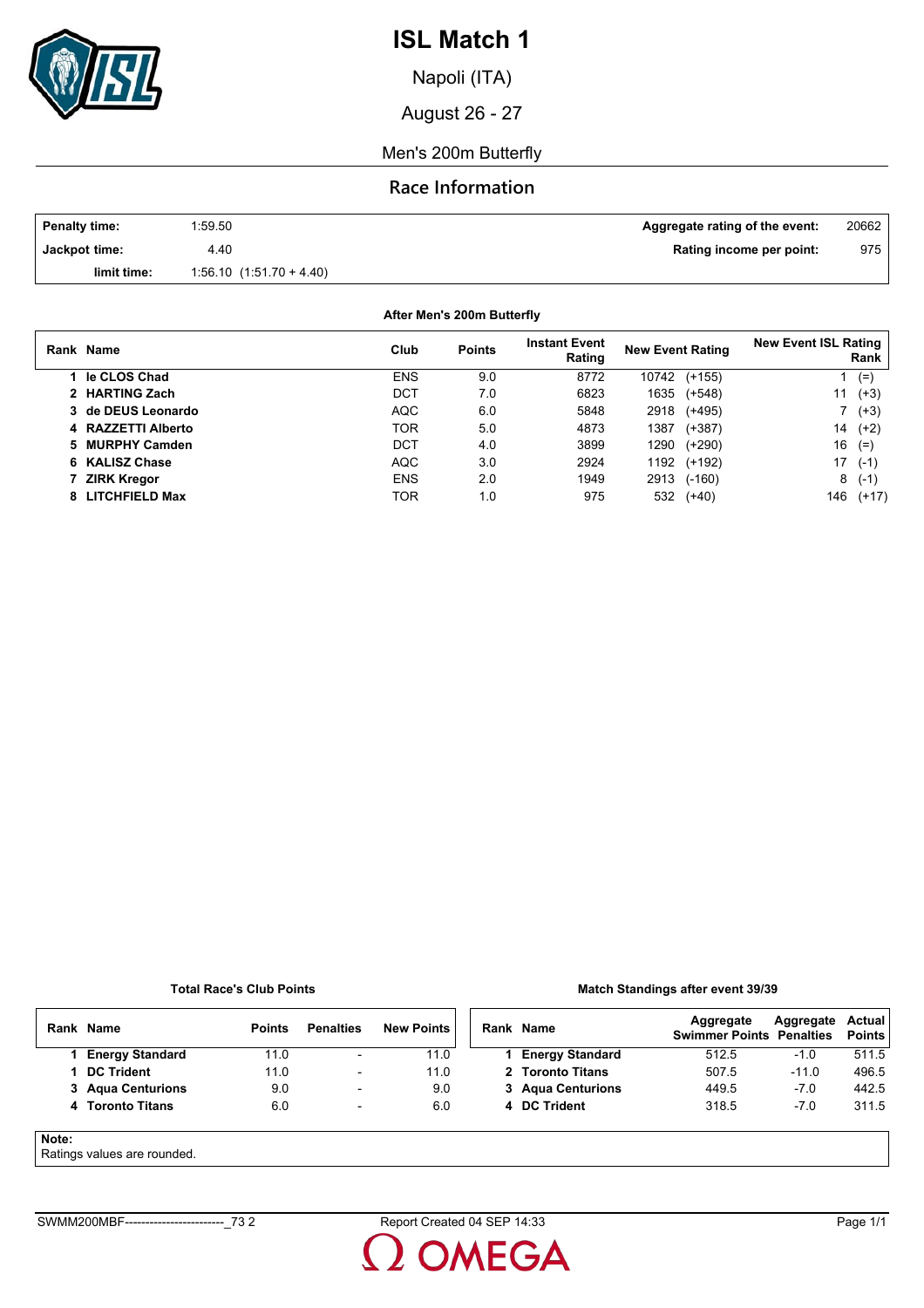

Napoli (ITA)

August 26 - 27

Men's 200m Butterfly

### **Race Information**

| <b>Penalty time:</b> | 1:59.50                   | Aggregate rating of the event: | 20662 |
|----------------------|---------------------------|--------------------------------|-------|
| Jackpot time:        | 4.40                      | Rating income per point:       | 975   |
| limit time:          | $1.56.10(1.51.70 + 4.40)$ |                                |       |

**After Men's 200m Butterfly**

| Rank Name          | Club       | <b>Points</b> | <b>Instant Event</b><br>Rating | <b>New Event Rating</b> | <b>New Event ISL Rating</b><br>Rank |
|--------------------|------------|---------------|--------------------------------|-------------------------|-------------------------------------|
| le CLOS Chad       | <b>ENS</b> | 9.0           | 8772                           | 10742<br>$(+155)$       | $(=)$                               |
| 2 HARTING Zach     | DCT        | 7.0           | 6823                           | 1635<br>$(+548)$        | $(+3)$<br>11                        |
| 3 de DEUS Leonardo | <b>AQC</b> | 6.0           | 5848                           | $(+495)$<br>2918        | $(+3)$                              |
| 4 RAZZETTI Alberto | <b>TOR</b> | 5.0           | 4873                           | 1387<br>$(+387)$        | 14<br>$(+2)$                        |
| 5 MURPHY Camden    | DCT        | 4.0           | 3899                           | $(+290)$<br>1290        | 16<br>$(=)$                         |
| 6 KALISZ Chase     | <b>AQC</b> | 3.0           | 2924                           | 1192<br>$(+192)$        | 17<br>$(-1)$                        |
| <b>ZIRK Kregor</b> | <b>ENS</b> | 2.0           | 1949                           | $(-160)$<br>2913        | 8<br>$(-1)$                         |
| 8 LITCHFIELD Max   | TOR        | 1.0           | 975                            | 532<br>$(+40)$          | 146<br>$(+17)$                      |

#### **Total Race's Club Points**

### **Match Standings after event 39/39**

|       | Rank Name                   | <b>Points</b> | <b>Penalties</b>         | <b>New Points</b> | Rank Name              | Aggregate<br><b>Swimmer Points Penalties</b> | Aggregate | <b>Actual</b><br><b>Points</b> |
|-------|-----------------------------|---------------|--------------------------|-------------------|------------------------|----------------------------------------------|-----------|--------------------------------|
|       | <b>Energy Standard</b>      | 11.0          | $\overline{\phantom{a}}$ | 11.0              | <b>Energy Standard</b> | 512.5                                        | $-1.0$    | 511.5                          |
|       | <b>DC Trident</b>           | 11.0          | -                        | 11.0              | 2 Toronto Titans       | 507.5                                        | $-11.0$   | 496.5                          |
|       | 3 Agua Centurions           | 9.0           | $\overline{\phantom{0}}$ | 9.0               | 3 Agua Centurions      | 449.5                                        | $-7.0$    | 442.5                          |
|       | 4 Toronto Titans            | 6.0           | $\overline{\phantom{a}}$ | 6.0               | 4 DC Trident           | 318.5                                        | $-7.0$    | 311.5                          |
| Note: | Detinge values are revealed |               |                          |                   |                        |                                              |           |                                |

### Ratings values are rounded.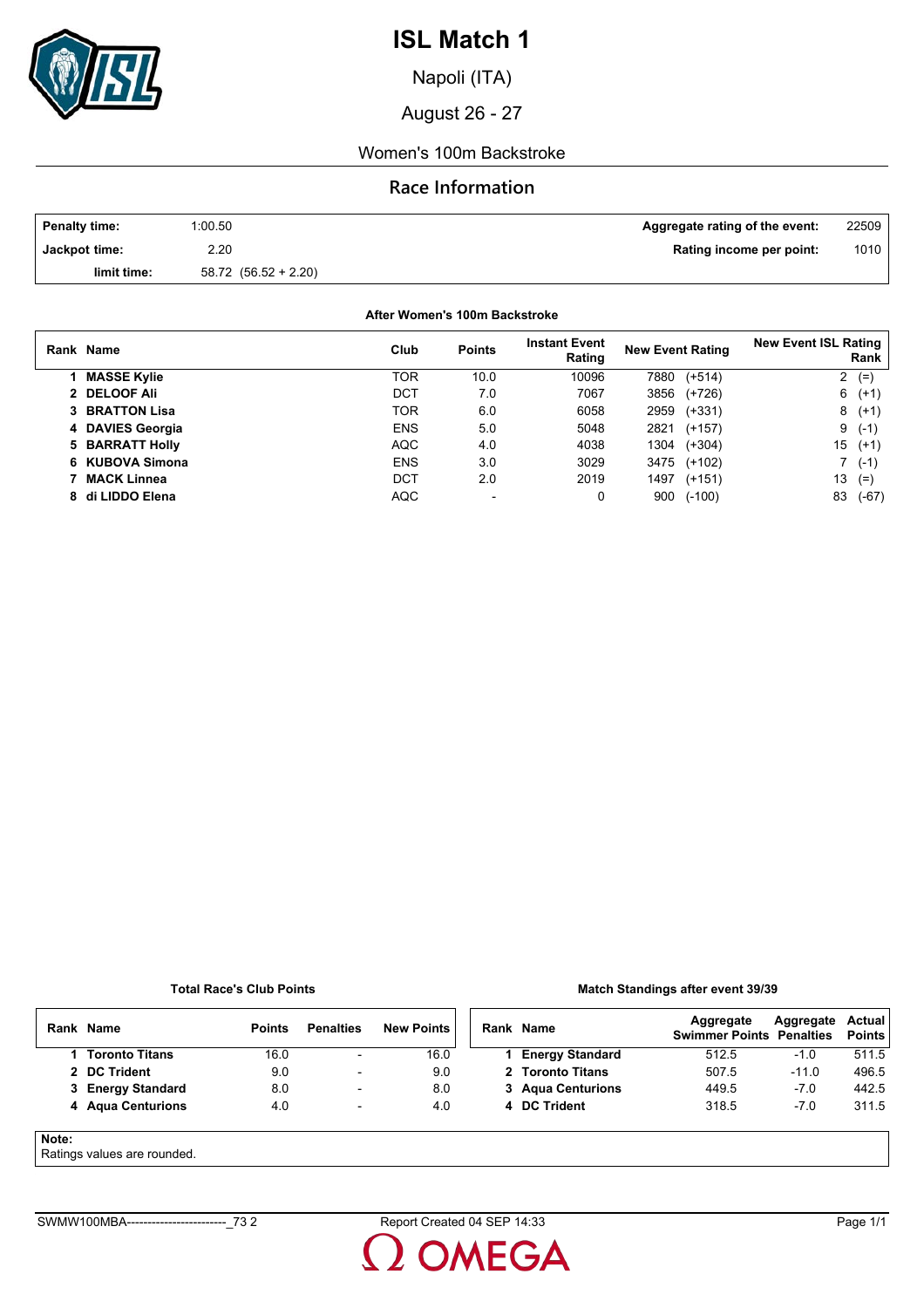

Napoli (ITA)

August 26 - 27

### Women's 100m Backstroke

### **Race Information**

| <b>Penalty time:</b> | 1:00.50                  | Aggregate rating of the event: | 22509 |
|----------------------|--------------------------|--------------------------------|-------|
| Jackpot time:        | 2.20                     | Rating income per point:       | 1010  |
| limit time:          | $58.72$ $(56.52 + 2.20)$ |                                |       |

**After Women's 100m Backstroke**

| Rank Name             | Club       | <b>Points</b> | <b>Instant Event</b><br>Rating | <b>New Event Rating</b> | <b>New Event ISL Rating</b><br>Rank |
|-----------------------|------------|---------------|--------------------------------|-------------------------|-------------------------------------|
| <b>MASSE Kylie</b>    | TOR        | 10.0          | 10096                          | $(+514)$<br>7880        | $\mathbf{2}$<br>$(=)$               |
| 2 DELOOF Ali          | <b>DCT</b> | 7.0           | 7067                           | 3856<br>(+726)          | $6(+1)$                             |
| <b>3 BRATTON Lisa</b> | TOR        | 6.0           | 6058                           | 2959<br>$(+331)$        | $8(+1)$                             |
| 4 DAVIES Georgia      | <b>ENS</b> | 5.0           | 5048                           | 2821<br>$(+157)$        | $(-1)$<br>9                         |
| 5 BARRATT Holly       | <b>AQC</b> | 4.0           | 4038                           | 1304<br>$(+304)$        | 15<br>$(+1)$                        |
| 6 KUBOVA Simona       | <b>ENS</b> | 3.0           | 3029                           | 3475<br>(+102)          | 7 (-1)                              |
| <b>MACK Linnea</b>    | DCT        | 2.0           | 2019                           | $(+151)$<br>1497        | 13<br>$(=)$                         |
| 8 di LIDDO Elena      | <b>AQC</b> | -             | 0                              | $(-100)$<br>900         | 83<br>(-67)                         |

#### **Total Race's Club Points**

#### **Match Standings after event 39/39**

|       | Rank Name                  | <b>Points</b> | <b>Penalties</b>         | <b>New Points</b> | Rank Name              | Aggregate<br><b>Swimmer Points Penalties</b> | Aggregate | Actual<br><b>Points</b> |
|-------|----------------------------|---------------|--------------------------|-------------------|------------------------|----------------------------------------------|-----------|-------------------------|
|       | 1 Toronto Titans           | 16.0          | $\overline{\phantom{a}}$ | 16.0              | <b>Energy Standard</b> | 512.5                                        | $-1.0$    | 511.5                   |
|       | 2 DC Trident               | 9.0           | $\overline{\phantom{0}}$ | 9.0               | 2 Toronto Titans       | 507.5                                        | $-11.0$   | 496.5                   |
|       | 3 Energy Standard          | 8.0           | $\overline{\phantom{a}}$ | 8.0               | 3 Agua Centurions      | 449.5                                        | $-7.0$    | 442.5                   |
|       | 4 Agua Centurions          | 4.0           | $\overline{\phantom{a}}$ | 4.0               | 4 DC Trident           | 318.5                                        | $-7.0$    | 311.5                   |
| Note: | Potingo values are rounded |               |                          |                   |                        |                                              |           |                         |

### Ratings values are rounded.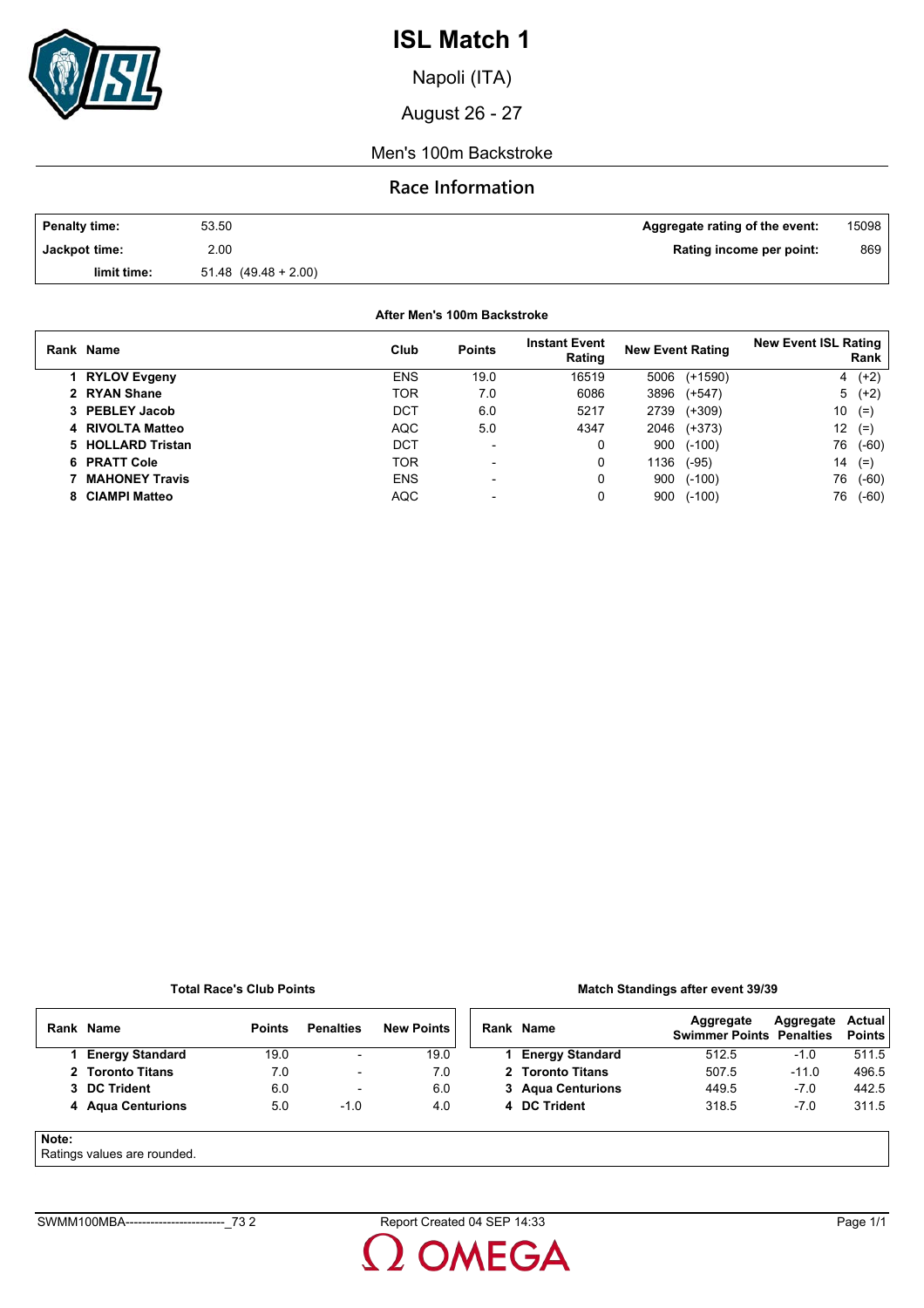

Napoli (ITA)

August 26 - 27

### Men's 100m Backstroke

### **Race Information**

| <b>Penalty time:</b> | 53.50                    | Aggregate rating of the event: | 15098 |
|----------------------|--------------------------|--------------------------------|-------|
| Jackpot time:        | 2.00                     | Rating income per point:       | 869   |
| limit time:          | $51.48$ $(49.48 + 2.00)$ |                                |       |

**After Men's 100m Backstroke**

| Rank Name             | Club       | <b>Points</b>            | <b>Instant Event</b><br>Rating | <b>New Event Rating</b> | <b>New Event ISL Rating</b><br>Rank |
|-----------------------|------------|--------------------------|--------------------------------|-------------------------|-------------------------------------|
| 1 RYLOV Evgeny        | <b>ENS</b> | 19.0                     | 16519                          | $(+1590)$<br>5006       | 4 $(+2)$                            |
| 2 RYAN Shane          | <b>TOR</b> | 7.0                      | 6086                           | 3896<br>$(+547)$        | $5(+2)$                             |
| 3 PEBLEY Jacob        | DCT        | 6.0                      | 5217                           | $(+309)$<br>2739        | 10<br>$(=$                          |
| 4 RIVOLTA Matteo      | <b>AQC</b> | 5.0                      | 4347                           | $(+373)$<br>2046        | 12<br>$(=$                          |
| 5 HOLLARD Tristan     | DCT        | $\blacksquare$           | 0                              | $(-100)$<br>900         | 76<br>$(-60)$                       |
| 6 PRATT Cole          | TOR        | $\overline{\phantom{a}}$ | 0                              | 1136<br>$(-95)$         | 14<br>$(=$                          |
| <b>MAHONEY Travis</b> | <b>ENS</b> | $\overline{\phantom{0}}$ | 0                              | $(-100)$<br>900         | 76<br>$(-60)$                       |
| 8 CIAMPI Matteo       | <b>AQC</b> |                          | 0                              | $(-100)$<br>900         | 76<br>$(-60)$                       |

#### **Total Race's Club Points**

### **Match Standings after event 39/39**

| Rank  | <b>Name</b>                | <b>Points</b> | <b>Penalties</b>         | <b>New Points</b> | Rank Name              | Aggregate<br><b>Swimmer Points Penalties</b> | Aggregate | Actual<br><b>Points</b> |
|-------|----------------------------|---------------|--------------------------|-------------------|------------------------|----------------------------------------------|-----------|-------------------------|
|       | <b>Energy Standard</b>     | 19.0          | $\overline{\phantom{a}}$ | 19.0              | <b>Energy Standard</b> | 512.5                                        | $-1.0$    | 511.5                   |
|       | 2 Toronto Titans           | 7.0           | $\overline{\phantom{0}}$ | 7.0               | 2 Toronto Titans       | 507.5                                        | $-11.0$   | 496.5                   |
|       | 3 DC Trident               | 6.0           | $\overline{\phantom{a}}$ | 6.0               | 3 Agua Centurions      | 449.5                                        | $-7.0$    | 442.5                   |
|       | 4 Agua Centurions          | 5.0           | $-1.0$                   | 4.0               | 4 DC Trident           | 318.5                                        | $-7.0$    | 311.5                   |
| Note: | Potingo voluos aro roundod |               |                          |                   |                        |                                              |           |                         |

### Ratings values are rounded.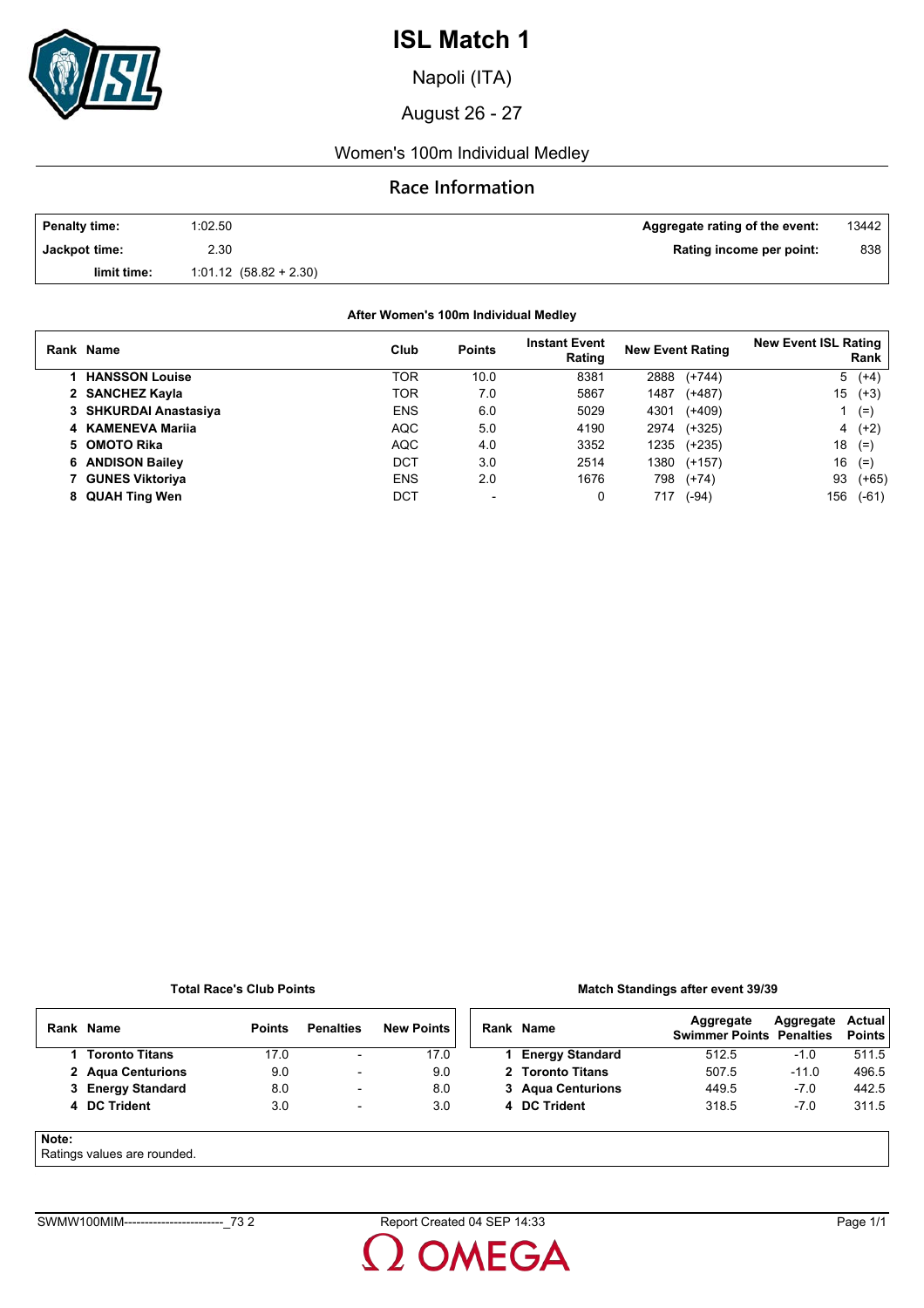

Napoli (ITA)

August 26 - 27

## Women's 100m Individual Medley

## **Race Information**

| <b>Penalty time:</b> | 1:02.50                    | Aggregate rating of the event: | 13442 |
|----------------------|----------------------------|--------------------------------|-------|
| Jackpot time:        | 2.30                       | Rating income per point:       | 838   |
| limit time:          | $1.01.12$ $(58.82 + 2.30)$ |                                |       |

### **After Women's 100m Individual Medley**

| Rank Name             | Club       | <b>Points</b> | <b>Instant Event</b><br>Rating | <b>New Event Rating</b> |          | <b>New Event ISL Rating</b><br>Rank |         |
|-----------------------|------------|---------------|--------------------------------|-------------------------|----------|-------------------------------------|---------|
| <b>HANSSON Louise</b> | TOR        | 10.0          | 8381                           | 2888                    | $(+744)$ | 5                                   | $(+4)$  |
| 2 SANCHEZ Kayla       | TOR        | 7.0           | 5867                           | 1487                    | $(+487)$ | 15                                  | $(+3)$  |
| 3 SHKURDAI Anastasiya | <b>ENS</b> | 6.0           | 5029                           | 4301                    | $(+409)$ |                                     | $(=)$   |
| 4 KAMENEVA Marija     | <b>AQC</b> | 5.0           | 4190                           | 2974                    | (+325)   |                                     | $4(+2)$ |
| 5 OMOTO Rika          | <b>AQC</b> | 4.0           | 3352                           | 1235                    | (+235)   | 18                                  | $(=)$   |
| 6 ANDISON Bailey      | DCT        | 3.0           | 2514                           | 1380                    | $(+157)$ | 16                                  | $(=)$   |
| 7 GUNES Viktoriya     | <b>ENS</b> | 2.0           | 1676                           | 798                     | $(+74)$  | 93                                  | $(+65)$ |
| 8 QUAH Ting Wen       | DCT        |               | 0                              | 717                     | $(-94)$  | 156                                 | $(-61)$ |

### **Total Race's Club Points**

### **Match Standings after event 39/39**

|       | Rank Name                   | <b>Points</b> | <b>Penalties</b>         | <b>New Points</b> | Rank Name              | Aggregate<br><b>Swimmer Points Penalties</b> | Aggregate | Actual<br><b>Points</b> |
|-------|-----------------------------|---------------|--------------------------|-------------------|------------------------|----------------------------------------------|-----------|-------------------------|
|       | 1 Toronto Titans            | 17.0          | $\overline{\phantom{a}}$ | 17.0              | <b>Energy Standard</b> | 512.5                                        | $-1.0$    | 511.5                   |
|       | 2 Agua Centurions           | 9.0           | $\overline{\phantom{0}}$ | 9.0               | 2 Toronto Titans       | 507.5                                        | $-11.0$   | 496.5                   |
|       | 3 Energy Standard           | 8.0           | $\overline{\phantom{0}}$ | 8.0               | 3 Agua Centurions      | 449.5                                        | $-7.0$    | 442.5                   |
|       | 4 DC Trident                | 3.0           | $\overline{\phantom{a}}$ | 3.0               | 4 DC Trident           | 318.5                                        | $-7.0$    | 311.5                   |
| Note: | Ratings values are rounded. |               |                          |                   |                        |                                              |           |                         |

#### $\epsilon$ atings values are rounded.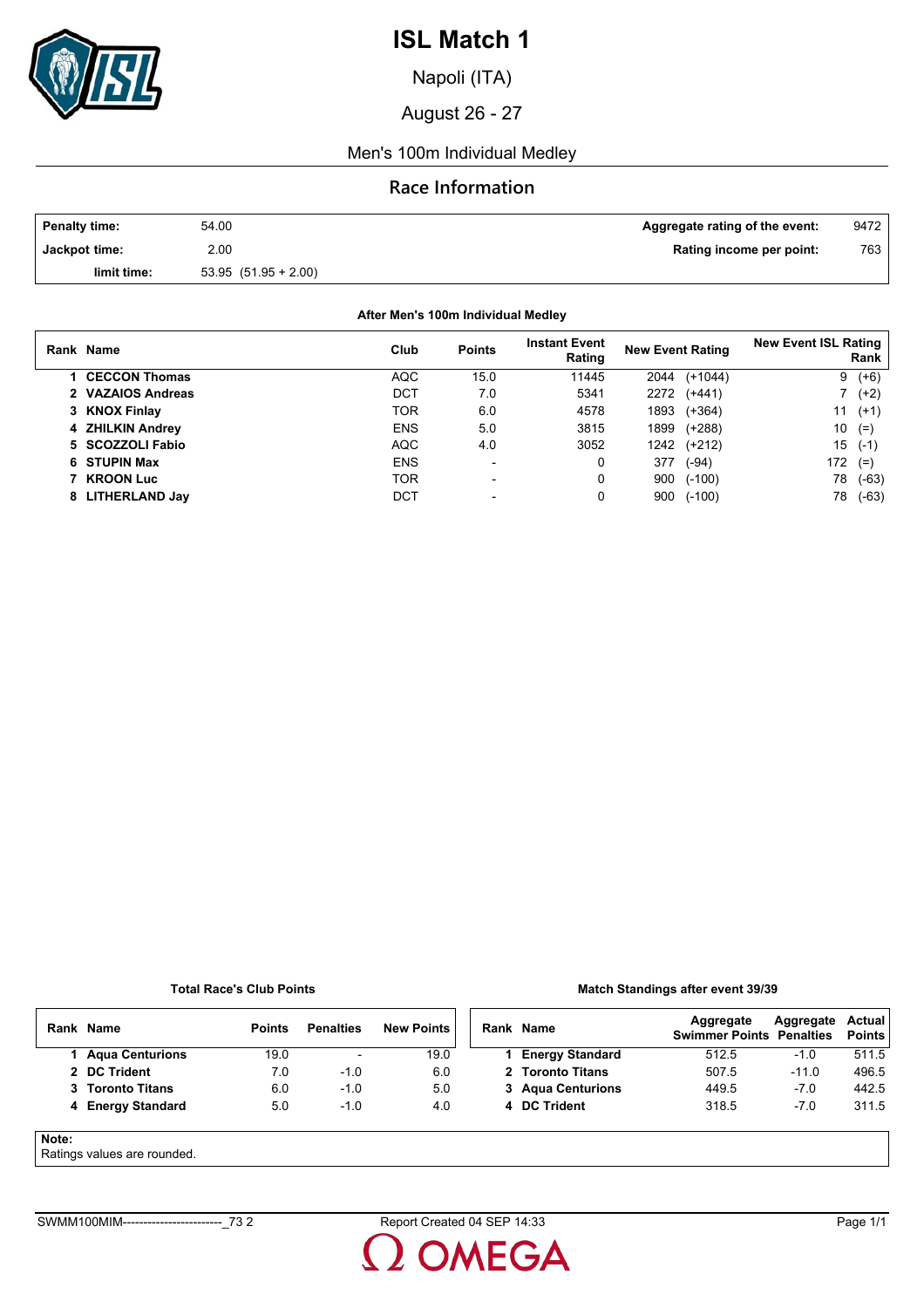

Napoli (ITA)

August 26 - 27

### Men's 100m Individual Medley

## **Race Information**

| Penalty time: | 54.00                 | Aggregate rating of the event: | 9472 |
|---------------|-----------------------|--------------------------------|------|
| Jackpot time: | 2.00                  | Rating income per point:       | 763  |
| limit time:   | $53.95(51.95 + 2.00)$ |                                |      |

### **After Men's 100m Individual Medley**

| Rank Name            | Club       | <b>Points</b>            | <b>Instant Event</b><br>Rating | <b>New Event Rating</b> | <b>New Event ISL Rating</b><br>Rank |
|----------------------|------------|--------------------------|--------------------------------|-------------------------|-------------------------------------|
| <b>CECCON Thomas</b> | <b>AQC</b> | 15.0                     | 11445                          | $(+1044)$<br>2044       | $(+6)$<br>9                         |
| 2 VAZAIOS Andreas    | DCT        | 7.0                      | 5341                           | 2272<br>$(+441)$        | $(+2)$                              |
| 3 KNOX Finlay        | TOR        | 6.0                      | 4578                           | $(+364)$<br>1893        | 11<br>$(+1)$                        |
| 4 ZHILKIN Andrey     | <b>ENS</b> | 5.0                      | 3815                           | $(+288)$<br>1899        | 10<br>$(=)$                         |
| 5 SCOZZOLI Fabio     | <b>AQC</b> | 4.0                      | 3052                           | (+212)<br>1242          | 15<br>$(-1)$                        |
| 6 STUPIN Max         | <b>ENS</b> | $\overline{\phantom{a}}$ | 0                              | 377<br>$(-94)$          | 172<br>$(=)$                        |
| 7 KROON Luc          | <b>TOR</b> | $\blacksquare$           | 0                              | 900<br>$(-100)$         | 78<br>(-63)                         |
| 8 LITHERLAND Jay     | DCT        |                          | 0                              | $(-100)$<br>900         | (-63)<br>78                         |

#### **Total Race's Club Points**

### **Match Standings after event 39/39**

|       | Rank Name                  | <b>Points</b> | <b>Penalties</b>         | <b>New Points</b> | Rank Name              | Aggregate<br><b>Swimmer Points Penalties</b> | Aggregate | Actual<br><b>Points</b> |
|-------|----------------------------|---------------|--------------------------|-------------------|------------------------|----------------------------------------------|-----------|-------------------------|
|       | <b>Agua Centurions</b>     | 19.0          | $\overline{\phantom{a}}$ | 19.0              | <b>Energy Standard</b> | 512.5                                        | $-1.0$    | 511.5                   |
|       | 2 DC Trident               | 7.0           | $-1.0$                   | 6.0               | 2 Toronto Titans       | 507.5                                        | $-11.0$   | 496.5                   |
|       | 3 Toronto Titans           | 6.0           | $-1.0$                   | 5.0               | 3 Agua Centurions      | 449.5                                        | $-7.0$    | 442.5                   |
|       | 4 Energy Standard          | 5.0           | $-1.0$                   | 4.0               | 4 DC Trident           | 318.5                                        | $-7.0$    | 311.5                   |
| Note: | Ratings values are rounded |               |                          |                   |                        |                                              |           |                         |

### Ratings values are rounded.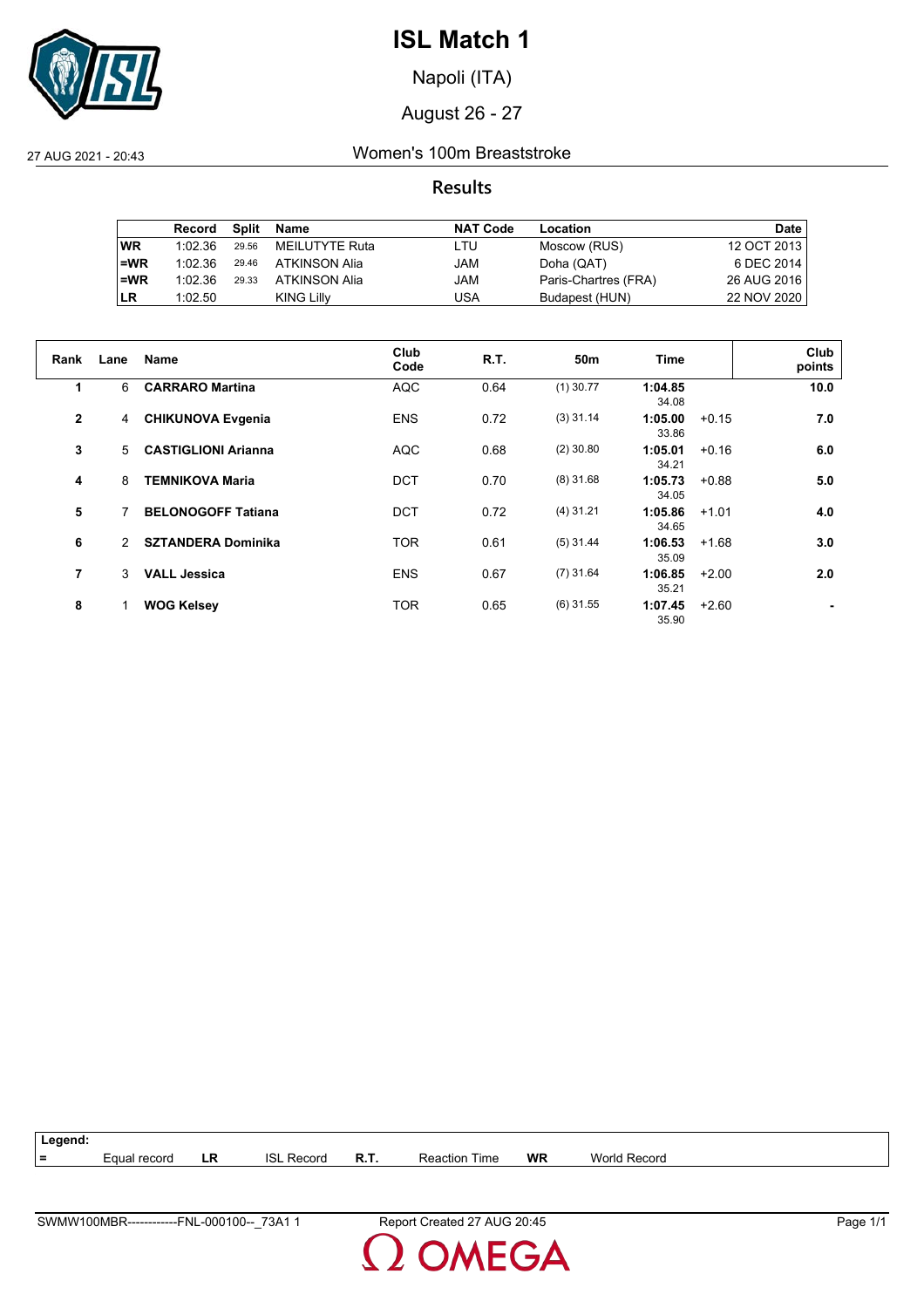

Napoli (ITA)

August 26 - 27

27 AUG 2021 - 20:43 Women's 100m Breaststroke

**Results**

|           | Record  | Split | Name           | <b>NAT Code</b> | Location             | Date        |
|-----------|---------|-------|----------------|-----------------|----------------------|-------------|
| <b>WR</b> | 1:02.36 | 29.56 | MEILUTYTE Ruta | LTU             | Moscow (RUS)         | 12 OCT 2013 |
| $=WR$     | 1:02.36 | 29.46 | ATKINSON Alia  | JAM             | Doha (QAT)           | 6 DEC 2014  |
| $=WR$     | 1:02.36 | 29.33 | ATKINSON Alia  | JAM             | Paris-Chartres (FRA) | 26 AUG 2016 |
| <b>LR</b> | 1:02.50 |       | KING Lilly     | USA             | Budapest (HUN)       | 22 NOV 2020 |

| Rank         | Lane | <b>Name</b>                | Club<br>Code | R.T. | 50m         | Time             |         | Club<br>points |
|--------------|------|----------------------------|--------------|------|-------------|------------------|---------|----------------|
| 1            | 6    | <b>CARRARO Martina</b>     | <b>AQC</b>   | 0.64 | $(1)$ 30.77 | 1:04.85<br>34.08 |         | 10.0           |
| $\mathbf{2}$ | 4    | <b>CHIKUNOVA Evgenia</b>   | <b>ENS</b>   | 0.72 | $(3)$ 31.14 | 1:05.00<br>33.86 | $+0.15$ | 7.0            |
| 3            | 5    | <b>CASTIGLIONI Arianna</b> | <b>AQC</b>   | 0.68 | $(2)$ 30.80 | 1:05.01<br>34.21 | $+0.16$ | 6.0            |
| 4            | 8    | <b>TEMNIKOVA Maria</b>     | DCT          | 0.70 | $(8)$ 31.68 | 1:05.73<br>34.05 | $+0.88$ | 5.0            |
| 5            |      | <b>BELONOGOFF Tatiana</b>  | DCT          | 0.72 | $(4)$ 31.21 | 1:05.86<br>34.65 | $+1.01$ | 4.0            |
| 6            | 2    | <b>SZTANDERA Dominika</b>  | <b>TOR</b>   | 0.61 | $(5)$ 31.44 | 1:06.53<br>35.09 | $+1.68$ | 3.0            |
| 7            | 3    | <b>VALL Jessica</b>        | <b>ENS</b>   | 0.67 | $(7)$ 31.64 | 1:06.85<br>35.21 | $+2.00$ | 2.0            |
| 8            |      | <b>WOG Kelsey</b>          | <b>TOR</b>   | 0.65 | $(6)$ 31.55 | 1:07.45<br>35.90 | $+2.60$ |                |

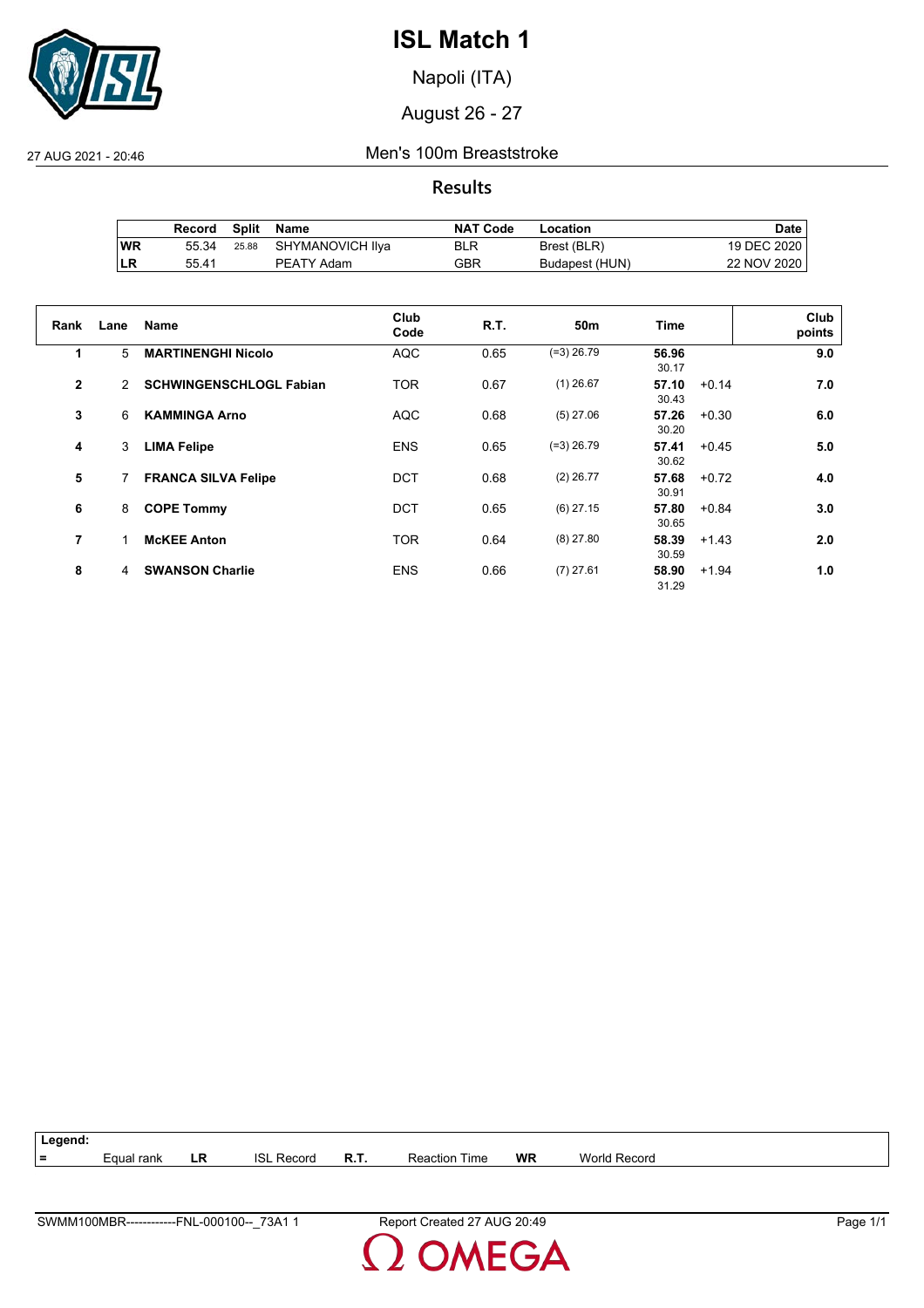

Napoli (ITA)

August 26 - 27

27 AUG 2021 - 20:46 Men's 100m Breaststroke

**Results**

|           | Record |       | Split Name       | <b>NAT Code</b> | Location       | Date i      |
|-----------|--------|-------|------------------|-----------------|----------------|-------------|
| <b>WR</b> | 55.34  | 25.88 | SHYMANOVICH llya | BLR             | Brest (BLR)    | 19 DEC 2020 |
| ı LR      | 55.41  |       | PEATY Adam       | GBR             | Budapest (HUN) | 22 NOV 2020 |

| Rank           | Lane | <b>Name</b>                    | Club<br>Code | R.T. | 50 <sub>m</sub> | Time                      | Club<br>points |
|----------------|------|--------------------------------|--------------|------|-----------------|---------------------------|----------------|
| 1              | 5    | <b>MARTINENGHI Nicolo</b>      | <b>AQC</b>   | 0.65 | $(=3)$ 26.79    | 56.96<br>30.17            | 9.0            |
| $\mathbf{2}$   | 2    | <b>SCHWINGENSCHLOGL Fabian</b> | <b>TOR</b>   | 0.67 | $(1)$ 26.67     | 57.10<br>$+0.14$<br>30.43 | 7.0            |
| 3              | 6    | <b>KAMMINGA Arno</b>           | <b>AQC</b>   | 0.68 | $(5)$ 27.06     | 57.26<br>$+0.30$<br>30.20 | 6.0            |
| 4              | 3    | <b>LIMA Felipe</b>             | <b>ENS</b>   | 0.65 | $(=3)$ 26.79    | 57.41<br>$+0.45$<br>30.62 | 5.0            |
| 5              | 7    | <b>FRANCA SILVA Felipe</b>     | <b>DCT</b>   | 0.68 | $(2)$ 26.77     | 57.68<br>$+0.72$<br>30.91 | 4.0            |
| 6              | 8    | <b>COPE Tommy</b>              | <b>DCT</b>   | 0.65 | $(6)$ 27.15     | 57.80<br>$+0.84$<br>30.65 | 3.0            |
| $\overline{7}$ | 1    | <b>McKEE Anton</b>             | <b>TOR</b>   | 0.64 | $(8)$ 27.80     | 58.39<br>$+1.43$<br>30.59 | 2.0            |
| 8              | 4    | <b>SWANSON Charlie</b>         | <b>ENS</b>   | 0.66 | $(7)$ 27.61     | 58.90<br>$+1.94$<br>31.29 | 1.0            |

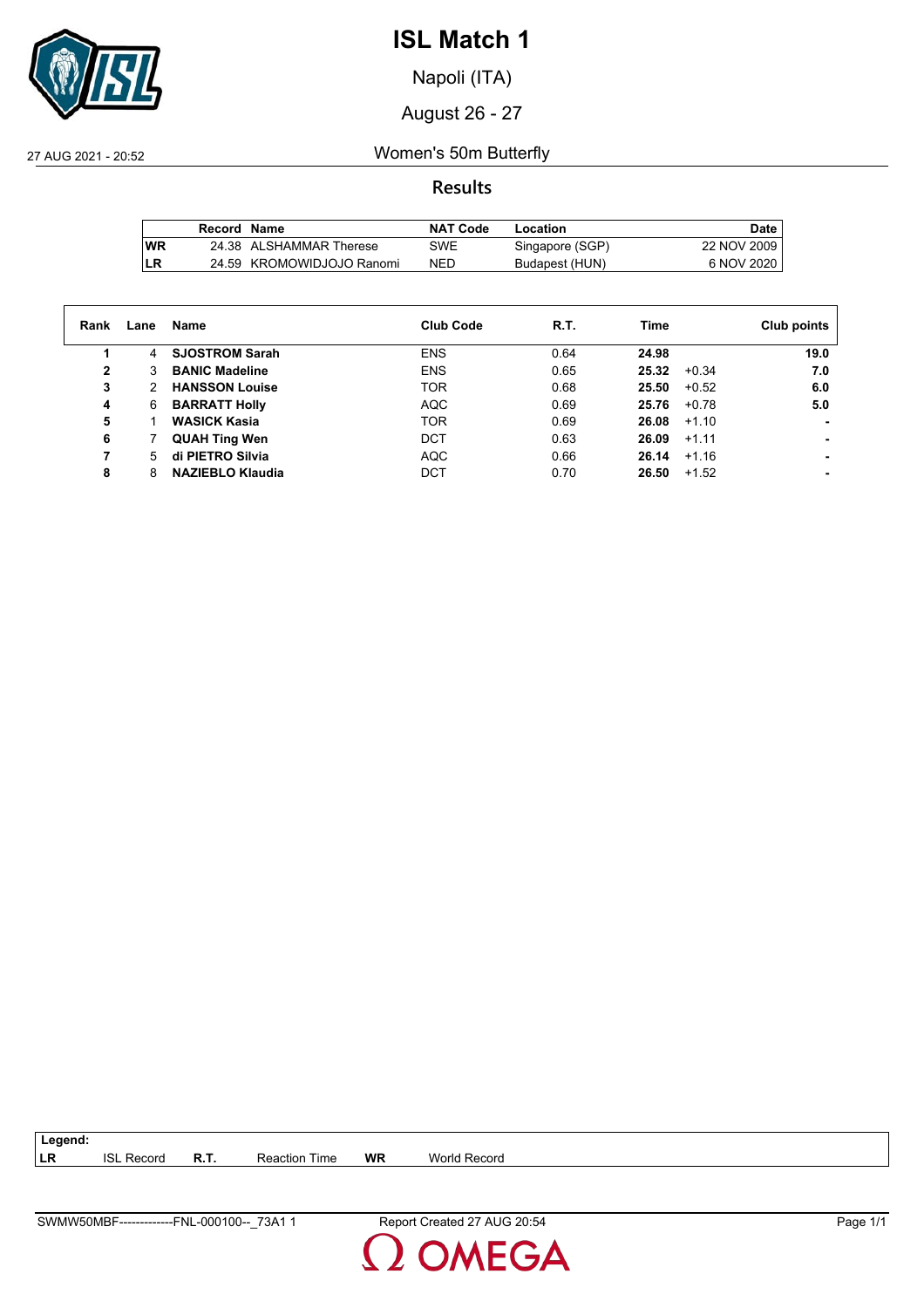

Napoli (ITA)

August 26 - 27

27 AUG 2021 - 20:52 Women's 50m Butterfly

**Results**

|            | Record Name |                           | <b>NAT Code</b> | Location        | Date.       |
|------------|-------------|---------------------------|-----------------|-----------------|-------------|
| <b>IWR</b> |             | 24.38 ALSHAMMAR Therese   | SWE             | Singapore (SGP) | 22 NOV 2009 |
| LR         |             | 24.59 KROMOWIDJOJO Ranomi | <b>NED</b>      | Budapest (HUN)  | 6 NOV 2020  |

| Rank | Lane | Name                    | Club Code  | R.T. | Time             | Club points |
|------|------|-------------------------|------------|------|------------------|-------------|
| 1    | 4    | <b>SJOSTROM Sarah</b>   | <b>ENS</b> | 0.64 | 24.98            | 19.0        |
| 2    | 3    | <b>BANIC Madeline</b>   | <b>ENS</b> | 0.65 | 25.32<br>$+0.34$ | 7.0         |
| 3    | 2    | <b>HANSSON Louise</b>   | <b>TOR</b> | 0.68 | 25.50<br>$+0.52$ | 6.0         |
| 4    | 6    | <b>BARRATT Holly</b>    | <b>AQC</b> | 0.69 | 25.76<br>$+0.78$ | 5.0         |
| 5    |      | <b>WASICK Kasia</b>     | <b>TOR</b> | 0.69 | 26.08<br>$+1.10$ | ۰           |
| 6    |      | <b>QUAH Ting Wen</b>    | <b>DCT</b> | 0.63 | 26.09<br>$+1.11$ |             |
|      | 5    | di PIETRO Silvia        | <b>AQC</b> | 0.66 | $+1.16$<br>26.14 |             |
| 8    | 8    | <b>NAZIEBLO Klaudia</b> | DCT        | 0.70 | 26.50<br>$+1.52$ |             |
|      |      |                         |            |      |                  |             |

**LR** ISL Record **R.T.** Reaction Time **WR** World Record



**Legend:**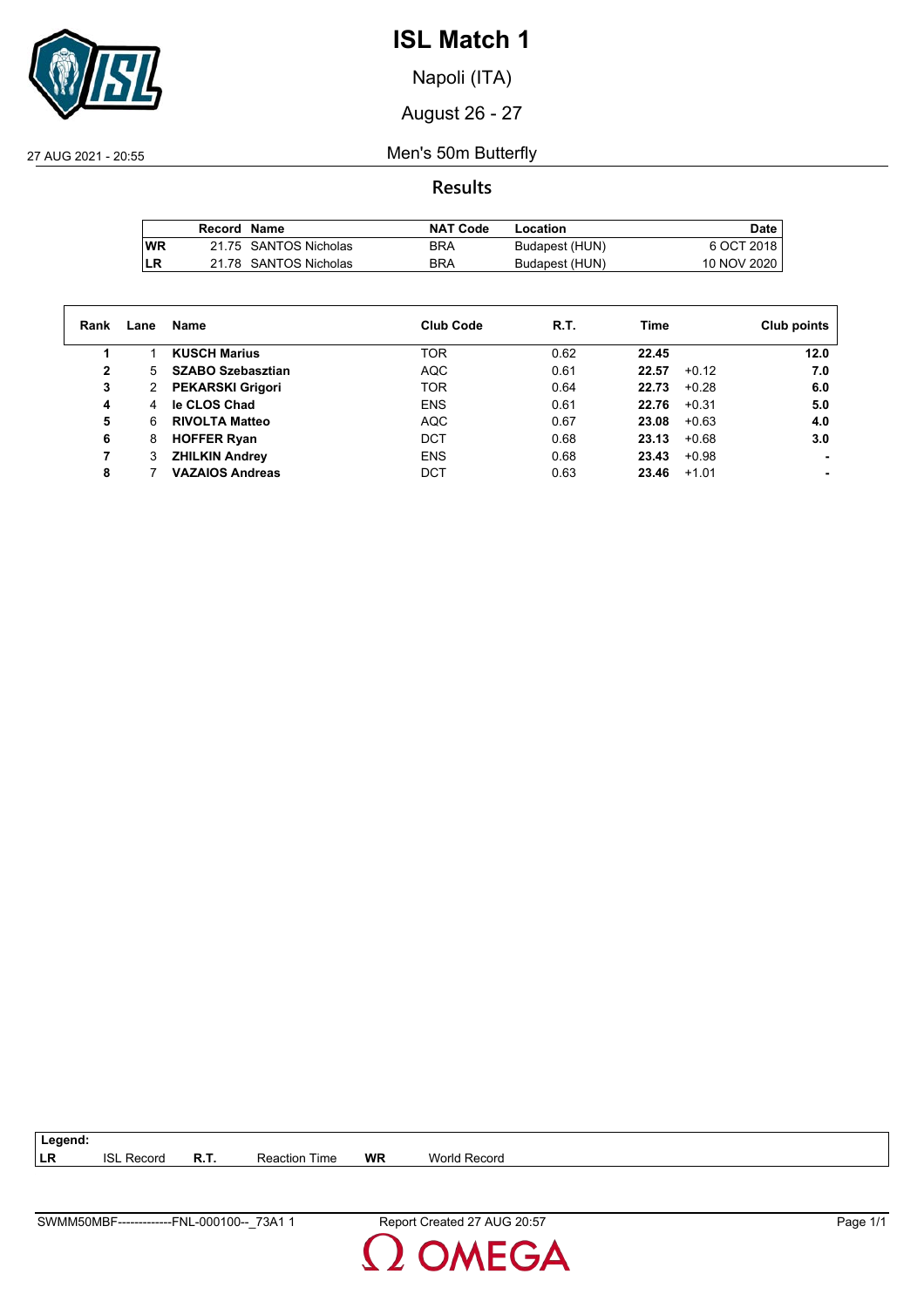

Napoli (ITA)

August 26 - 27

27 AUG 2021 - 20:55 Men's 50m Butterfly

**Results**

|           | Record Name |                       | <b>NAT Code</b> | Location       | Date        |
|-----------|-------------|-----------------------|-----------------|----------------|-------------|
| <b>WR</b> |             | 21.75 SANTOS Nicholas | BRA             | Budapest (HUN) | 6 OCT 2018  |
| LR        |             | 21.78 SANTOS Nicholas | <b>BRA</b>      | Budapest (HUN) | 10 NOV 2020 |

| Rank | Lane | Name                     | <b>Club Code</b> | R.T. | Time             | Club points |
|------|------|--------------------------|------------------|------|------------------|-------------|
|      |      | <b>KUSCH Marius</b>      | <b>TOR</b>       | 0.62 | 22.45            | 12.0        |
| 2    | 5    | <b>SZABO Szebasztian</b> | <b>AQC</b>       | 0.61 | 22.57<br>$+0.12$ | 7.0         |
| 3    | 2    | <b>PEKARSKI Grigori</b>  | <b>TOR</b>       | 0.64 | 22.73<br>$+0.28$ | 6.0         |
| 4    | 4    | le CLOS Chad             | <b>ENS</b>       | 0.61 | 22.76<br>$+0.31$ | 5.0         |
| 5    | 6    | <b>RIVOLTA Matteo</b>    | <b>AQC</b>       | 0.67 | 23.08<br>$+0.63$ | 4.0         |
| 6    | 8    | <b>HOFFER Ryan</b>       | <b>DCT</b>       | 0.68 | $+0.68$<br>23.13 | 3.0         |
|      |      | <b>ZHILKIN Andrey</b>    | <b>ENS</b>       | 0.68 | $+0.98$<br>23.43 |             |
| 8    |      | <b>VAZAIOS Andreas</b>   | DCT              | 0.63 | 23.46<br>$+1.01$ |             |

| 73A <sub>1</sub><br>SWMM50MBF-<br>-000100--<br>FNL-<br>-------------- | 20:57<br>AUG.<br>Report<br>Created | . .<br>Page |
|-----------------------------------------------------------------------|------------------------------------|-------------|

**LR** ISL Record **R.T.** Reaction Time **WR** World Record

**Legend:**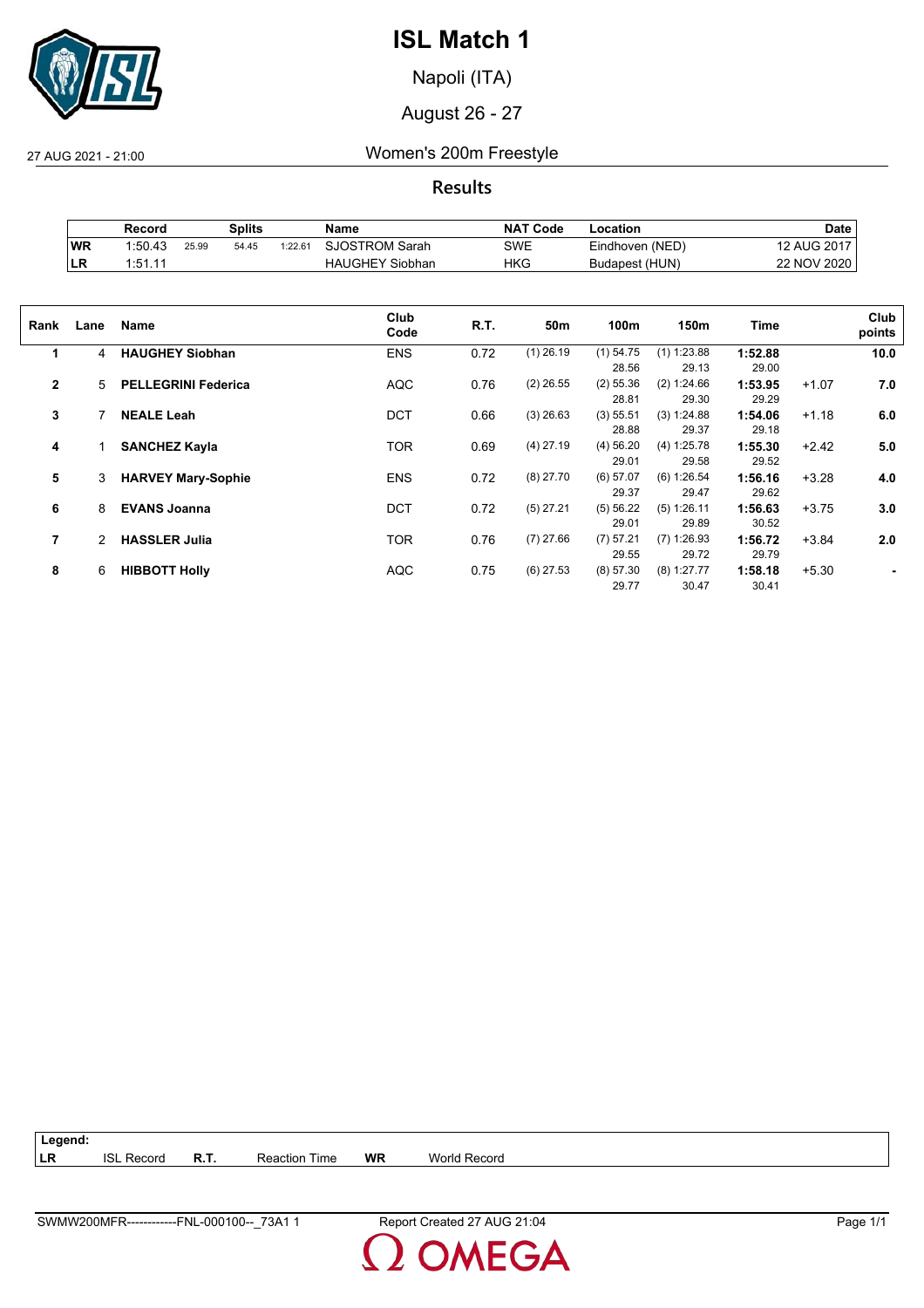

Napoli (ITA)

August 26 - 27

27 AUG 2021 - 21:00 Women's 200m Freestyle

**Results**

|           | Record  |       | Splits |                     | Name                   | NA1<br>Code | ∟ocation        | Date               |
|-----------|---------|-------|--------|---------------------|------------------------|-------------|-----------------|--------------------|
| WR        | 1:50.43 | 25.99 | 54.45  | 1:22.6 <sup>4</sup> | <b>SJOSTROM Sarah</b>  | SWE         | Eindhoven (NED) | <b>12 AUG 2017</b> |
| <b>LR</b> | 1:51.11 |       |        |                     | <b>HAUGHEY Siobhan</b> | HKG         | Budapest (HUN)  | 22 NOV 2020        |

| Rank           | Lane | Name                       | Club<br>Code | R.T. | 50m         | 100m        | 150m          | Time    |         | Club<br>points |
|----------------|------|----------------------------|--------------|------|-------------|-------------|---------------|---------|---------|----------------|
| 1              | 4    | <b>HAUGHEY Siobhan</b>     | <b>ENS</b>   | 0.72 | $(1)$ 26.19 | $(1)$ 54.75 | $(1)$ 1:23.88 | 1:52.88 |         | 10.0           |
|                |      |                            |              |      |             | 28.56       | 29.13         | 29.00   |         |                |
| $\overline{2}$ | 5    | <b>PELLEGRINI Federica</b> | <b>AQC</b>   | 0.76 | $(2)$ 26.55 | $(2)$ 55.36 | (2) 1:24.66   | 1:53.95 | $+1.07$ | 7.0            |
|                |      |                            |              |      |             | 28.81       | 29.30         | 29.29   |         |                |
| 3              |      | <b>NEALE Leah</b>          | <b>DCT</b>   | 0.66 | $(3)$ 26.63 | (3) 55.51   | (3) 1:24.88   | 1:54.06 | $+1.18$ | 6.0            |
|                |      |                            |              |      |             | 28.88       | 29.37         | 29.18   |         |                |
| 4              |      | <b>SANCHEZ Kayla</b>       | <b>TOR</b>   | 0.69 | $(4)$ 27.19 | $(4)$ 56.20 | (4) 1:25.78   | 1:55.30 | $+2.42$ | 5.0            |
|                |      |                            |              |      |             | 29.01       | 29.58         | 29.52   |         |                |
| 5              | 3    | <b>HARVEY Mary-Sophie</b>  | <b>ENS</b>   | 0.72 | $(8)$ 27.70 | $(6)$ 57.07 | (6) 1:26.54   | 1:56.16 | $+3.28$ | 4.0            |
|                |      |                            |              |      |             | 29.37       | 29.47         | 29.62   |         |                |
| 6              | 8    | <b>EVANS Joanna</b>        | <b>DCT</b>   | 0.72 | $(5)$ 27.21 | (5) 56.22   | (5) 1:26.11   | 1:56.63 | $+3.75$ | 3.0            |
|                |      |                            |              |      |             | 29.01       | 29.89         | 30.52   |         |                |
| 7              | 2    | <b>HASSLER Julia</b>       | <b>TOR</b>   | 0.76 | $(7)$ 27.66 | (7) 57.21   | $(7)$ 1:26.93 | 1:56.72 | $+3.84$ | 2.0            |
|                |      |                            |              |      |             | 29.55       | 29.72         | 29.79   |         |                |
|                |      |                            |              |      |             |             |               |         |         |                |
| 8              | 6    | <b>HIBBOTT Holly</b>       | <b>AQC</b>   | 0.75 | $(6)$ 27.53 | (8) 57.30   | $(8)$ 1:27.77 | 1:58.18 | $+5.30$ |                |
|                |      |                            |              |      |             | 29.77       | 30.47         | 30.41   |         |                |

| Legend: |                   |                      |    |              |
|---------|-------------------|----------------------|----|--------------|
| LR      | <b>ISL Record</b> | <b>Reaction Time</b> | WR | World Record |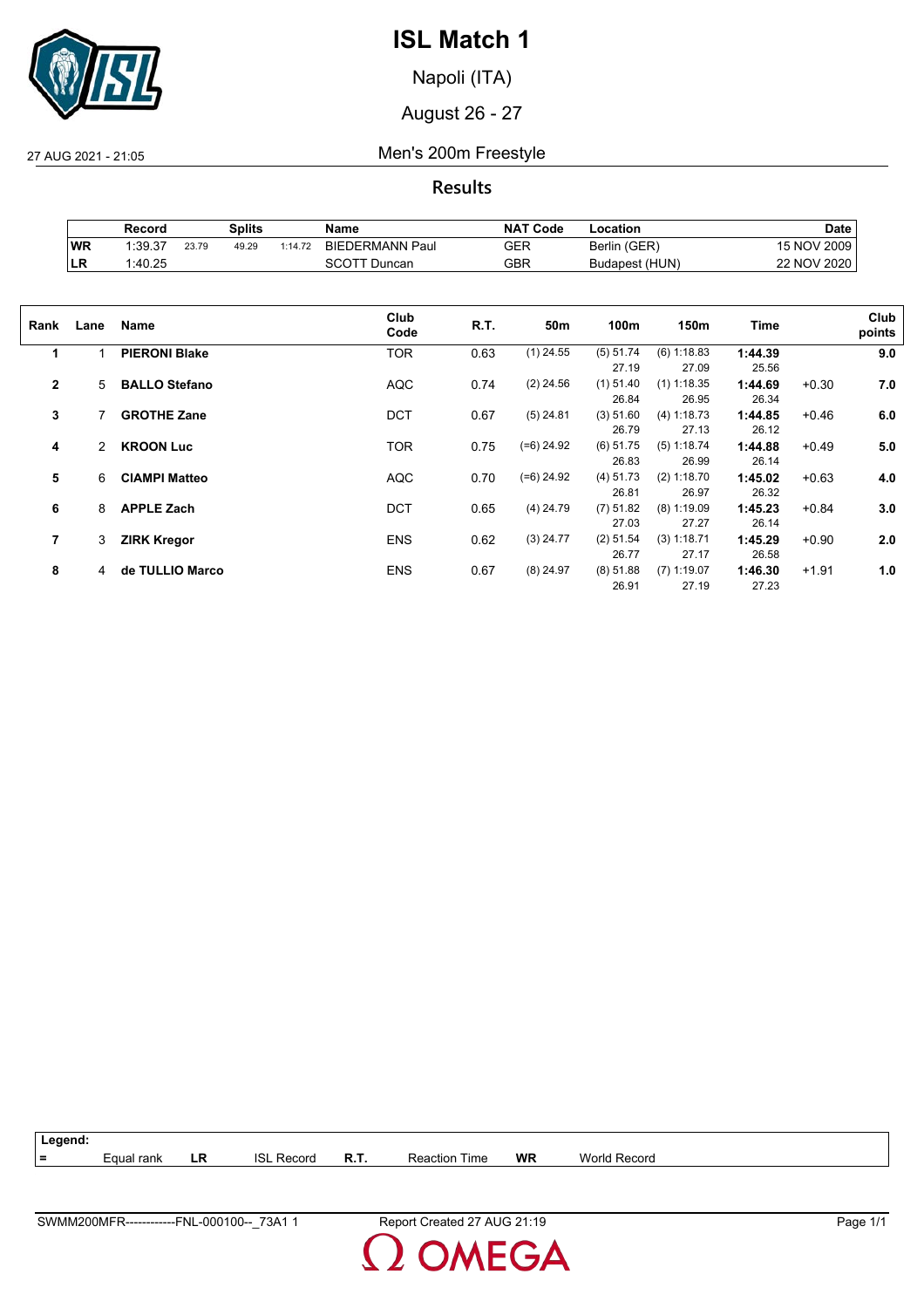

Napoli (ITA)

August 26 - 27

27 AUG 2021 - 21:05 Men's 200m Freestyle

**Results**

|            | Record  |       | Splits |         | Name                   | <b>NAT Code</b> | ∟ocation       | <b>Date</b> |
|------------|---------|-------|--------|---------|------------------------|-----------------|----------------|-------------|
| WR         | 1:39.37 | 23.79 | 49.29  | 1:14.72 | <b>BIEDERMANN Paul</b> | GER             | Berlin (GER)   | NOV 2009    |
| <b>ILR</b> | 1:40.25 |       |        |         | Duncan<br>וטטכ         | GBR             | Budapest (HUN) | 22 NOV 2020 |

| Rank         | Lane | Name                 | Club<br>Code | R.T. | 50m          | 100m                 | 150m                   | Time             |         | Club<br>points |
|--------------|------|----------------------|--------------|------|--------------|----------------------|------------------------|------------------|---------|----------------|
| 1            |      | <b>PIERONI Blake</b> | <b>TOR</b>   | 0.63 | $(1)$ 24.55  | (5) 51.74<br>27.19   | (6) 1:18.83<br>27.09   | 1:44.39<br>25.56 |         | 9.0            |
| $\mathbf{2}$ | 5    | <b>BALLO Stefano</b> | <b>AQC</b>   | 0.74 | $(2)$ 24.56  | $(1)$ 51.40<br>26.84 | $(1)$ 1:18.35<br>26.95 | 1:44.69<br>26.34 | $+0.30$ | 7.0            |
| 3            |      | <b>GROTHE Zane</b>   | <b>DCT</b>   | 0.67 | $(5)$ 24.81  | (3) 51.60<br>26.79   | (4) 1:18.73<br>27.13   | 1:44.85<br>26.12 | $+0.46$ | 6.0            |
| 4            | 2    | <b>KROON Luc</b>     | <b>TOR</b>   | 0.75 | $(=6)$ 24.92 | $(6)$ 51.75<br>26.83 | (5) 1:18.74<br>26.99   | 1:44.88<br>26.14 | $+0.49$ | 5.0            |
| 5            | 6    | <b>CIAMPI Matteo</b> | <b>AQC</b>   | 0.70 | $(=6)$ 24.92 | (4) 51.73<br>26.81   | (2) 1:18.70<br>26.97   | 1:45.02<br>26.32 | $+0.63$ | 4.0            |
| 6            | 8    | <b>APPLE Zach</b>    | <b>DCT</b>   | 0.65 | $(4)$ 24.79  | $(7)$ 51.82<br>27.03 | $(8)$ 1:19.09<br>27.27 | 1:45.23<br>26.14 | $+0.84$ | 3.0            |
| 7            | 3    | <b>ZIRK Kregor</b>   | <b>ENS</b>   | 0.62 | $(3)$ 24.77  | (2) 51.54<br>26.77   | (3) 1:18.71<br>27.17   | 1:45.29<br>26.58 | $+0.90$ | 2.0            |
| 8            | 4    | de TULLIO Marco      | <b>ENS</b>   | 0.67 | $(8)$ 24.97  | (8) 51.88<br>26.91   | $(7)$ 1:19.07<br>27.19 | 1:46.30<br>27.23 | $+1.91$ | 1.0            |

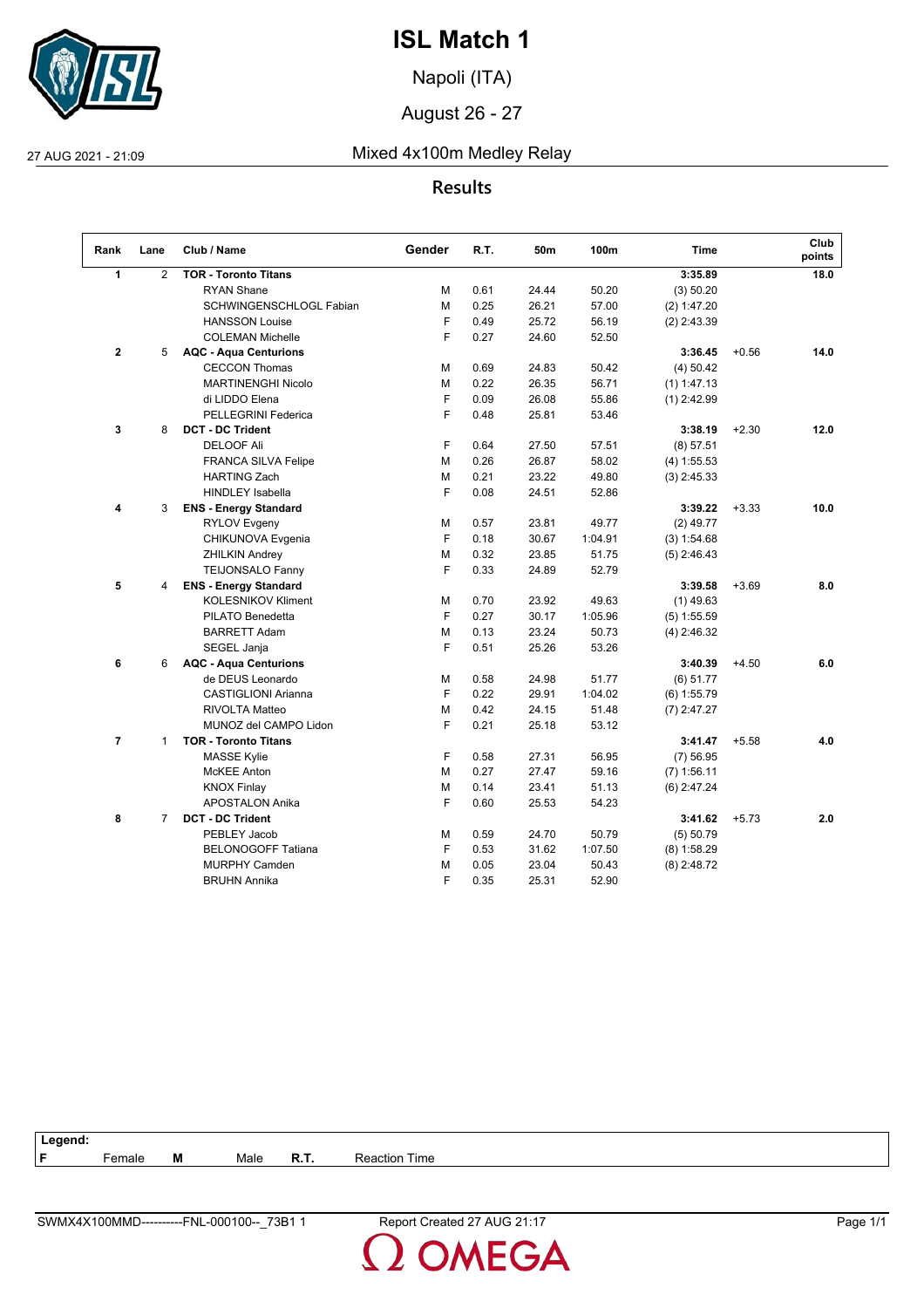

Napoli (ITA)

August 26 - 27

## 27 AUG 2021 - 21:09 Mixed 4x100m Medley Relay

## **Results**

| Rank           | Lane           | Club / Name                  | Gender | R.T. | 50m   | 100m    | <b>Time</b>   |         | Club<br>points |
|----------------|----------------|------------------------------|--------|------|-------|---------|---------------|---------|----------------|
| $\mathbf{1}$   | $\overline{2}$ | <b>TOR - Toronto Titans</b>  |        |      |       |         | 3:35.89       |         | 18.0           |
|                |                | <b>RYAN Shane</b>            | М      | 0.61 | 24.44 | 50.20   | (3) 50.20     |         |                |
|                |                | SCHWINGENSCHLOGL Fabian      | М      | 0.25 | 26.21 | 57.00   | (2) 1:47.20   |         |                |
|                |                | <b>HANSSON Louise</b>        | F      | 0.49 | 25.72 | 56.19   | $(2)$ 2:43.39 |         |                |
|                |                | <b>COLEMAN Michelle</b>      | F      | 0.27 | 24.60 | 52.50   |               |         |                |
| $\mathbf 2$    | 5              | <b>AQC - Aqua Centurions</b> |        |      |       |         | 3:36.45       | $+0.56$ | 14.0           |
|                |                | <b>CECCON Thomas</b>         | M      | 0.69 | 24.83 | 50.42   | $(4)$ 50.42   |         |                |
|                |                | <b>MARTINENGHI Nicolo</b>    | м      | 0.22 | 26.35 | 56.71   | $(1)$ 1:47.13 |         |                |
|                |                | di LIDDO Elena               | F      | 0.09 | 26.08 | 55.86   | $(1)$ 2:42.99 |         |                |
|                |                | PELLEGRINI Federica          | F      | 0.48 | 25.81 | 53.46   |               |         |                |
| 3              | 8              | <b>DCT - DC Trident</b>      |        |      |       |         | 3:38.19       | $+2.30$ | 12.0           |
|                |                | DELOOF Ali                   | F      | 0.64 | 27.50 | 57.51   | (8) 57.51     |         |                |
|                |                | FRANCA SILVA Felipe          | M      | 0.26 | 26.87 | 58.02   | (4) 1:55.53   |         |                |
|                |                | <b>HARTING Zach</b>          | M      | 0.21 | 23.22 | 49.80   | $(3)$ 2:45.33 |         |                |
|                |                | <b>HINDLEY Isabella</b>      | F      | 0.08 | 24.51 | 52.86   |               |         |                |
| 4              | 3              | <b>ENS - Energy Standard</b> |        |      |       |         | 3:39.22       | $+3.33$ | 10.0           |
|                |                | <b>RYLOV Evgeny</b>          | М      | 0.57 | 23.81 | 49.77   | $(2)$ 49.77   |         |                |
|                |                | CHIKUNOVA Evgenia            | F      | 0.18 | 30.67 | 1:04.91 | (3) 1:54.68   |         |                |
|                |                | <b>ZHILKIN Andrey</b>        | М      | 0.32 | 23.85 | 51.75   | $(5)$ 2:46.43 |         |                |
|                |                | <b>TEIJONSALO Fanny</b>      | F      | 0.33 | 24.89 | 52.79   |               |         |                |
| 5              | 4              | <b>ENS - Energy Standard</b> |        |      |       |         | 3:39.58       | $+3.69$ | 8.0            |
|                |                | <b>KOLESNIKOV Kliment</b>    | М      | 0.70 | 23.92 | 49.63   | $(1)$ 49.63   |         |                |
|                |                | PILATO Benedetta             | F      | 0.27 | 30.17 | 1:05.96 | $(5)$ 1:55.59 |         |                |
|                |                | <b>BARRETT Adam</b>          | M      | 0.13 | 23.24 | 50.73   | $(4)$ 2:46.32 |         |                |
|                |                | SEGEL Janja                  | F      | 0.51 | 25.26 | 53.26   |               |         |                |
| 6              | 6              | <b>AQC - Aqua Centurions</b> |        |      |       |         | 3:40.39       | $+4.50$ | 6.0            |
|                |                | de DEUS Leonardo             | м      | 0.58 | 24.98 | 51.77   | (6) 51.77     |         |                |
|                |                | <b>CASTIGLIONI Arianna</b>   | F      | 0.22 | 29.91 | 1:04.02 | $(6)$ 1:55.79 |         |                |
|                |                | <b>RIVOLTA Matteo</b>        | М      | 0.42 | 24.15 | 51.48   | $(7)$ 2:47.27 |         |                |
|                |                | MUNOZ del CAMPO Lidon        | F      | 0.21 | 25.18 | 53.12   |               |         |                |
| $\overline{7}$ | $\mathbf{1}$   | <b>TOR - Toronto Titans</b>  |        |      |       |         | 3:41.47       | $+5.58$ | 4.0            |
|                |                | <b>MASSE Kylie</b>           | F      | 0.58 | 27.31 | 56.95   | $(7)$ 56.95   |         |                |
|                |                | <b>McKEE</b> Anton           | M      | 0.27 | 27.47 | 59.16   | $(7)$ 1:56.11 |         |                |
|                |                | <b>KNOX Finlay</b>           | М      | 0.14 | 23.41 | 51.13   | $(6)$ 2:47.24 |         |                |
|                |                | <b>APOSTALON Anika</b>       | F      | 0.60 | 25.53 | 54.23   |               |         |                |
| 8              | $\overline{7}$ | <b>DCT - DC Trident</b>      |        |      |       |         | 3:41.62       | $+5.73$ | 2.0            |
|                |                | PEBLEY Jacob                 | М      | 0.59 | 24.70 | 50.79   | (5) 50.79     |         |                |
|                |                | <b>BELONOGOFF Tatiana</b>    | F      | 0.53 | 31.62 | 1:07.50 | $(8)$ 1:58.29 |         |                |
|                |                | <b>MURPHY Camden</b>         | М      | 0.05 | 23.04 | 50.43   | $(8)$ 2:48.72 |         |                |
|                |                | <b>BRUHN Annika</b>          | F      | 0.35 | 25.31 | 52.90   |               |         |                |



**DMEGA**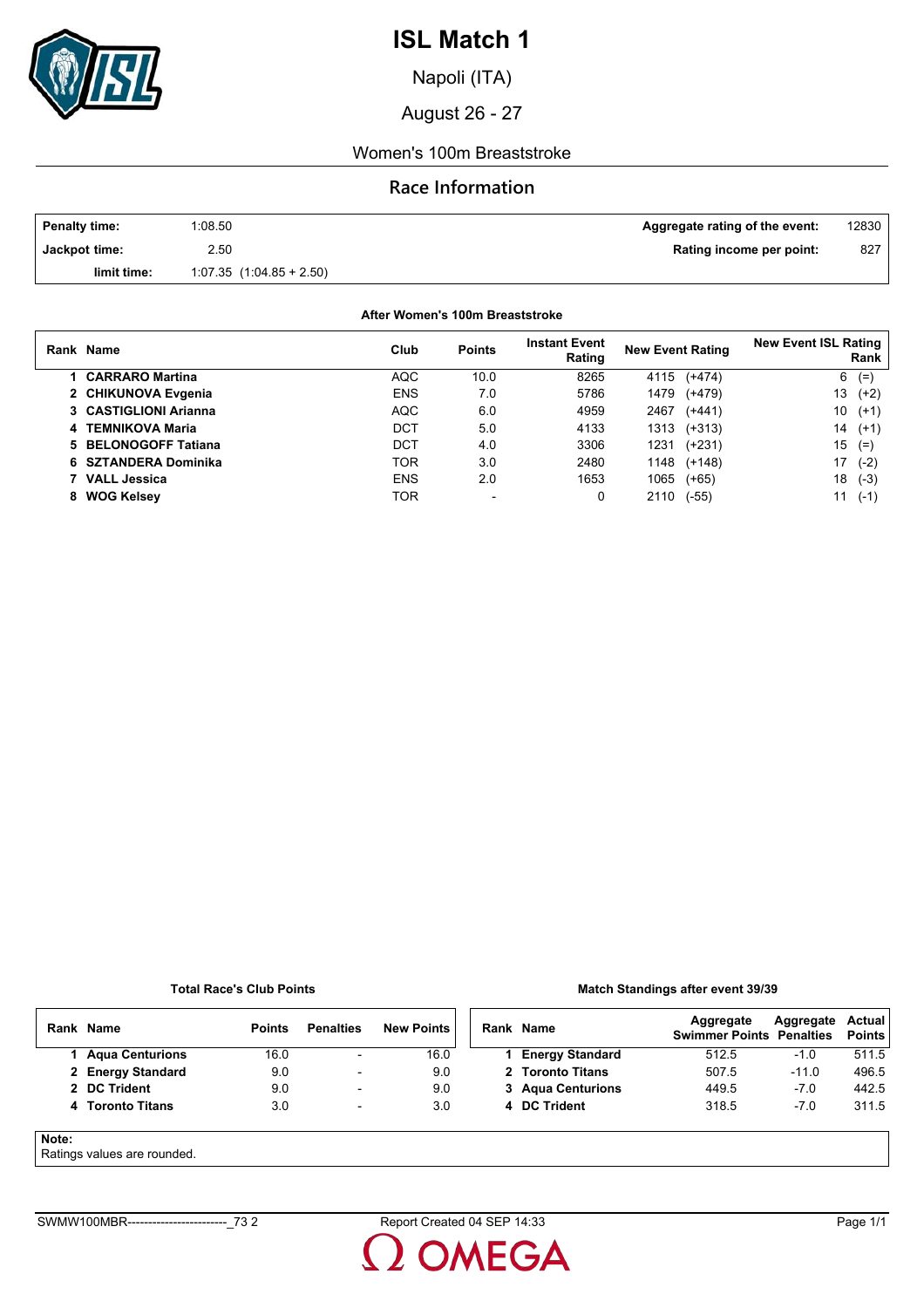

Napoli (ITA)

August 26 - 27

### Women's 100m Breaststroke

### **Race Information**

| <b>Penalty time:</b> | 1:08.50                      | Aggregate rating of the event: | 12830 |
|----------------------|------------------------------|--------------------------------|-------|
| Jackpot time:        | 2.50                         | Rating income per point:       | 827   |
| limit time:          | $1:07.35$ $(1:04.85 + 2.50)$ |                                |       |

### **After Women's 100m Breaststroke**

|    | Rank Name              | Club       | <b>Points</b>            | <b>Instant Event</b><br>Rating | <b>New Event Rating</b> | <b>New Event ISL Rating</b><br>Rank |
|----|------------------------|------------|--------------------------|--------------------------------|-------------------------|-------------------------------------|
|    | <b>CARRARO Martina</b> | <b>AQC</b> | 10.0                     | 8265                           | $(+474)$<br>4115        | 6<br>$(=)$                          |
|    | 2 CHIKUNOVA Evgenia    | <b>ENS</b> | 7.0                      | 5786                           | 1479<br>$(+479)$        | 13<br>$(+2)$                        |
|    | 3 CASTIGLIONI Arianna  | <b>AQC</b> | 6.0                      | 4959                           | 2467<br>$(+441)$        | 10<br>$(+1)$                        |
|    | 4 TEMNIKOVA Maria      | DCT        | 5.0                      | 4133                           | 1313<br>$(+313)$        | 14<br>$(+1)$                        |
|    | 5 BELONOGOFF Tatiana   | DCT        | 4.0                      | 3306                           | 1231<br>$(+231)$        | 15<br>$(=)$                         |
|    | 6 SZTANDERA Dominika   | TOR        | 3.0                      | 2480                           | $(+148)$<br>1148        | 17<br>$(-2)$                        |
|    | 7 VALL Jessica         | <b>ENS</b> | 2.0                      | 1653                           | 1065<br>$(+65)$         | 18<br>$(-3)$                        |
| 8. | <b>WOG Kelsey</b>      | TOR        | $\overline{\phantom{0}}$ | 0                              | $(-55)$<br>2110         | 11<br>$(-1)$                        |

#### **Total Race's Club Points**

### **Match Standings after event 39/39**

|       | Rank Name              | <b>Points</b> | <b>Penalties</b>         | <b>New Points</b> | Rank Name              | Aggregate<br><b>Swimmer Points Penalties</b> | Aggregate | Actual<br>Points |
|-------|------------------------|---------------|--------------------------|-------------------|------------------------|----------------------------------------------|-----------|------------------|
|       | <b>Agua Centurions</b> | 16.0          | $\overline{\phantom{0}}$ | 16.0              | <b>Energy Standard</b> | 512.5                                        | $-1.0$    | 511.5            |
|       | 2 Energy Standard      | 9.0           | $\overline{\phantom{a}}$ | 9.0               | 2 Toronto Titans       | 507.5                                        | $-11.0$   | 496.5            |
|       | 2 DC Trident           | 9.0           | $\overline{\phantom{a}}$ | 9.0               | 3 Agua Centurions      | 449.5                                        | $-7.0$    | 442.5            |
|       | 4 Toronto Titans       | 3.0           | $\overline{\phantom{a}}$ | 3.0               | 4 DC Trident           | 318.5                                        | $-7.0$    | 311.5            |
| Note: |                        |               |                          |                   |                        |                                              |           |                  |

Ratings values are rounded.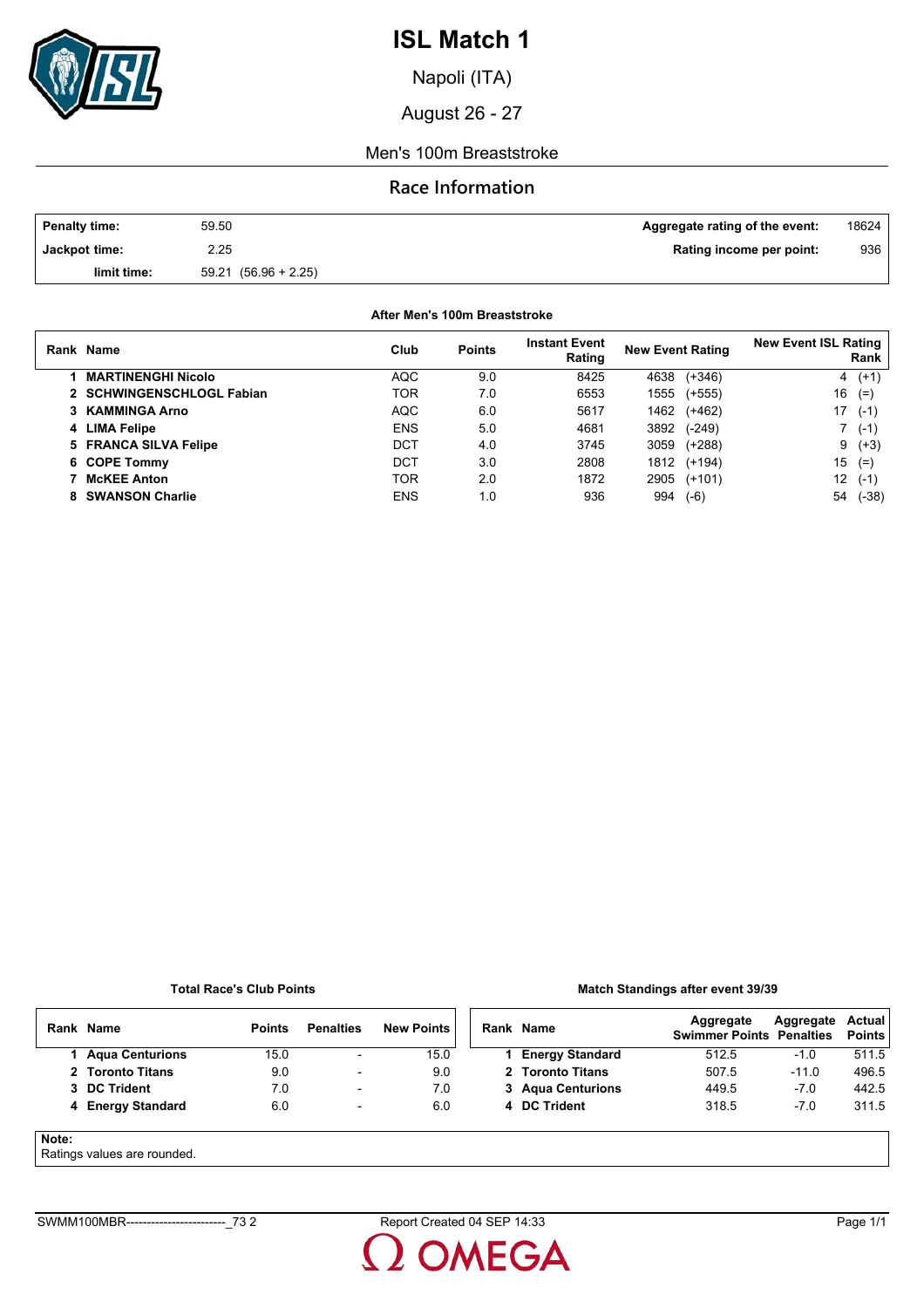

Napoli (ITA)

August 26 - 27

### Men's 100m Breaststroke

## **Race Information**

| <b>Penalty time:</b> | 59.50                | Aggregate rating of the event: | 18624 |
|----------------------|----------------------|--------------------------------|-------|
| Jackpot time:        | 2.25                 | Rating income per point:       | 936   |
| limit time:          | 59.21 (56.96 + 2.25) |                                |       |

### **After Men's 100m Breaststroke**

| Rank Name                 | Club       | <b>Points</b> | <b>Instant Event</b><br>Rating | <b>New Event Rating</b> | <b>New Event ISL Rating</b><br>Rank |
|---------------------------|------------|---------------|--------------------------------|-------------------------|-------------------------------------|
| <b>MARTINENGHI Nicolo</b> | <b>AQC</b> | 9.0           | 8425                           | $(+346)$<br>4638        | $4(+1)$                             |
| 2 SCHWINGENSCHLOGL Fabian | TOR        | 7.0           | 6553                           | 1555<br>$(+555)$        | 16<br>$(=)$                         |
| 3 KAMMINGA Arno           | <b>AQC</b> | 6.0           | 5617                           | 1462<br>$(+462)$        | 17<br>$(-1)$                        |
| 4 LIMA Felipe             | <b>ENS</b> | 5.0           | 4681                           | 3892<br>$(-249)$        | $(-1)$                              |
| 5 FRANCA SILVA Felipe     | DCT        | 4.0           | 3745                           | 3059<br>$(+288)$        | $9(+3)$                             |
| 6 COPE Tommy              | DCT        | 3.0           | 2808                           | 1812<br>$(+194)$        | 15<br>$(=)$                         |
| <b>McKEE Anton</b>        | TOR        | 2.0           | 1872                           | 2905<br>$(+101)$        | 12<br>$(-1)$                        |
| 8 SWANSON Charlie         | <b>ENS</b> | 1.0           | 936                            | 994<br>$(-6)$           | 54<br>$(-38)$                       |

#### **Total Race's Club Points**

### **Match Standings after event 39/39**

|       | Rank Name                 | <b>Points</b> | <b>Penalties</b>         | <b>New Points</b> | Rank Name              | Aggregate<br><b>Swimmer Points Penalties</b> | Aggregate | Actual<br><b>Points</b> |
|-------|---------------------------|---------------|--------------------------|-------------------|------------------------|----------------------------------------------|-----------|-------------------------|
|       | 1 Agua Centurions         | 15.0          | $\overline{\phantom{a}}$ | 15.0              | <b>Energy Standard</b> | 512.5                                        | -1.0      | 511.5                   |
|       | 2 Toronto Titans          | 9.0           | $\overline{\phantom{a}}$ | 9.0               | 2 Toronto Titans       | 507.5                                        | $-11.0$   | 496.5                   |
|       | 3 DC Trident              | 7.0           | $\overline{\phantom{a}}$ | 7.0               | 3 Agua Centurions      | 449.5                                        | $-7.0$    | 442.5                   |
|       | 4 Energy Standard         | 6.0           | $\overline{\phantom{a}}$ | 6.0               | 4 DC Trident           | 318.5                                        | $-7.0$    | 311.5                   |
| Note: | Patings values are munded |               |                          |                   |                        |                                              |           |                         |

#### Ratings values are rounded.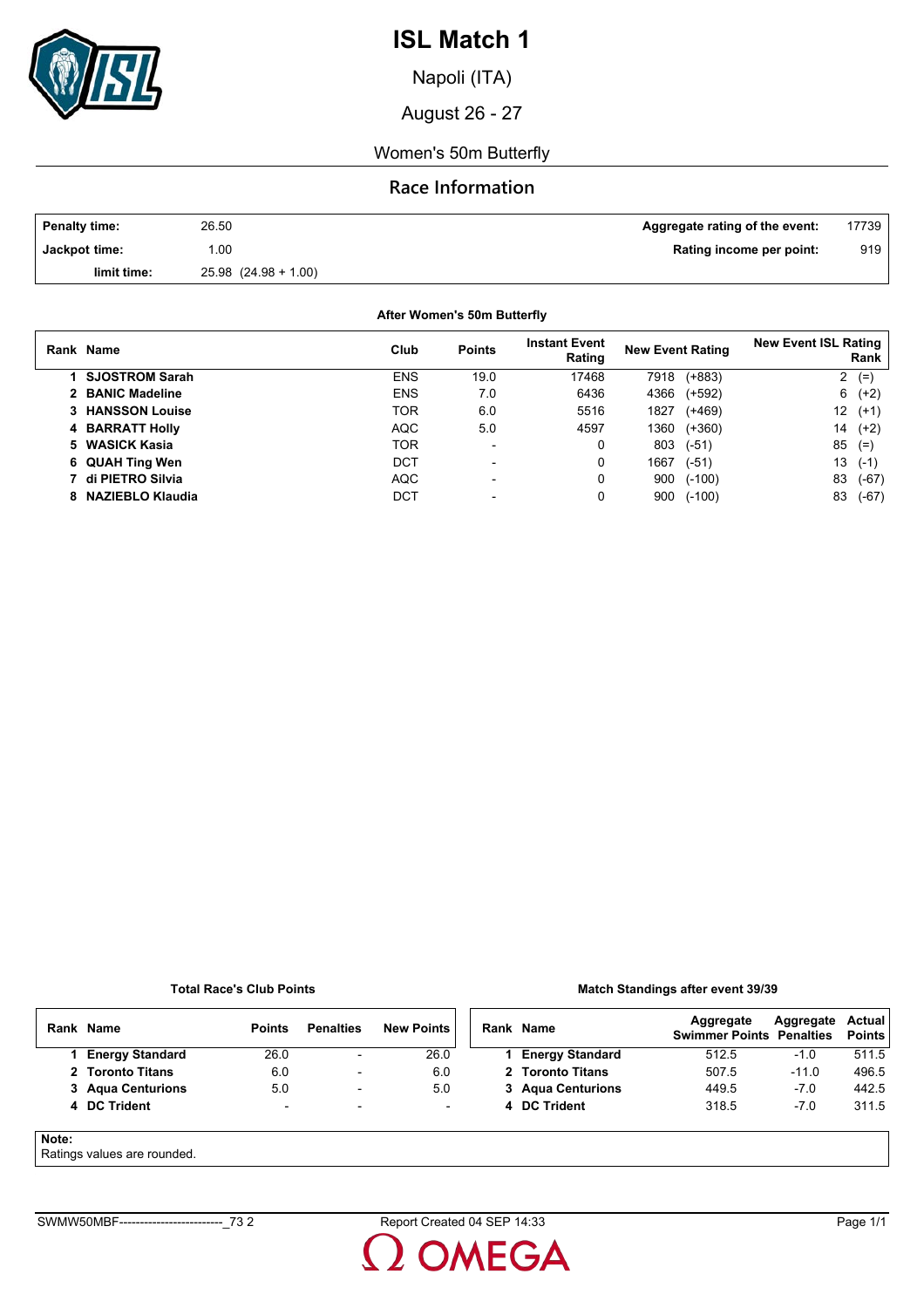

Napoli (ITA)

August 26 - 27

Women's 50m Butterfly

## **Race Information**

| Penalty time: | 26.50                    | Aggregate rating of the event: | 17739 |
|---------------|--------------------------|--------------------------------|-------|
| Jackpot time: | .00                      | Rating income per point:       | 919   |
| limit time:   | $25.98$ $(24.98 + 1.00)$ |                                |       |

**After Women's 50m Butterfly**

| Rank Name               | Club       | <b>Points</b>            | <b>Instant Event</b><br>Rating | <b>New Event Rating</b> |          | <b>New Event ISL Rating</b> | Rank    |
|-------------------------|------------|--------------------------|--------------------------------|-------------------------|----------|-----------------------------|---------|
| 1 SJOSTROM Sarah        | <b>ENS</b> | 19.0                     | 17468                          | 7918                    | $(+883)$ | 2                           | $(=)$   |
| 2 BANIC Madeline        | <b>ENS</b> | 7.0                      | 6436                           | 4366                    | $(+592)$ |                             | $6(+2)$ |
| <b>3 HANSSON Louise</b> | TOR        | 6.0                      | 5516                           | 1827                    | $(+469)$ | 12                          | $(+1)$  |
| 4 BARRATT Holly         | <b>AQC</b> | 5.0                      | 4597                           | 1360                    | $(+360)$ | 14                          | $(+2)$  |
| 5 WASICK Kasia          | TOR        | $\overline{\phantom{0}}$ | 0                              | 803                     | $(-51)$  | 85                          | $(=$    |
| 6 QUAH Ting Wen         | DCT        | -                        | 0                              | 1667                    | $(-51)$  | 13                          | $(-1)$  |
| 7 di PIETRO Silvia      | <b>AQC</b> | $\overline{\phantom{0}}$ | 0                              | 900                     | $(-100)$ | 83                          | $(-67)$ |
| 8 NAZIEBLO Klaudia      | DCT        |                          |                                | 900                     | $(-100)$ | 83                          | (-67)   |

#### **Total Race's Club Points**

#### **Match Standings after event 39/39**

|       | Rank Name                   | <b>Points</b>            | <b>Penalties</b>         | <b>New Points</b> | Rank Name              | Aggregate<br><b>Swimmer Points Penalties</b> | Aggregate | Actual<br><b>Points</b> |
|-------|-----------------------------|--------------------------|--------------------------|-------------------|------------------------|----------------------------------------------|-----------|-------------------------|
|       | <b>Energy Standard</b>      | 26.0                     | $\overline{\phantom{a}}$ | 26.0              | <b>Energy Standard</b> | 512.5                                        | $-1.0$    | 511.5                   |
|       | 2 Toronto Titans            | 6.0                      | $\overline{\phantom{0}}$ | 6.0               | 2 Toronto Titans       | 507.5                                        | $-11.0$   | 496.5                   |
|       | 3 Agua Centurions           | 5.0                      | $\overline{\phantom{a}}$ | 5.0               | 3 Agua Centurions      | 449.5                                        | $-7.0$    | 442.5                   |
|       | 4 DC Trident                | $\overline{\phantom{0}}$ | ۰.                       |                   | 4 DC Trident           | 318.5                                        | $-7.0$    | 311.5                   |
| Note: | Ratings values are rounded. |                          |                          |                   |                        |                                              |           |                         |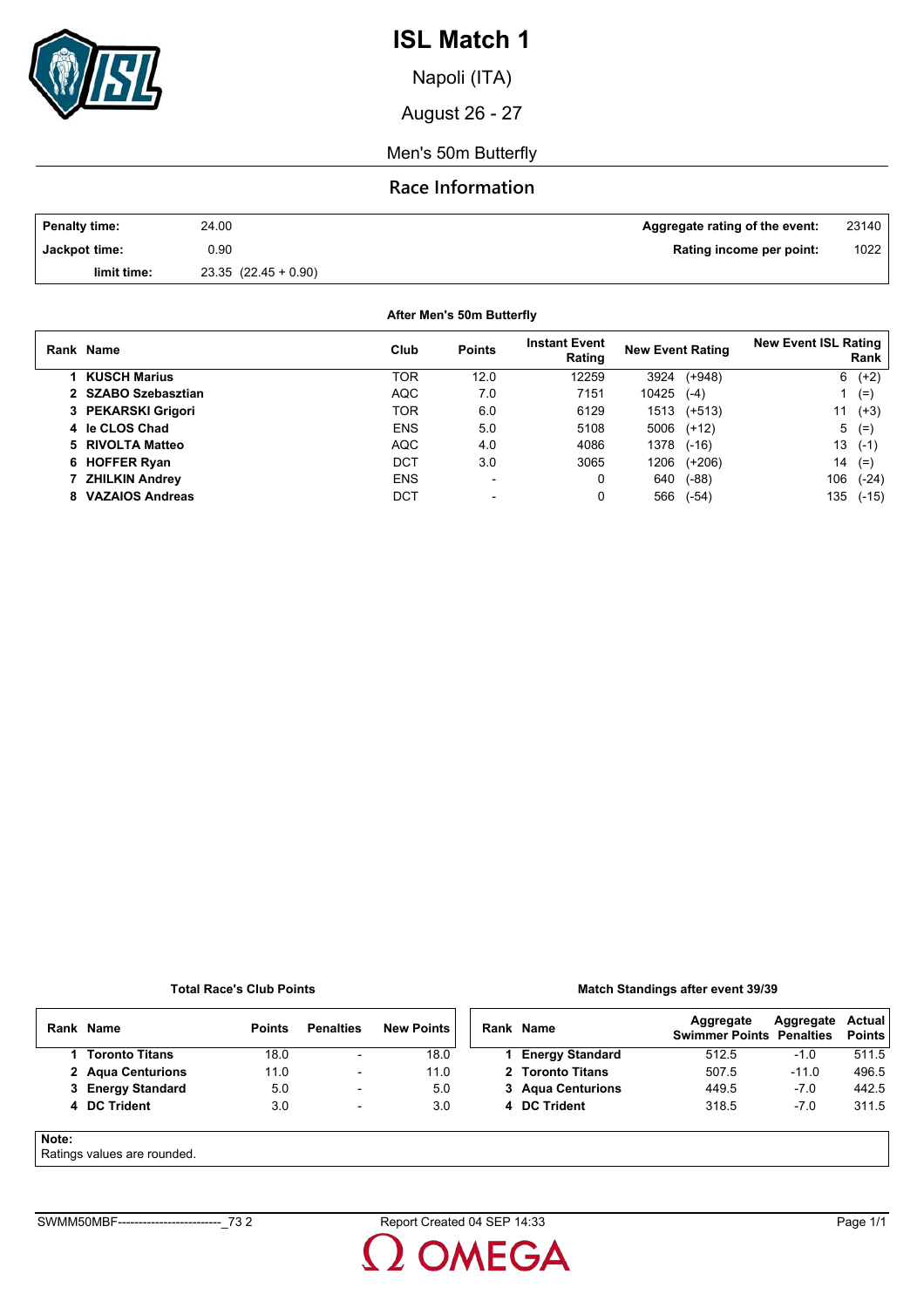

Napoli (ITA)

August 26 - 27

Men's 50m Butterfly

### **Race Information**

| Penalty time: | 24.00               | Aggregate rating of the event: | 23140 |
|---------------|---------------------|--------------------------------|-------|
| Jackpot time: | 0.90                | Rating income per point:       | 1022  |
| limit time:   | $23.35(22.45+0.90)$ |                                |       |

| After Men's 50m Butterfly |            |                                |                         |              |                                     |     |           |  |
|---------------------------|------------|--------------------------------|-------------------------|--------------|-------------------------------------|-----|-----------|--|
| Rank Name                 | Club       | <b>Instant Event</b><br>Rating | <b>New Event Rating</b> |              | <b>New Event ISL Rating</b><br>Rank |     |           |  |
| 1 KUSCH Marius            | TOR        | 12.0                           | 12259                   |              | 3924 (+948)                         | 6   | $(+2)$    |  |
| 2 SZABO Szebasztian       | AQC        | 7.0                            | 7151                    | $10425$ (-4) |                                     |     | $(=)$     |  |
| 3 PEKARSKI Grigori        | <b>TOR</b> | 6.0                            | 6129                    |              | 1513 (+513)                         | 11  | $(+3)$    |  |
| 4 le CLOS Chad            | <b>ENS</b> | 5.0                            | 5108                    |              | $5006$ $(+12)$                      | 5   | $(=)$     |  |
| 5 RIVOLTA Matteo          | AQC        | 4.0                            | 4086                    |              | 1378 (-16)                          |     | $13( -1)$ |  |
| 6 HOFFER Ryan             | DCT        | 3.0                            | 3065                    | 1206         | (+206)                              | 14  | $(=)$     |  |
| 7 ZHILKIN Andrey          | <b>ENS</b> | $\overline{\phantom{0}}$       | 0                       | 640          | (-88)                               | 106 | $(-24)$   |  |
| 8 VAZAIOS Andreas         | DCT        | $\overline{\phantom{0}}$       | 0                       | 566          | $(-54)$                             | 135 | $(-15)$   |  |

**Total Race's Club Points**

#### **Match Standings after event 39/39**

|       | Rank Name                  | <b>Points</b> | <b>Penalties</b>         | <b>New Points</b> |  | Rank Name              | Aggregate<br><b>Swimmer Points Penalties</b> | Aggregate | <b>Actual</b><br><b>Points</b> |
|-------|----------------------------|---------------|--------------------------|-------------------|--|------------------------|----------------------------------------------|-----------|--------------------------------|
|       | <b>Toronto Titans</b>      | 18.0          | $\overline{\phantom{a}}$ | 18.0              |  | <b>Energy Standard</b> | 512.5                                        | $-1.0$    | 511.5                          |
|       | 2 Agua Centurions          | 11.0          | $\overline{\phantom{a}}$ | 11.0              |  | 2 Toronto Titans       | 507.5                                        | $-11.0$   | 496.5                          |
|       | 3 Energy Standard          | 5.0           | $\overline{\phantom{a}}$ | 5.0               |  | 3 Agua Centurions      | 449.5                                        | $-7.0$    | 442.5                          |
|       | 4 DC Trident               | 3.0           | $\overline{\phantom{a}}$ | 3.0               |  | 4 DC Trident           | 318.5                                        | $-7.0$    | 311.5                          |
| Note: | Detings unluse are reunded |               |                          |                   |  |                        |                                              |           |                                |

### Ratings values are rounded.

**OMEGA**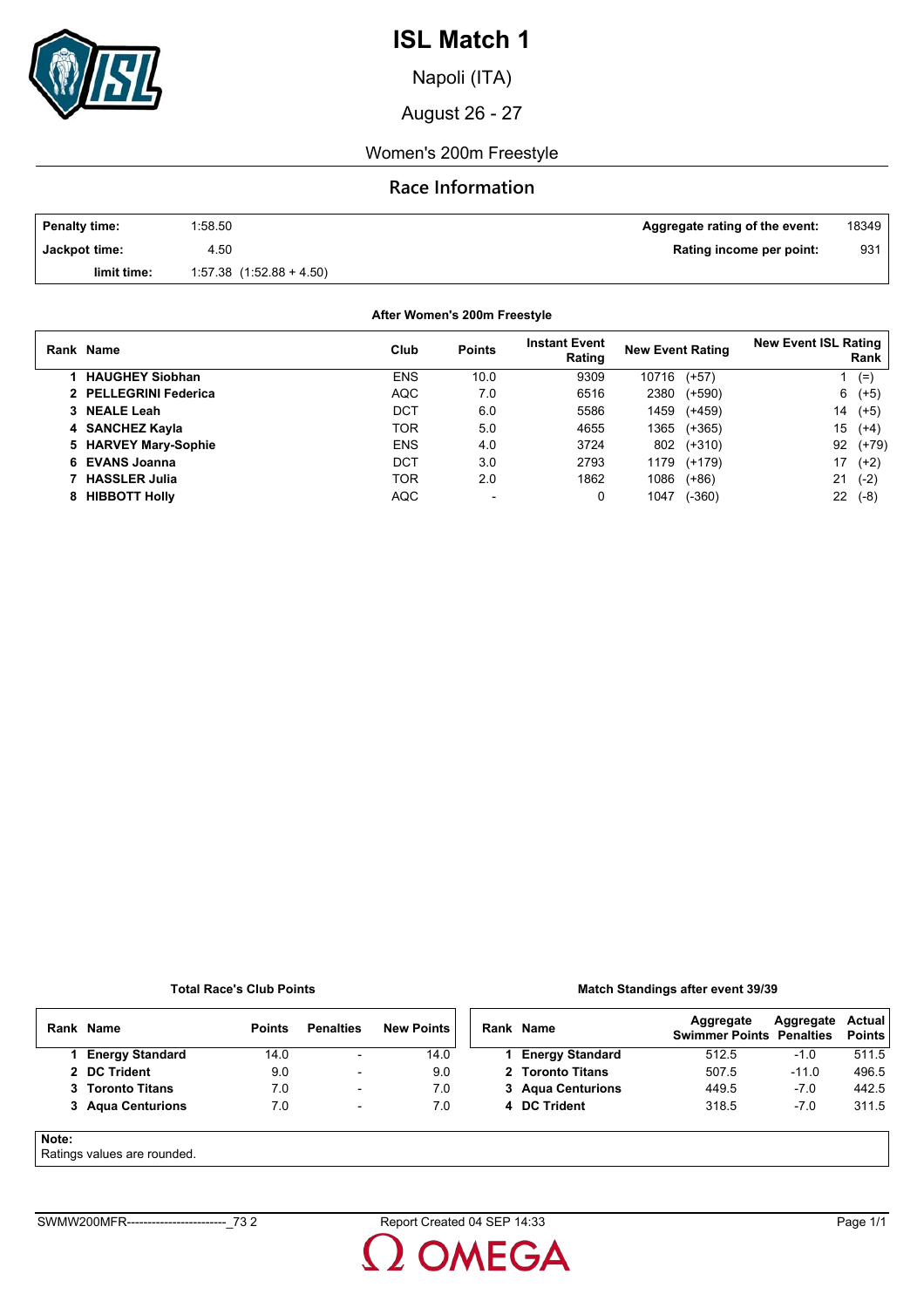

Napoli (ITA)

August 26 - 27

### Women's 200m Freestyle

## **Race Information**

| <b>Penalty time:</b> | 1:58.50                      | Aggregate rating of the event: | 18349 |
|----------------------|------------------------------|--------------------------------|-------|
| Jackpot time:        | 4.50                         | Rating income per point:       | 931   |
| limit time:          | $1.57.38$ $(1.52.88 + 4.50)$ |                                |       |

**After Women's 200m Freestyle**

| Rank Name              | Club       | <b>Points</b> | <b>Instant Event</b><br>Rating | <b>New Event Rating</b> |          | <b>New Event ISL Rating</b> | Rank    |
|------------------------|------------|---------------|--------------------------------|-------------------------|----------|-----------------------------|---------|
| <b>HAUGHEY Siobhan</b> | <b>ENS</b> | 10.0          | 9309                           | 10716                   | $(+57)$  |                             | $(=)$   |
| 2 PELLEGRINI Federica  | AQC        | 7.0           | 6516                           | 2380                    | $(+590)$ | 6                           | $(+5)$  |
| 3 NEALE Leah           | DCT        | 6.0           | 5586                           | 1459                    | $(+459)$ | 14                          | $(+5)$  |
| 4 SANCHEZ Kayla        | TOR        | 5.0           | 4655                           | 1365                    | $(+365)$ | 15                          | $(+4)$  |
| 5 HARVEY Mary-Sophie   | <b>ENS</b> | 4.0           | 3724                           | 802                     | $(+310)$ | 92                          | $(+79)$ |
| 6 EVANS Joanna         | DCT        | 3.0           | 2793                           | 1179                    | (+179)   | 17                          | $(+2)$  |
| <b>HASSLER Julia</b>   | TOR        | 2.0           | 1862                           | 1086                    | $(+86)$  | 21                          | $(-2)$  |
| 8 HIBBOTT Holly        | <b>AQC</b> |               | 0                              | 1047                    | $(-360)$ | 22                          | $(-8)$  |

#### **Total Race's Club Points**

#### **Match Standings after event 39/39**

|       | Rank Name                   | <b>Points</b> | <b>Penalties</b>         | <b>New Points</b> | Rank Name              | Aggregate<br><b>Swimmer Points Penalties</b> | Aggregate | Actual<br><b>Points</b> |
|-------|-----------------------------|---------------|--------------------------|-------------------|------------------------|----------------------------------------------|-----------|-------------------------|
|       | <b>Energy Standard</b>      | 14.0          | $\overline{\phantom{a}}$ | 14.0              | <b>Energy Standard</b> | 512.5                                        | $-1.0$    | 511.5                   |
|       | 2 DC Trident                | 9.0           | $\overline{\phantom{a}}$ | 9.0               | 2 Toronto Titans       | 507.5                                        | $-11.0$   | 496.5                   |
|       | 3 Toronto Titans            | 7.0           | $\overline{\phantom{0}}$ | 7.0               | 3 Agua Centurions      | 449.5                                        | $-7.0$    | 442.5                   |
|       | 3 Agua Centurions           | 7.0           | $\overline{\phantom{0}}$ | 7.0               | 4 DC Trident           | 318.5                                        | $-7.0$    | 311.5                   |
| Note: | Detinge values are revealed |               |                          |                   |                        |                                              |           |                         |

### Ratings values are rounded.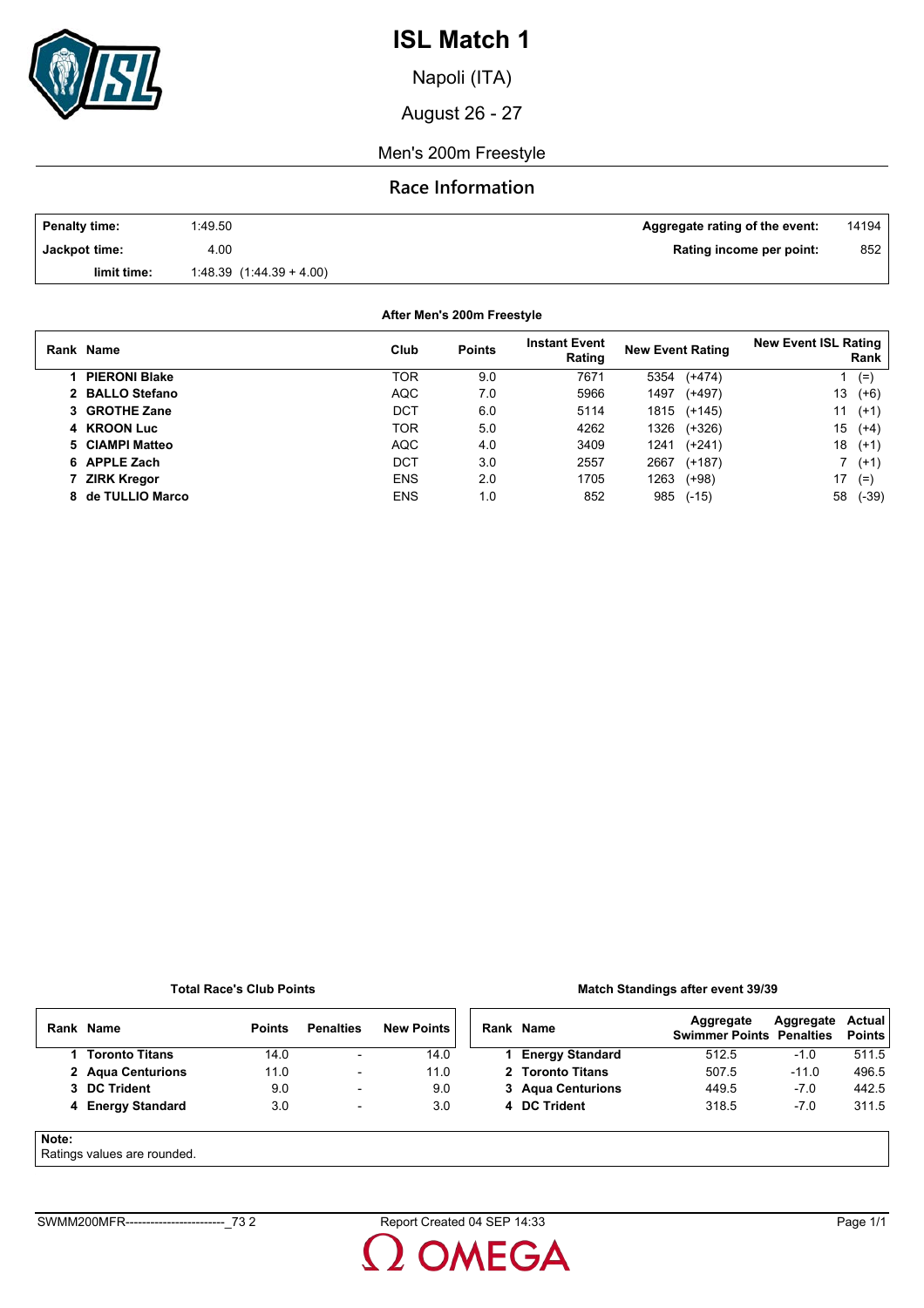

Napoli (ITA)

August 26 - 27

Men's 200m Freestyle

### **Race Information**

| <b>Penalty time:</b> | 1.49.50                   | Aggregate rating of the event: | 14194 |
|----------------------|---------------------------|--------------------------------|-------|
| Jackpot time:        | 4.00                      | Rating income per point:       | 852   |
| limit time:          | $1.48.39(1.44.39 + 4.00)$ |                                |       |

**After Men's 200m Freestyle**

| Rank Name            | Club       | <b>Points</b> | <b>Instant Event</b><br>Rating | <b>New Event Rating</b> | <b>New Event ISL Rating</b><br>Rank |
|----------------------|------------|---------------|--------------------------------|-------------------------|-------------------------------------|
| <b>PIERONI Blake</b> | TOR        | 9.0           | 7671                           | $(+474)$<br>5354        | $(=$                                |
| 2 BALLO Stefano      | <b>AQC</b> | 7.0           | 5966                           | 1497<br>$(+497)$        | 13<br>$(+6)$                        |
| 3 GROTHE Zane        | DCT        | 6.0           | 5114                           | 1815<br>(+145)          | 11<br>$(+1)$                        |
| 4 KROON Luc          | TOR        | 5.0           | 4262                           | 1326<br>(+326)          | 15<br>$(+4)$                        |
| 5 CIAMPI Matteo      | <b>AQC</b> | 4.0           | 3409                           | $(+241)$<br>1241        | 18<br>$(+1)$                        |
| 6 APPLE Zach         | DCT        | 3.0           | 2557                           | 2667<br>$(+187)$        | 7 (+1)                              |
| <b>ZIRK Kregor</b>   | <b>ENS</b> | 2.0           | 1705                           | 1263<br>$(+98)$         | 17<br>$(=)$                         |
| 8 de TULLIO Marco    | <b>ENS</b> | 1.0           | 852                            | 985<br>$(-15)$          | 58<br>$(-39)$                       |

#### **Total Race's Club Points**

#### **Match Standings after event 39/39**

|       | Rank Name         | <b>Points</b> | <b>Penalties</b>         | <b>New Points</b> | Rank Name              | Aggregate<br><b>Swimmer Points Penalties</b> | Aggregate | Actual<br><b>Points</b> |
|-------|-------------------|---------------|--------------------------|-------------------|------------------------|----------------------------------------------|-----------|-------------------------|
|       | 1 Toronto Titans  | 14.0          | $\overline{\phantom{0}}$ | 14.0              | <b>Energy Standard</b> | 512.5                                        | $-1.0$    | 511.5                   |
|       | 2 Agua Centurions | 11.0          | $\overline{\phantom{a}}$ | 11.0              | 2 Toronto Titans       | 507.5                                        | $-11.0$   | 496.5                   |
|       | 3 DC Trident      | 9.0           | $\overline{\phantom{a}}$ | 9.0               | 3 Agua Centurions      | 449.5                                        | $-7.0$    | 442.5                   |
|       | 4 Energy Standard | 3.0           | $\overline{\phantom{a}}$ | 3.0               | 4 DC Trident           | 318.5                                        | $-7.0$    | 311.5                   |
| Note: |                   |               |                          |                   |                        |                                              |           |                         |

#### Ratings values are rounded.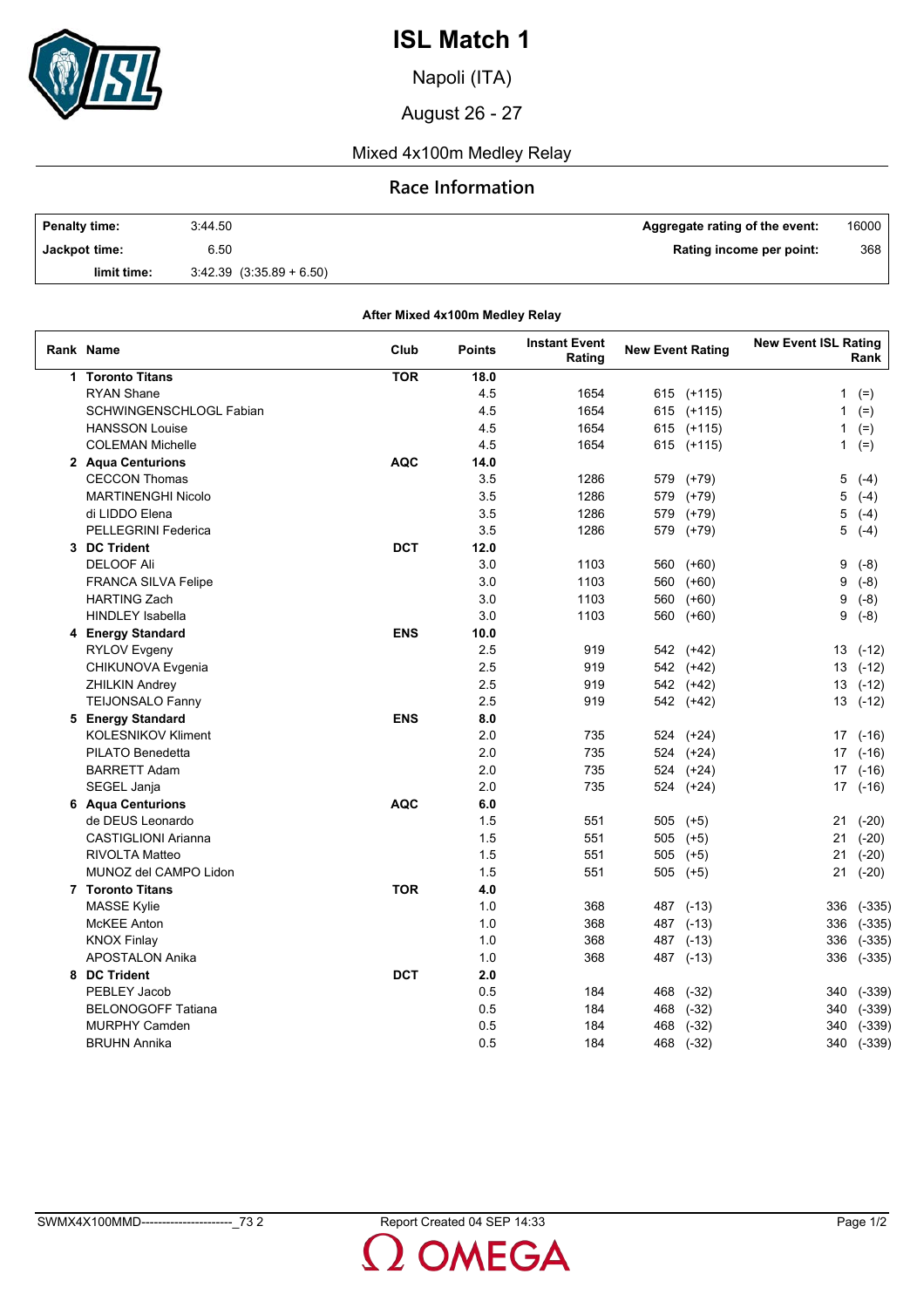

Napoli (ITA)

August 26 - 27

### Mixed 4x100m Medley Relay

#### **Race Information**

| <b>Penalty time:</b> | 3:44.50                      | Aggregate rating of the event: | $16000$ |
|----------------------|------------------------------|--------------------------------|---------|
| Jackpot time:        | 6.50                         | Rating income per point:       | 368     |
| limit time:          | $3.42.39$ $(3.35.89 + 6.50)$ |                                |         |

| After Mixed 4x100m Medley Relay |            |               |                                |                         |            |                             |            |  |  |  |
|---------------------------------|------------|---------------|--------------------------------|-------------------------|------------|-----------------------------|------------|--|--|--|
| Rank Name                       | Club       | <b>Points</b> | <b>Instant Event</b><br>Rating | <b>New Event Rating</b> |            | <b>New Event ISL Rating</b> | Rank       |  |  |  |
| 1 Toronto Titans                | <b>TOR</b> | 18.0          |                                |                         |            |                             |            |  |  |  |
| <b>RYAN Shane</b>               |            | 4.5           | 1654                           |                         | 615 (+115) | 1                           | $(=)$      |  |  |  |
| SCHWINGENSCHLOGL Fabian         |            | 4.5           | 1654                           |                         | 615 (+115) | 1                           | $(=)$      |  |  |  |
| <b>HANSSON Louise</b>           |            | 4.5           | 1654                           |                         | 615 (+115) | 1                           | $(=)$      |  |  |  |
| <b>COLEMAN Michelle</b>         |            | 4.5           | 1654                           | 615                     | $(+115)$   |                             | $1$ (=)    |  |  |  |
| 2 Aqua Centurions               | <b>AQC</b> | 14.0          |                                |                         |            |                             |            |  |  |  |
| <b>CECCON Thomas</b>            |            | 3.5           | 1286                           | 579                     | (+79)      | 5                           | $(-4)$     |  |  |  |
| <b>MARTINENGHI Nicolo</b>       |            | 3.5           | 1286                           | 579                     | $(+79)$    | 5                           | $(-4)$     |  |  |  |
| di LIDDO Elena                  |            | 3.5           | 1286                           | 579                     | $(+79)$    | 5                           | $(-4)$     |  |  |  |
| PELLEGRINI Federica             |            | 3.5           | 1286                           | 579                     | $(+79)$    | 5                           | $(-4)$     |  |  |  |
| 3 DC Trident                    | <b>DCT</b> | 12.0          |                                |                         |            |                             |            |  |  |  |
| <b>DELOOF Ali</b>               |            | 3.0           | 1103                           | 560                     | $(+60)$    | 9                           | $(-8)$     |  |  |  |
| <b>FRANCA SILVA Felipe</b>      |            | 3.0           | 1103                           | 560                     | $(+60)$    | 9                           | $(-8)$     |  |  |  |
| <b>HARTING Zach</b>             |            | 3.0           | 1103                           | 560                     | $(+60)$    | 9                           | $(-8)$     |  |  |  |
| <b>HINDLEY Isabella</b>         |            | 3.0           | 1103                           | 560                     | $(+60)$    | 9                           | $(-8)$     |  |  |  |
| 4 Energy Standard               | <b>ENS</b> | 10.0          |                                |                         |            |                             |            |  |  |  |
| <b>RYLOV Evgeny</b>             |            | 2.5           | 919                            |                         | 542 (+42)  |                             | $13( -12)$ |  |  |  |
| CHIKUNOVA Evgenia               |            | 2.5           | 919                            |                         | 542 (+42)  |                             | $13( -12)$ |  |  |  |
| ZHILKIN Andrey                  |            | 2.5           | 919                            |                         | 542 (+42)  |                             | $13( -12)$ |  |  |  |
| <b>TEIJONSALO Fanny</b>         |            | 2.5           | 919                            |                         | 542 (+42)  | 13                          | $(-12)$    |  |  |  |
| 5 Energy Standard               | <b>ENS</b> | 8.0           |                                |                         |            |                             |            |  |  |  |
| <b>KOLESNIKOV Kliment</b>       |            | 2.0           | 735                            |                         | 524 (+24)  | 17                          | $(-16)$    |  |  |  |
| PILATO Benedetta                |            | 2.0           | 735                            |                         | 524 (+24)  | 17 <sup>2</sup>             | $(-16)$    |  |  |  |
| <b>BARRETT Adam</b>             |            | 2.0           | 735                            |                         | 524 (+24)  |                             | $17( -16)$ |  |  |  |
| SEGEL Janja                     |            | 2.0           | 735                            |                         | 524 (+24)  |                             | $17( -16)$ |  |  |  |
| 6 Aqua Centurions               | <b>AQC</b> | 6.0           |                                |                         |            |                             |            |  |  |  |
| de DEUS Leonardo                |            | 1.5           | 551                            | 505                     | $(+5)$     | 21                          | $(-20)$    |  |  |  |
| <b>CASTIGLIONI Arianna</b>      |            | 1.5           | 551                            | 505                     | $(+5)$     | 21                          | $(-20)$    |  |  |  |
| <b>RIVOLTA Matteo</b>           |            | 1.5           | 551                            | 505                     | $(+5)$     | 21                          | $(-20)$    |  |  |  |
| MUNOZ del CAMPO Lidon           |            | 1.5           | 551                            | 505                     | $(+5)$     | 21                          | $(-20)$    |  |  |  |
| 7 Toronto Titans                | <b>TOR</b> | 4.0           |                                |                         |            |                             |            |  |  |  |
| <b>MASSE Kylie</b>              |            | 1.0           | 368                            |                         | 487 (-13)  | 336                         | $(-335)$   |  |  |  |
| <b>McKEE Anton</b>              |            | 1.0           | 368                            | 487                     | $(-13)$    | 336                         | $(-335)$   |  |  |  |
| <b>KNOX Finlay</b>              |            | 1.0           | 368                            | 487                     | $(-13)$    | 336                         | $(-335)$   |  |  |  |
| <b>APOSTALON Anika</b>          |            | 1.0           | 368                            |                         | 487 (-13)  | 336                         | $(-335)$   |  |  |  |
| 8 DC Trident                    | <b>DCT</b> | 2.0           |                                |                         |            |                             |            |  |  |  |
| PEBLEY Jacob                    |            | 0.5           |                                |                         |            |                             |            |  |  |  |
| <b>BELONOGOFF Tatiana</b>       |            | 0.5           | 184<br>184                     | 468                     | $(-32)$    | 340                         | $(-339)$   |  |  |  |
|                                 |            |               |                                | 468                     | $(-32)$    | 340                         | $(-339)$   |  |  |  |
| <b>MURPHY Camden</b>            |            | 0.5           | 184                            | 468                     | $(-32)$    | 340                         | $(-339)$   |  |  |  |
| <b>BRUHN Annika</b>             |            | 0.5           | 184                            | 468                     | $(-32)$    | 340                         | $(-339)$   |  |  |  |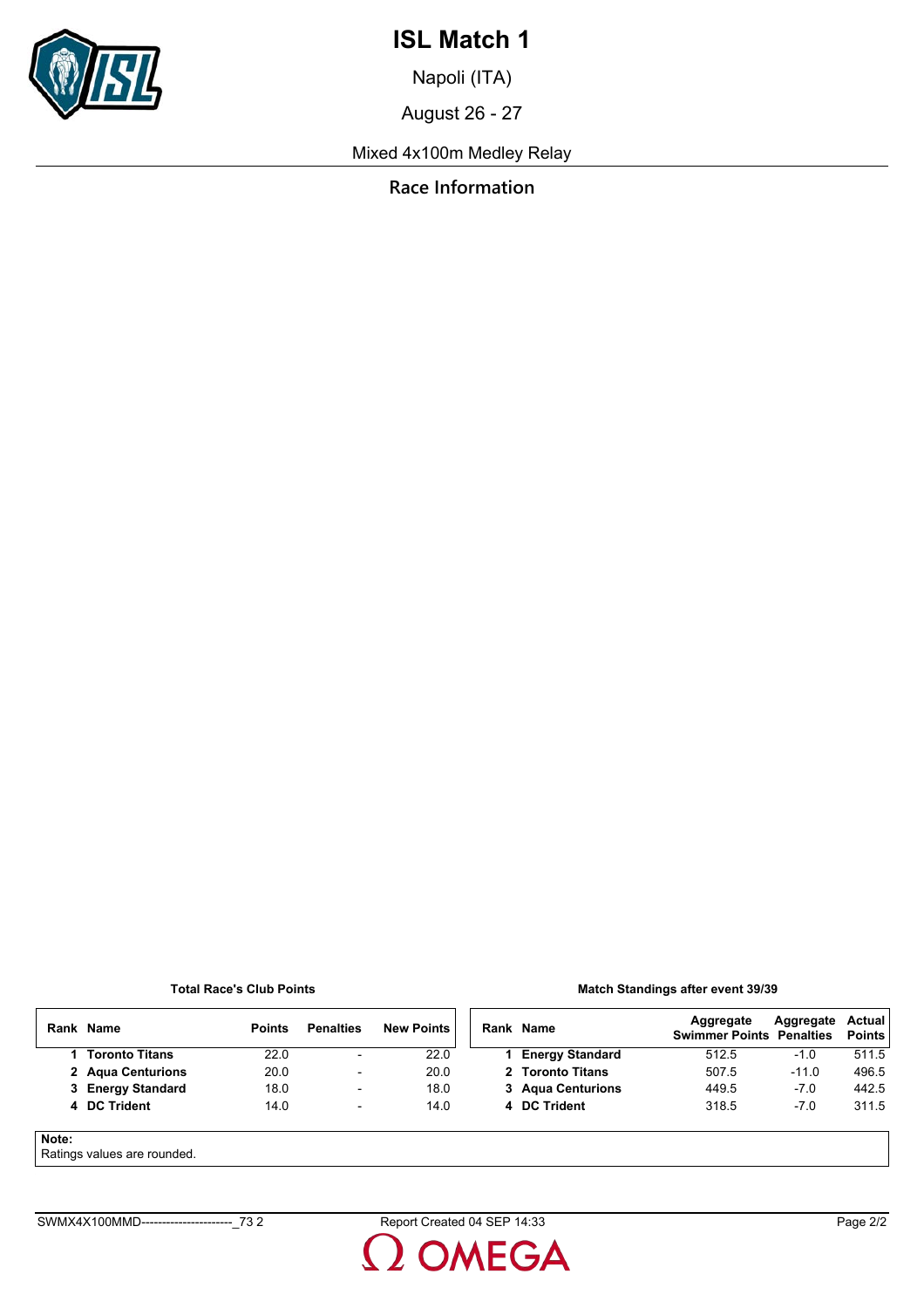

Napoli (ITA)

August 26 - 27

Mixed 4x100m Medley Relay

**Race Information**

#### **Total Race's Club Points**

#### **Match Standings after event 39/39**

|       | Rank Name                  | <b>Points</b> | <b>Penalties</b>         | <b>New Points</b> | Rank Name              | Aggregate<br><b>Swimmer Points Penalties</b> | Aggregate | Actual<br><b>Points</b> |
|-------|----------------------------|---------------|--------------------------|-------------------|------------------------|----------------------------------------------|-----------|-------------------------|
|       | 1 Toronto Titans           | 22.0          | $\overline{\phantom{0}}$ | 22.0              | <b>Energy Standard</b> | 512.5                                        | $-1.0$    | 511.5                   |
|       | 2 Agua Centurions          | 20.0          | $\overline{\phantom{a}}$ | 20.0              | 2 Toronto Titans       | 507.5                                        | $-11.0$   | 496.5                   |
|       | 3 Energy Standard          | 18.0          | $\overline{\phantom{a}}$ | 18.0              | 3 Agua Centurions      | 449.5                                        | $-7.0$    | 442.5                   |
|       | 4 DC Trident               | 14.0          | $\overline{\phantom{a}}$ | 14.0              | 4 DC Trident           | 318.5                                        | $-7.0$    | 311.5                   |
| Note: | Potinge values are reunded |               |                          |                   |                        |                                              |           |                         |

Ratings values are rounded.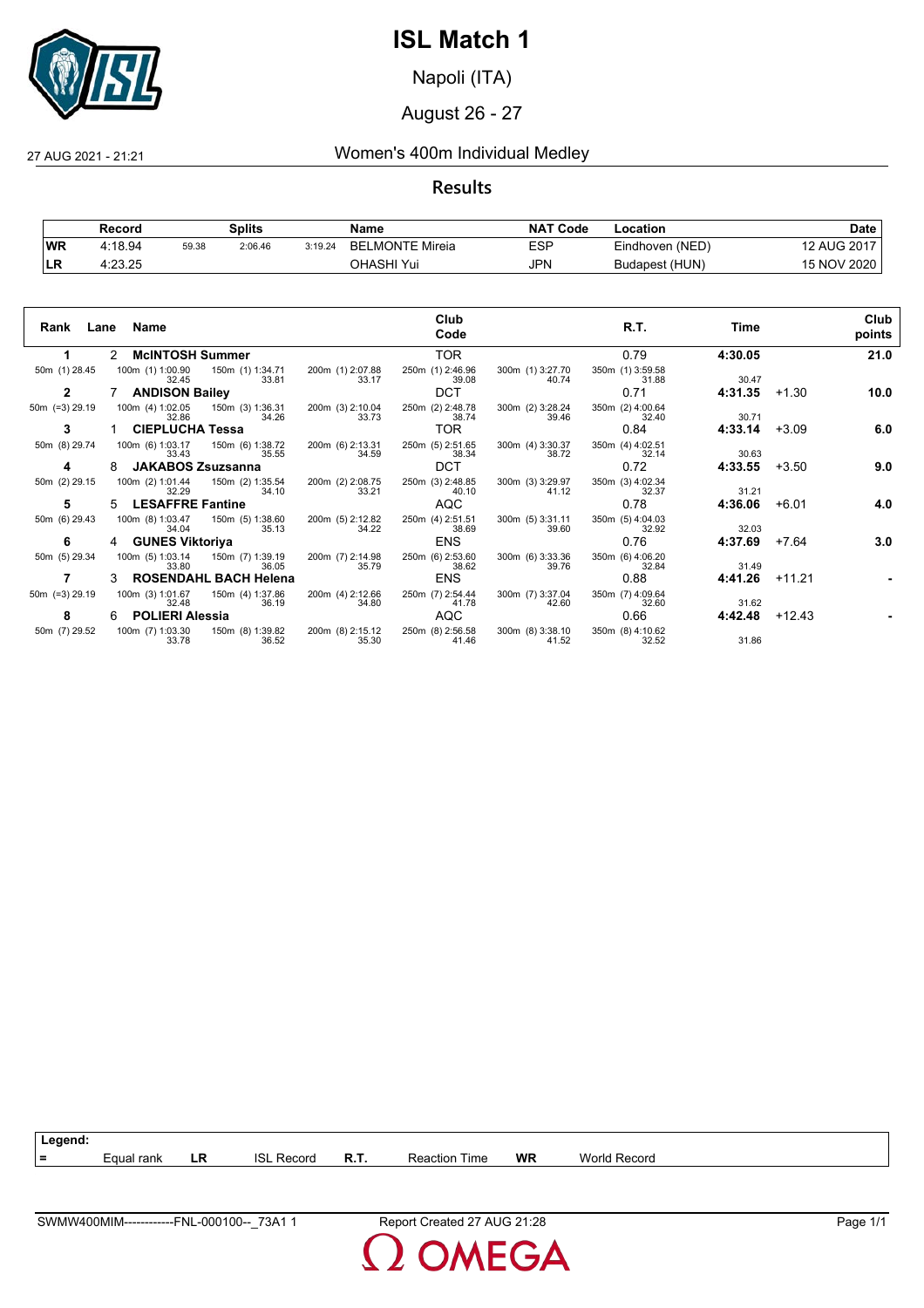

Napoli (ITA)

August 26 - 27

### 27 AUG 2021 - 21:21 Women's 400m Individual Medley

**Results**

|     | Record  |       | <b>Splits</b> |         | Name                        | <b>NAT Code</b> | Location        | Date        |
|-----|---------|-------|---------------|---------|-----------------------------|-----------------|-----------------|-------------|
| ∣WR | 4:18.94 | 59.38 | 2:06.46       | 3:19.24 | LMONTE Mireia<br><b>BFI</b> | <b>ESP</b>      | Eindhoven (NED) | 12 AUG 2017 |
| ы   | 4:23.25 |       |               |         | OHASHI Yui                  | <b>JPN</b>      | Budapest (HUN)  | 15 NOV 2020 |

| Lane<br>Rank      |               | Name                      |                                              |                           | Club<br>Code              |                                            | R.T.                      | Time    |         | Club<br>points |
|-------------------|---------------|---------------------------|----------------------------------------------|---------------------------|---------------------------|--------------------------------------------|---------------------------|---------|---------|----------------|
| 1                 | $\mathcal{P}$ | <b>McINTOSH Summer</b>    |                                              |                           | <b>TOR</b>                |                                            | 0.79                      | 4:30.05 |         | 21.0           |
| 50m (1) 28.45     |               | 32.45                     | 100m (1) 1:00.90 150m (1) 1:34.71<br>33.81   | 200m (1) 2:07.88<br>33.17 | 250m (1) 2:46.96<br>39.08 | 300m (1) 3:27.70<br>40.74                  | 350m (1) 3:59.58<br>31.88 | 30.47   |         |                |
| $\mathbf{2}$      |               | 7 ANDISON Bailey          |                                              |                           | <b>DCT</b>                |                                            | 0.71                      | 4:31.35 | +1.30   | 10.0           |
| $50m$ (=3) 29.19  |               | 32.86                     | 100m (4) 1:02.05  150m (3) 1:36.31<br>34.26  | 200m (3) 2:10.04<br>33.73 | 250m (2) 2:48.78<br>38.74 | 300m (2) 3:28.24<br>39.46                  | 350m (2) 4:00.64<br>32.40 | 30.71   |         |                |
| 3                 |               | <b>CIEPLUCHA Tessa</b>    |                                              |                           | TOR.                      |                                            | 0.84                      | 4:33.14 | $+3.09$ | 6.0            |
| 50m (8) 29.74     |               | 33.43                     | 100m (6) 1:03.17  150m (6) 1:38.72<br>35.55  | 200m (6) 2:13.31<br>34.59 | 250m (5) 2:51.65<br>38.34 | 300m (4) 3:30.37<br>38.72                  | 350m (4) 4:02.51<br>32.14 | 30.63   |         |                |
| 4                 | 8             | <b>JAKABOS Zsuzsanna</b>  |                                              |                           | <b>DCT</b>                |                                            | 0.72                      | 4:33.55 | +3.50   | 9.0            |
| 50m (2) 29.15     |               | 32.29                     | 100m (2) 1:01.44  150m (2) 1:35.54<br>34.10  | 200m (2) 2:08.75<br>33.21 | 250m (3) 2:48.85<br>40.10 | 300m (3) 3:29.97<br>41.12                  | 350m (3) 4:02.34<br>32.37 | 31.21   |         |                |
| 5                 | 5.            | <b>LESAFFRE Fantine</b>   |                                              |                           | AQC                       |                                            | 0.78                      | 4:36.06 | $+6.01$ | 4.0            |
| 50m (6) 29.43     |               | 34.04                     | 100m (8) 1:03.47   150m (5) 1:38.60<br>35.13 | 200m (5) 2:12.82<br>34.22 | 250m (4) 2:51.51<br>38.69 | 300m (5) 3:31.11<br>39.60                  | 350m (5) 4:04.03<br>32.92 | 32.03   |         |                |
| 6                 |               | 4 GUNES Viktoriya         |                                              |                           | <b>ENS</b>                |                                            | 0.76                      | 4:37.69 | +7.64   | 3.0            |
| 50m (5) 29.34     |               | 100m (5) 1:03.14<br>33.80 | 150m (7) 1:39.19<br>36.05                    | 200m (7) 2:14.98<br>35.79 | 250m (6) 2:53.60<br>38.62 | 300m (6) 3:33.36<br>39.76                  | 350m (6) 4:06.20<br>32.84 | 31.49   |         |                |
|                   |               |                           | 3 ROSENDAHL BACH Helena                      |                           | ENS                       |                                            | 0.88                      | 4:41.26 | +11.21  |                |
| 50 $m$ (=3) 29.19 |               | 100m (3) 1:01.67<br>32.48 | 150m (4) 1:37.86<br>36.19                    | 200m (4) 2:12.66<br>34.80 | 250m (7) 2:54.44<br>41.78 | 300m (7) 3:37.04<br>42.60                  | 350m (7) 4:09.64<br>32.60 | 31.62   |         |                |
| 8                 |               | 6 POLIERI Alessia         |                                              |                           | AQC                       |                                            | 0.66                      | 4:42.48 | +12.43  |                |
| 50m (7) 29.52     |               | 33.78                     | 100m (7) 1:03.30   150m (8) 1:39.82<br>36.52 | 200m (8) 2:15.12<br>35.30 | 250m (8) 2:56.58<br>41.46 | 300m (8) 3:38.10 350m (8) 4:10.62<br>41.52 | 32.52                     | 31.86   |         |                |



**MEGA**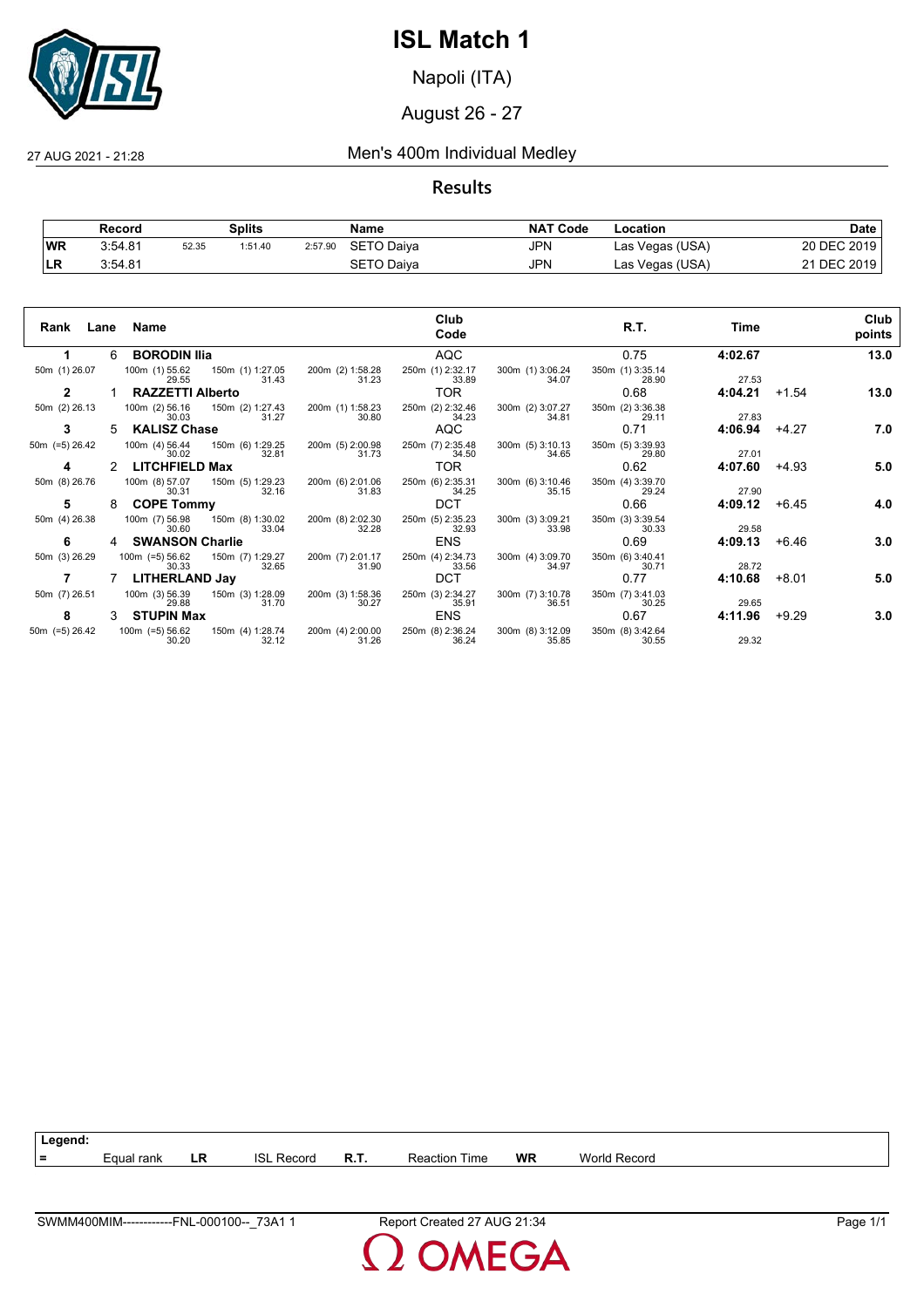

Napoli (ITA)

August 26 - 27

## 27 AUG 2021 - 21:28 Men's 400m Individual Medley

**Results**

|            | Record  |       | Splits  |         | Name       | <b>NAT Code</b> | Location        | Date        |
|------------|---------|-------|---------|---------|------------|-----------------|-----------------|-------------|
| <b>WR</b>  | 3:54.81 | 52.35 | 1:51.40 | 2:57.90 | SETO Daiya | <b>JPN</b>      | Las Vegas (USA) | 20 DEC 2019 |
| <b>ILR</b> | 3.54.81 |       |         |         | SETO Daiva | JPN             | Las Vegas (USA) | 21 DEC 2019 |

| Rank<br>Lane      |    | Name                                                    |                           | Club<br>Code              |                               | R.T.                      | Time    |         | Club<br>points |
|-------------------|----|---------------------------------------------------------|---------------------------|---------------------------|-------------------------------|---------------------------|---------|---------|----------------|
| 1                 | 6  | <b>BORODIN IIIa</b>                                     |                           | <b>AQC</b>                |                               | 0.75                      | 4:02.67 |         | 13.0           |
| 50m (1) 26.07     |    | 150m (1) 1:27.05<br>100m (1) 55.62<br>31.43<br>29.55    | 200m (2) 1:58.28<br>31.23 | 250m (1) 2:32.17<br>33.89 | 300m (1) 3:06.24<br>34.07     | 350m (1) 3:35.14<br>28.90 | 27.53   |         |                |
|                   |    | <b>RAZZETTI Alberto</b>                                 |                           | TOR.                      |                               | 0.68                      | 4:04.21 | $+1.54$ | 13.0           |
| 50m (2) 26.13     |    | 100m (2) 56.16 150m (2) 1:27.43<br>31.27<br>30.03       | 200m (1) 1:58.23<br>30.80 | 250m (2) 2:32.46<br>34.23 | 300m (2) 3:07.27<br>34.81     | 350m (2) 3:36.38<br>29.11 | 27.83   |         |                |
| 3                 | 5. | <b>KALISZ Chase</b>                                     |                           | AQC                       |                               | 0.71                      | 4:06.94 | $+4.27$ | 7.0            |
| 50 $m$ (=5) 26.42 |    | 100m (4) 56.44 150m (6) 1:29.25<br>32.81<br>30.02       | 200m (5) 2:00.98<br>31.73 | 250m (7) 2:35.48<br>34.50 | $300m$ (5) $3:10.13$<br>34.65 | 350m (5) 3:39.93<br>29.80 | 27.01   |         |                |
| 4                 |    | <b>LITCHFIELD Max</b>                                   |                           | TOR.                      |                               | 0.62                      | 4:07.60 | +4.93   | 5.0            |
| 50m (8) 26.76     |    | 100m (8) 57.07 150m (5) 1:29.23<br>32.16<br>30.31       | 200m (6) 2:01.06<br>31.83 | 250m (6) 2:35.31<br>34.25 | 300m (6) 3:10.46<br>35.15     | 350m (4) 3:39.70<br>29.24 | 27.90   |         |                |
| 5                 | 8  | <b>COPE Tommy</b>                                       |                           | <b>DCT</b>                |                               | 0.66                      | 4:09.12 | $+6.45$ | 4.0            |
| 50m (4) 26.38     |    | 100m (7) 56.98<br>150m (8) 1:30.02<br>33.04<br>30.60    | 200m (8) 2:02.30<br>32.28 | 250m (5) 2:35.23<br>32.93 | 300m (3) 3:09.21<br>33.98     | 350m (3) 3:39.54<br>30.33 | 29.58   |         |                |
| 6                 | 4  | <b>SWANSON Charlie</b>                                  |                           | <b>ENS</b>                |                               | 0.69                      | 4:09.13 | +6.46   | 3.0            |
| 50m (3) 26.29     |    | 100m (=5) 56.62<br>150m (7) 1:29.27<br>32.65<br>30.33   | 200m (7) 2:01.17<br>31.90 | 250m (4) 2:34.73<br>33.56 | 300m (4) 3:09.70<br>34.97     | 350m (6) 3:40.41<br>30.71 | 28.72   |         |                |
|                   |    | LITHERLAND Jay                                          |                           | <b>DCT</b>                |                               | 0.77                      | 4:10.68 | $+8.01$ | 5.0            |
| 50m (7) 26.51     |    | 100m (3) 56.39<br>150m (3) 1:28.09<br>31.70<br>29.88    | 200m (3) 1:58.36<br>30.27 | 250m (3) 2:34.27<br>35.91 | 300m (7) 3:10.78<br>36.51     | 350m (7) 3:41.03<br>30.25 | 29.65   |         |                |
| 8                 |    | <b>STUPIN Max</b>                                       |                           | <b>ENS</b>                |                               | 0.67                      | 4:11.96 | $+9.29$ | 3.0            |
| 50 $m$ (=5) 26.42 |    | $100m$ (=5) 56.62<br>150m (4) 1:28.74<br>30.20<br>32.12 | 200m (4) 2:00.00<br>31.26 | 250m (8) 2:36.24<br>36.24 | 300m (8) 3:12.09<br>35.85     | 350m (8) 3:42.64<br>30.55 | 29.32   |         |                |



**MEGA**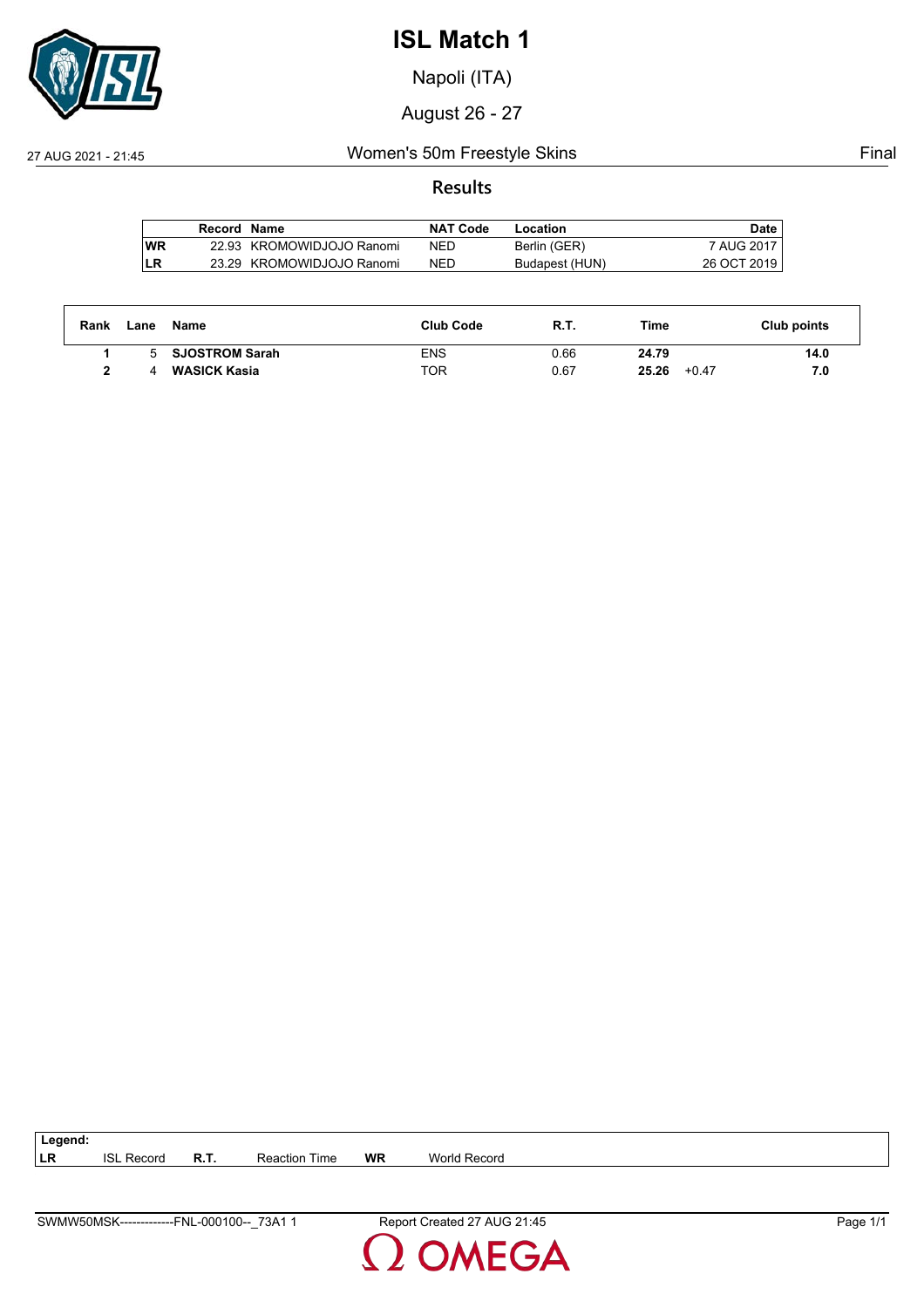

Napoli (ITA)

August 26 - 27

### 27 AUG 2021 - 21:45 Women's 50m Freestyle Skins Final

### **Results**

|    | Record Name |                           | <b>NAT Code</b> | Location       | Date        |
|----|-------------|---------------------------|-----------------|----------------|-------------|
| WR |             | 22.93 KROMOWIDJOJO Ranomi | NED             | Berlin (GER)   | 7 AUG 2017  |
| LR |             | 23.29 KROMOWIDJOJO Ranomi | NED             | Budapest (HUN) | 26 OCT 2019 |

| Rank | Lane | Name                  | <b>Club Code</b> | R.T. | Time             | Club points |
|------|------|-----------------------|------------------|------|------------------|-------------|
|      | 5    | <b>SJOSTROM Sarah</b> | ENS              | 0.66 | 24.79            | 14.0        |
|      |      | <b>WASICK Kasia</b>   | TOR              | 0.67 | 25.26<br>$+0.47$ | 7.0         |

| $\vert$ Legend: |                   |                      |    |              |
|-----------------|-------------------|----------------------|----|--------------|
| <b>ILR</b>      | <b>ISL Record</b> | <b>Reaction Time</b> | WR | World Record |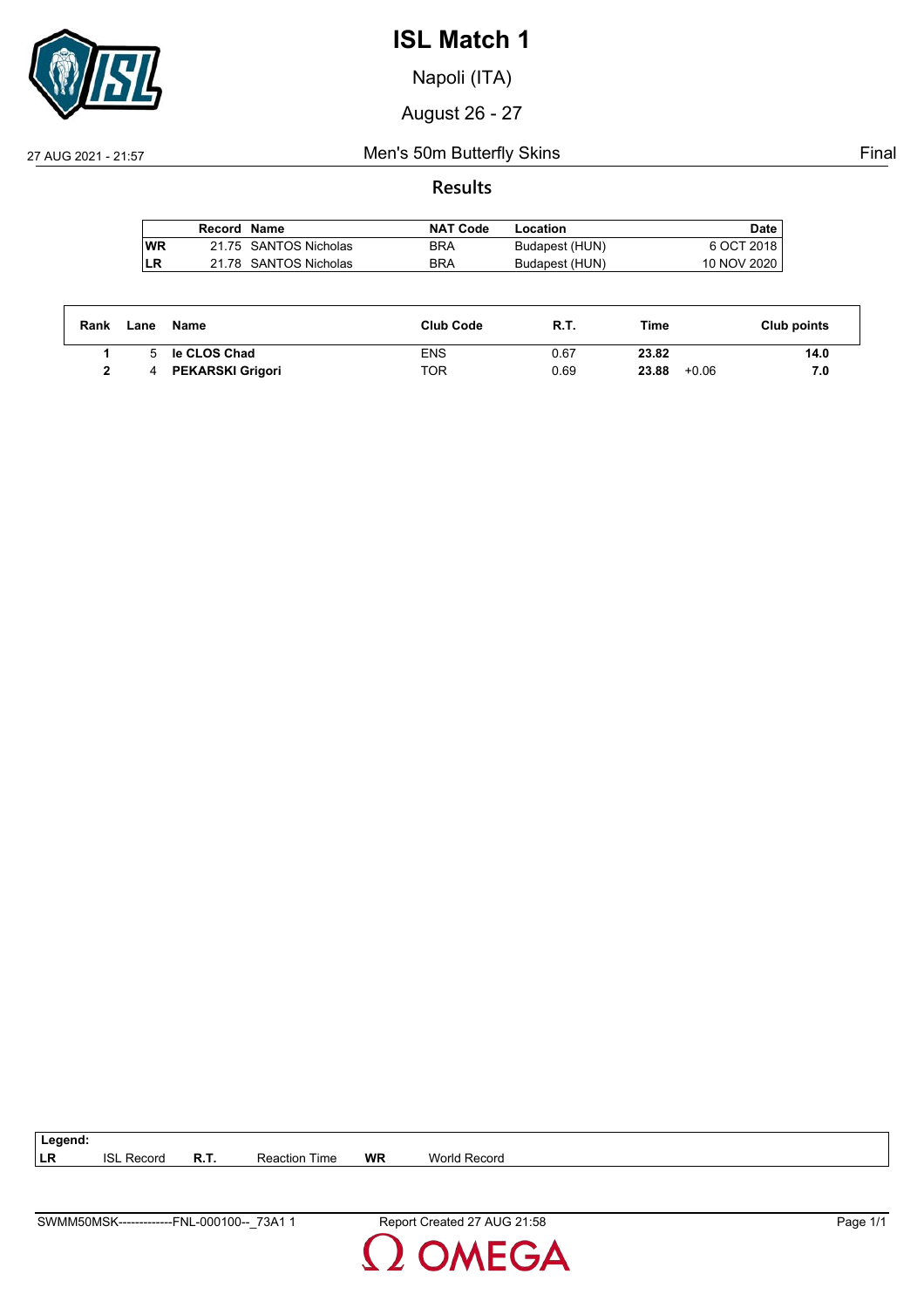

Napoli (ITA)

August 26 - 27

### 27 AUG 2021 - 21:57 Men's 50m Butterfly Skins Final

### **Results**

|    | Record Name |                       | <b>NAT Code</b> | Location       | Date        |
|----|-------------|-----------------------|-----------------|----------------|-------------|
| WR |             | 21.75 SANTOS Nicholas | <b>BRA</b>      | Budapest (HUN) | 6 OCT 2018  |
| LR |             | 21.78 SANTOS Nicholas | <b>BRA</b>      | Budapest (HUN) | 10 NOV 2020 |

| Rank | Lane | Name                    | <b>Club Code</b> | R.T. | Time             | Club points |
|------|------|-------------------------|------------------|------|------------------|-------------|
|      |      | le CLOS Chad            | <b>ENS</b>       | 0.67 | 23.82            | 14.0        |
|      |      | <b>PEKARSKI Grigori</b> | TOR              | 0.69 | 23.88<br>$+0.06$ | 7.0         |

| $\vert$ Legend: |                   |             |                      |           |              |
|-----------------|-------------------|-------------|----------------------|-----------|--------------|
| I LR            | <b>ISL Record</b> | <b>R.T.</b> | <b>Reaction Time</b> | <b>WR</b> | World Record |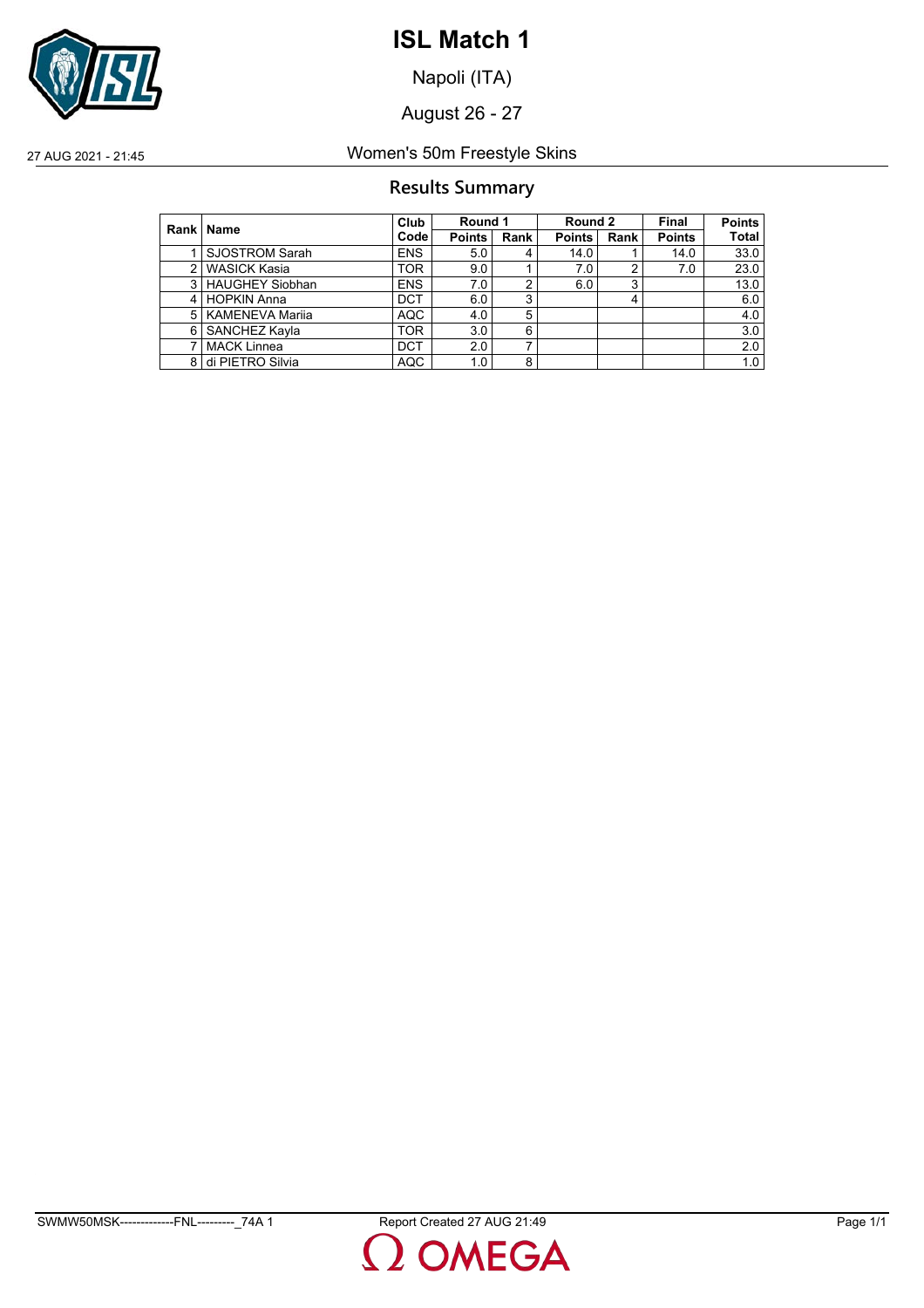

Napoli (ITA)

August 26 - 27

27 AUG 2021 - 21:45 Women's 50m Freestyle Skins

## **Results Summary**

|   | Rank   Name            | Club              | Round 1       |      | Round 2       |      | Final         | <b>Points</b> |
|---|------------------------|-------------------|---------------|------|---------------|------|---------------|---------------|
|   |                        | Code <sup>l</sup> | <b>Points</b> | Rank | <b>Points</b> | Rank | <b>Points</b> | <b>Total</b>  |
|   | <b>SJOSTROM Sarah</b>  | <b>ENS</b>        | 5.0           | 4    | 14.0          |      | 14.0          | 33.0          |
| 2 | <b>WASICK Kasia</b>    | <b>TOR</b>        | 9.0           |      | 7.0           | 2    | 7.0           | 23.0          |
| 3 | <b>HAUGHEY Siobhan</b> | <b>ENS</b>        | 7.0           | 2    | 6.0           | 3    |               | 13.0          |
| 4 | <b>HOPKIN Anna</b>     | <b>DCT</b>        | 6.0           | 3    |               |      |               | 6.0           |
| 5 | <b>KAMENEVA Marija</b> | <b>AQC</b>        | 4.0           | 5    |               |      |               | 4.0           |
| 6 | SANCHEZ Kayla          | <b>TOR</b>        | 3.0           | 6    |               |      |               | 3.0           |
|   | <b>MACK Linnea</b>     | <b>DCT</b>        | 2.0           | ⇁    |               |      |               | 2.0           |
| 8 | di PIETRO Silvia       | <b>AQC</b>        | 1.0           | 8    |               |      |               | 1.0           |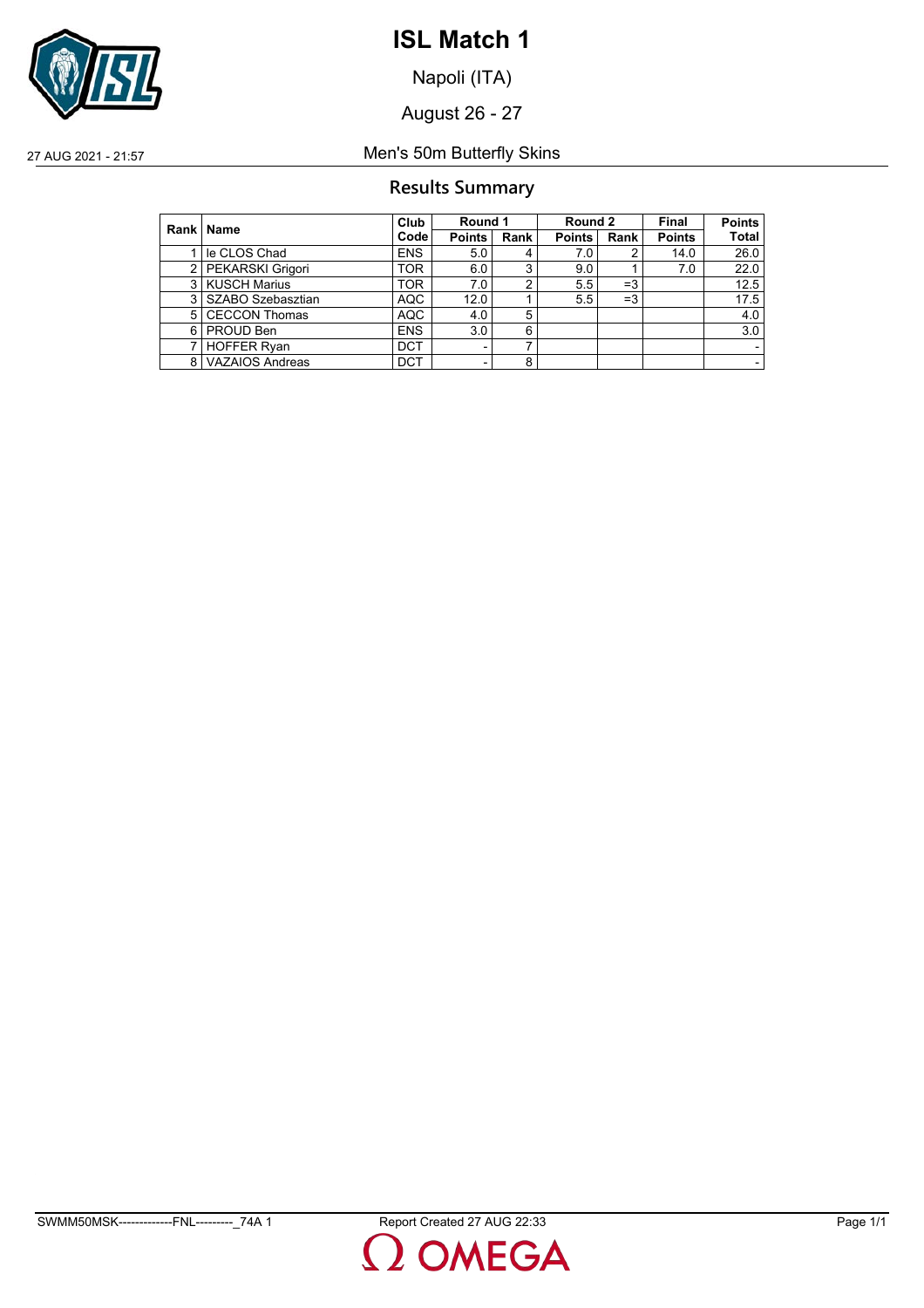

Napoli (ITA)

August 26 - 27

27 AUG 2021 - 21:57 Men's 50m Butterfly Skins

## **Results Summary**

|     | Rank   Name            | Club       | Round 1                  |      | Round 2       |      | <b>Final</b>  | <b>Points</b> |
|-----|------------------------|------------|--------------------------|------|---------------|------|---------------|---------------|
|     |                        | Code       | <b>Points</b>            | Rank | <b>Points</b> | Rank | <b>Points</b> | <b>Total</b>  |
|     | le CLOS Chad           | <b>ENS</b> | 5.0                      | 4    | 7.0           |      | 14.0          | 26.0          |
|     | 2 PEKARSKI Grigori     | TOR        | 6.0                      | 3    | 9.0           |      | 7.0           | 22.0          |
| 3   | <b>KUSCH Marius</b>    | <b>TOR</b> | 7.0                      | ົ    | 5.5           | $=3$ |               | 12.5          |
| 3 I | SZABO Szebasztian      | <b>AQC</b> | 12.0                     |      | 5.5           | $=3$ |               | 17.5          |
| 5   | <b>CECCON Thomas</b>   | <b>AQC</b> | 4.0                      | 5    |               |      |               | 4.0           |
|     | 6   PROUD Ben          | <b>ENS</b> | 3.0                      | 6    |               |      |               | 3.0           |
|     | <b>HOFFER Ryan</b>     | <b>DCT</b> | -                        | ⇁    |               |      |               |               |
| 8   | <b>VAZAIOS Andreas</b> | <b>DCT</b> | $\overline{\phantom{0}}$ | 8    |               |      |               |               |

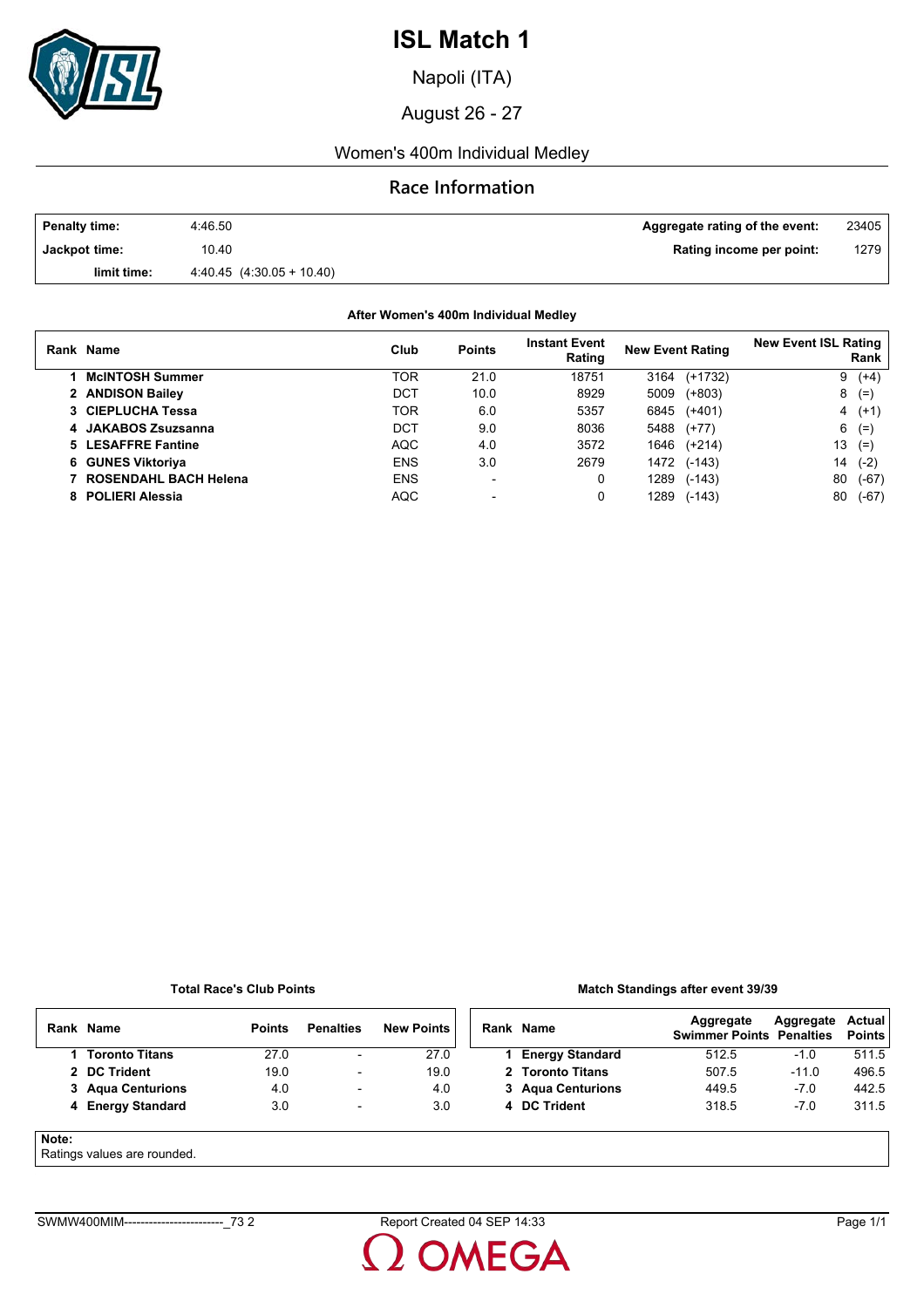

Napoli (ITA)

August 26 - 27

### Women's 400m Individual Medley

#### **Race Information**

| <b>Penalty time:</b> | 4:46.50                       | Aggregate rating of the event: | 23405 |
|----------------------|-------------------------------|--------------------------------|-------|
| Jackpot time:        | 10.40                         | Rating income per point:       | 1279  |
| limit time:          | $4.40.45$ $(4.30.05 + 10.40)$ |                                |       |

#### **After Women's 400m Individual Medley**

| Rank Name              | Club       | <b>Points</b>            | <b>Instant Event</b><br>Rating | <b>New Event Rating</b> | <b>New Event ISL Rating</b><br>Rank |
|------------------------|------------|--------------------------|--------------------------------|-------------------------|-------------------------------------|
| <b>McINTOSH Summer</b> | TOR        | 21.0                     | 18751                          | $(+1732)$<br>3164       | $(+4)$<br>9                         |
| 2 ANDISON Bailey       | DCT        | 10.0                     | 8929                           | 5009<br>$(+803)$        | $(=)$<br>8                          |
| 3 CIEPLUCHA Tessa      | <b>TOR</b> | 6.0                      | 5357                           | 6845<br>$(+401)$        | $(+1)$<br>4                         |
| 4 JAKABOS Zsuzsanna    | DCT        | 9.0                      | 8036                           | 5488<br>$(+77)$         | $(=$<br>6                           |
| 5 LESAFFRE Fantine     | <b>AQC</b> | 4.0                      | 3572                           | 1646<br>$(+214)$        | 13<br>$(=)$                         |
| 6 GUNES Viktoriya      | <b>ENS</b> | 3.0                      | 2679                           | 1472<br>$(-143)$        | 14<br>$(-2)$                        |
| ROSENDAHL BACH Helena  | <b>ENS</b> | $\overline{\phantom{0}}$ | 0                              | 1289<br>$(-143)$        | 80<br>$(-67)$                       |
| 8 POLIERI Alessia      | <b>AQC</b> |                          | 0                              | 1289<br>$(-143)$        | 80<br>(-67)                         |

#### **Total Race's Club Points**

#### **Match Standings after event 39/39**

|       | Rank Name                   | <b>Points</b> | <b>Penalties</b>         | <b>New Points</b> | Rank Name              | Aggregate<br><b>Swimmer Points Penalties</b> | Aggregate | Actual<br><b>Points</b> |
|-------|-----------------------------|---------------|--------------------------|-------------------|------------------------|----------------------------------------------|-----------|-------------------------|
|       | 1 Toronto Titans            | 27.0          | $\overline{\phantom{a}}$ | 27.0              | <b>Energy Standard</b> | 512.5                                        | $-1.0$    | 511.5                   |
|       | 2 DC Trident                | 19.0          | ۰                        | 19.0              | 2 Toronto Titans       | 507.5                                        | $-11.0$   | 496.5                   |
|       | 3 Agua Centurions           | 4.0           | $\overline{\phantom{0}}$ | 4.0               | 3 Agua Centurions      | 449.5                                        | $-7.0$    | 442.5                   |
|       | 4 Energy Standard           | 3.0           | $\overline{\phantom{a}}$ | 3.0               | 4 DC Trident           | 318.5                                        | $-7.0$    | 311.5                   |
| Note: | Detinge values are revealed |               |                          |                   |                        |                                              |           |                         |

#### Ratings values are rounded.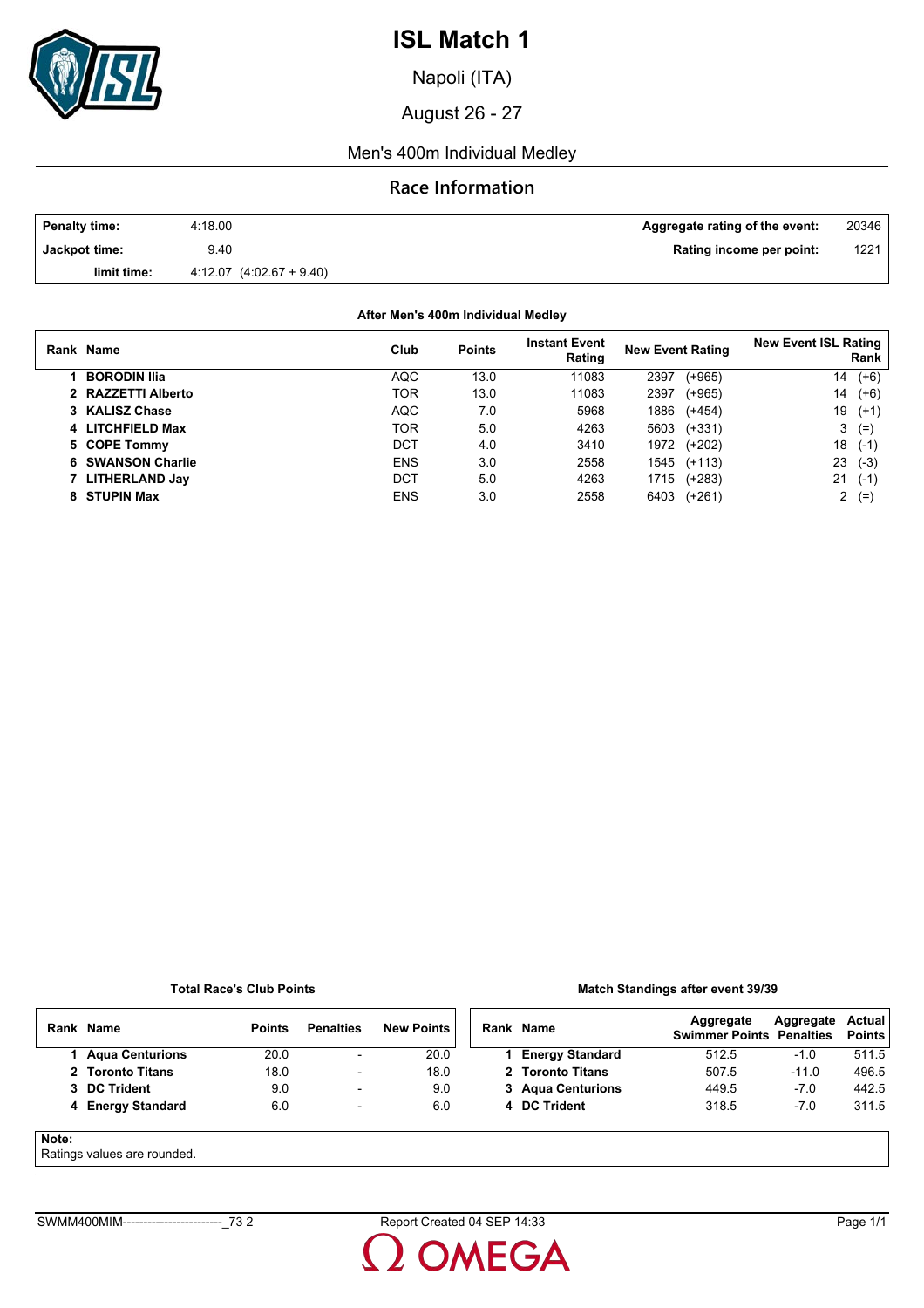

Napoli (ITA)

August 26 - 27

#### Men's 400m Individual Medley

#### **Race Information**

| <b>Penalty time:</b> | 4:18.00                      | Aggregate rating of the event: | 20346 |
|----------------------|------------------------------|--------------------------------|-------|
| Jackpot time:        | 9.40                         | Rating income per point:       | 1221  |
| limit time:          | $4.12.07$ $(4.02.67 + 9.40)$ |                                |       |

**After Men's 400m Individual Medley**

| Rank Name           | Club       | <b>Points</b> | <b>Instant Event</b><br>Rating | <b>New Event Rating</b> | <b>New Event ISL Rating</b><br>Rank |
|---------------------|------------|---------------|--------------------------------|-------------------------|-------------------------------------|
| <b>BORODIN Ilia</b> | <b>AQC</b> | 13.0          | 11083                          | (+965)<br>2397          | $(+6)$<br>14                        |
| 2 RAZZETTI Alberto  | TOR        | 13.0          | 11083                          | 2397<br>$(+965)$        | 14<br>$(+6)$                        |
| 3 KALISZ Chase      | <b>AQC</b> | 7.0           | 5968                           | 1886<br>$(+454)$        | 19<br>$(+1)$                        |
| 4 LITCHFIELD Max    | TOR        | 5.0           | 4263                           | $(+331)$<br>5603        | 3<br>$(=)$                          |
| 5 COPE Tommy        | <b>DCT</b> | 4.0           | 3410                           | 1972<br>$(+202)$        | 18<br>$(-1)$                        |
| 6 SWANSON Charlie   | <b>ENS</b> | 3.0           | 2558                           | 1545<br>$(+113)$        | 23<br>$(-3)$                        |
| 7 LITHERLAND Jay    | DCT        | 5.0           | 4263                           | $(+283)$<br>1715        | 21<br>$(-1)$                        |
| 8 STUPIN Max        | <b>ENS</b> | 3.0           | 2558                           | 6403<br>$(+261)$        | 2<br>$(=$                           |

#### **Total Race's Club Points**

#### **Match Standings after event 39/39**

|       | Rank Name         | <b>Points</b> | <b>Penalties</b>         | <b>New Points</b> | Rank Name              | Aggregate<br><b>Swimmer Points Penalties</b> | Aggregate | Actual<br><b>Points</b> |
|-------|-------------------|---------------|--------------------------|-------------------|------------------------|----------------------------------------------|-----------|-------------------------|
|       | 1 Agua Centurions | 20.0          | $\overline{\phantom{a}}$ | 20.0              | <b>Energy Standard</b> | 512.5                                        | $-1.0$    | 511.5                   |
|       | 2 Toronto Titans  | 18.0          | $\overline{\phantom{a}}$ | 18.0              | 2 Toronto Titans       | 507.5                                        | $-11.0$   | 496.5                   |
|       | 3 DC Trident      | 9.0           | $\overline{\phantom{a}}$ | 9.0               | 3 Agua Centurions      | 449.5                                        | $-7.0$    | 442.5                   |
|       | 4 Energy Standard | 6.0           | $\overline{\phantom{a}}$ | 6.0               | 4 DC Trident           | 318.5                                        | $-7.0$    | 311.5                   |
| Note: |                   |               |                          |                   |                        |                                              |           |                         |

Ratings values are rounded.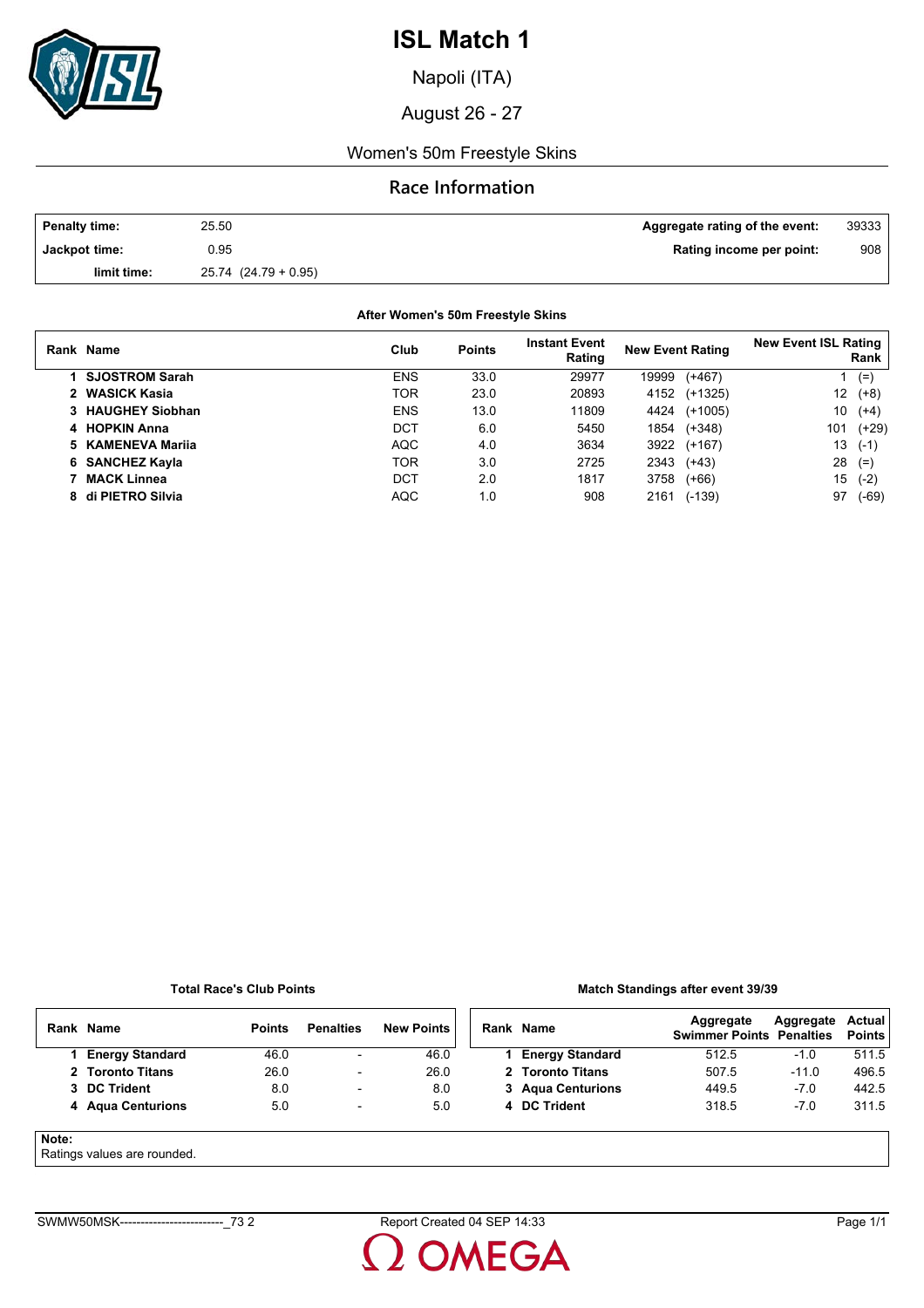

Napoli (ITA)

August 26 - 27

#### Women's 50m Freestyle Skins

#### **Race Information**

| <b>Penalty time:</b> | 25.50                    | Aggregate rating of the event: | 39333 |
|----------------------|--------------------------|--------------------------------|-------|
| Jackpot time:        | 0.95                     | Rating income per point:       | 908   |
| limit time:          | $25.74$ $(24.79 + 0.95)$ |                                |       |

#### **After Women's 50m Freestyle Skins**

| Rank Name             | Club       | <b>Points</b> | <b>Instant Event</b><br>Rating | <b>New Event Rating</b> |           | <b>New Event ISL Rating</b> | Rank    |
|-----------------------|------------|---------------|--------------------------------|-------------------------|-----------|-----------------------------|---------|
| <b>SJOSTROM Sarah</b> | <b>ENS</b> | 33.0          | 29977                          | 19999                   | $(+467)$  |                             | $(=)$   |
| 2 WASICK Kasia        | TOR        | 23.0          | 20893                          | 4152                    | $(+1325)$ | 12                          | $(+8)$  |
| 3 HAUGHEY Siobhan     | <b>ENS</b> | 13.0          | 11809                          | 4424                    | $(+1005)$ | 10                          | $(+4)$  |
| 4 HOPKIN Anna         | DCT        | 6.0           | 5450                           | 1854                    | $(+348)$  | 101                         | (+29)   |
| 5 KAMENEVA Marija     | <b>AQC</b> | 4.0           | 3634                           | 3922                    | (+167)    | 13                          | $(-1)$  |
| 6 SANCHEZ Kayla       | <b>TOR</b> | 3.0           | 2725                           | 2343                    | $(+43)$   | 28                          | $(=)$   |
| <b>MACK Linnea</b>    | DCT        | 2.0           | 1817                           | 3758                    | $(+66)$   | 15                          | $(-2)$  |
| 8 di PIETRO Silvia    | <b>AQC</b> | 1.0           | 908                            | 2161                    | $(-139)$  | 97                          | $(-69)$ |

#### **Total Race's Club Points**

#### **Match Standings after event 39/39**

|       | Rank Name              | <b>Points</b> | <b>Penalties</b>         | <b>New Points</b> | Rank Name              | Aggregate<br><b>Swimmer Points Penalties</b> | Aggregate | Actual<br><b>Points</b> |
|-------|------------------------|---------------|--------------------------|-------------------|------------------------|----------------------------------------------|-----------|-------------------------|
|       | <b>Energy Standard</b> | 46.0          | $\overline{\phantom{a}}$ | 46.0              | <b>Energy Standard</b> | 512.5                                        | $-1.0$    | 511.5                   |
|       | 2 Toronto Titans       | 26.0          | $\overline{\phantom{a}}$ | 26.0              | 2 Toronto Titans       | 507.5                                        | $-11.0$   | 496.5                   |
|       | 3 DC Trident           | 8.0           | $\overline{\phantom{a}}$ | 8.0               | 3 Agua Centurions      | 449.5                                        | $-7.0$    | 442.5                   |
|       | 4 Agua Centurions      | 5.0           | $\overline{a}$           | 5.0               | 4 DC Trident           | 318.5                                        | $-7.0$    | 311.5                   |
| Note: |                        |               |                          |                   |                        |                                              |           |                         |

Ratings values are rounded.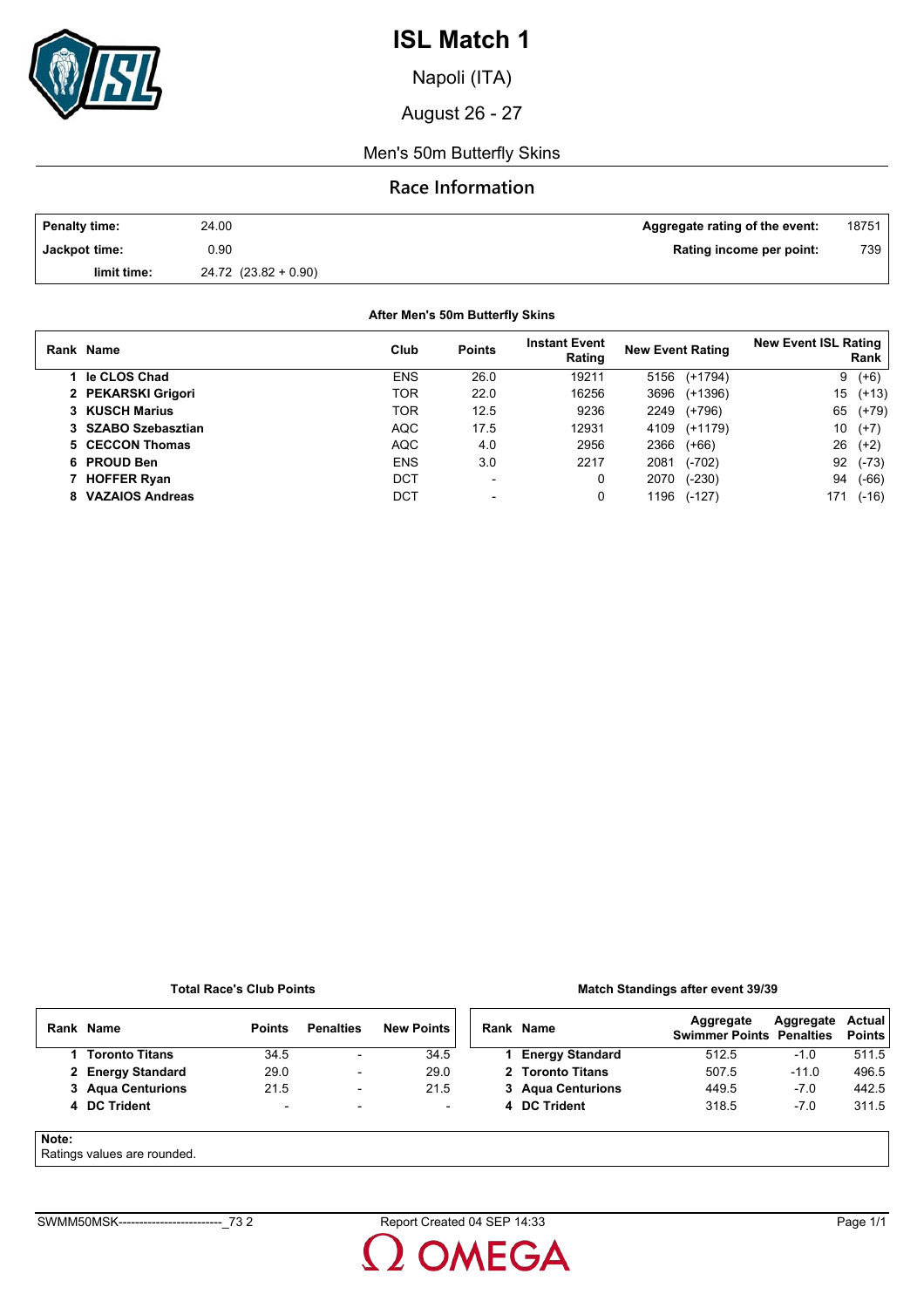

Napoli (ITA)

August 26 - 27

Men's 50m Butterfly Skins

### **Race Information**

| <b>Penalty time:</b> | 24.00                    | Aggregate rating of the event: | 18751 |
|----------------------|--------------------------|--------------------------------|-------|
| Jackpot time:        | 0.90                     | Rating income per point:       | 739   |
| limit time:          | $24.72$ $(23.82 + 0.90)$ |                                |       |

**After Men's 50m Butterfly Skins**

| Rank Name           | Club       | <b>Points</b>            | <b>Instant Event</b><br>Rating | <b>New Event Rating</b> | <b>New Event ISL Rating</b><br>Rank |
|---------------------|------------|--------------------------|--------------------------------|-------------------------|-------------------------------------|
| le CLOS Chad        | <b>ENS</b> | 26.0                     | 19211                          | (+1794)<br>5156         | $(+6)$<br>9                         |
| 2 PEKARSKI Grigori  | TOR        | 22.0                     | 16256                          | 3696<br>(+1396)         | 15<br>$(+13)$                       |
| 3 KUSCH Marius      | TOR        | 12.5                     | 9236                           | 2249<br>(+796)          | 65<br>$(+79)$                       |
| 3 SZABO Szebasztian | <b>AQC</b> | 17.5                     | 12931                          | (+1179)<br>4109         | 10<br>$(+7)$                        |
| 5 CECCON Thomas     | <b>AQC</b> | 4.0                      | 2956                           | 2366<br>$(+66)$         | 26<br>$(+2)$                        |
| 6 PROUD Ben         | <b>ENS</b> | 3.0                      | 2217                           | $(-702)$<br>2081        | 92<br>$(-73)$                       |
| 7 HOFFER Ryan       | DCT        | $\overline{\phantom{0}}$ | 0                              | 2070<br>$(-230)$        | 94<br>$(-66)$                       |
| 8 VAZAIOS Andreas   | <b>DCT</b> | $\overline{\phantom{0}}$ | 0                              | 1196<br>$(-127)$        | 171<br>$(-16)$                      |

#### **Total Race's Club Points**

#### **Match Standings after event 39/39**

|       | Rank Name                   | <b>Points</b>            | <b>Penalties</b>         | <b>New Points</b> | Rank Name              | Aggregate<br><b>Swimmer Points Penalties</b> | Aggregate | Actual<br><b>Points</b> |
|-------|-----------------------------|--------------------------|--------------------------|-------------------|------------------------|----------------------------------------------|-----------|-------------------------|
|       | <b>Toronto Titans</b>       | 34.5                     | ۰                        | 34.5              | <b>Energy Standard</b> | 512.5                                        | $-1.0$    | 511.5                   |
|       | 2 Energy Standard           | 29.0                     | ۰                        | 29.0              | 2 Toronto Titans       | 507.5                                        | $-11.0$   | 496.5                   |
|       | 3 Agua Centurions           | 21.5                     | $\overline{\phantom{a}}$ | 21.5              | 3 Agua Centurions      | 449.5                                        | $-7.0$    | 442.5                   |
|       | 4 DC Trident                | $\overline{\phantom{a}}$ | ۰                        | ۰.                | 4 DC Trident           | 318.5                                        | $-7.0$    | 311.5                   |
| Note: | Ratings values are rounded. |                          |                          |                   |                        |                                              |           |                         |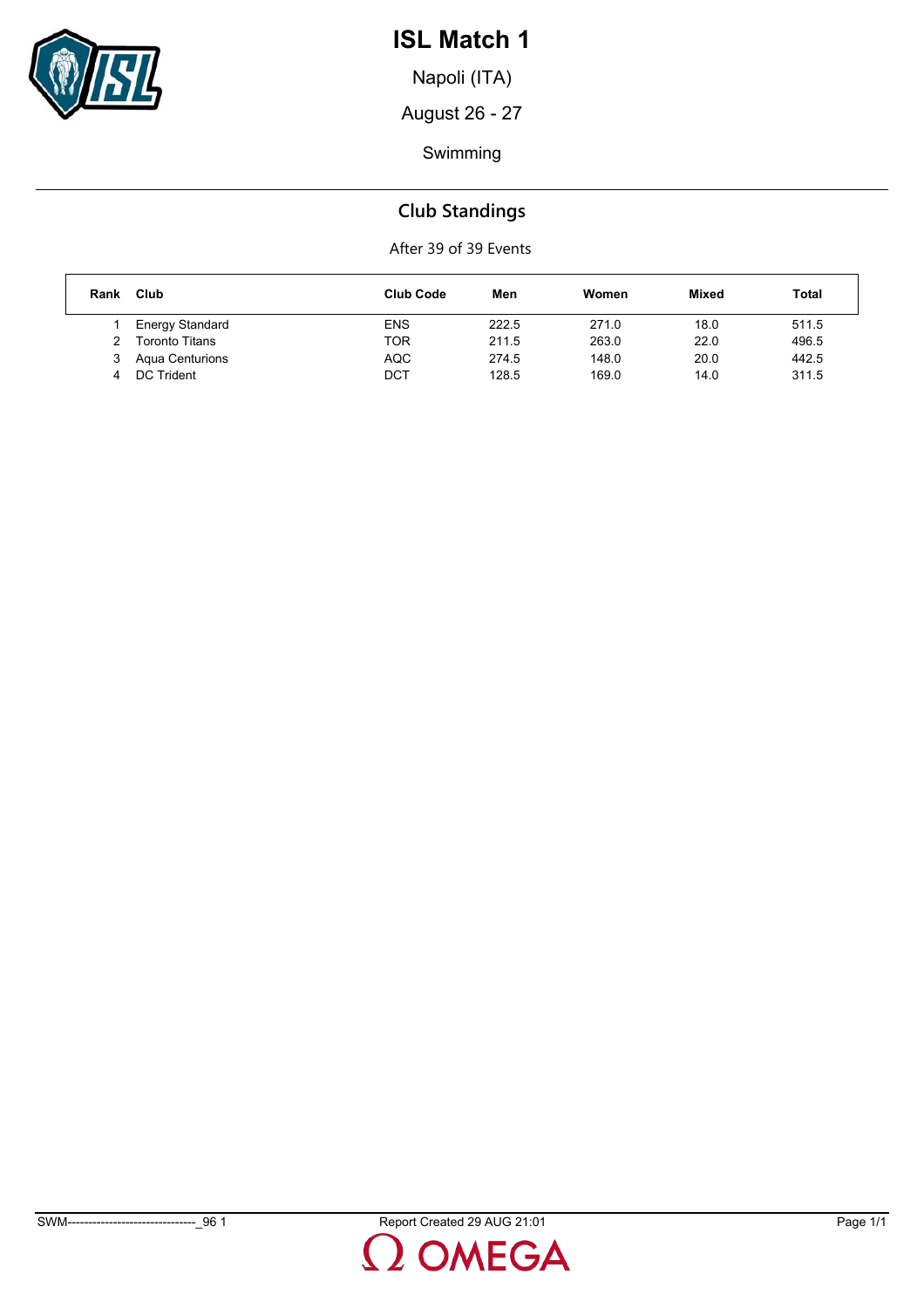

Napoli (ITA)

August 26 - 27

Swimming

# **Club Standings**

| Rank | Club                  | <b>Club Code</b> | Men   | Women | <b>Mixed</b> | <b>Total</b> |
|------|-----------------------|------------------|-------|-------|--------------|--------------|
|      | Energy Standard       | <b>ENS</b>       | 222.5 | 271.0 | 18.0         | 511.5        |
|      | <b>Toronto Titans</b> | TOR              | 211.5 | 263.0 | 22.0         | 496.5        |
| З    | Aqua Centurions       | <b>AQC</b>       | 274.5 | 148.0 | 20.0         | 442.5        |
|      | DC Trident            | DCT              | 128.5 | 169.0 | 14.0         | 311.5        |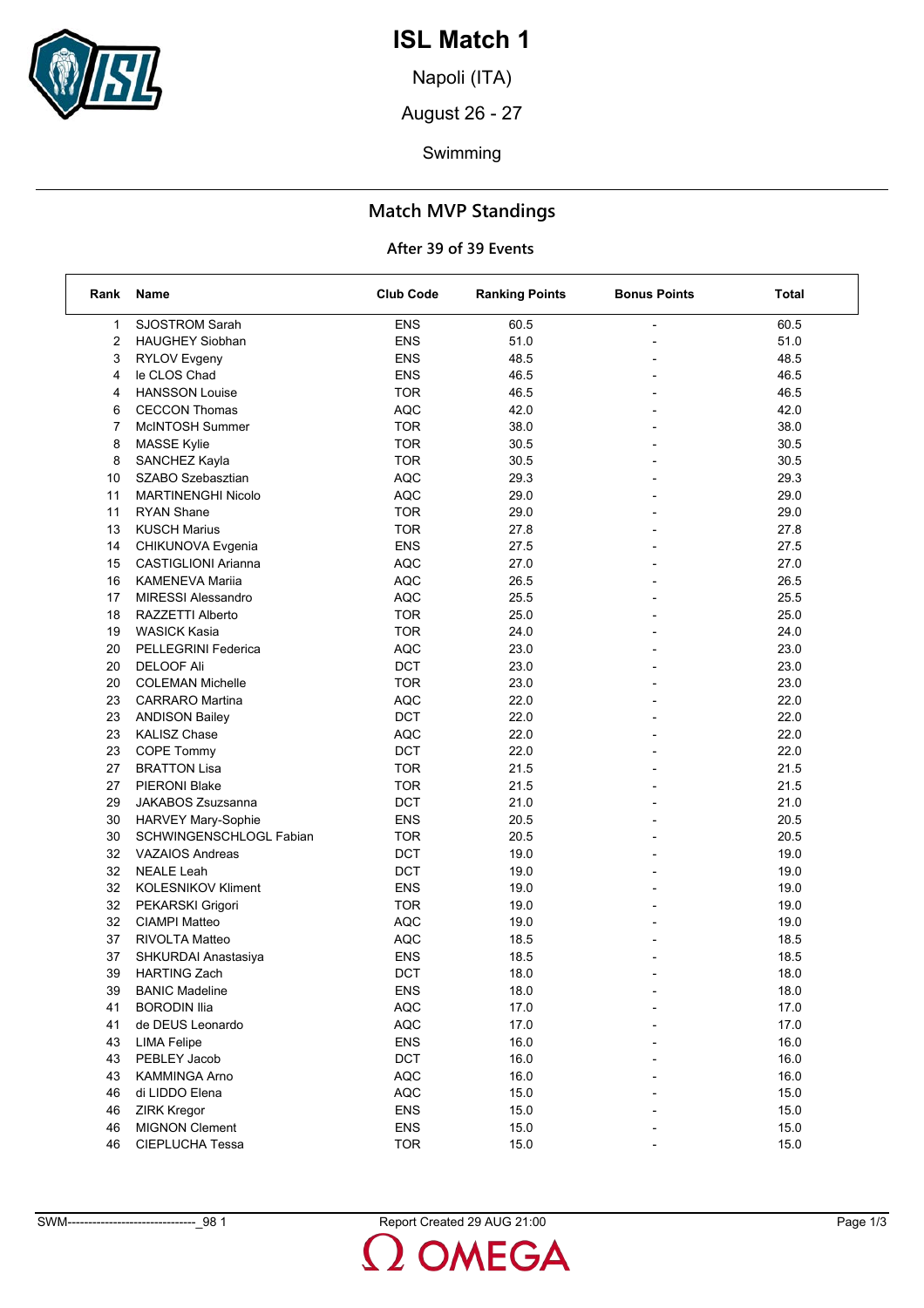

Napoli (ITA)

August 26 - 27

Swimming

## **Match MVP Standings**

| Rank | Name                       | <b>Club Code</b> | <b>Ranking Points</b> | <b>Bonus Points</b>      | Total |
|------|----------------------------|------------------|-----------------------|--------------------------|-------|
| 1    | <b>SJOSTROM Sarah</b>      | <b>ENS</b>       | 60.5                  |                          | 60.5  |
| 2    | <b>HAUGHEY Siobhan</b>     | <b>ENS</b>       | 51.0                  |                          | 51.0  |
| 3    | <b>RYLOV Evgeny</b>        | <b>ENS</b>       | 48.5                  |                          | 48.5  |
| 4    | le CLOS Chad               | <b>ENS</b>       | 46.5                  | $\overline{\phantom{0}}$ | 46.5  |
| 4    | <b>HANSSON Louise</b>      | <b>TOR</b>       | 46.5                  |                          | 46.5  |
| 6    | <b>CECCON Thomas</b>       | <b>AQC</b>       | 42.0                  |                          | 42.0  |
| 7    | McINTOSH Summer            | <b>TOR</b>       | 38.0                  |                          | 38.0  |
| 8    | <b>MASSE Kylie</b>         | <b>TOR</b>       | 30.5                  |                          | 30.5  |
| 8    | SANCHEZ Kayla              | <b>TOR</b>       | 30.5                  |                          | 30.5  |
| 10   | SZABO Szebasztian          | <b>AQC</b>       | 29.3                  | $\overline{\phantom{0}}$ | 29.3  |
| 11   | <b>MARTINENGHI Nicolo</b>  | <b>AQC</b>       | 29.0                  |                          | 29.0  |
| 11   | <b>RYAN Shane</b>          | <b>TOR</b>       | 29.0                  |                          | 29.0  |
| 13   | <b>KUSCH Marius</b>        | <b>TOR</b>       | 27.8                  |                          | 27.8  |
| 14   | CHIKUNOVA Evgenia          | <b>ENS</b>       | 27.5                  |                          | 27.5  |
| 15   | <b>CASTIGLIONI Arianna</b> | <b>AQC</b>       | 27.0                  |                          | 27.0  |
| 16   | <b>KAMENEVA Marija</b>     | <b>AQC</b>       | 26.5                  |                          | 26.5  |
| 17   | <b>MIRESSI Alessandro</b>  | <b>AQC</b>       | 25.5                  |                          | 25.5  |
| 18   | RAZZETTI Alberto           | <b>TOR</b>       | 25.0                  |                          | 25.0  |
| 19   | <b>WASICK Kasia</b>        | <b>TOR</b>       | 24.0                  | $\overline{\phantom{0}}$ | 24.0  |
| 20   | PELLEGRINI Federica        | <b>AQC</b>       | 23.0                  |                          | 23.0  |
| 20   | <b>DELOOF Ali</b>          | DCT              | 23.0                  |                          | 23.0  |
| 20   | <b>COLEMAN Michelle</b>    | <b>TOR</b>       | 23.0                  |                          | 23.0  |
| 23   | <b>CARRARO</b> Martina     | <b>AQC</b>       | 22.0                  |                          | 22.0  |
| 23   | <b>ANDISON Bailey</b>      | DCT              | 22.0                  |                          | 22.0  |
| 23   | <b>KALISZ Chase</b>        | <b>AQC</b>       | 22.0                  |                          | 22.0  |
| 23   | COPE Tommy                 | DCT              | 22.0                  |                          | 22.0  |
| 27   | <b>BRATTON Lisa</b>        | <b>TOR</b>       | 21.5                  |                          | 21.5  |
| 27   | <b>PIERONI Blake</b>       | <b>TOR</b>       | 21.5                  |                          | 21.5  |
| 29   | JAKABOS Zsuzsanna          | DCT              | 21.0                  | $\overline{\phantom{0}}$ | 21.0  |
| 30   | HARVEY Mary-Sophie         | <b>ENS</b>       | 20.5                  |                          | 20.5  |
| 30   | SCHWINGENSCHLOGL Fabian    | <b>TOR</b>       | 20.5                  | $\overline{a}$           | 20.5  |
| 32   | <b>VAZAIOS Andreas</b>     | <b>DCT</b>       | 19.0                  |                          | 19.0  |
| 32   | <b>NEALE Leah</b>          | DCT              | 19.0                  |                          | 19.0  |
| 32   | <b>KOLESNIKOV Kliment</b>  | ENS              | 19.0                  |                          | 19.0  |
| 32   | PEKARSKI Grigori           | <b>TOR</b>       | 19.0                  | $\overline{\phantom{0}}$ | 19.0  |
| 32   | <b>CIAMPI Matteo</b>       | <b>AQC</b>       | 19.0                  |                          | 19.0  |
| 37   | RIVOLTA Matteo             | <b>AQC</b>       | 18.5                  |                          | 18.5  |
| 37   | SHKURDAI Anastasiya        | <b>ENS</b>       | 18.5                  |                          | 18.5  |
| 39   | HARTING Zach               | DCT              | 18.0                  |                          | 18.0  |
| 39   | <b>BANIC Madeline</b>      | <b>ENS</b>       | 18.0                  |                          | 18.0  |
| 41   | <b>BORODIN Ilia</b>        | <b>AQC</b>       | 17.0                  |                          | 17.0  |
| 41   | de DEUS Leonardo           | <b>AQC</b>       | 17.0                  |                          | 17.0  |
| 43   | <b>LIMA Felipe</b>         | <b>ENS</b>       | 16.0                  |                          | 16.0  |
| 43   | PEBLEY Jacob               | DCT              | 16.0                  |                          | 16.0  |
| 43   | KAMMINGA Arno              | <b>AQC</b>       | 16.0                  |                          | 16.0  |
| 46   | di LIDDO Elena             | <b>AQC</b>       | 15.0                  |                          | 15.0  |
| 46   | <b>ZIRK Kregor</b>         | <b>ENS</b>       | 15.0                  |                          | 15.0  |
| 46   | <b>MIGNON Clement</b>      | ENS              | 15.0                  |                          | 15.0  |
| 46   | CIEPLUCHA Tessa            | <b>TOR</b>       | 15.0                  |                          | 15.0  |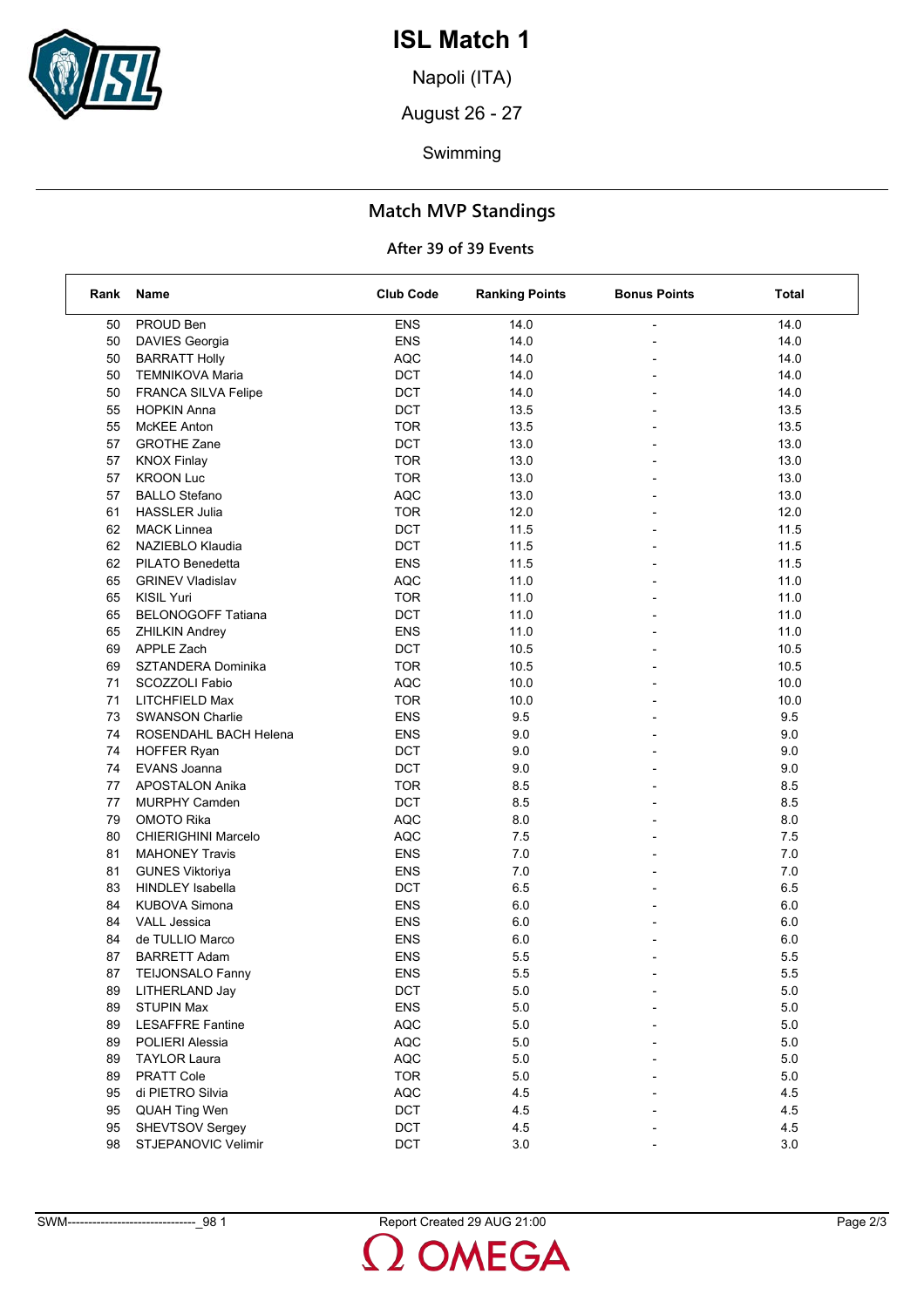

Napoli (ITA)

August 26 - 27

Swimming

## **Match MVP Standings**

| Rank | Name                       | <b>Club Code</b> | <b>Ranking Points</b> | <b>Bonus Points</b> | Total   |
|------|----------------------------|------------------|-----------------------|---------------------|---------|
| 50   | PROUD Ben                  | <b>ENS</b>       | 14.0                  |                     | 14.0    |
| 50   | DAVIES Georgia             | <b>ENS</b>       | 14.0                  |                     | 14.0    |
| 50   | <b>BARRATT Holly</b>       | <b>AQC</b>       | 14.0                  |                     | 14.0    |
| 50   | <b>TEMNIKOVA Maria</b>     | <b>DCT</b>       | 14.0                  |                     | 14.0    |
| 50   | FRANCA SILVA Felipe        | <b>DCT</b>       | 14.0                  |                     | 14.0    |
| 55   | <b>HOPKIN Anna</b>         | <b>DCT</b>       | 13.5                  |                     | 13.5    |
| 55   | McKEE Anton                | <b>TOR</b>       | 13.5                  |                     | 13.5    |
| 57   | <b>GROTHE Zane</b>         | <b>DCT</b>       | 13.0                  |                     | 13.0    |
| 57   | <b>KNOX Finlay</b>         | <b>TOR</b>       | 13.0                  |                     | 13.0    |
| 57   | <b>KROON Luc</b>           | <b>TOR</b>       | 13.0                  |                     | 13.0    |
| 57   | <b>BALLO Stefano</b>       | <b>AQC</b>       | 13.0                  |                     | 13.0    |
| 61   | <b>HASSLER Julia</b>       | <b>TOR</b>       | 12.0                  |                     | 12.0    |
| 62   | <b>MACK Linnea</b>         | <b>DCT</b>       | 11.5                  |                     | 11.5    |
| 62   | NAZIEBLO Klaudia           | <b>DCT</b>       | 11.5                  |                     | 11.5    |
| 62   | PILATO Benedetta           | <b>ENS</b>       | 11.5                  |                     | 11.5    |
| 65   | <b>GRINEV Vladislav</b>    | <b>AQC</b>       | 11.0                  |                     | 11.0    |
| 65   | <b>KISIL Yuri</b>          | <b>TOR</b>       | 11.0                  |                     | 11.0    |
| 65   | <b>BELONOGOFF Tatiana</b>  | <b>DCT</b>       | 11.0                  |                     | 11.0    |
| 65   | <b>ZHILKIN Andrey</b>      | <b>ENS</b>       | 11.0                  |                     | 11.0    |
| 69   | APPLE Zach                 | <b>DCT</b>       | 10.5                  |                     | 10.5    |
| 69   | SZTANDERA Dominika         | <b>TOR</b>       | 10.5                  |                     | 10.5    |
| 71   | SCOZZOLI Fabio             | <b>AQC</b>       | 10.0                  |                     | 10.0    |
| 71   | LITCHFIELD Max             | <b>TOR</b>       | 10.0                  |                     | 10.0    |
| 73   | <b>SWANSON Charlie</b>     | <b>ENS</b>       | 9.5                   |                     | 9.5     |
| 74   | ROSENDAHL BACH Helena      | <b>ENS</b>       | 9.0                   |                     | 9.0     |
| 74   | <b>HOFFER Ryan</b>         | <b>DCT</b>       | 9.0                   |                     | 9.0     |
| 74   | EVANS Joanna               | <b>DCT</b>       | 9.0                   |                     | 9.0     |
| 77   | <b>APOSTALON Anika</b>     | <b>TOR</b>       | 8.5                   |                     | 8.5     |
| 77   | <b>MURPHY Camden</b>       | <b>DCT</b>       | 8.5                   |                     | 8.5     |
| 79   | <b>OMOTO Rika</b>          | <b>AQC</b>       | 8.0                   |                     | 8.0     |
| 80   | <b>CHIERIGHINI Marcelo</b> | <b>AQC</b>       | 7.5                   |                     | 7.5     |
| 81   | <b>MAHONEY Travis</b>      | <b>ENS</b>       | 7.0                   |                     | 7.0     |
| 81   | <b>GUNES Viktoriya</b>     | <b>ENS</b>       | 7.0                   |                     | 7.0     |
| 83   | <b>HINDLEY Isabella</b>    | DCT              | 6.5                   | $\overline{a}$      | 6.5     |
| 84   | <b>KUBOVA Simona</b>       | <b>ENS</b>       | 6.0                   |                     | 6.0     |
| 84   | <b>VALL Jessica</b>        | <b>ENS</b>       | 6.0                   |                     | 6.0     |
| 84   | de TULLIO Marco            | <b>ENS</b>       | 6.0                   |                     | $6.0\,$ |
| 87   | <b>BARRETT Adam</b>        | <b>ENS</b>       | 5.5                   |                     | 5.5     |
| 87   | TEIJONSALO Fanny           | ENS              | 5.5                   |                     | 5.5     |
| 89   | LITHERLAND Jay             | <b>DCT</b>       | 5.0                   |                     | 5.0     |
| 89   | <b>STUPIN Max</b>          | <b>ENS</b>       | $5.0\,$               |                     | $5.0$   |
| 89   | <b>LESAFFRE Fantine</b>    | <b>AQC</b>       | 5.0                   |                     | 5.0     |
| 89   | POLIERI Alessia            | <b>AQC</b>       | 5.0                   |                     | $5.0\,$ |
| 89   | <b>TAYLOR Laura</b>        | AQC              | 5.0                   |                     | 5.0     |
| 89   | PRATT Cole                 | <b>TOR</b>       | 5.0                   |                     | 5.0     |
| 95   | di PIETRO Silvia           | <b>AQC</b>       | 4.5                   |                     | 4.5     |
| 95   | <b>QUAH Ting Wen</b>       | <b>DCT</b>       | 4.5                   |                     | 4.5     |
| 95   | SHEVTSOV Sergey            | DCT              | 4.5                   |                     | 4.5     |
| 98   | STJEPANOVIC Velimir        | DCT              | 3.0                   |                     | 3.0     |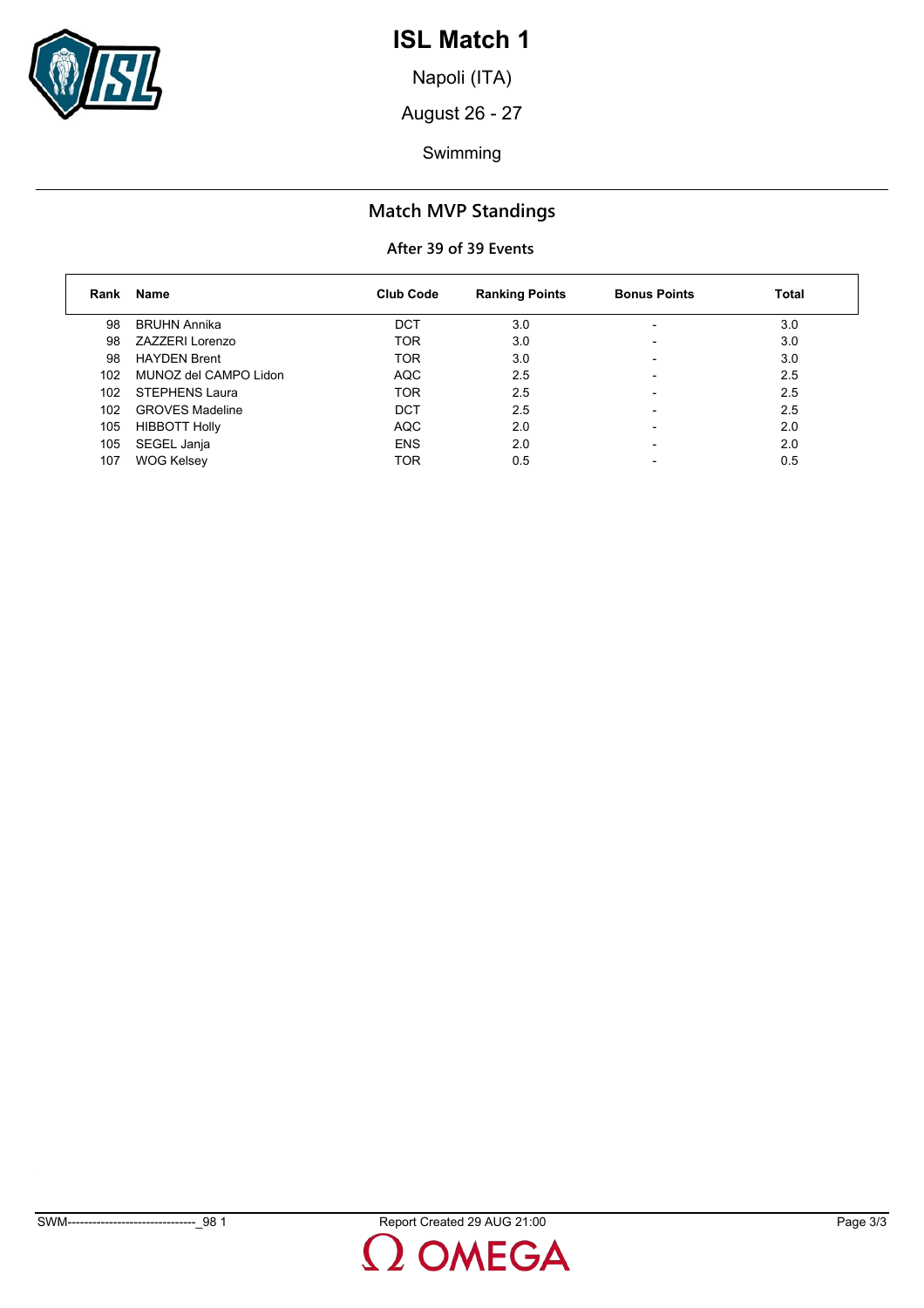

Napoli (ITA)

August 26 - 27

Swimming

## **Match MVP Standings**

| Rank | Name                   | <b>Club Code</b> | <b>Ranking Points</b> | <b>Bonus Points</b>      | <b>Total</b> |
|------|------------------------|------------------|-----------------------|--------------------------|--------------|
| 98   | <b>BRUHN Annika</b>    | <b>DCT</b>       | 3.0                   | $\overline{\phantom{0}}$ | 3.0          |
| 98   | ZAZZERI Lorenzo        | <b>TOR</b>       | 3.0                   |                          | 3.0          |
| 98   | <b>HAYDEN Brent</b>    | <b>TOR</b>       | 3.0                   |                          | 3.0          |
| 102  | MUNOZ del CAMPO Lidon  | <b>AQC</b>       | 2.5                   |                          | 2.5          |
| 102  | STEPHENS Laura         | <b>TOR</b>       | 2.5                   |                          | 2.5          |
| 102  | <b>GROVES Madeline</b> | <b>DCT</b>       | 2.5                   |                          | 2.5          |
| 105  | <b>HIBBOTT Holly</b>   | <b>AQC</b>       | 2.0                   | $\overline{\phantom{0}}$ | 2.0          |
| 105  | SEGEL Janja            | <b>ENS</b>       | 2.0                   |                          | 2.0          |
| 107  | <b>WOG Kelsey</b>      | <b>TOR</b>       | 0.5                   |                          | 0.5          |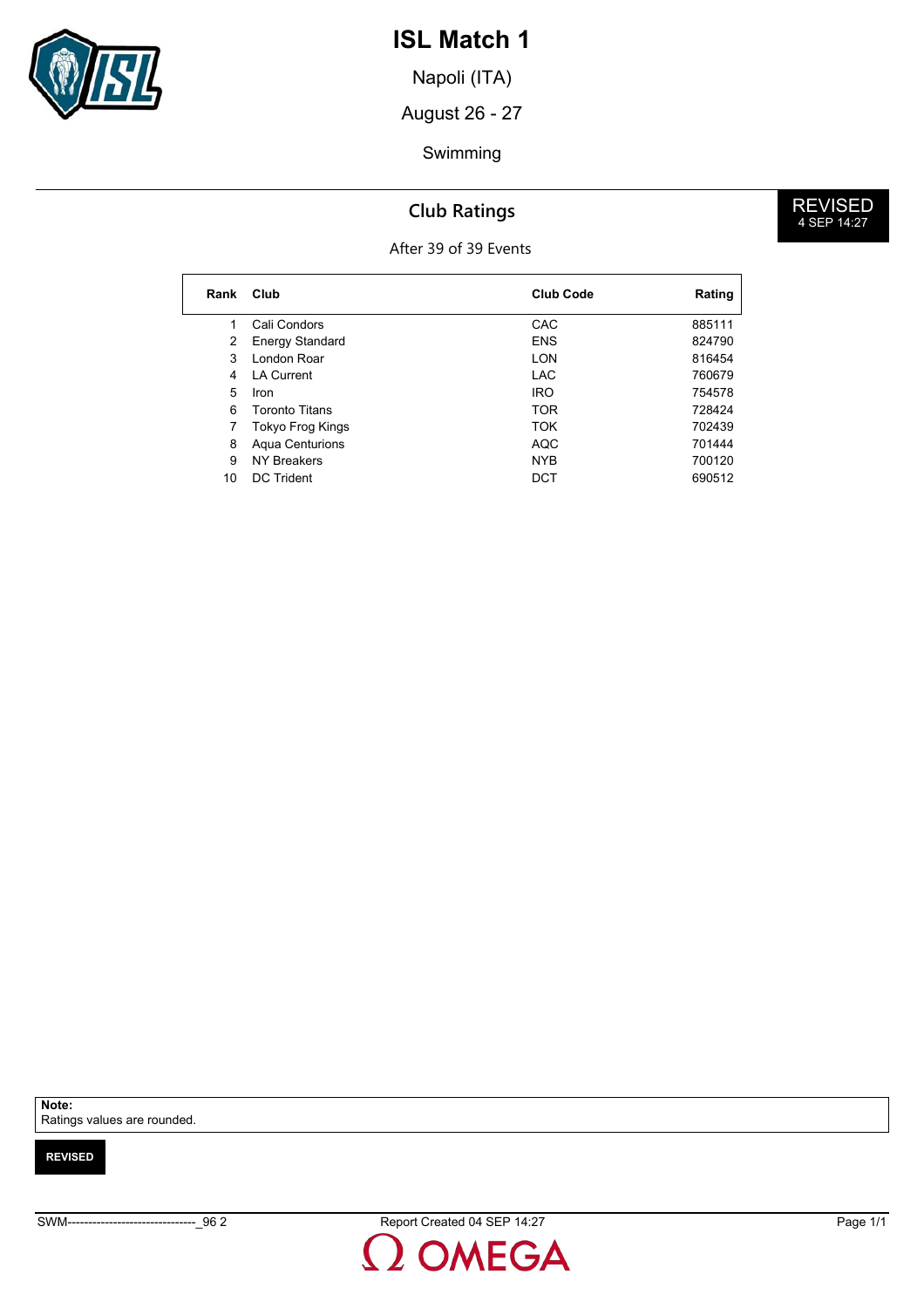

Napoli (ITA)

August 26 - 27

#### Swimming

## **Club Ratings**

#### After 39 of 39 Events

**Rank Club Club Code Rating** 1 Cali Condors CAC 685111 2 Energy Standard **ENS** ENS 824790 3 London Roar **LON** 816454 4 LA Current 2006 120 LAC 200679 Iron5 IRO 754578 6 Toronto Titans **6 Toronto Titans TOR** 728424 7 Tokyo Frog Kings **TOK** 702439 8 Aqua Centurions **AQC** 701444 ers of the NYB 19 NYB 1200120<br>10 DC Trident 10 DCT 10 000512 10 DC Trident DCT

**Note:**

Ratings values are rounded.

**REVISED**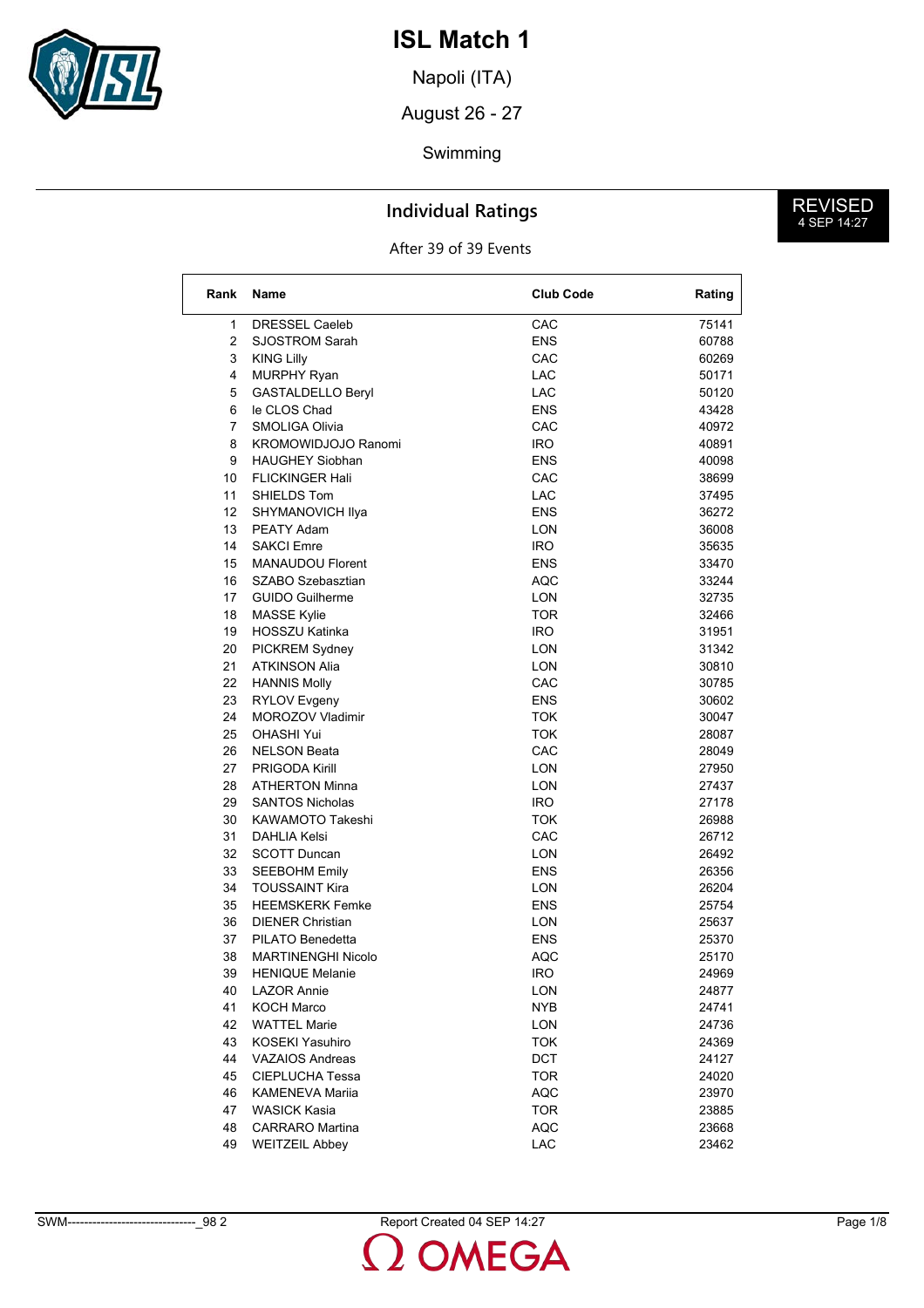

Napoli (ITA)

August 26 - 27

#### Swimming

### **Individual Ratings**

After 39 of 39 Events

| Rank | <b>Name</b>               | <b>Club Code</b> | Rating |
|------|---------------------------|------------------|--------|
| 1    | <b>DRESSEL Caeleb</b>     | CAC              | 75141  |
| 2    | <b>SJOSTROM Sarah</b>     | <b>ENS</b>       | 60788  |
| 3    | <b>KING Lilly</b>         | CAC              | 60269  |
| 4    | <b>MURPHY Ryan</b>        | LAC              | 50171  |
| 5    | <b>GASTALDELLO Beryl</b>  | LAC              | 50120  |
| 6    | le CLOS Chad              | <b>ENS</b>       | 43428  |
| 7    | SMOLIGA Olivia            | <b>CAC</b>       | 40972  |
| 8    | KROMOWIDJOJO Ranomi       | IRO.             | 40891  |
| 9    | <b>HAUGHEY Siobhan</b>    | <b>ENS</b>       | 40098  |
| 10   | <b>FLICKINGER Hali</b>    | CAC              | 38699  |
| 11   | SHIELDS Tom               | <b>LAC</b>       | 37495  |
| 12   | SHYMANOVICH IIya          | <b>ENS</b>       | 36272  |
| 13   | PEATY Adam                | LON              | 36008  |
| 14   | <b>SAKCI Emre</b>         | <b>IRO</b>       | 35635  |
| 15   | <b>MANAUDOU Florent</b>   | ENS              | 33470  |
| 16   | SZABO Szebasztian         | AQC              | 33244  |
| 17   | <b>GUIDO Guilherme</b>    | <b>LON</b>       | 32735  |
| 18   | <b>MASSE Kylie</b>        | TOR              | 32466  |
| 19   | <b>HOSSZU Katinka</b>     | IRO.             | 31951  |
| 20   | PICKREM Sydney            | LON              | 31342  |
| 21   | <b>ATKINSON Alia</b>      | LON              | 30810  |
| 22   | <b>HANNIS Molly</b>       | CAC              | 30785  |
| 23   | RYLOV Evgeny              | <b>ENS</b>       | 30602  |
| 24   | MOROZOV Vladimir          | <b>TOK</b>       | 30047  |
| 25   | OHASHI Yui                | <b>TOK</b>       | 28087  |
| 26   | <b>NELSON Beata</b>       | CAC              | 28049  |
| 27   | <b>PRIGODA Kirill</b>     | LON              | 27950  |
| 28   | <b>ATHERTON Minna</b>     | LON              | 27437  |
| 29   | <b>SANTOS Nicholas</b>    | IRO.             | 27178  |
| 30   | KAWAMOTO Takeshi          | <b>TOK</b>       | 26988  |
| 31   | DAHLIA Kelsi              | CAC              | 26712  |
| 32   | <b>SCOTT Duncan</b>       | LON              | 26492  |
| 33   | <b>SEEBOHM Emily</b>      | <b>ENS</b>       | 26356  |
| 34   | <b>TOUSSAINT Kira</b>     | LON              | 26204  |
| 35   | <b>HEEMSKERK Femke</b>    | ENS              | 25754  |
| 36   | <b>DIENER Christian</b>   | LON              | 25637  |
| 37   | PILATO Benedetta          | ENS              | 25370  |
| 38   | <b>MARTINENGHI Nicolo</b> | AQC              | 25170  |
|      | 39 HENIQUE Melanie        | <b>IRO</b>       | 24969  |
| 40   | <b>LAZOR Annie</b>        | <b>LON</b>       | 24877  |
| 41   | <b>KOCH Marco</b>         | <b>NYB</b>       | 24741  |
| 42   | <b>WATTEL Marie</b>       | LON              | 24736  |
| 43   | KOSEKI Yasuhiro           | <b>TOK</b>       | 24369  |
| 44   | <b>VAZAIOS Andreas</b>    | <b>DCT</b>       | 24127  |
| 45   | CIEPLUCHA Tessa           | <b>TOR</b>       | 24020  |
| 46   | <b>KAMENEVA Marija</b>    | <b>AQC</b>       | 23970  |
| 47   | WASICK Kasia              | <b>TOR</b>       | 23885  |
| 48   | <b>CARRARO</b> Martina    | <b>AQC</b>       | 23668  |
| 49   | <b>WEITZEIL Abbey</b>     | LAC              | 23462  |
|      |                           |                  |        |

SWM-------------------------------\_98 2 Report Created 04 SEP 14:27 Page 1/8

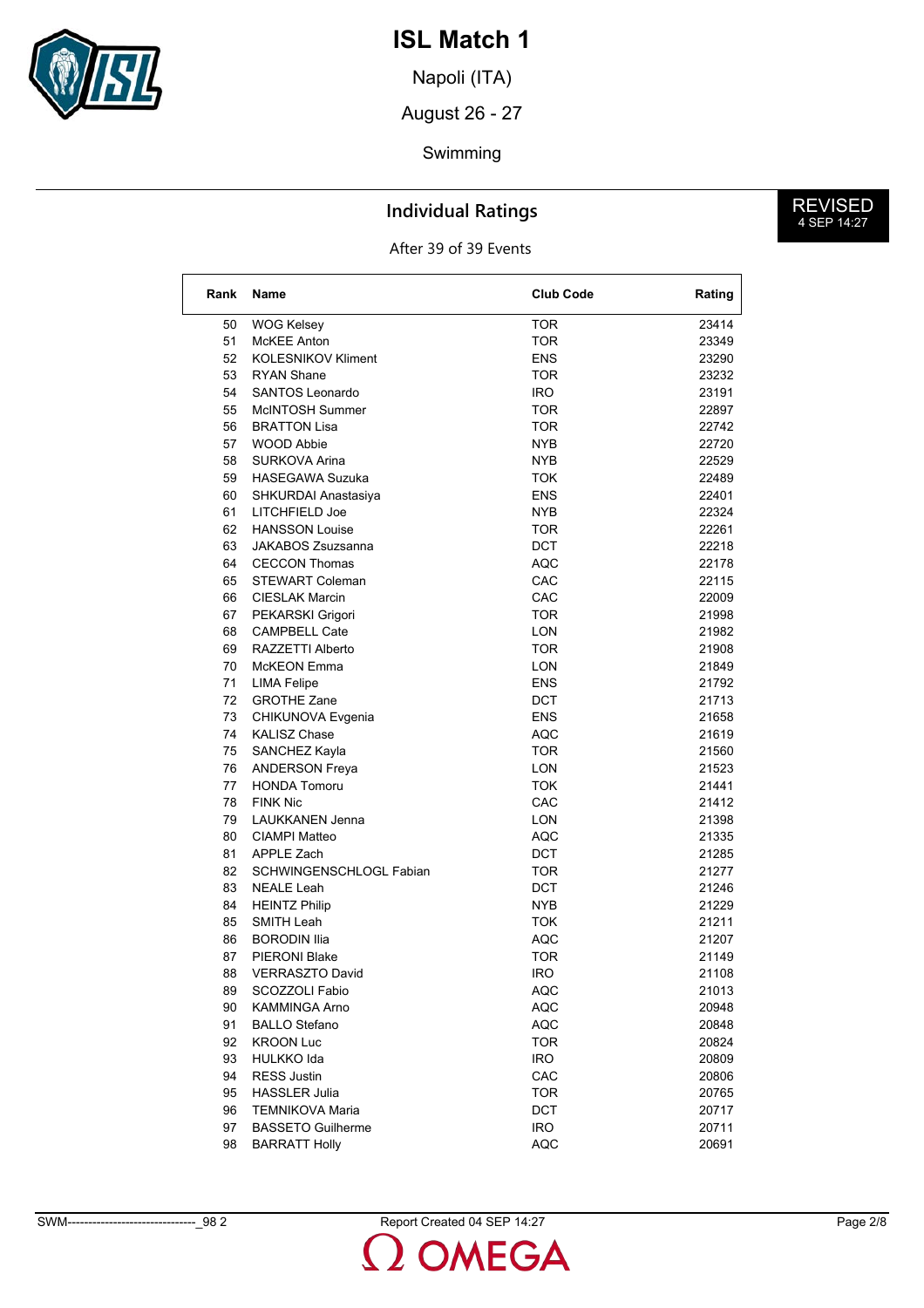

Napoli (ITA)

August 26 - 27

#### Swimming

### **Individual Ratings**

After 39 of 39 Events

| Rank | Name                      | <b>Club Code</b> | Rating |
|------|---------------------------|------------------|--------|
| 50   | <b>WOG Kelsey</b>         | <b>TOR</b>       | 23414  |
| 51   | McKEE Anton               | TOR              | 23349  |
| 52   | <b>KOLESNIKOV Kliment</b> | <b>ENS</b>       | 23290  |
| 53   | <b>RYAN Shane</b>         | TOR              | 23232  |
| 54   | SANTOS Leonardo           | IRO.             | 23191  |
| 55   | McINTOSH Summer           | TOR              | 22897  |
| 56   | <b>BRATTON Lisa</b>       | TOR              | 22742  |
| 57   | <b>WOOD Abbie</b>         | NYB              | 22720  |
| 58   | SURKOVA Arina             | NYB.             | 22529  |
| 59   | <b>HASEGAWA Suzuka</b>    | TOK              | 22489  |
| 60   | SHKURDAI Anastasiya       | <b>ENS</b>       | 22401  |
| 61   | LITCHFIELD Joe            | NYB.             | 22324  |
| 62   | <b>HANSSON Louise</b>     | TOR              | 22261  |
| 63   | <b>JAKABOS Zsuzsanna</b>  | <b>DCT</b>       | 22218  |
| 64   | <b>CECCON Thomas</b>      | AQC              | 22178  |
| 65   | <b>STEWART Coleman</b>    | CAC              | 22115  |
| 66   | <b>CIESLAK Marcin</b>     | CAC              | 22009  |
| 67   | PEKARSKI Grigori          | TOR              | 21998  |
| 68   | <b>CAMPBELL Cate</b>      | LON              | 21982  |
| 69   | RAZZETTI Alberto          | TOR              | 21908  |
| 70   | McKEON Emma               | LON              | 21849  |
| 71   | <b>LIMA Felipe</b>        | ENS              | 21792  |
| 72   | <b>GROTHE Zane</b>        | DCT              | 21713  |
| 73   | CHIKUNOVA Evgenia         | <b>ENS</b>       | 21658  |
| 74   | <b>KALISZ Chase</b>       | AQC              | 21619  |
| 75   | SANCHEZ Kayla             | TOR              | 21560  |
| 76   | <b>ANDERSON Freya</b>     | <b>LON</b>       | 21523  |
| 77   | <b>HONDA Tomoru</b>       | TOK              | 21441  |
| 78   | <b>FINK Nic</b>           | CAC              | 21412  |
| 79   | <b>LAUKKANEN Jenna</b>    | <b>LON</b>       | 21398  |
| 80   | CIAMPI Matteo             | AQC              | 21335  |
| 81   | APPLE Zach                | DCT              | 21285  |
| 82   | SCHWINGENSCHLOGL Fabian   | TOR              | 21277  |
| 83   | NEALE Leah                | DCT              | 21246  |
| 84   | <b>HEINTZ Philip</b>      | NYB.             | 21229  |
| 85   | SMITH Leah                | <b>TOK</b>       | 21211  |
| 86   | <b>BORODIN Ilia</b>       | AQC              | 21207  |
| 87   | <b>PIERONI Blake</b>      | TOR              | 21149  |
| 88   | <b>VERRASZTO David</b>    | <b>IRO</b>       | 21108  |
| 89   | SCOZZOLI Fabio            | AQC              | 21013  |
| 90   | KAMMINGA Arno             | <b>AQC</b>       | 20948  |
| 91   | <b>BALLO Stefano</b>      | <b>AQC</b>       | 20848  |
| 92   | <b>KROON Luc</b>          | <b>TOR</b>       | 20824  |
| 93   | HULKKO Ida                | <b>IRO</b>       | 20809  |
| 94   | <b>RESS Justin</b>        | CAC              | 20806  |
| 95   | <b>HASSLER Julia</b>      | <b>TOR</b>       | 20765  |
| 96   | <b>TEMNIKOVA Maria</b>    | <b>DCT</b>       | 20717  |
| 97   | <b>BASSETO Guilherme</b>  | <b>IRO</b>       | 20711  |
| 98   | <b>BARRATT Holly</b>      | <b>AQC</b>       | 20691  |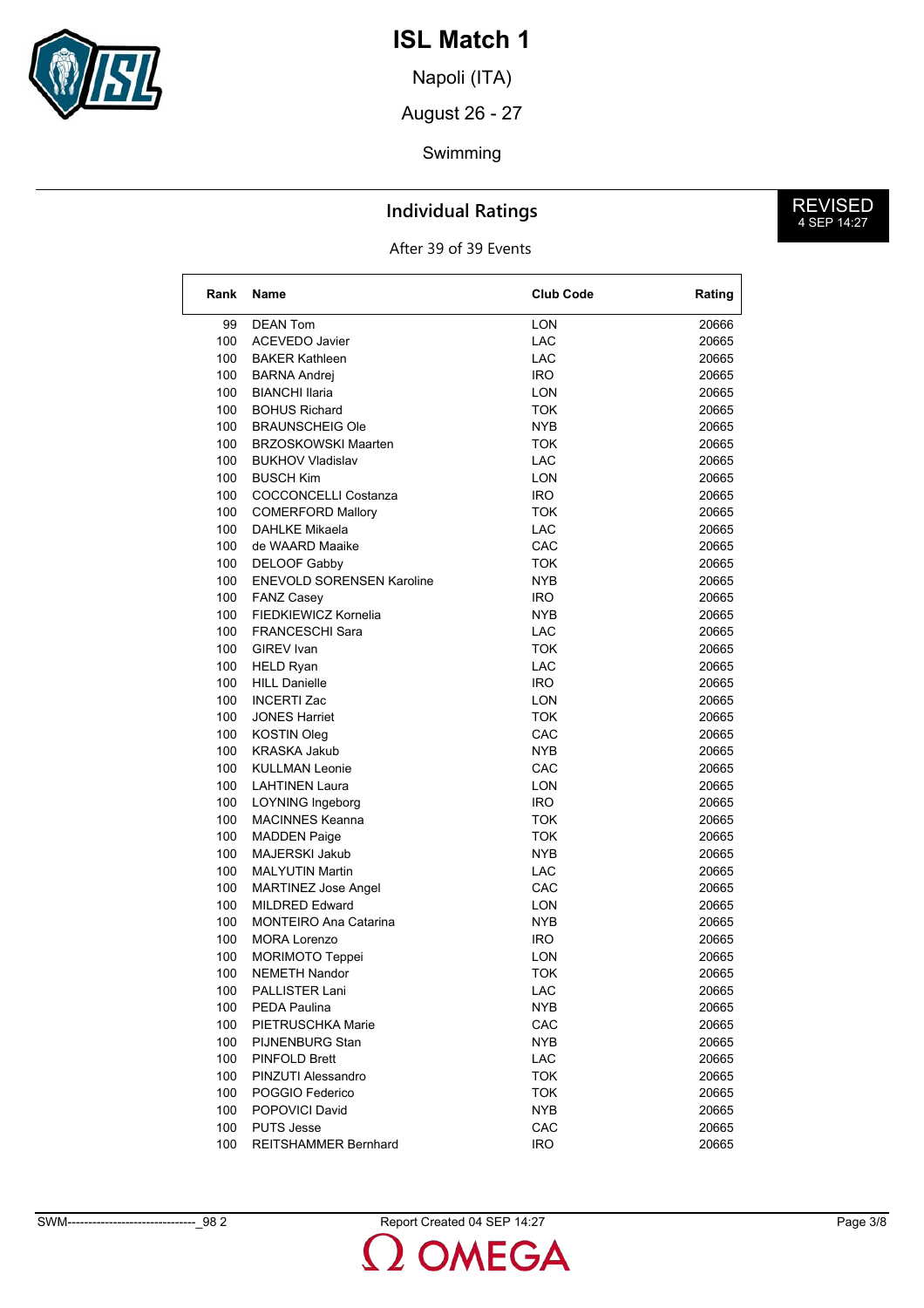

Napoli (ITA)

August 26 - 27

#### Swimming

### **Individual Ratings**

After 39 of 39 Events

| Rank | Name                             | <b>Club Code</b> | Rating |
|------|----------------------------------|------------------|--------|
| 99   | <b>DEAN Tom</b>                  | LON              | 20666  |
| 100  | <b>ACEVEDO Javier</b>            | <b>LAC</b>       | 20665  |
| 100  | <b>BAKER Kathleen</b>            | LAC              | 20665  |
| 100  | <b>BARNA Andrej</b>              | IRO.             | 20665  |
| 100  | <b>BIANCHI Ilaria</b>            | LON              | 20665  |
| 100  | <b>BOHUS Richard</b>             | <b>TOK</b>       | 20665  |
| 100  | <b>BRAUNSCHEIG Ole</b>           | NYB              | 20665  |
| 100  | <b>BRZOSKOWSKI Maarten</b>       | TOK              | 20665  |
| 100  | <b>BUKHOV Vladislav</b>          | LAC              | 20665  |
| 100  | <b>BUSCH Kim</b>                 | LON              | 20665  |
| 100  | <b>COCCONCELLI Costanza</b>      | IRO.             | 20665  |
| 100  | <b>COMERFORD Mallory</b>         | TOK              | 20665  |
| 100  | <b>DAHLKE Mikaela</b>            | <b>LAC</b>       | 20665  |
| 100  | de WAARD Maaike                  | CAC              | 20665  |
| 100  | DELOOF Gabby                     | TOK              | 20665  |
| 100  | <b>ENEVOLD SORENSEN Karoline</b> | NYB              | 20665  |
| 100  | <b>FANZ Casey</b>                | IRO.             | 20665  |
| 100  | FIEDKIEWICZ Kornelia             | <b>NYB</b>       | 20665  |
| 100  | <b>FRANCESCHI Sara</b>           | LAC              | 20665  |
| 100  | <b>GIREV</b> Ivan                | TOK              | 20665  |
| 100  | <b>HELD Ryan</b>                 | <b>LAC</b>       | 20665  |
| 100  | <b>HILL Danielle</b>             | IRO.             | 20665  |
| 100  | <b>INCERTI Zac</b>               | LON              | 20665  |
| 100  | <b>JONES Harriet</b>             | <b>TOK</b>       | 20665  |
| 100  | <b>KOSTIN Oleg</b>               | CAC              | 20665  |
| 100  | <b>KRASKA Jakub</b>              | NYB              | 20665  |
| 100  | <b>KULLMAN Leonie</b>            | CAC              | 20665  |
| 100  | <b>LAHTINEN Laura</b>            | LON              | 20665  |
| 100  | <b>LOYNING Ingeborg</b>          | IRO.             | 20665  |
| 100  | <b>MACINNES Keanna</b>           | <b>TOK</b>       | 20665  |
| 100  | <b>MADDEN Paige</b>              | <b>TOK</b>       | 20665  |
| 100  | MAJERSKI Jakub                   | NYB.             | 20665  |
| 100  | <b>MALYUTIN Martin</b>           | LAC              | 20665  |
| 100  | <b>MARTINEZ Jose Angel</b>       | CAC              | 20665  |
| 100  | <b>MILDRED Edward</b>            | LON              | 20665  |
| 100  | <b>MONTEIRO Ana Catarina</b>     | NYB              | 20665  |
| 100  | <b>MORA Lorenzo</b>              | IRO.             | 20665  |
| 100  | MORIMOTO Teppei                  | LON              | 20665  |
| 100  | <b>NEMETH Nandor</b>             | <b>TOK</b>       | 20665  |
| 100  | PALLISTER Lani                   | LAC              | 20665  |
| 100  | PEDA Paulina                     | <b>NYB</b>       | 20665  |
| 100  | PIETRUSCHKA Marie                | CAC              | 20665  |
| 100  | PIJNENBURG Stan                  | <b>NYB</b>       | 20665  |
| 100  | PINFOLD Brett                    | <b>LAC</b>       | 20665  |
| 100  | PINZUTI Alessandro               | <b>TOK</b>       | 20665  |
| 100  | POGGIO Federico                  | <b>TOK</b>       | 20665  |
| 100  | POPOVICI David                   | <b>NYB</b>       | 20665  |
| 100  | PUTS Jesse                       | CAC              | 20665  |
| 100  | <b>REITSHAMMER Bernhard</b>      | <b>IRO</b>       | 20665  |

**MEGA**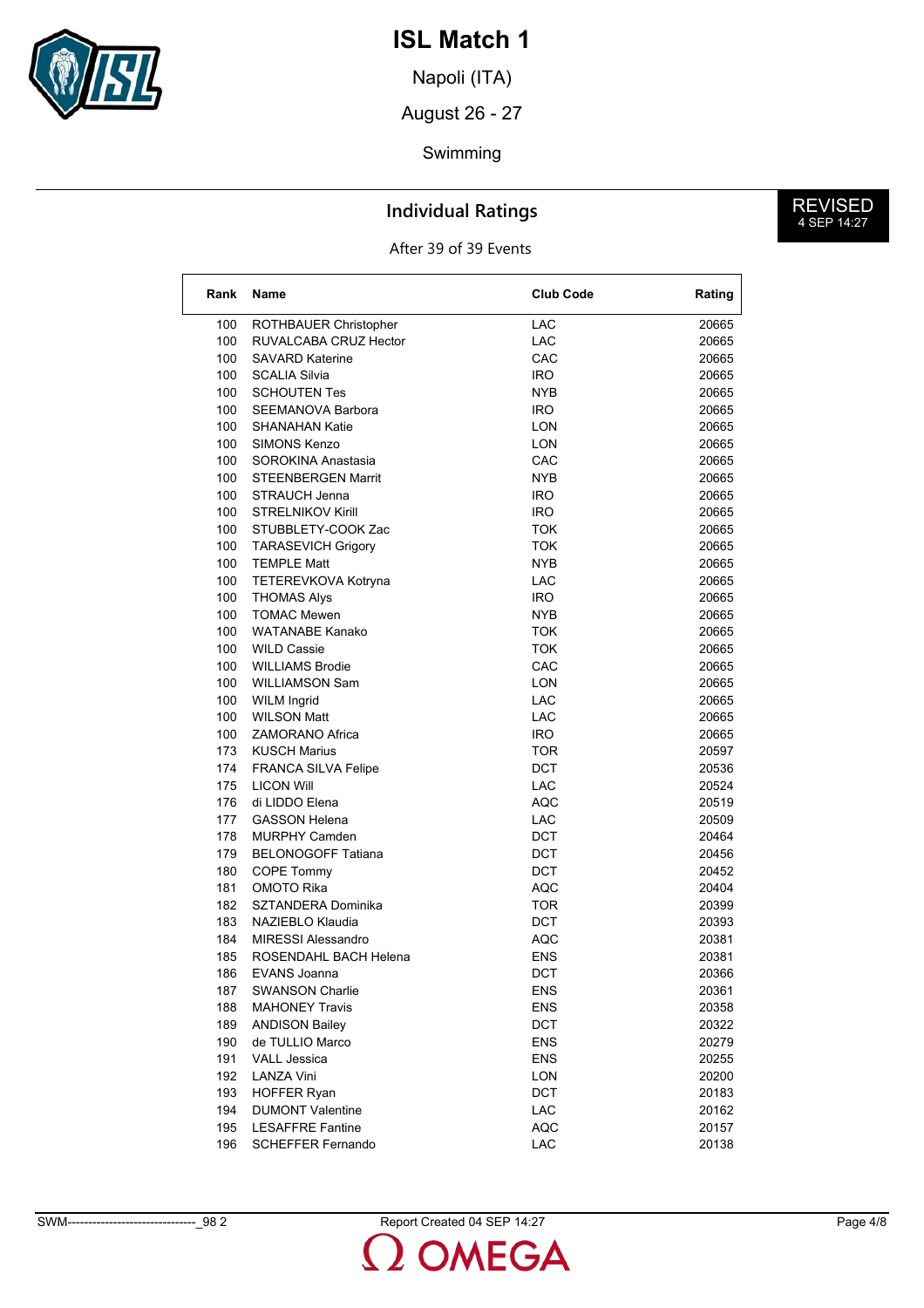

Napoli (ITA)

August 26 - 27

#### Swimming

### **Individual Ratings**

After 39 of 39 Events

| Rank | Name                       | <b>Club Code</b> | Rating |
|------|----------------------------|------------------|--------|
| 100  | ROTHBAUER Christopher      | <b>LAC</b>       | 20665  |
| 100  | RUVALCABA CRUZ Hector      | <b>LAC</b>       | 20665  |
| 100  | <b>SAVARD Katerine</b>     | CAC              | 20665  |
| 100  | <b>SCALIA Silvia</b>       | IRO.             | 20665  |
| 100  | <b>SCHOUTEN Tes</b>        | NYB              | 20665  |
| 100  | SEEMANOVA Barbora          | IRO.             | 20665  |
| 100  | <b>SHANAHAN Katie</b>      | LON              | 20665  |
| 100  | <b>SIMONS Kenzo</b>        | LON              | 20665  |
| 100  | SOROKINA Anastasia         | CAC              | 20665  |
| 100  | <b>STEENBERGEN Marrit</b>  | NYB              | 20665  |
| 100  | <b>STRAUCH Jenna</b>       | IRO.             | 20665  |
| 100  | <b>STRELNIKOV Kirill</b>   | <b>IRO</b>       | 20665  |
| 100  | STUBBLETY-COOK Zac         | <b>TOK</b>       | 20665  |
| 100  | <b>TARASEVICH Grigory</b>  | TOK              | 20665  |
| 100  | <b>TEMPLE Matt</b>         | NYB              | 20665  |
| 100  | TETEREVKOVA Kotryna        | <b>LAC</b>       | 20665  |
| 100  | <b>THOMAS Alys</b>         | <b>IRO</b>       | 20665  |
| 100  | <b>TOMAC Mewen</b>         | NYB              | 20665  |
| 100  | <b>WATANABE Kanako</b>     | TOK              | 20665  |
| 100  | <b>WILD Cassie</b>         | TOK              | 20665  |
| 100  | <b>WILLIAMS Brodie</b>     | CAC              | 20665  |
| 100  | <b>WILLIAMSON Sam</b>      | <b>LON</b>       | 20665  |
| 100  | <b>WILM Ingrid</b>         | <b>LAC</b>       | 20665  |
| 100  | <b>WILSON Matt</b>         | <b>LAC</b>       | 20665  |
| 100  | ZAMORANO Africa            | IRO.             | 20665  |
| 173  | <b>KUSCH Marius</b>        | TOR              | 20597  |
| 174  | <b>FRANCA SILVA Felipe</b> | <b>DCT</b>       | 20536  |
| 175  | <b>LICON Will</b>          | <b>LAC</b>       | 20524  |
| 176  | di LIDDO Elena             | AQC              | 20519  |
| 177  | <b>GASSON Helena</b>       | <b>LAC</b>       | 20509  |
| 178  | <b>MURPHY Camden</b>       | DCT              | 20464  |
| 179  | <b>BELONOGOFF Tatiana</b>  | DCT              | 20456  |
| 180  | COPE Tommy                 | DCT              | 20452  |
| 181  | OMOTO Rika                 | <b>AQC</b>       | 20404  |
| 182  | SZTANDERA Dominika         | TOR              | 20399  |
| 183  | NAZIEBLO Klaudia           | DCT              | 20393  |
| 184  | <b>MIRESSI Alessandro</b>  | <b>AQC</b>       | 20381  |
| 185  | ROSENDAHL BACH Helena      | ENS              | 20381  |
| 186  | EVANS Joanna               | DCT              | 20366  |
| 187  | <b>SWANSON Charlie</b>     | ENS              | 20361  |
| 188  | <b>MAHONEY Travis</b>      | <b>ENS</b>       | 20358  |
| 189  | <b>ANDISON Bailey</b>      | DCT              | 20322  |
| 190  | de TULLIO Marco            | <b>ENS</b>       | 20279  |
| 191  | <b>VALL Jessica</b>        | <b>ENS</b>       | 20255  |
| 192  | <b>LANZA Vini</b>          | <b>LON</b>       | 20200  |
| 193  | <b>HOFFER Ryan</b>         | DCT              | 20183  |
| 194  | <b>DUMONT Valentine</b>    | LAC              | 20162  |
| 195  | <b>LESAFFRE Fantine</b>    | <b>AQC</b>       | 20157  |
| 196  | <b>SCHEFFER Fernando</b>   | LAC              | 20138  |
|      |                            |                  |        |

MEGA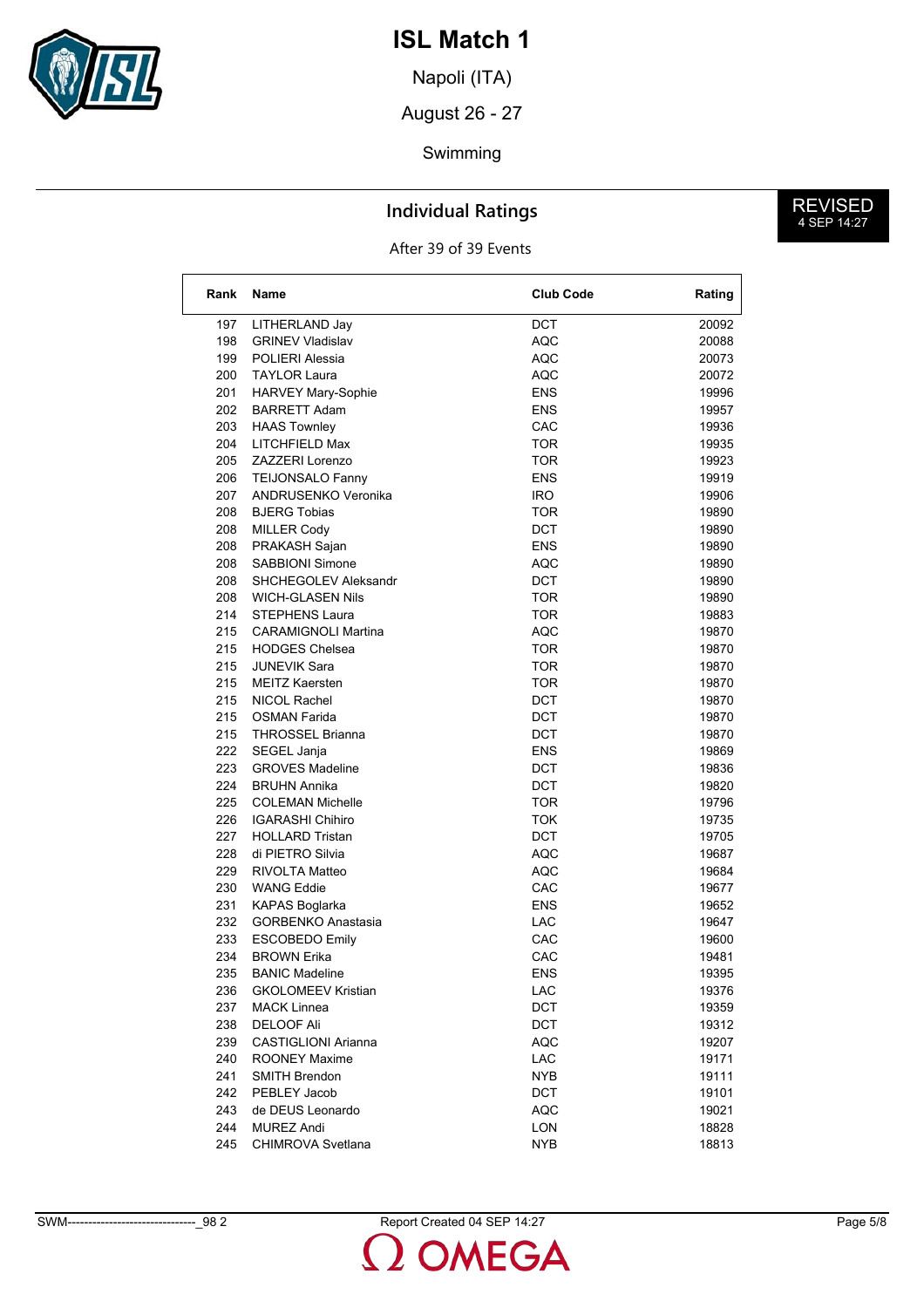

Napoli (ITA)

August 26 - 27

#### Swimming

### **Individual Ratings**

After 39 of 39 Events

| Rank | <b>Name</b>                         | <b>Club Code</b>  | Rating |
|------|-------------------------------------|-------------------|--------|
| 197  | LITHERLAND Jay                      | DCT               | 20092  |
| 198  | <b>GRINEV Vladislav</b>             | <b>AQC</b>        | 20088  |
| 199  | POLIERI Alessia                     | <b>AQC</b>        | 20073  |
| 200  | <b>TAYLOR Laura</b>                 | AQC               | 20072  |
| 201  | HARVEY Mary-Sophie                  | <b>ENS</b>        | 19996  |
| 202  | <b>BARRETT Adam</b>                 | <b>ENS</b>        | 19957  |
| 203  | <b>HAAS Townley</b>                 | CAC               | 19936  |
| 204  | LITCHFIELD Max                      | <b>TOR</b>        | 19935  |
| 205  | ZAZZERI Lorenzo                     | <b>TOR</b>        | 19923  |
| 206  | <b>TEIJONSALO Fanny</b>             | <b>ENS</b>        | 19919  |
| 207  | ANDRUSENKO Veronika                 | IRO               | 19906  |
| 208  | <b>BJERG Tobias</b>                 | <b>TOR</b>        | 19890  |
| 208  | <b>MILLER Cody</b>                  | <b>DCT</b>        | 19890  |
| 208  | PRAKASH Sajan                       | <b>ENS</b>        | 19890  |
| 208  | <b>SABBIONI Simone</b>              | <b>AQC</b>        | 19890  |
| 208  | SHCHEGOLEV Aleksandr                | DCT               | 19890  |
| 208  | <b>WICH-GLASEN Nils</b>             | <b>TOR</b>        | 19890  |
| 214  | <b>STEPHENS Laura</b>               | <b>TOR</b>        | 19883  |
| 215  | <b>CARAMIGNOLI Martina</b>          | AQC               | 19870  |
| 215  | <b>HODGES Chelsea</b>               | <b>TOR</b>        | 19870  |
| 215  | <b>JUNEVIK Sara</b>                 | <b>TOR</b>        | 19870  |
|      | <b>MEITZ Kaersten</b>               |                   | 19870  |
| 215  |                                     | <b>TOR</b>        |        |
| 215  | NICOL Rachel<br><b>OSMAN Farida</b> | DCT<br><b>DCT</b> | 19870  |
| 215  |                                     |                   | 19870  |
| 215  | <b>THROSSEL Brianna</b>             | DCT               | 19870  |
| 222  | SEGEL Janja                         | <b>ENS</b>        | 19869  |
| 223  | <b>GROVES Madeline</b>              | <b>DCT</b>        | 19836  |
| 224  | <b>BRUHN Annika</b>                 | DCT               | 19820  |
| 225  | <b>COLEMAN Michelle</b>             | <b>TOR</b>        | 19796  |
| 226  | <b>IGARASHI Chihiro</b>             | <b>TOK</b>        | 19735  |
| 227  | <b>HOLLARD Tristan</b>              | DCT               | 19705  |
| 228  | di PIETRO Silvia                    | <b>AQC</b>        | 19687  |
| 229  | RIVOLTA Matteo                      | AQC               | 19684  |
| 230  | <b>WANG Eddie</b>                   | CAC               | 19677  |
| 231  | KAPAS Boglarka                      | <b>ENS</b>        | 19652  |
| 232  | <b>GORBENKO Anastasia</b>           | LAC               | 19647  |
| 233  | <b>ESCOBEDO Emily</b>               | CAC               | 19600  |
| 234  | <b>BROWN Erika</b>                  | CAC               | 19481  |
| 235  | <b>BANIC Madeline</b>               | <b>ENS</b>        | 19395  |
| 236  | <b>GKOLOMEEV Kristian</b>           | LAC               | 19376  |
| 237  | MACK Linnea                         | <b>DCT</b>        | 19359  |
| 238  | <b>DELOOF Ali</b>                   | DCT               | 19312  |
| 239  | <b>CASTIGLIONI Arianna</b>          | <b>AQC</b>        | 19207  |
| 240  | ROONEY Maxime                       | <b>LAC</b>        | 19171  |
| 241  | <b>SMITH Brendon</b>                | <b>NYB</b>        | 19111  |
| 242  | PEBLEY Jacob                        | <b>DCT</b>        | 19101  |
| 243  | de DEUS Leonardo                    | <b>AQC</b>        | 19021  |
| 244  | <b>MUREZ Andi</b>                   | LON               | 18828  |
| 245  | <b>CHIMROVA Svetlana</b>            | <b>NYB</b>        | 18813  |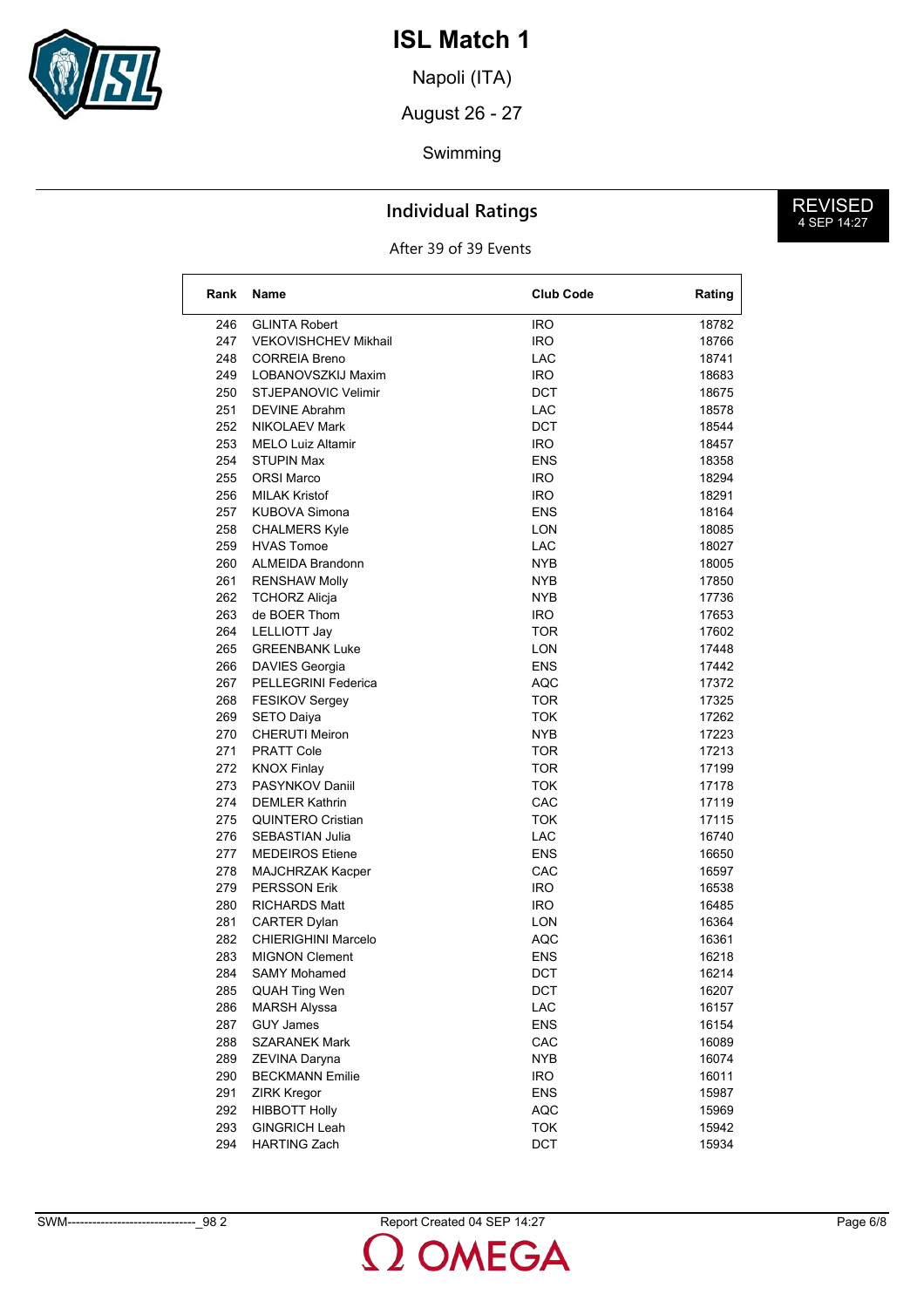

Napoli (ITA)

August 26 - 27

## Swimming

### **Individual Ratings**

After 39 of 39 Events

| Rank | <b>Name</b>                                       | <b>Club Code</b> | Rating |
|------|---------------------------------------------------|------------------|--------|
| 246  | <b>GLINTA Robert</b>                              | IRO              | 18782  |
| 247  | <b>VEKOVISHCHEV Mikhail</b>                       | <b>IRO</b>       | 18766  |
| 248  | <b>CORREIA Breno</b>                              | LAC              | 18741  |
| 249  | LOBANOVSZKIJ Maxim                                | IRO.             | 18683  |
| 250  | STJEPANOVIC Velimir                               | DCT              | 18675  |
| 251  | <b>DEVINE Abrahm</b>                              | LAC              | 18578  |
| 252  | <b>NIKOLAEV Mark</b>                              | <b>DCT</b>       | 18544  |
| 253  | <b>MELO Luiz Altamir</b>                          | IRO.             | 18457  |
| 254  | <b>STUPIN Max</b>                                 | ENS              | 18358  |
| 255  | <b>ORSI Marco</b>                                 | IRO.             | 18294  |
| 256  | <b>MILAK Kristof</b>                              | IRO.             | 18291  |
| 257  | <b>KUBOVA Simona</b>                              | <b>ENS</b>       | 18164  |
| 258  | <b>CHALMERS Kyle</b>                              | <b>LON</b>       | 18085  |
| 259  | <b>HVAS Tomoe</b>                                 | LAC              | 18027  |
| 260  | <b>ALMEIDA Brandonn</b>                           | NYB              | 18005  |
| 261  | <b>RENSHAW Molly</b>                              | NYB              | 17850  |
| 262  | <b>TCHORZ Alicja</b>                              | NYB              | 17736  |
| 263  | de BOER Thom                                      | IRO.             | 17653  |
| 264  | LELLIOTT Jay                                      | <b>TOR</b>       | 17602  |
| 265  | <b>GREENBANK Luke</b>                             | <b>LON</b>       | 17448  |
| 266  | DAVIES Georgia                                    | ENS              | 17442  |
| 267  | PELLEGRINI Federica                               | AQC              | 17372  |
| 268  | <b>FESIKOV Sergey</b>                             | TOR              | 17325  |
| 269  | <b>SETO Daiya</b>                                 | TOK              | 17262  |
| 270  | <b>CHERUTI Meiron</b>                             | <b>NYB</b>       | 17223  |
| 271  | <b>PRATT Cole</b>                                 | TOR              | 17213  |
| 272  | <b>KNOX Finlay</b>                                | <b>TOR</b>       | 17199  |
| 273  | PASYNKOV Daniil                                   | <b>TOK</b>       | 17178  |
| 274  | <b>DEMLER Kathrin</b>                             | CAC              | 17119  |
| 275  | <b>QUINTERO Cristian</b>                          | TOK              | 17115  |
| 276  | <b>SEBASTIAN Julia</b>                            | <b>LAC</b>       | 16740  |
| 277  | <b>MEDEIROS Etiene</b>                            | ENS              | 16650  |
| 278  | MAJCHRZAK Kacper                                  | CAC              | 16597  |
| 279  | <b>PERSSON Erik</b>                               | IRO.             | 16538  |
| 280  | RICHARDS Matt                                     | IRO.             | 16485  |
| 281  |                                                   | LON              | 16364  |
| 282  | <b>CARTER Dylan</b><br><b>CHIERIGHINI Marcelo</b> | AQC              | 16361  |
| 283  | <b>MIGNON Clement</b>                             | ENS              | 16218  |
|      |                                                   |                  |        |
| 284  | <b>SAMY Mohamed</b>                               | <b>DCT</b>       | 16214  |
| 285  | <b>QUAH Ting Wen</b>                              | DCT              | 16207  |
| 286  | <b>MARSH Alyssa</b>                               | LAC              | 16157  |
| 287  | <b>GUY James</b>                                  | ENS              | 16154  |
| 288  | <b>SZARANEK Mark</b>                              | CAC              | 16089  |
| 289  | ZEVINA Daryna                                     | <b>NYB</b>       | 16074  |
| 290  | <b>BECKMANN Emilie</b>                            | <b>IRO</b>       | 16011  |
| 291  | <b>ZIRK Kregor</b>                                | <b>ENS</b>       | 15987  |
| 292  | <b>HIBBOTT Holly</b>                              | <b>AQC</b>       | 15969  |
| 293  | <b>GINGRICH Leah</b>                              | <b>TOK</b>       | 15942  |
| 294  | <b>HARTING Zach</b>                               | DCT              | 15934  |

**DMEGA**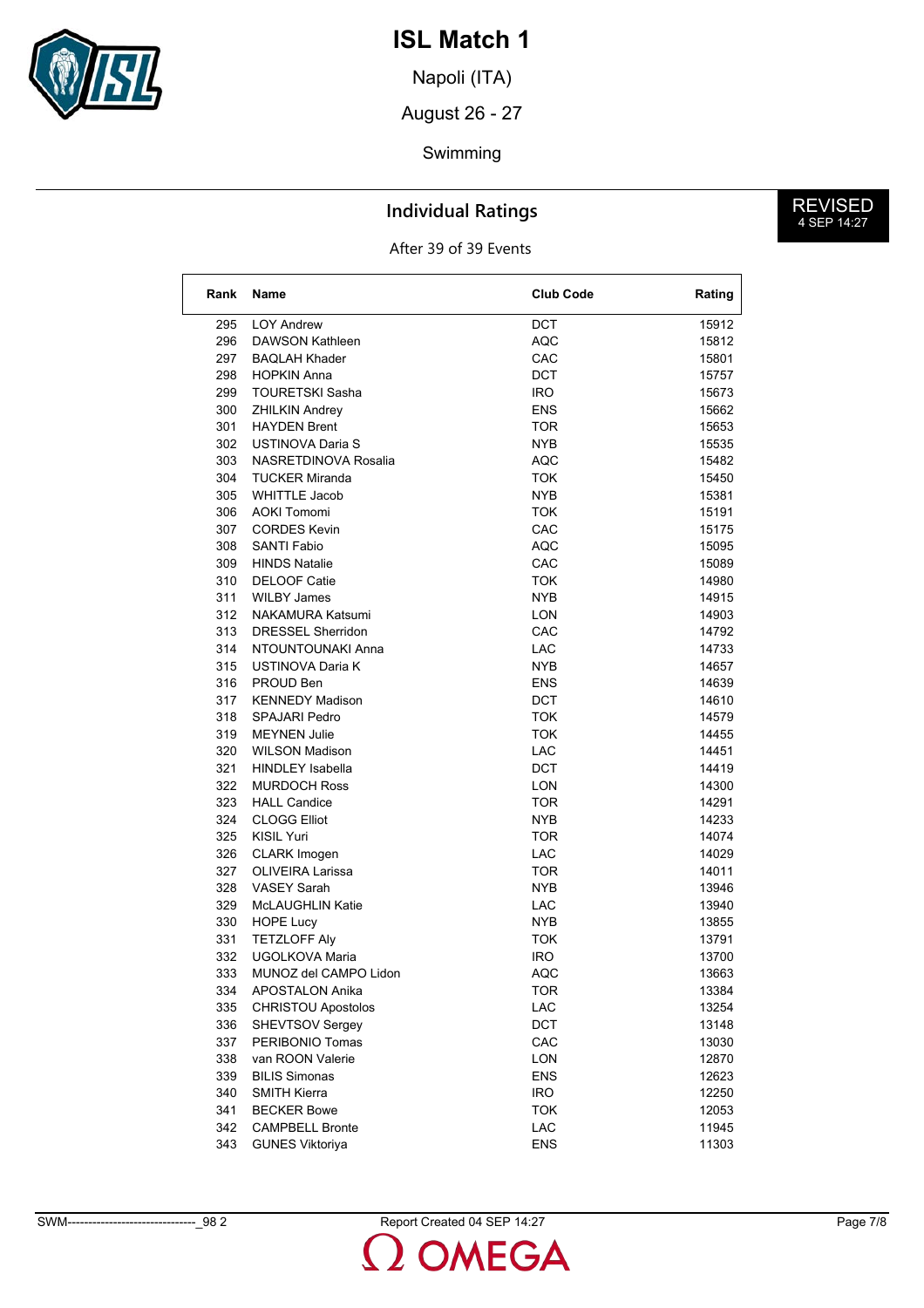

Napoli (ITA)

August 26 - 27

## Swimming

### **Individual Ratings**

After 39 of 39 Events

| Rank | Name                      | <b>Club Code</b> | Rating |
|------|---------------------------|------------------|--------|
| 295  | <b>LOY Andrew</b>         | DCT              | 15912  |
| 296  | DAWSON Kathleen           | <b>AQC</b>       | 15812  |
| 297  | <b>BAQLAH Khader</b>      | CAC              | 15801  |
| 298  | <b>HOPKIN Anna</b>        | DCT              | 15757  |
| 299  | <b>TOURETSKI Sasha</b>    | IRO.             | 15673  |
| 300  | <b>ZHILKIN Andrey</b>     | <b>ENS</b>       | 15662  |
| 301  | <b>HAYDEN Brent</b>       | TOR              | 15653  |
| 302  | <b>USTINOVA Daria S</b>   | NYB.             | 15535  |
| 303  | NASRETDINOVA Rosalia      | AQC              | 15482  |
| 304  | <b>TUCKER Miranda</b>     | TOK              | 15450  |
| 305  | <b>WHITTLE Jacob</b>      | <b>NYB</b>       | 15381  |
| 306  | <b>AOKI Tomomi</b>        | <b>TOK</b>       | 15191  |
| 307  | <b>CORDES Kevin</b>       | CAC              | 15175  |
| 308  | <b>SANTI Fabio</b>        | <b>AQC</b>       | 15095  |
| 309  | <b>HINDS Natalie</b>      | CAC              | 15089  |
| 310  | <b>DELOOF Catie</b>       | TOK              | 14980  |
| 311  | <b>WILBY James</b>        | NYB.             | 14915  |
| 312  | <b>NAKAMURA Katsumi</b>   | LON              | 14903  |
| 313  | <b>DRESSEL Sherridon</b>  | CAC              | 14792  |
| 314  | NTOUNTOUNAKI Anna         | LAC              | 14733  |
| 315  | USTINOVA Daria K          | NYB.             | 14657  |
| 316  | PROUD Ben                 | ENS              | 14639  |
| 317  | <b>KENNEDY Madison</b>    | DCT              | 14610  |
| 318  | <b>SPAJARI Pedro</b>      | <b>TOK</b>       | 14579  |
| 319  | <b>MEYNEN Julie</b>       | <b>TOK</b>       | 14455  |
| 320  | <b>WILSON Madison</b>     | <b>LAC</b>       | 14451  |
| 321  | <b>HINDLEY Isabella</b>   | <b>DCT</b>       | 14419  |
| 322  | <b>MURDOCH Ross</b>       | LON              | 14300  |
| 323  | <b>HALL Candice</b>       | TOR              | 14291  |
| 324  | <b>CLOGG Elliot</b>       | <b>NYB</b>       | 14233  |
| 325  | <b>KISIL Yuri</b>         | TOR              | 14074  |
| 326  | <b>CLARK Imogen</b>       | LAC              | 14029  |
| 327  | <b>OLIVEIRA Larissa</b>   | TOR              | 14011  |
| 328  | <b>VASEY Sarah</b>        | NYB.             | 13946  |
| 329  | McLAUGHLIN Katie          | LAC              | 13940  |
| 330  | <b>HOPE Lucy</b>          | <b>NYB</b>       | 13855  |
| 331  | <b>TETZLOFF Aly</b>       | TOK              | 13791  |
| 332  | UGOLKOVA Maria            | IRO              | 13700  |
| 333  | MUNOZ del CAMPO Lidon     | AQC              | 13663  |
| 334  | APOSTALON Anika           | <b>TOR</b>       | 13384  |
| 335  | <b>CHRISTOU Apostolos</b> | LAC              | 13254  |
| 336  | <b>SHEVTSOV Sergey</b>    | DCT              | 13148  |
| 337  | PERIBONIO Tomas           | CAC              | 13030  |
| 338  | van ROON Valerie          | LON              | 12870  |
| 339  | <b>BILIS Simonas</b>      | <b>ENS</b>       | 12623  |
| 340  | <b>SMITH Kierra</b>       | <b>IRO</b>       | 12250  |
| 341  | <b>BECKER Bowe</b>        | <b>TOK</b>       | 12053  |
| 342  | <b>CAMPBELL Bronte</b>    | LAC              | 11945  |
| 343  |                           | <b>ENS</b>       | 11303  |
|      | <b>GUNES Viktoriya</b>    |                  |        |

MEGA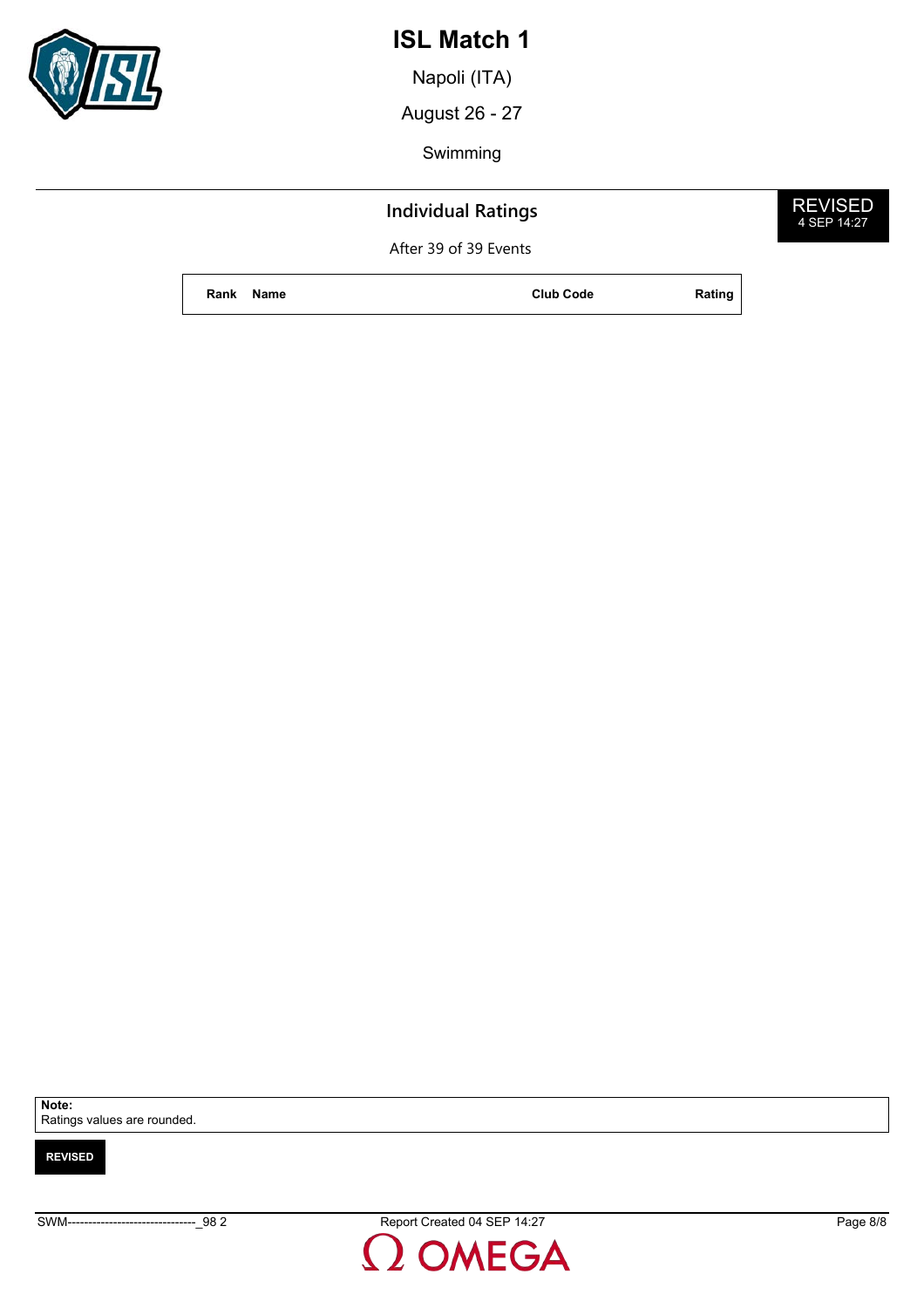

Napoli (ITA)

August 26 - 27

Swimming

## **Individual Ratings**

After 39 of 39 Events

**Rank Name Club Code Rating**



**REVISED**

**Note:** Ratings values are rounded.

SWM-------------------------------\_98 2 Report Created 04 SEP 14:27 Page 8/8

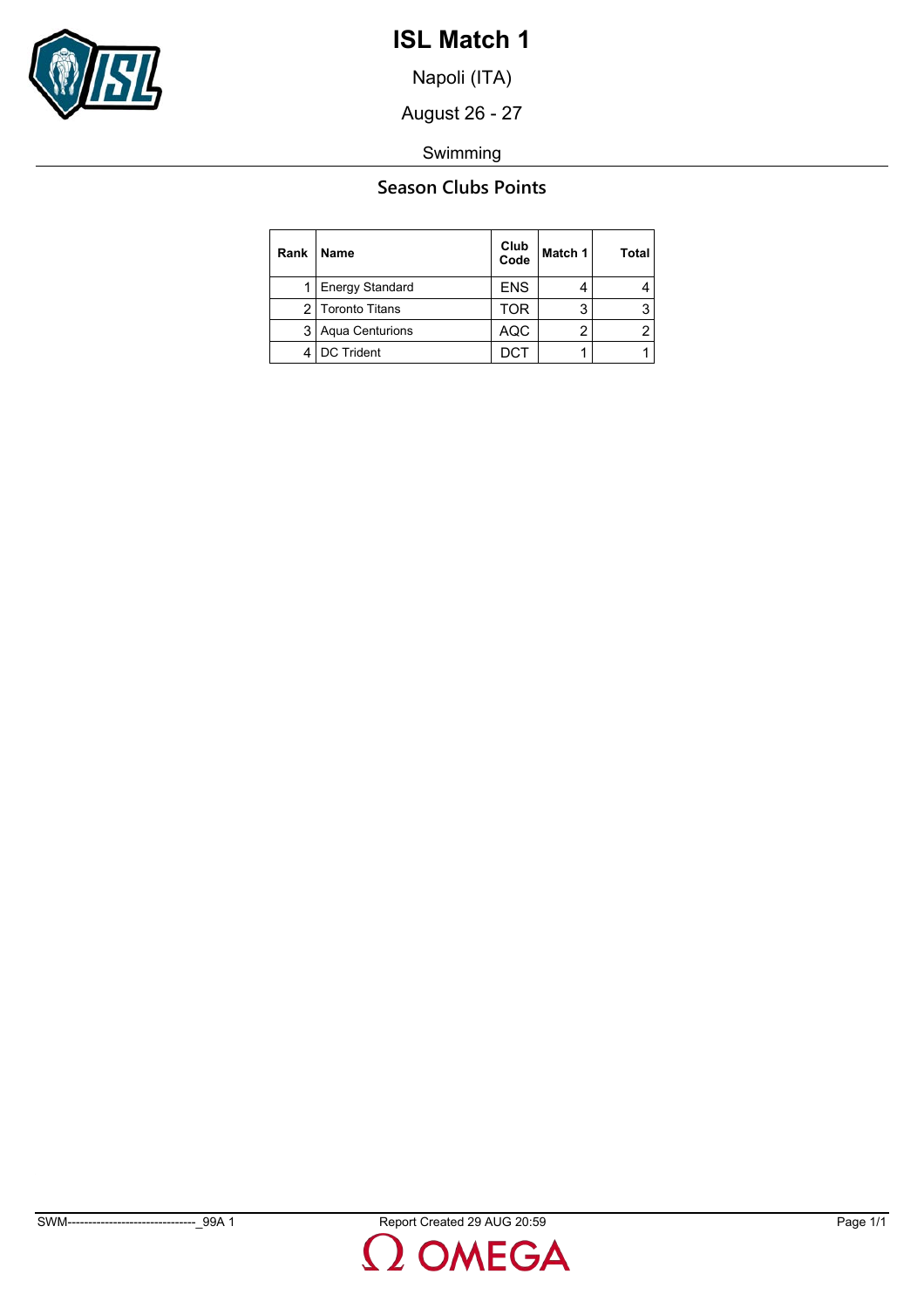

Napoli (ITA)

August 26 - 27

Swimming

## **Season Clubs Points**

| Rank | <b>Name</b>         | Club<br>Code | Match 1 | <b>Total</b> |
|------|---------------------|--------------|---------|--------------|
|      | 1 Energy Standard   | <b>ENS</b>   |         |              |
|      | 2 Toronto Titans    | TOR          | 3       |              |
|      | 3   Aqua Centurions | AQC          | ◠       |              |
|      | DC Trident          | DC1          |         |              |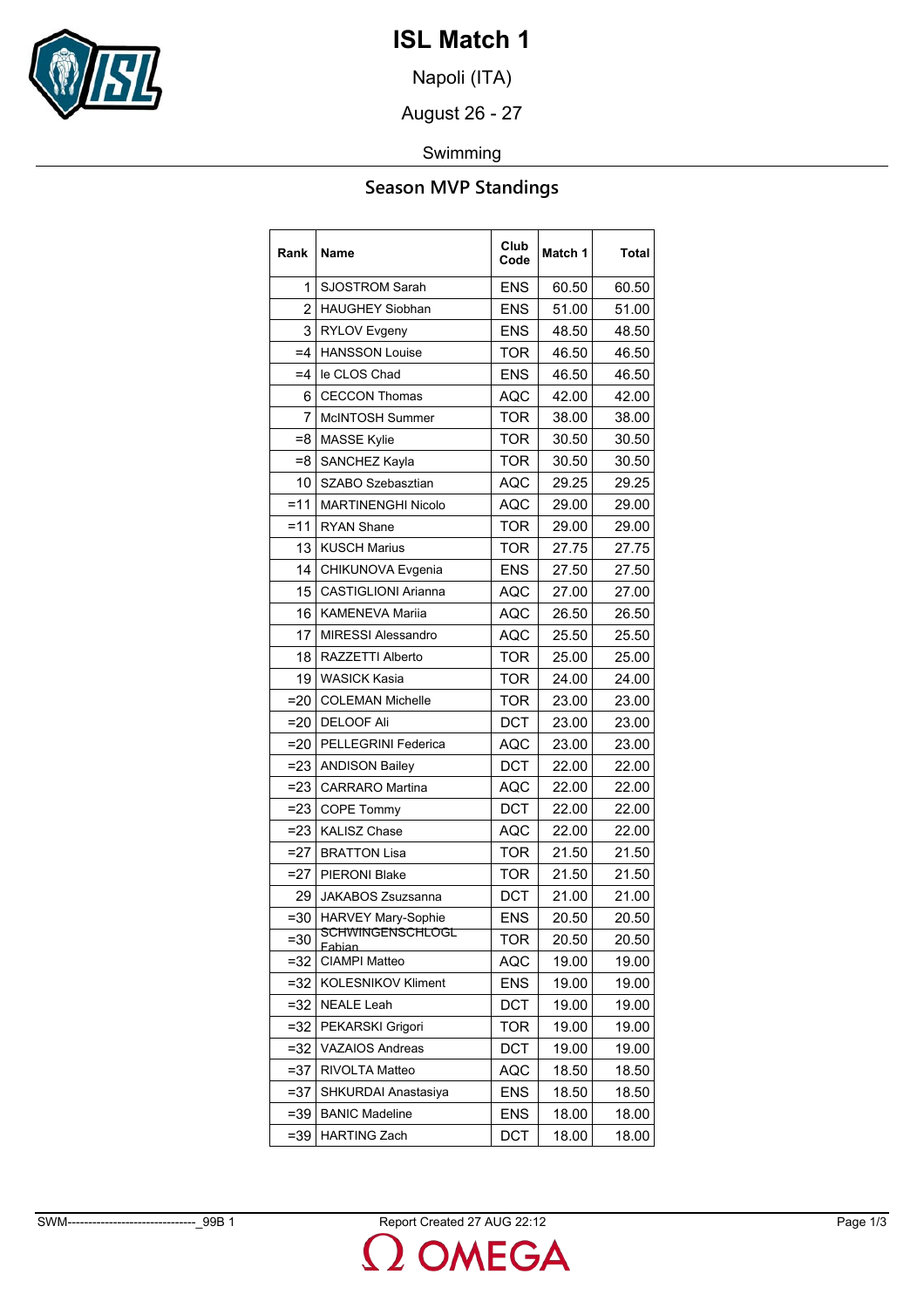

Napoli (ITA)

August 26 - 27

Swimming

## **Season MVP Standings**

| Rank   | Name                        | Club<br>Code | Match 1 | Total |
|--------|-----------------------------|--------------|---------|-------|
| 1      | <b>SJOSTROM Sarah</b>       | <b>ENS</b>   | 60.50   | 60.50 |
| 2      | <b>HAUGHEY Siobhan</b>      | <b>ENS</b>   | 51.00   | 51.00 |
| 3      | <b>RYLOV Evgeny</b>         | <b>ENS</b>   | 48.50   | 48.50 |
| $=4$   | <b>HANSSON Louise</b>       | <b>TOR</b>   | 46.50   | 46.50 |
| $=4$   | le CLOS Chad                | <b>ENS</b>   | 46.50   | 46.50 |
| 6      | <b>CECCON Thomas</b>        | <b>AQC</b>   | 42.00   | 42.00 |
| 7      | <b>McINTOSH Summer</b>      | <b>TOR</b>   | 38.00   | 38.00 |
| =8     | <b>MASSE Kylie</b>          | TOR          | 30.50   | 30.50 |
| $=8$   | SANCHEZ Kayla               | <b>TOR</b>   | 30.50   | 30.50 |
| 10     | SZABO Szebasztian           | AQC          | 29.25   | 29.25 |
| $=11$  | <b>MARTINENGHI Nicolo</b>   | AQC          | 29.00   | 29.00 |
| $=11$  | <b>RYAN Shane</b>           | <b>TOR</b>   | 29.00   | 29.00 |
| 13     | <b>KUSCH Marius</b>         | TOR          | 27.75   | 27.75 |
| 14     | CHIKUNOVA Evgenia           | <b>ENS</b>   | 27.50   | 27.50 |
| 15     | <b>CASTIGLIONI Arianna</b>  | <b>AQC</b>   | 27.00   | 27.00 |
| 16     | <b>KAMENEVA Marija</b>      | <b>AQC</b>   | 26.50   | 26.50 |
| 17     | <b>MIRESSI Alessandro</b>   | AQC          | 25.50   | 25.50 |
| 18     | RAZZETTI Alberto            | <b>TOR</b>   | 25.00   | 25.00 |
| 19     | <b>WASICK Kasia</b>         | TOR          | 24.00   | 24.00 |
| $=20$  | <b>COLEMAN Michelle</b>     | TOR          | 23.00   | 23.00 |
| $=20$  | <b>DELOOF Ali</b>           | <b>DCT</b>   | 23.00   | 23.00 |
| $=20$  | <b>PELLEGRINI Federica</b>  | AQC          | 23.00   | 23.00 |
| $= 23$ | <b>ANDISON Bailey</b>       | DCT          | 22.00   | 22.00 |
| $= 23$ | <b>CARRARO</b> Martina      | AQC          | 22.00   | 22.00 |
| $= 23$ | <b>COPE Tommy</b>           | DCT          | 22.00   | 22.00 |
| $= 23$ | <b>KALISZ Chase</b>         | AQC          | 22.00   | 22.00 |
| $=27$  | <b>BRATTON Lisa</b>         | <b>TOR</b>   | 21.50   | 21.50 |
| $=27$  | <b>PIERONI Blake</b>        | <b>TOR</b>   | 21.50   | 21.50 |
| 29     | <b>JAKABOS Zsuzsanna</b>    | <b>DCT</b>   | 21.00   | 21.00 |
| $= 30$ | <b>HARVEY Mary-Sophie</b>   | <b>ENS</b>   | 20.50   | 20.50 |
| $= 30$ | SCHWINGENSCHLOGL<br>Fabian. | TOR          | 20.50   | 20.50 |
| =32    | <b>CIAMPI Matteo</b>        | AQC          | 19.00   | 19.00 |
| $= 32$ | <b>KOLESNIKOV Kliment</b>   | ENS          | 19.00   | 19.00 |
| $= 32$ | <b>NEALE Leah</b>           | DCT          | 19.00   | 19.00 |
| $=32$  | PEKARSKI Grigori            | TOR          | 19.00   | 19.00 |
| $=32$  | <b>VAZAIOS Andreas</b>      | DCT          | 19.00   | 19.00 |
| $= 37$ | RIVOLTA Matteo              | AQC          | 18.50   | 18.50 |
| $= 37$ | SHKURDAI Anastasiya         | <b>ENS</b>   | 18.50   | 18.50 |
| $= 39$ | <b>BANIC Madeline</b>       | ENS          | 18.00   | 18.00 |
| $= 39$ | <b>HARTING Zach</b>         | DCT          | 18.00   | 18.00 |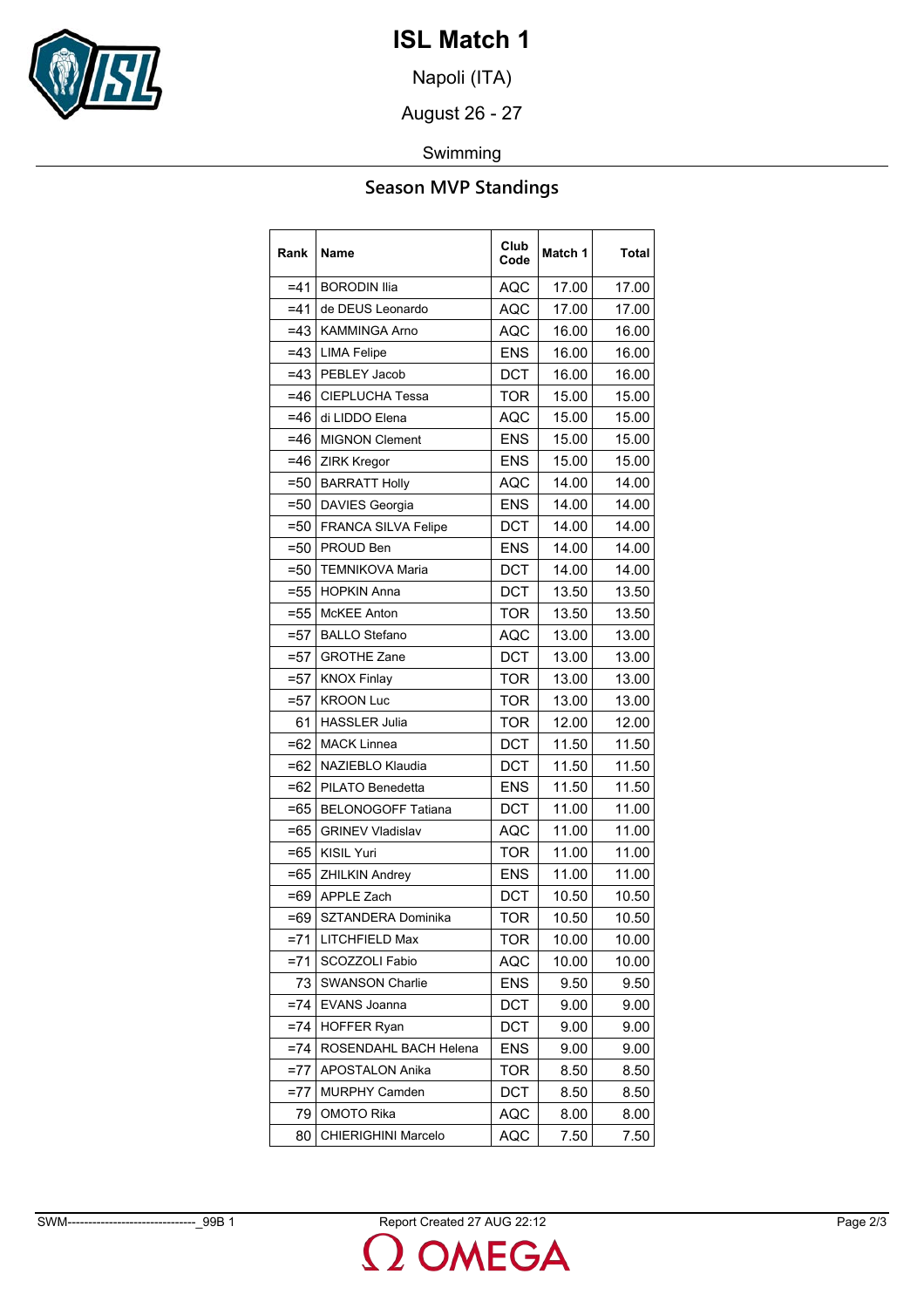

Napoli (ITA)

August 26 - 27

### Swimming

# **Season MVP Standings**

| Rank   | Name                      | Club<br>Code | Match 1 | <b>Total</b> |
|--------|---------------------------|--------------|---------|--------------|
| $= 41$ | <b>BORODIN Ilia</b>       | <b>AQC</b>   | 17.00   | 17.00        |
| =41    | de DEUS Leonardo          | AQC          | 17.00   | 17.00        |
| $=43$  | <b>KAMMINGA Arno</b>      | <b>AQC</b>   | 16.00   | 16.00        |
| $=43$  | <b>LIMA Felipe</b>        | <b>ENS</b>   | 16.00   | 16.00        |
| $=43$  | PEBLEY Jacob              | DCT          | 16.00   | 16.00        |
| $=46$  | <b>CIEPLUCHA Tessa</b>    | <b>TOR</b>   | 15.00   | 15.00        |
| =46    | di LIDDO Elena            | <b>AQC</b>   | 15.00   | 15.00        |
| =46    | <b>MIGNON Clement</b>     | <b>ENS</b>   | 15.00   | 15.00        |
| $=46$  | <b>ZIRK Kregor</b>        | <b>ENS</b>   | 15.00   | 15.00        |
| $= 50$ | <b>BARRATT Holly</b>      | AQC          | 14.00   | 14.00        |
| =50    | <b>DAVIES Georgia</b>     | <b>ENS</b>   | 14.00   | 14.00        |
| $=50$  | FRANCA SILVA Felipe       | <b>DCT</b>   | 14.00   | 14.00        |
| $= 50$ | PROUD Ben                 | <b>ENS</b>   | 14.00   | 14.00        |
| =50    | <b>TEMNIKOVA Maria</b>    | <b>DCT</b>   | 14.00   | 14.00        |
| $= 55$ | <b>HOPKIN Anna</b>        | <b>DCT</b>   | 13.50   | 13.50        |
| $=55$  | <b>McKEE Anton</b>        | <b>TOR</b>   | 13.50   | 13.50        |
| =57    | <b>BALLO Stefano</b>      | AQC          | 13.00   | 13.00        |
| $=57$  | <b>GROTHE Zane</b>        | <b>DCT</b>   | 13.00   | 13.00        |
| $= 57$ | <b>KNOX Finlay</b>        | <b>TOR</b>   | 13.00   | 13.00        |
| =57    | <b>KROON Luc</b>          | <b>TOR</b>   | 13.00   | 13.00        |
| 61     | <b>HASSLER Julia</b>      | <b>TOR</b>   | 12.00   | 12.00        |
| $=62$  | <b>MACK Linnea</b>        | <b>DCT</b>   | 11.50   | 11.50        |
| =62    | NAZIEBLO Klaudia          | DCT          | 11.50   | 11.50        |
| $=62$  | PILATO Benedetta          | <b>ENS</b>   | 11.50   | 11.50        |
| $=65$  | <b>BELONOGOFF Tatiana</b> | <b>DCT</b>   | 11.00   | 11.00        |
| =65    | <b>GRINEV Vladislav</b>   | AQC          | 11.00   | 11.00        |
| $=65$  | <b>KISIL Yuri</b>         | <b>TOR</b>   | 11.00   | 11.00        |
| $=65$  | <b>ZHILKIN Andrey</b>     | <b>ENS</b>   | 11.00   | 11.00        |
| =69    | <b>APPLE Zach</b>         | DCT          | 10.50   | 10.50        |
| $=69$  | SZTANDERA Dominika        | <b>TOR</b>   | 10.50   | 10.50        |
| $= 71$ | LITCHFIELD Max            | TOR          | 10.00   | 10.00        |
| $= 71$ | SCOZZOLI Fabio            | <b>AQC</b>   | 10.00   | 10.00        |
| 73     | <b>SWANSON Charlie</b>    | <b>ENS</b>   | 9.50    | 9.50         |
| $=74$  | EVANS Joanna              | DCT          | 9.00    | 9.00         |
| $= 74$ | <b>HOFFER Ryan</b>        | DCT          | 9.00    | 9.00         |
| $= 74$ | ROSENDAHL BACH Helena     | <b>ENS</b>   | 9.00    | 9.00         |
| $=77$  | <b>APOSTALON Anika</b>    | <b>TOR</b>   | 8.50    | 8.50         |
| $= 77$ | <b>MURPHY Camden</b>      | DCT          | 8.50    | 8.50         |
| 79     | OMOTO Rika                | AQC          | 8.00    | 8.00         |
| 80     | CHIERIGHINI Marcelo       | AQC          | 7.50    | 7.50         |